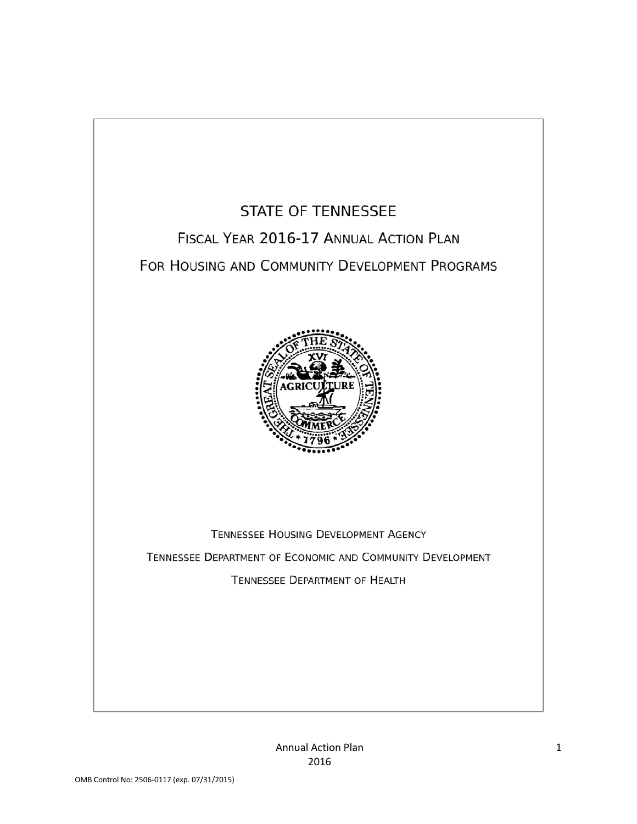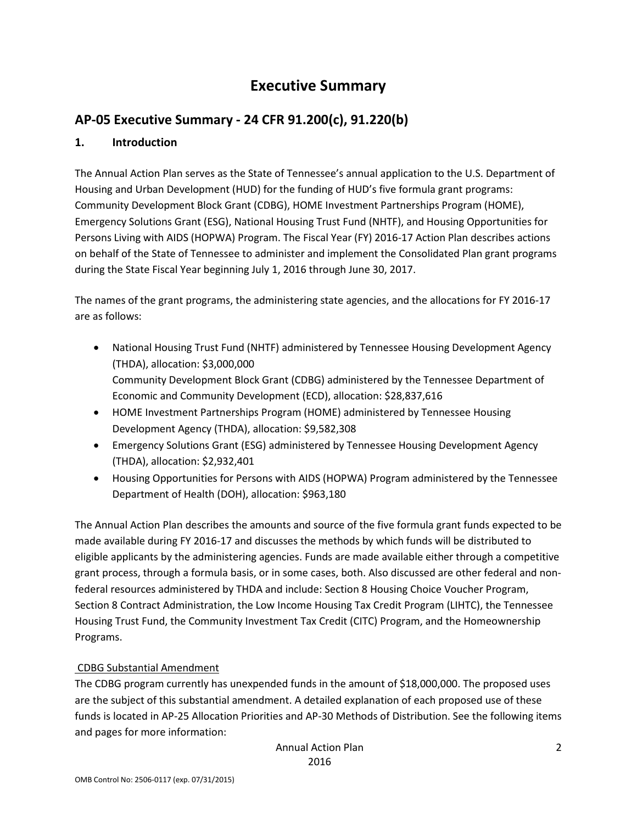# **Executive Summary**

# **AP-05 Executive Summary - 24 CFR 91.200(c), 91.220(b)**

### **1. Introduction**

The Annual Action Plan serves as the State of Tennessee's annual application to the U.S. Department of Housing and Urban Development (HUD) for the funding of HUD's five formula grant programs: Community Development Block Grant (CDBG), HOME Investment Partnerships Program (HOME), Emergency Solutions Grant (ESG), National Housing Trust Fund (NHTF), and Housing Opportunities for Persons Living with AIDS (HOPWA) Program. The Fiscal Year (FY) 2016-17 Action Plan describes actions on behalf of the State of Tennessee to administer and implement the Consolidated Plan grant programs during the State Fiscal Year beginning July 1, 2016 through June 30, 2017.

The names of the grant programs, the administering state agencies, and the allocations for FY 2016-17 are as follows:

- National Housing Trust Fund (NHTF) administered by Tennessee Housing Development Agency (THDA), allocation: \$3,000,000 Community Development Block Grant (CDBG) administered by the Tennessee Department of Economic and Community Development (ECD), allocation: \$28,837,616
- HOME Investment Partnerships Program (HOME) administered by Tennessee Housing Development Agency (THDA), allocation: \$9,582,308
- Emergency Solutions Grant (ESG) administered by Tennessee Housing Development Agency (THDA), allocation: \$2,932,401
- Housing Opportunities for Persons with AIDS (HOPWA) Program administered by the Tennessee Department of Health (DOH), allocation: \$963,180

The Annual Action Plan describes the amounts and source of the five formula grant funds expected to be made available during FY 2016-17 and discusses the methods by which funds will be distributed to eligible applicants by the administering agencies. Funds are made available either through a competitive grant process, through a formula basis, or in some cases, both. Also discussed are other federal and nonfederal resources administered by THDA and include: Section 8 Housing Choice Voucher Program, Section 8 Contract Administration, the Low Income Housing Tax Credit Program (LIHTC), the Tennessee Housing Trust Fund, the Community Investment Tax Credit (CITC) Program, and the Homeownership Programs.

### CDBG Substantial Amendment

The CDBG program currently has unexpended funds in the amount of \$18,000,000. The proposed uses are the subject of this substantial amendment. A detailed explanation of each proposed use of these funds is located in AP-25 Allocation Priorities and AP-30 Methods of Distribution. See the following items and pages for more information: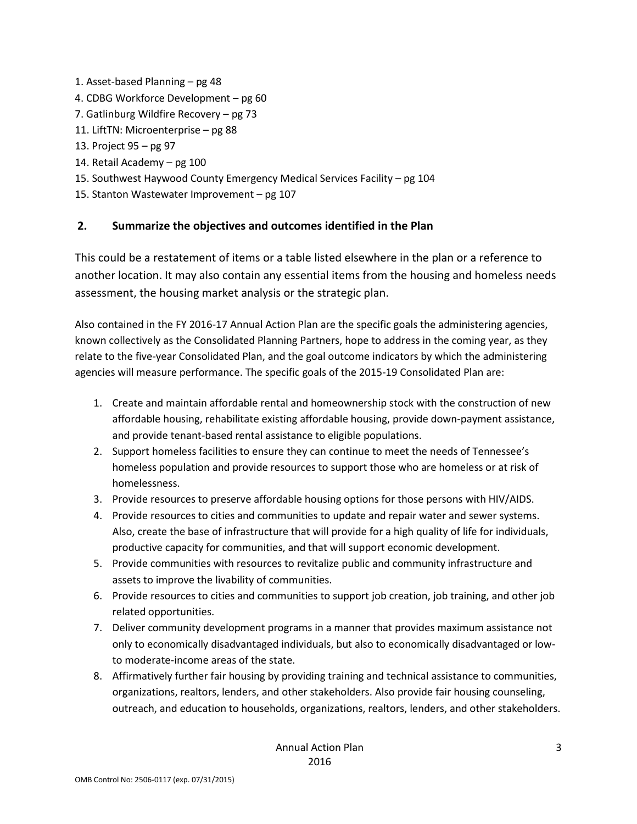- 1. Asset-based Planning pg 48
- 4. CDBG Workforce Development pg 60
- 7. Gatlinburg Wildfire Recovery pg 73
- 11. LiftTN: Microenterprise pg 88
- 13. Project 95 pg 97
- 14. Retail Academy pg 100
- 15. Southwest Haywood County Emergency Medical Services Facility pg 104
- 15. Stanton Wastewater Improvement pg 107

### **2. Summarize the objectives and outcomes identified in the Plan**

This could be a restatement of items or a table listed elsewhere in the plan or a reference to another location. It may also contain any essential items from the housing and homeless needs assessment, the housing market analysis or the strategic plan.

Also contained in the FY 2016-17 Annual Action Plan are the specific goals the administering agencies, known collectively as the Consolidated Planning Partners, hope to address in the coming year, as they relate to the five-year Consolidated Plan, and the goal outcome indicators by which the administering agencies will measure performance. The specific goals of the 2015-19 Consolidated Plan are:

- 1. Create and maintain affordable rental and homeownership stock with the construction of new affordable housing, rehabilitate existing affordable housing, provide down-payment assistance, and provide tenant-based rental assistance to eligible populations.
- 2. Support homeless facilities to ensure they can continue to meet the needs of Tennessee's homeless population and provide resources to support those who are homeless or at risk of homelessness.
- 3. Provide resources to preserve affordable housing options for those persons with HIV/AIDS.
- 4. Provide resources to cities and communities to update and repair water and sewer systems. Also, create the base of infrastructure that will provide for a high quality of life for individuals, productive capacity for communities, and that will support economic development.
- 5. Provide communities with resources to revitalize public and community infrastructure and assets to improve the livability of communities.
- 6. Provide resources to cities and communities to support job creation, job training, and other job related opportunities.
- 7. Deliver community development programs in a manner that provides maximum assistance not only to economically disadvantaged individuals, but also to economically disadvantaged or lowto moderate-income areas of the state.
- 8. Affirmatively further fair housing by providing training and technical assistance to communities, organizations, realtors, lenders, and other stakeholders. Also provide fair housing counseling, outreach, and education to households, organizations, realtors, lenders, and other stakeholders.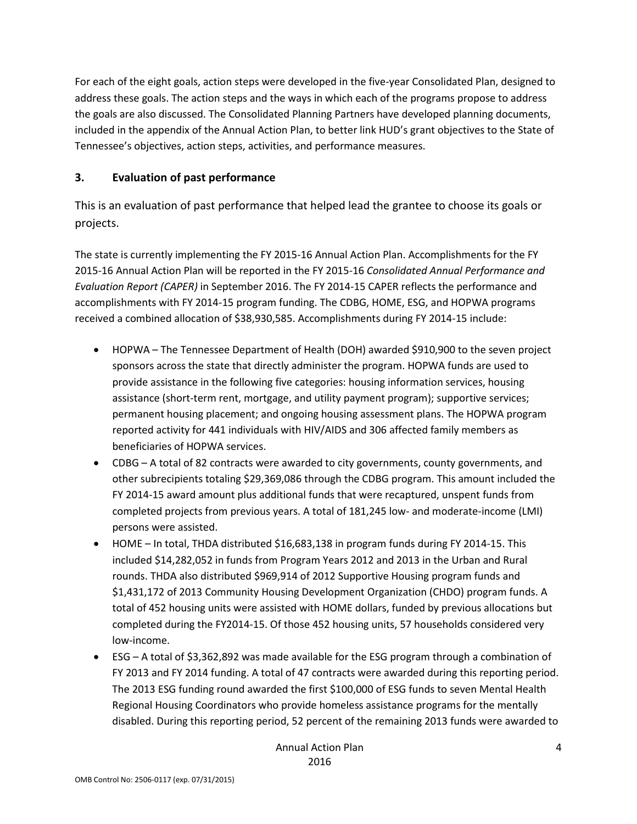For each of the eight goals, action steps were developed in the five-year Consolidated Plan, designed to address these goals. The action steps and the ways in which each of the programs propose to address the goals are also discussed. The Consolidated Planning Partners have developed planning documents, included in the appendix of the Annual Action Plan, to better link HUD's grant objectives to the State of Tennessee's objectives, action steps, activities, and performance measures.

### **3. Evaluation of past performance**

This is an evaluation of past performance that helped lead the grantee to choose its goals or projects.

The state is currently implementing the FY 2015-16 Annual Action Plan. Accomplishments for the FY 2015-16 Annual Action Plan will be reported in the FY 2015-16 *Consolidated Annual Performance and Evaluation Report (CAPER)* in September 2016. The FY 2014-15 CAPER reflects the performance and accomplishments with FY 2014-15 program funding. The CDBG, HOME, ESG, and HOPWA programs received a combined allocation of \$38,930,585. Accomplishments during FY 2014-15 include:

- HOPWA The Tennessee Department of Health (DOH) awarded \$910,900 to the seven project sponsors across the state that directly administer the program. HOPWA funds are used to provide assistance in the following five categories: housing information services, housing assistance (short-term rent, mortgage, and utility payment program); supportive services; permanent housing placement; and ongoing housing assessment plans. The HOPWA program reported activity for 441 individuals with HIV/AIDS and 306 affected family members as beneficiaries of HOPWA services.
- CDBG A total of 82 contracts were awarded to city governments, county governments, and other subrecipients totaling \$29,369,086 through the CDBG program. This amount included the FY 2014-15 award amount plus additional funds that were recaptured, unspent funds from completed projects from previous years. A total of 181,245 low- and moderate-income (LMI) persons were assisted.
- HOME In total, THDA distributed \$16,683,138 in program funds during FY 2014-15. This included \$14,282,052 in funds from Program Years 2012 and 2013 in the Urban and Rural rounds. THDA also distributed \$969,914 of 2012 Supportive Housing program funds and \$1,431,172 of 2013 Community Housing Development Organization (CHDO) program funds. A total of 452 housing units were assisted with HOME dollars, funded by previous allocations but completed during the FY2014-15. Of those 452 housing units, 57 households considered very low-income.
- ESG A total of \$3,362,892 was made available for the ESG program through a combination of FY 2013 and FY 2014 funding. A total of 47 contracts were awarded during this reporting period. The 2013 ESG funding round awarded the first \$100,000 of ESG funds to seven Mental Health Regional Housing Coordinators who provide homeless assistance programs for the mentally disabled. During this reporting period, 52 percent of the remaining 2013 funds were awarded to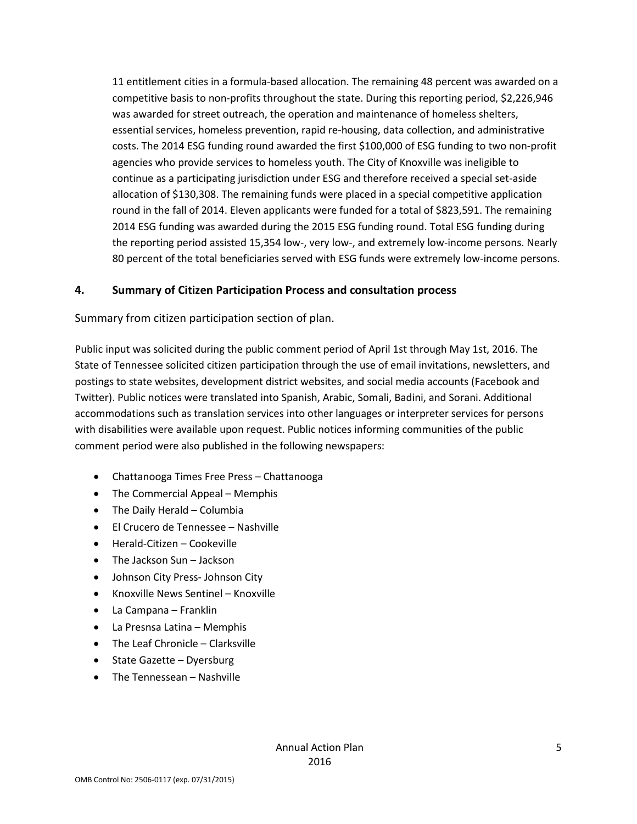11 entitlement cities in a formula-based allocation. The remaining 48 percent was awarded on a competitive basis to non-profits throughout the state. During this reporting period, \$2,226,946 was awarded for street outreach, the operation and maintenance of homeless shelters, essential services, homeless prevention, rapid re-housing, data collection, and administrative costs. The 2014 ESG funding round awarded the first \$100,000 of ESG funding to two non-profit agencies who provide services to homeless youth. The City of Knoxville was ineligible to continue as a participating jurisdiction under ESG and therefore received a special set-aside allocation of \$130,308. The remaining funds were placed in a special competitive application round in the fall of 2014. Eleven applicants were funded for a total of \$823,591. The remaining 2014 ESG funding was awarded during the 2015 ESG funding round. Total ESG funding during the reporting period assisted 15,354 low-, very low-, and extremely low-income persons. Nearly 80 percent of the total beneficiaries served with ESG funds were extremely low-income persons.

#### **4. Summary of Citizen Participation Process and consultation process**

Summary from citizen participation section of plan.

Public input was solicited during the public comment period of April 1st through May 1st, 2016. The State of Tennessee solicited citizen participation through the use of email invitations, newsletters, and postings to state websites, development district websites, and social media accounts (Facebook and Twitter). Public notices were translated into Spanish, Arabic, Somali, Badini, and Sorani. Additional accommodations such as translation services into other languages or interpreter services for persons with disabilities were available upon request. Public notices informing communities of the public comment period were also published in the following newspapers:

- Chattanooga Times Free Press Chattanooga
- The Commercial Appeal Memphis
- The Daily Herald Columbia
- El Crucero de Tennessee Nashville
- Herald-Citizen Cookeville
- The Jackson Sun Jackson
- Johnson City Press- Johnson City
- Knoxville News Sentinel Knoxville
- La Campana Franklin
- La Presnsa Latina Memphis
- The Leaf Chronicle Clarksville
- State Gazette Dyersburg
- The Tennessean Nashville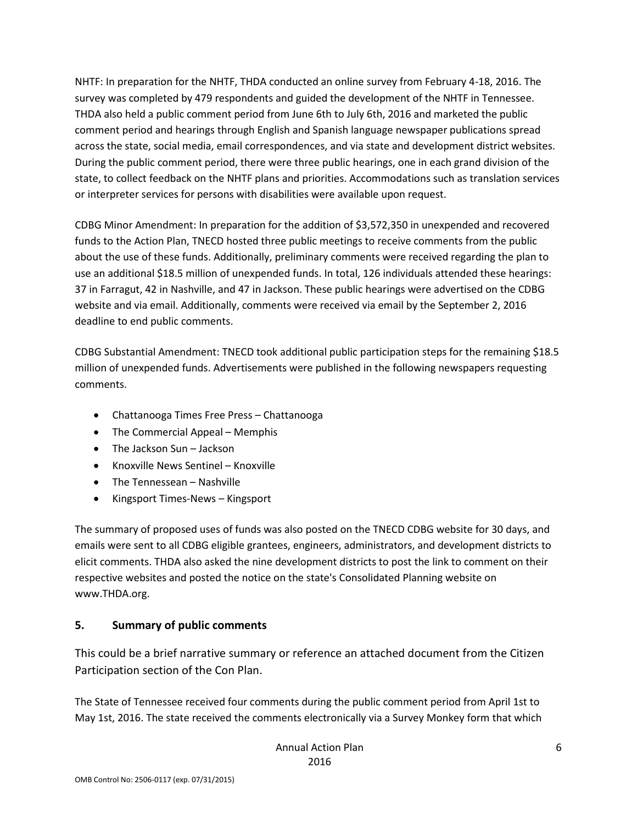NHTF: In preparation for the NHTF, THDA conducted an online survey from February 4-18, 2016. The survey was completed by 479 respondents and guided the development of the NHTF in Tennessee. THDA also held a public comment period from June 6th to July 6th, 2016 and marketed the public comment period and hearings through English and Spanish language newspaper publications spread across the state, social media, email correspondences, and via state and development district websites. During the public comment period, there were three public hearings, one in each grand division of the state, to collect feedback on the NHTF plans and priorities. Accommodations such as translation services or interpreter services for persons with disabilities were available upon request.

CDBG Minor Amendment: In preparation for the addition of \$3,572,350 in unexpended and recovered funds to the Action Plan, TNECD hosted three public meetings to receive comments from the public about the use of these funds. Additionally, preliminary comments were received regarding the plan to use an additional \$18.5 million of unexpended funds. In total, 126 individuals attended these hearings: 37 in Farragut, 42 in Nashville, and 47 in Jackson. These public hearings were advertised on the CDBG website and via email. Additionally, comments were received via email by the September 2, 2016 deadline to end public comments.

CDBG Substantial Amendment: TNECD took additional public participation steps for the remaining \$18.5 million of unexpended funds. Advertisements were published in the following newspapers requesting comments.

- Chattanooga Times Free Press Chattanooga
- The Commercial Appeal Memphis
- The Jackson Sun Jackson
- Knoxville News Sentinel Knoxville
- The Tennessean Nashville
- Kingsport Times-News Kingsport

The summary of proposed uses of funds was also posted on the TNECD CDBG website for 30 days, and emails were sent to all CDBG eligible grantees, engineers, administrators, and development districts to elicit comments. THDA also asked the nine development districts to post the link to comment on their respective websites and posted the notice on the state's Consolidated Planning website on www.THDA.org.

### **5. Summary of public comments**

This could be a brief narrative summary or reference an attached document from the Citizen Participation section of the Con Plan.

The State of Tennessee received four comments during the public comment period from April 1st to May 1st, 2016. The state received the comments electronically via a Survey Monkey form that which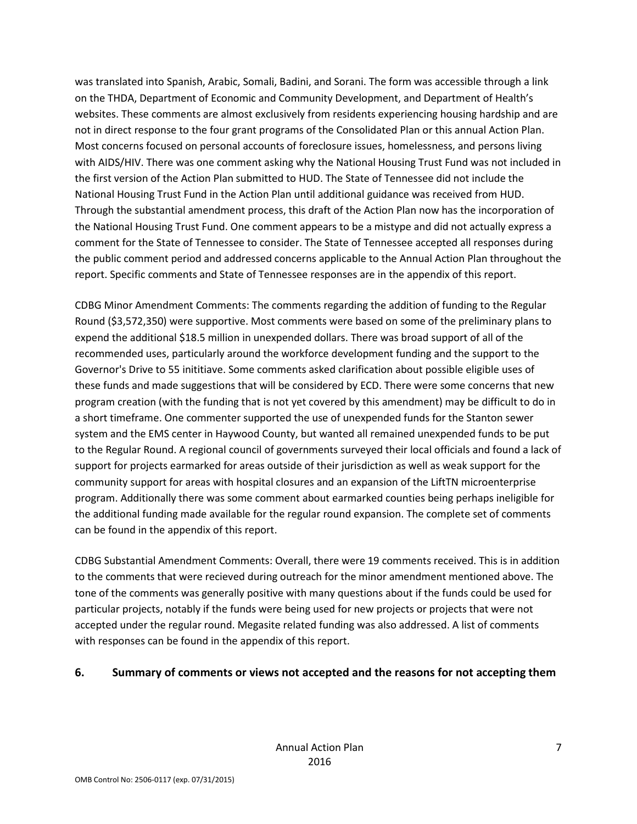was translated into Spanish, Arabic, Somali, Badini, and Sorani. The form was accessible through a link on the THDA, Department of Economic and Community Development, and Department of Health's websites. These comments are almost exclusively from residents experiencing housing hardship and are not in direct response to the four grant programs of the Consolidated Plan or this annual Action Plan. Most concerns focused on personal accounts of foreclosure issues, homelessness, and persons living with AIDS/HIV. There was one comment asking why the National Housing Trust Fund was not included in the first version of the Action Plan submitted to HUD. The State of Tennessee did not include the National Housing Trust Fund in the Action Plan until additional guidance was received from HUD. Through the substantial amendment process, this draft of the Action Plan now has the incorporation of the National Housing Trust Fund. One comment appears to be a mistype and did not actually express a comment for the State of Tennessee to consider. The State of Tennessee accepted all responses during the public comment period and addressed concerns applicable to the Annual Action Plan throughout the report. Specific comments and State of Tennessee responses are in the appendix of this report.

CDBG Minor Amendment Comments: The comments regarding the addition of funding to the Regular Round (\$3,572,350) were supportive. Most comments were based on some of the preliminary plans to expend the additional \$18.5 million in unexpended dollars. There was broad support of all of the recommended uses, particularly around the workforce development funding and the support to the Governor's Drive to 55 inititiave. Some comments asked clarification about possible eligible uses of these funds and made suggestions that will be considered by ECD. There were some concerns that new program creation (with the funding that is not yet covered by this amendment) may be difficult to do in a short timeframe. One commenter supported the use of unexpended funds for the Stanton sewer system and the EMS center in Haywood County, but wanted all remained unexpended funds to be put to the Regular Round. A regional council of governments surveyed their local officials and found a lack of support for projects earmarked for areas outside of their jurisdiction as well as weak support for the community support for areas with hospital closures and an expansion of the LiftTN microenterprise program. Additionally there was some comment about earmarked counties being perhaps ineligible for the additional funding made available for the regular round expansion. The complete set of comments can be found in the appendix of this report.

CDBG Substantial Amendment Comments: Overall, there were 19 comments received. This is in addition to the comments that were recieved during outreach for the minor amendment mentioned above. The tone of the comments was generally positive with many questions about if the funds could be used for particular projects, notably if the funds were being used for new projects or projects that were not accepted under the regular round. Megasite related funding was also addressed. A list of comments with responses can be found in the appendix of this report.

#### **6. Summary of comments or views not accepted and the reasons for not accepting them**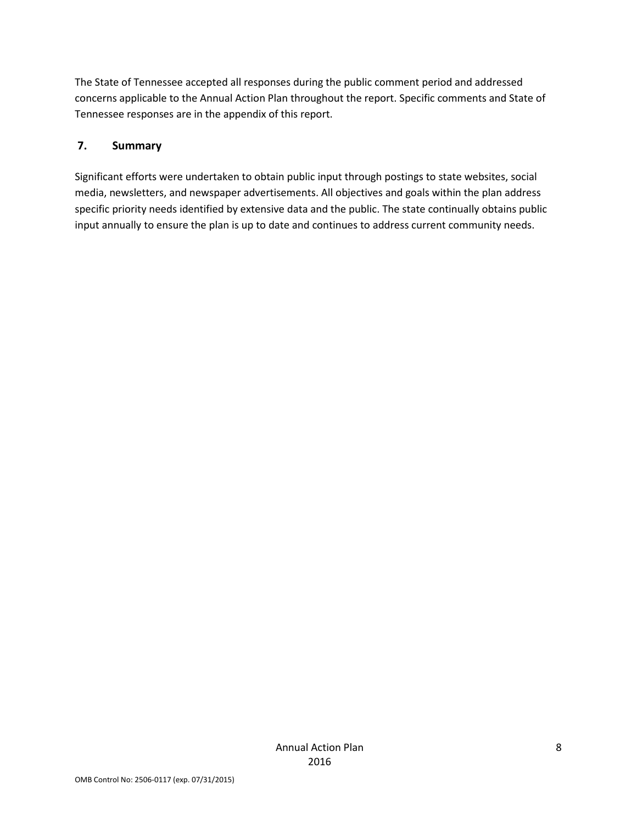The State of Tennessee accepted all responses during the public comment period and addressed concerns applicable to the Annual Action Plan throughout the report. Specific comments and State of Tennessee responses are in the appendix of this report.

### **7. Summary**

Significant efforts were undertaken to obtain public input through postings to state websites, social media, newsletters, and newspaper advertisements. All objectives and goals within the plan address specific priority needs identified by extensive data and the public. The state continually obtains public input annually to ensure the plan is up to date and continues to address current community needs.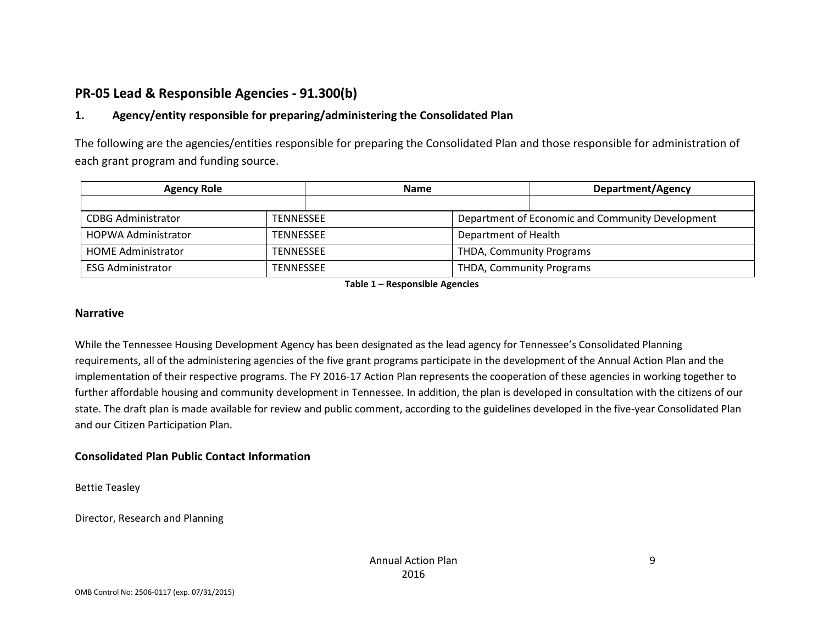# **PR-05 Lead & Responsible Agencies - 91.300(b)**

### **1. Agency/entity responsible for preparing/administering the Consolidated Plan**

The following are the agencies/entities responsible for preparing the Consolidated Plan and those responsible for administration of each grant program and funding source.

| <b>Agency Role</b>         |                  | <b>Name</b> |                                                  | <b>Department/Agency</b> |  |
|----------------------------|------------------|-------------|--------------------------------------------------|--------------------------|--|
|                            |                  |             |                                                  |                          |  |
| <b>CDBG Administrator</b>  | <b>TENNESSEE</b> |             | Department of Economic and Community Development |                          |  |
| <b>HOPWA Administrator</b> | <b>TENNESSEE</b> |             | Department of Health                             |                          |  |
| <b>HOME Administrator</b>  | <b>TENNESSEE</b> |             | <b>THDA, Community Programs</b>                  |                          |  |
| <b>ESG Administrator</b>   | <b>TENNESSEE</b> |             | <b>THDA, Community Programs</b>                  |                          |  |

**Table 1 – Responsible Agencies**

#### **Narrative**

While the Tennessee Housing Development Agency has been designated as the lead agency for Tennessee's Consolidated Planning requirements, all of the administering agencies of the five grant programs participate in the development of the Annual Action Plan and the implementation of their respective programs. The FY 2016-17 Action Plan represents the cooperation of these agencies in working together to further affordable housing and community development in Tennessee. In addition, the plan is developed in consultation with the citizens of our state. The draft plan is made available for review and public comment, according to the guidelines developed in the five-year Consolidated Plan and our Citizen Participation Plan.

#### **Consolidated Plan Public Contact Information**

Bettie Teasley

Director, Research and Planning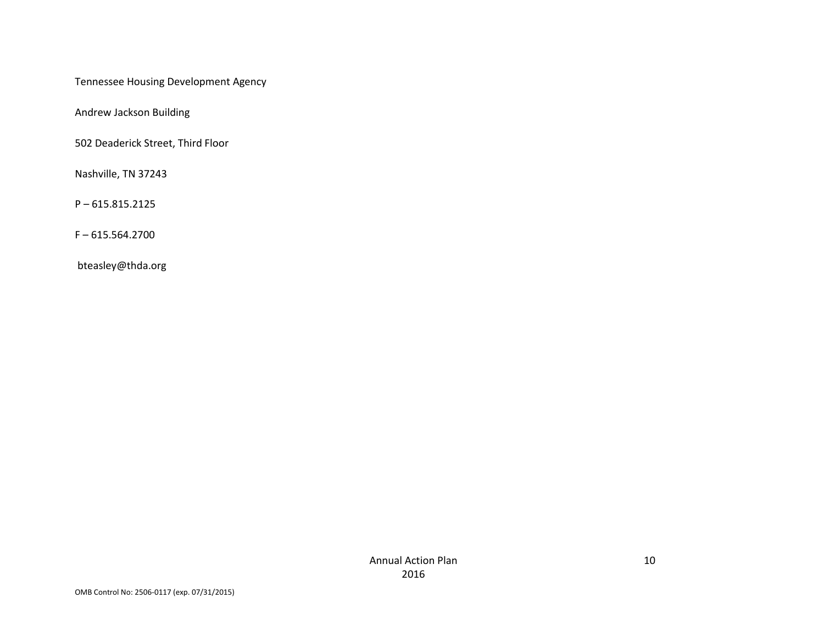Tennessee Housing Development Agency

Andrew Jackson Building

502 Deaderick Street, Third Floor

Nashville, TN 37243

P – 615.815.2125

F – 615.564.2700

bteasley@thda.org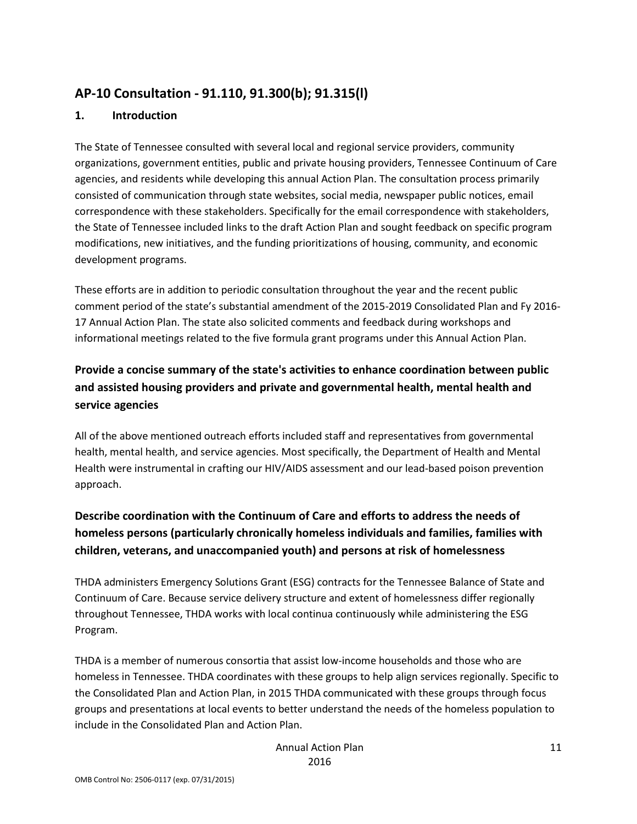# **AP-10 Consultation - 91.110, 91.300(b); 91.315(l)**

#### **1. Introduction**

The State of Tennessee consulted with several local and regional service providers, community organizations, government entities, public and private housing providers, Tennessee Continuum of Care agencies, and residents while developing this annual Action Plan. The consultation process primarily consisted of communication through state websites, social media, newspaper public notices, email correspondence with these stakeholders. Specifically for the email correspondence with stakeholders, the State of Tennessee included links to the draft Action Plan and sought feedback on specific program modifications, new initiatives, and the funding prioritizations of housing, community, and economic development programs.

These efforts are in addition to periodic consultation throughout the year and the recent public comment period of the state's substantial amendment of the 2015-2019 Consolidated Plan and Fy 2016- 17 Annual Action Plan. The state also solicited comments and feedback during workshops and informational meetings related to the five formula grant programs under this Annual Action Plan.

# **Provide a concise summary of the state's activities to enhance coordination between public and assisted housing providers and private and governmental health, mental health and service agencies**

All of the above mentioned outreach efforts included staff and representatives from governmental health, mental health, and service agencies. Most specifically, the Department of Health and Mental Health were instrumental in crafting our HIV/AIDS assessment and our lead-based poison prevention approach.

# **Describe coordination with the Continuum of Care and efforts to address the needs of homeless persons (particularly chronically homeless individuals and families, families with children, veterans, and unaccompanied youth) and persons at risk of homelessness**

THDA administers Emergency Solutions Grant (ESG) contracts for the Tennessee Balance of State and Continuum of Care. Because service delivery structure and extent of homelessness differ regionally throughout Tennessee, THDA works with local continua continuously while administering the ESG Program.

THDA is a member of numerous consortia that assist low-income households and those who are homeless in Tennessee. THDA coordinates with these groups to help align services regionally. Specific to the Consolidated Plan and Action Plan, in 2015 THDA communicated with these groups through focus groups and presentations at local events to better understand the needs of the homeless population to include in the Consolidated Plan and Action Plan.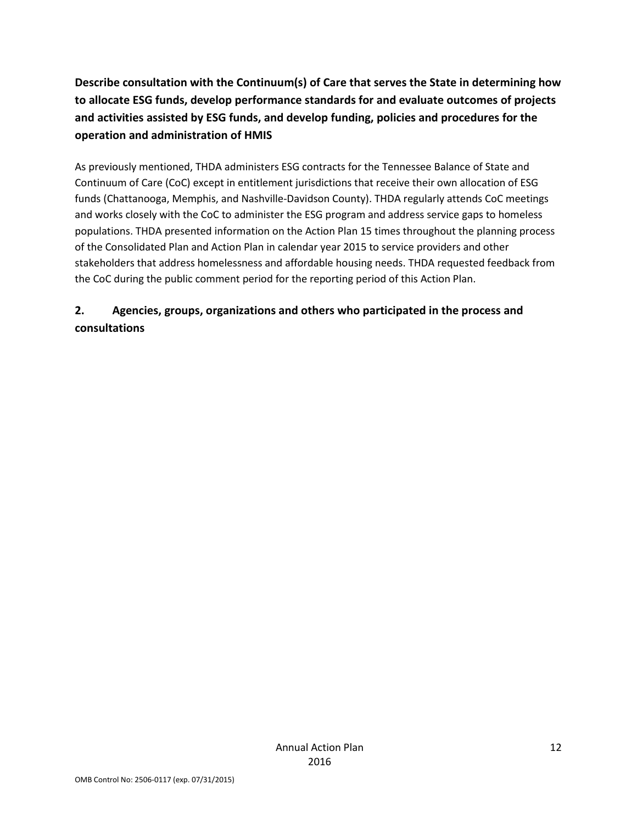**Describe consultation with the Continuum(s) of Care that serves the State in determining how to allocate ESG funds, develop performance standards for and evaluate outcomes of projects and activities assisted by ESG funds, and develop funding, policies and procedures for the operation and administration of HMIS**

As previously mentioned, THDA administers ESG contracts for the Tennessee Balance of State and Continuum of Care (CoC) except in entitlement jurisdictions that receive their own allocation of ESG funds (Chattanooga, Memphis, and Nashville-Davidson County). THDA regularly attends CoC meetings and works closely with the CoC to administer the ESG program and address service gaps to homeless populations. THDA presented information on the Action Plan 15 times throughout the planning process of the Consolidated Plan and Action Plan in calendar year 2015 to service providers and other stakeholders that address homelessness and affordable housing needs. THDA requested feedback from the CoC during the public comment period for the reporting period of this Action Plan.

# **2. Agencies, groups, organizations and others who participated in the process and consultations**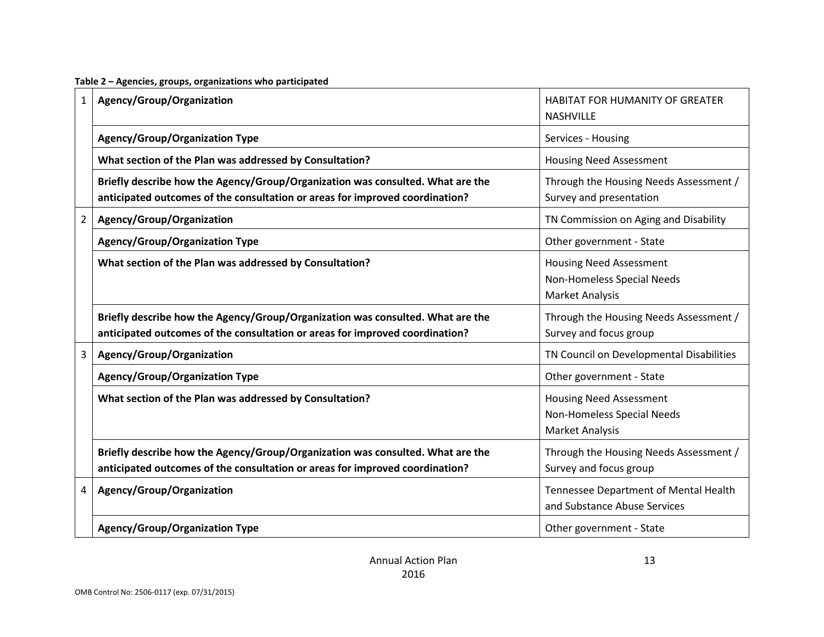| $\mathbf{1}$   | Agency/Group/Organization                                                                                                                                      | HABITAT FOR HUMANITY OF GREATER<br><b>NASHVILLE</b>                                    |
|----------------|----------------------------------------------------------------------------------------------------------------------------------------------------------------|----------------------------------------------------------------------------------------|
|                | <b>Agency/Group/Organization Type</b>                                                                                                                          | Services - Housing                                                                     |
|                | What section of the Plan was addressed by Consultation?                                                                                                        | <b>Housing Need Assessment</b>                                                         |
|                | Briefly describe how the Agency/Group/Organization was consulted. What are the<br>anticipated outcomes of the consultation or areas for improved coordination? | Through the Housing Needs Assessment /<br>Survey and presentation                      |
| $\overline{2}$ | Agency/Group/Organization                                                                                                                                      | TN Commission on Aging and Disability                                                  |
|                | <b>Agency/Group/Organization Type</b>                                                                                                                          | Other government - State                                                               |
|                | What section of the Plan was addressed by Consultation?                                                                                                        | <b>Housing Need Assessment</b><br>Non-Homeless Special Needs<br><b>Market Analysis</b> |
|                | Briefly describe how the Agency/Group/Organization was consulted. What are the<br>anticipated outcomes of the consultation or areas for improved coordination? | Through the Housing Needs Assessment /<br>Survey and focus group                       |
| 3              | Agency/Group/Organization                                                                                                                                      | TN Council on Developmental Disabilities                                               |
|                | <b>Agency/Group/Organization Type</b>                                                                                                                          | Other government - State                                                               |
|                | What section of the Plan was addressed by Consultation?                                                                                                        | <b>Housing Need Assessment</b><br>Non-Homeless Special Needs<br><b>Market Analysis</b> |
|                | Briefly describe how the Agency/Group/Organization was consulted. What are the<br>anticipated outcomes of the consultation or areas for improved coordination? | Through the Housing Needs Assessment /<br>Survey and focus group                       |
| 4              | Agency/Group/Organization                                                                                                                                      | Tennessee Department of Mental Health<br>and Substance Abuse Services                  |
|                | <b>Agency/Group/Organization Type</b>                                                                                                                          | Other government - State                                                               |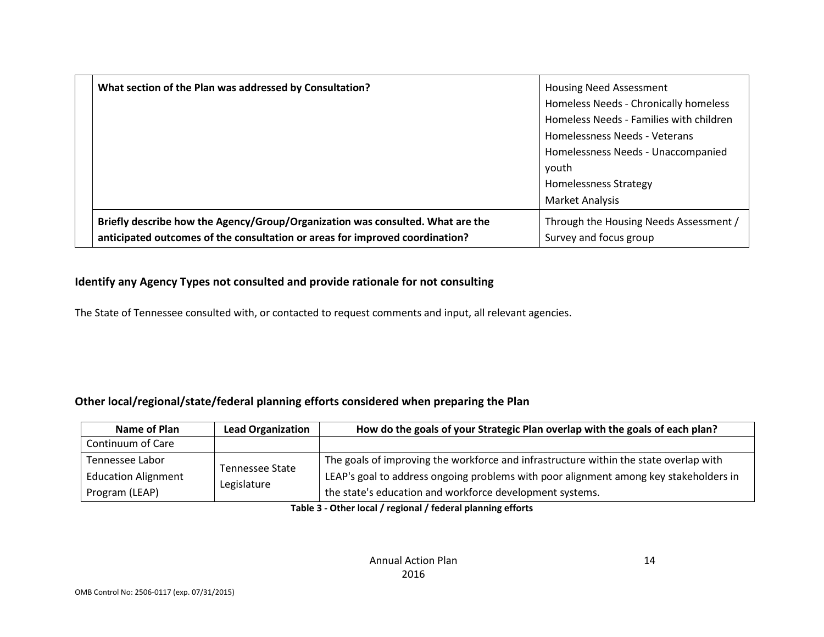| What section of the Plan was addressed by Consultation?                        | <b>Housing Need Assessment</b>          |
|--------------------------------------------------------------------------------|-----------------------------------------|
|                                                                                | Homeless Needs - Chronically homeless   |
|                                                                                | Homeless Needs - Families with children |
|                                                                                | Homelessness Needs - Veterans           |
|                                                                                | Homelessness Needs - Unaccompanied      |
|                                                                                | vouth                                   |
|                                                                                | <b>Homelessness Strategy</b>            |
|                                                                                | <b>Market Analysis</b>                  |
| Briefly describe how the Agency/Group/Organization was consulted. What are the | Through the Housing Needs Assessment /  |
| anticipated outcomes of the consultation or areas for improved coordination?   | Survey and focus group                  |

### **Identify any Agency Types not consulted and provide rationale for not consulting**

The State of Tennessee consulted with, or contacted to request comments and input, all relevant agencies.

### **Other local/regional/state/federal planning efforts considered when preparing the Plan**

| Name of Plan                                  | <b>Lead Organization</b>              | How do the goals of your Strategic Plan overlap with the goals of each plan?                                                                                                   |
|-----------------------------------------------|---------------------------------------|--------------------------------------------------------------------------------------------------------------------------------------------------------------------------------|
| Continuum of Care                             |                                       |                                                                                                                                                                                |
| Tennessee Labor<br><b>Education Alignment</b> | <b>Tennessee State</b><br>Legislature | The goals of improving the workforce and infrastructure within the state overlap with<br>LEAP's goal to address ongoing problems with poor alignment among key stakeholders in |
| Program (LEAP)                                |                                       | the state's education and workforce development systems.                                                                                                                       |

**Table 3 - Other local / regional / federal planning efforts**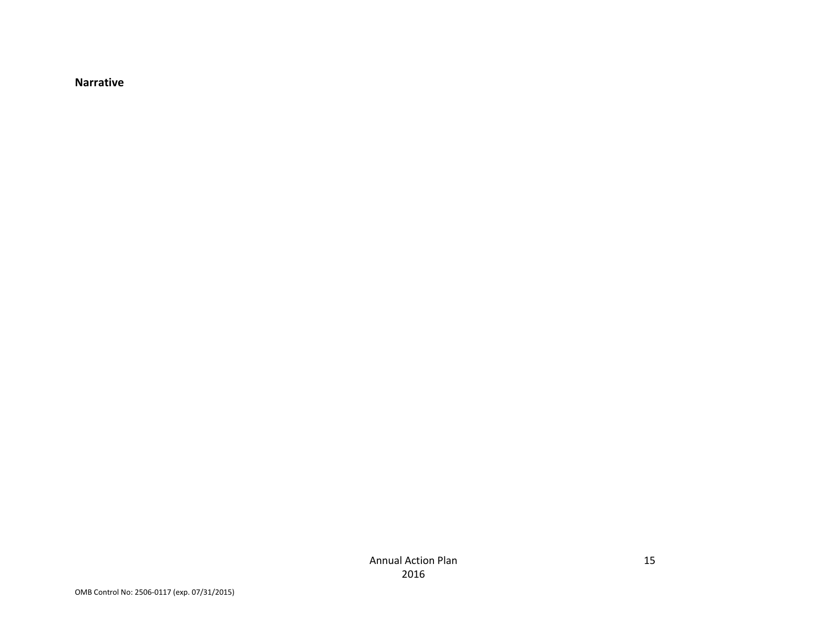**Narrative**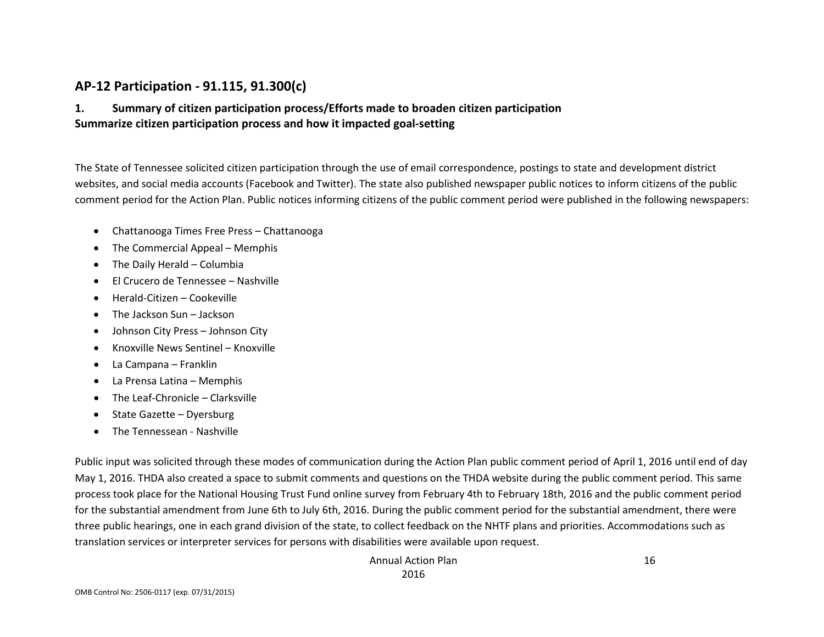### **AP-12 Participation - 91.115, 91.300(c)**

### **1. Summary of citizen participation process/Efforts made to broaden citizen participation Summarize citizen participation process and how it impacted goal-setting**

The State of Tennessee solicited citizen participation through the use of email correspondence, postings to state and development district websites, and social media accounts (Facebook and Twitter). The state also published newspaper public notices to inform citizens of the public comment period for the Action Plan. Public notices informing citizens of the public comment period were published in the following newspapers:

- Chattanooga Times Free Press Chattanooga
- The Commercial Appeal Memphis
- The Daily Herald Columbia
- El Crucero de Tennessee Nashville
- Herald-Citizen Cookeville
- The Jackson Sun Jackson
- Johnson City Press Johnson City
- Knoxville News Sentinel Knoxville
- La Campana Franklin
- La Prensa Latina Memphis
- The Leaf-Chronicle Clarksville
- State Gazette Dyersburg
- The Tennessean Nashville

Public input was solicited through these modes of communication during the Action Plan public comment period of April 1, 2016 until end of day May 1, 2016. THDA also created a space to submit comments and questions on the THDA website during the public comment period. This same process took place for the National Housing Trust Fund online survey from February 4th to February 18th, 2016 and the public comment period for the substantial amendment from June 6th to July 6th, 2016. During the public comment period for the substantial amendment, there were three public hearings, one in each grand division of the state, to collect feedback on the NHTF plans and priorities. Accommodations such as translation services or interpreter services for persons with disabilities were available upon request.

> Annual Action Plan 2016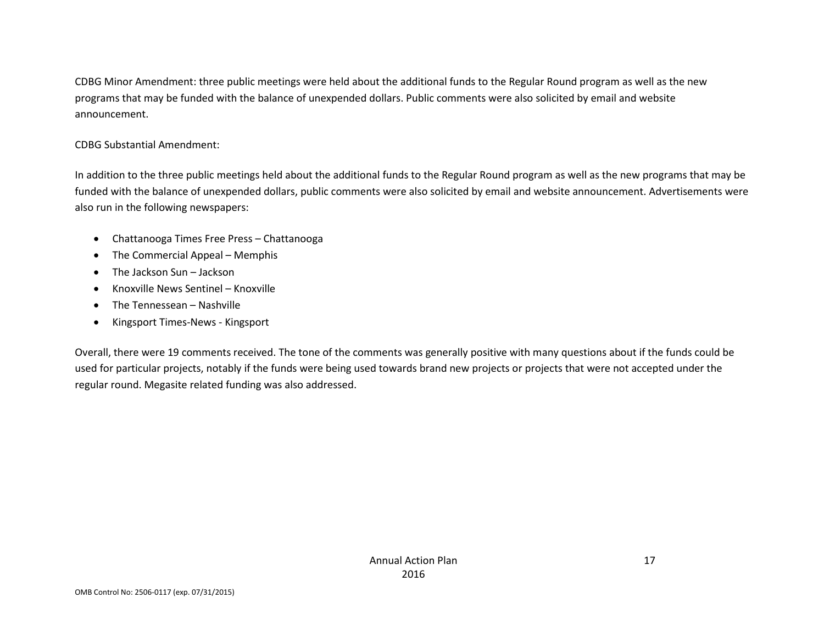CDBG Minor Amendment: three public meetings were held about the additional funds to the Regular Round program as well as the new programs that may be funded with the balance of unexpended dollars. Public comments were also solicited by email and website announcement.

#### CDBG Substantial Amendment:

In addition to the three public meetings held about the additional funds to the Regular Round program as well as the new programs that may be funded with the balance of unexpended dollars, public comments were also solicited by email and website announcement. Advertisements were also run in the following newspapers:

- Chattanooga Times Free Press Chattanooga
- The Commercial Appeal Memphis
- The Jackson Sun Jackson
- Knoxville News Sentinel Knoxville
- The Tennessean Nashville
- Kingsport Times-News Kingsport

Overall, there were 19 comments received. The tone of the comments was generally positive with many questions about if the funds could be used for particular projects, notably if the funds were being used towards brand new projects or projects that were not accepted under the regular round. Megasite related funding was also addressed.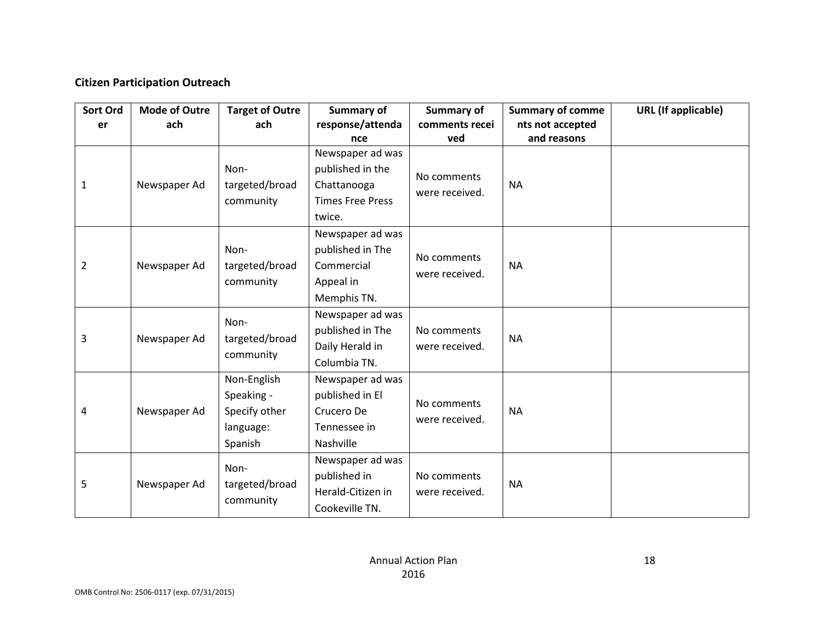### **Citizen Participation Outreach**

| Sort Ord | <b>Mode of Outre</b> | <b>Target of Outre</b> | Summary of              | Summary of     | <b>Summary of comme</b> | <b>URL</b> (If applicable) |
|----------|----------------------|------------------------|-------------------------|----------------|-------------------------|----------------------------|
| er       | ach                  | ach                    | response/attenda        | comments recei | nts not accepted        |                            |
|          |                      |                        | nce                     | ved            | and reasons             |                            |
|          |                      |                        | Newspaper ad was        |                |                         |                            |
|          |                      | Non-                   | published in the        | No comments    |                         |                            |
| 1        | Newspaper Ad         | targeted/broad         | Chattanooga             | were received. | <b>NA</b>               |                            |
|          |                      | community              | <b>Times Free Press</b> |                |                         |                            |
|          |                      |                        | twice.                  |                |                         |                            |
|          |                      |                        | Newspaper ad was        |                |                         |                            |
|          |                      | Non-                   | published in The        | No comments    |                         |                            |
| 2        | Newspaper Ad         | targeted/broad         | Commercial              | were received. | <b>NA</b>               |                            |
|          |                      | community              | Appeal in               |                |                         |                            |
|          |                      |                        | Memphis TN.             |                |                         |                            |
|          |                      | Non-                   | Newspaper ad was        |                |                         |                            |
| 3        | Newspaper Ad         | targeted/broad         | published in The        | No comments    | <b>NA</b>               |                            |
|          |                      | community              | Daily Herald in         | were received. |                         |                            |
|          |                      |                        | Columbia TN.            |                |                         |                            |
|          |                      | Non-English            | Newspaper ad was        |                |                         |                            |
|          |                      | Speaking -             | published in El         | No comments    |                         |                            |
| 4        | Newspaper Ad         | Specify other          | Crucero De              | were received. | <b>NA</b>               |                            |
|          |                      | language:              | Tennessee in            |                |                         |                            |
|          |                      | Spanish                | Nashville               |                |                         |                            |
|          |                      | Non-                   | Newspaper ad was        |                |                         |                            |
| 5        | Newspaper Ad         | targeted/broad         | published in            | No comments    | <b>NA</b>               |                            |
|          |                      | community              | Herald-Citizen in       | were received. |                         |                            |
|          |                      |                        | Cookeville TN.          |                |                         |                            |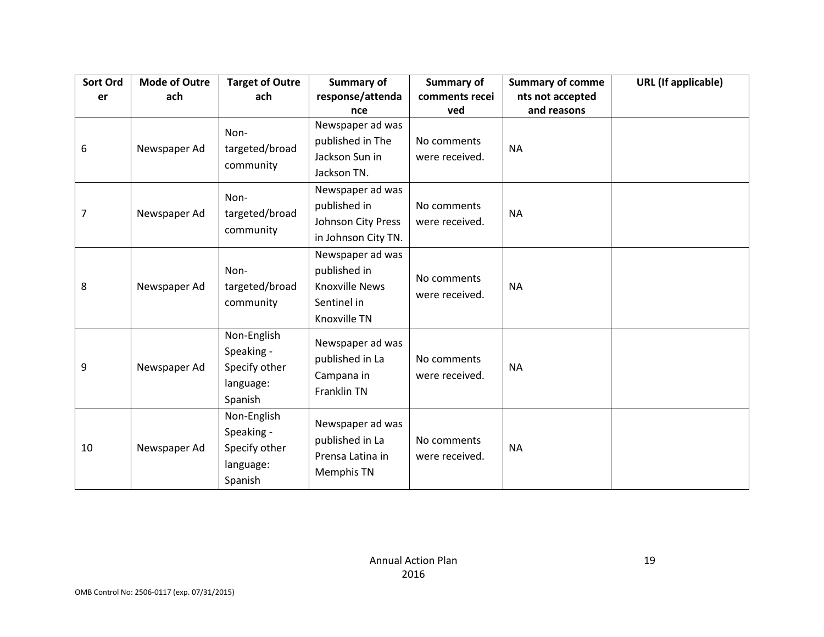| Sort Ord       | <b>Mode of Outre</b> | <b>Target of Outre</b>                                             | Summary of                                                                               | Summary of                    | <b>Summary of comme</b> | <b>URL</b> (If applicable) |
|----------------|----------------------|--------------------------------------------------------------------|------------------------------------------------------------------------------------------|-------------------------------|-------------------------|----------------------------|
| er             | ach                  | ach                                                                | response/attenda                                                                         | comments recei                | nts not accepted        |                            |
|                |                      |                                                                    | nce                                                                                      | ved                           | and reasons             |                            |
| 6              | Newspaper Ad         | Non-<br>targeted/broad<br>community                                | Newspaper ad was<br>published in The<br>Jackson Sun in<br>Jackson TN.                    | No comments<br>were received. | <b>NA</b>               |                            |
| $\overline{7}$ | Newspaper Ad         | Non-<br>targeted/broad<br>community                                | Newspaper ad was<br>published in<br>Johnson City Press<br>in Johnson City TN.            | No comments<br>were received. | <b>NA</b>               |                            |
| 8              | Newspaper Ad         | Non-<br>targeted/broad<br>community                                | Newspaper ad was<br>published in<br><b>Knoxville News</b><br>Sentinel in<br>Knoxville TN | No comments<br>were received. | <b>NA</b>               |                            |
| 9              | Newspaper Ad         | Non-English<br>Speaking -<br>Specify other<br>language:<br>Spanish | Newspaper ad was<br>published in La<br>Campana in<br>Franklin TN                         | No comments<br>were received. | <b>NA</b>               |                            |
| 10             | Newspaper Ad         | Non-English<br>Speaking -<br>Specify other<br>language:<br>Spanish | Newspaper ad was<br>published in La<br>Prensa Latina in<br>Memphis TN                    | No comments<br>were received. | <b>NA</b>               |                            |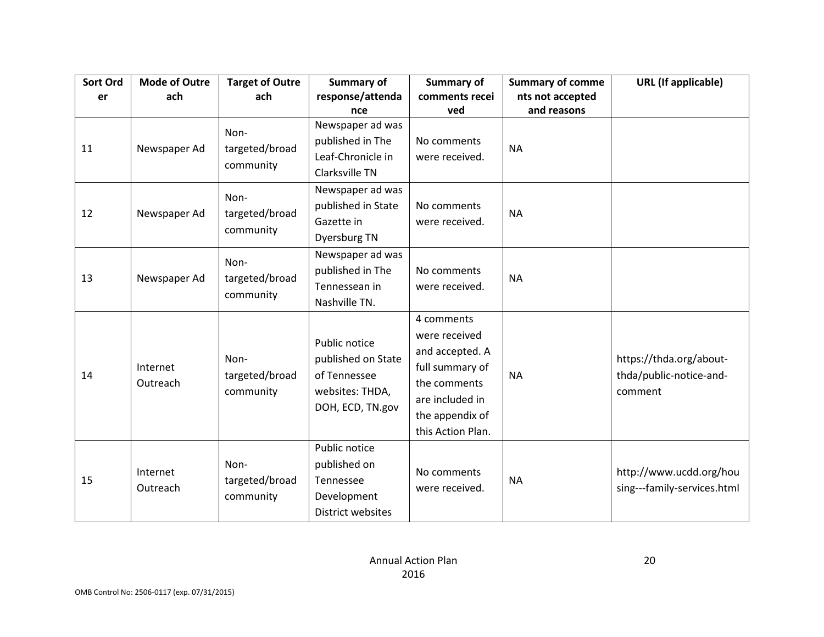| Sort Ord | <b>Mode of Outre</b> | <b>Target of Outre</b>              | Summary of                                                                                 | Summary of                                                                                                                                   | <b>Summary of comme</b>         | <b>URL</b> (If applicable)                                    |
|----------|----------------------|-------------------------------------|--------------------------------------------------------------------------------------------|----------------------------------------------------------------------------------------------------------------------------------------------|---------------------------------|---------------------------------------------------------------|
| er       | ach                  | ach                                 | response/attenda                                                                           | comments recei<br>ved                                                                                                                        | nts not accepted<br>and reasons |                                                               |
| 11       | Newspaper Ad         | Non-<br>targeted/broad<br>community | nce<br>Newspaper ad was<br>published in The<br>Leaf-Chronicle in<br>Clarksville TN         | No comments<br>were received.                                                                                                                | <b>NA</b>                       |                                                               |
| 12       | Newspaper Ad         | Non-<br>targeted/broad<br>community | Newspaper ad was<br>published in State<br>Gazette in<br>Dyersburg TN                       | No comments<br>were received.                                                                                                                | <b>NA</b>                       |                                                               |
| 13       | Newspaper Ad         | Non-<br>targeted/broad<br>community | Newspaper ad was<br>published in The<br>Tennessean in<br>Nashville TN.                     | No comments<br>were received.                                                                                                                | <b>NA</b>                       |                                                               |
| 14       | Internet<br>Outreach | Non-<br>targeted/broad<br>community | Public notice<br>published on State<br>of Tennessee<br>websites: THDA,<br>DOH, ECD, TN.gov | 4 comments<br>were received<br>and accepted. A<br>full summary of<br>the comments<br>are included in<br>the appendix of<br>this Action Plan. | <b>NA</b>                       | https://thda.org/about-<br>thda/public-notice-and-<br>comment |
| 15       | Internet<br>Outreach | Non-<br>targeted/broad<br>community | Public notice<br>published on<br>Tennessee<br>Development<br>District websites             | No comments<br>were received.                                                                                                                | <b>NA</b>                       | http://www.ucdd.org/hou<br>sing---family-services.html        |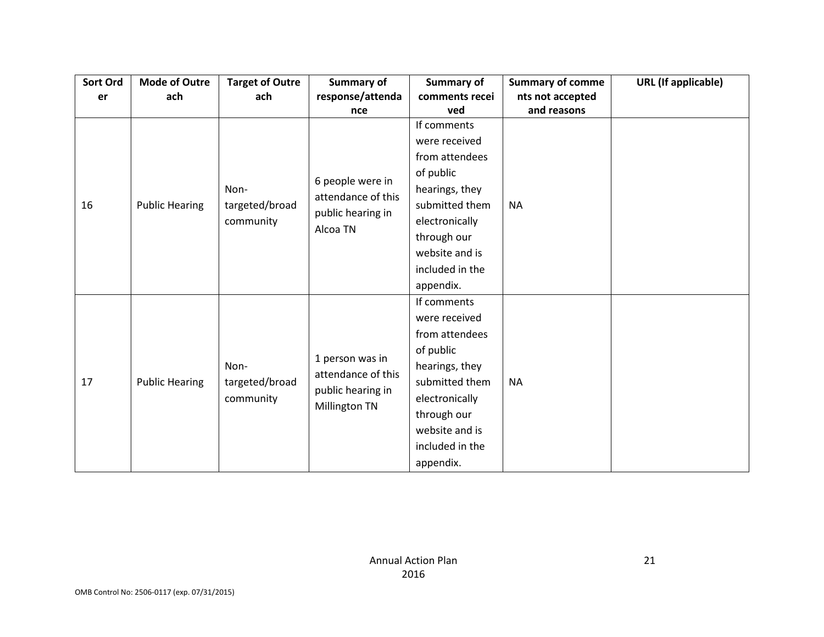| Sort Ord | <b>Mode of Outre</b>  | <b>Target of Outre</b> | <b>Summary of</b>                     | <b>Summary of</b> | <b>Summary of comme</b> | <b>URL</b> (If applicable) |
|----------|-----------------------|------------------------|---------------------------------------|-------------------|-------------------------|----------------------------|
| er       | ach                   | ach                    | response/attenda                      | comments recei    | nts not accepted        |                            |
|          |                       |                        | nce                                   | ved               | and reasons             |                            |
|          |                       |                        |                                       | If comments       |                         |                            |
|          |                       |                        |                                       | were received     |                         |                            |
|          |                       |                        |                                       | from attendees    |                         |                            |
|          |                       |                        | 6 people were in                      | of public         |                         |                            |
|          |                       | Non-                   | attendance of this                    | hearings, they    |                         |                            |
| 16       | <b>Public Hearing</b> | targeted/broad         |                                       | submitted them    | <b>NA</b>               |                            |
|          |                       | community              | public hearing in                     | electronically    |                         |                            |
|          |                       |                        | Alcoa TN                              | through our       |                         |                            |
|          |                       |                        |                                       | website and is    |                         |                            |
|          |                       |                        |                                       | included in the   |                         |                            |
|          |                       |                        |                                       | appendix.         |                         |                            |
|          |                       |                        |                                       | If comments       |                         |                            |
|          |                       |                        |                                       | were received     |                         |                            |
|          |                       |                        |                                       | from attendees    |                         |                            |
|          |                       |                        |                                       | of public         |                         |                            |
|          |                       | Non-                   | 1 person was in<br>attendance of this | hearings, they    |                         |                            |
| 17       | <b>Public Hearing</b> | targeted/broad         | public hearing in                     | submitted them    | <b>NA</b>               |                            |
|          |                       | community              |                                       | electronically    |                         |                            |
|          |                       |                        | Millington TN                         | through our       |                         |                            |
|          |                       |                        |                                       | website and is    |                         |                            |
|          |                       |                        |                                       | included in the   |                         |                            |
|          |                       |                        |                                       | appendix.         |                         |                            |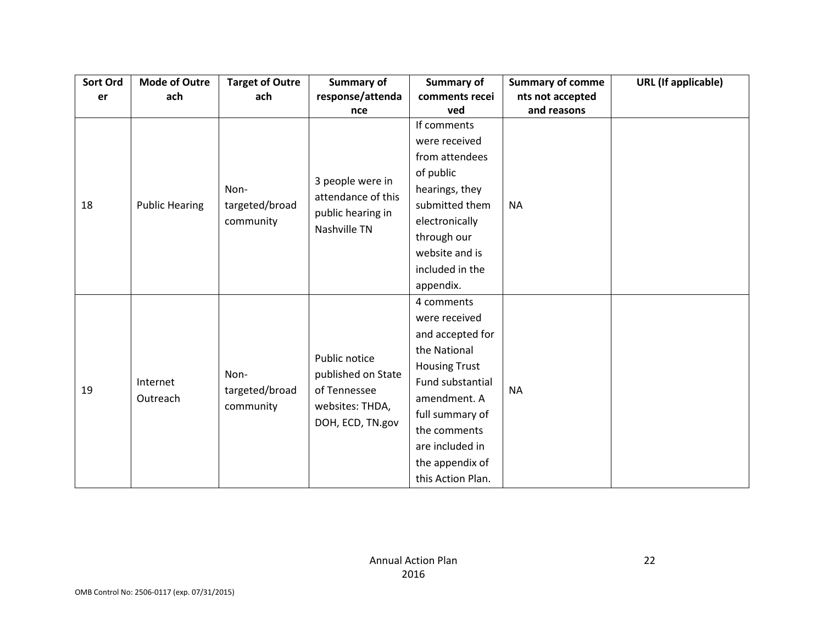| Sort Ord | <b>Mode of Outre</b>  | <b>Target of Outre</b> | <b>Summary of</b>  | <b>Summary of</b>    | <b>Summary of comme</b> | <b>URL</b> (If applicable) |
|----------|-----------------------|------------------------|--------------------|----------------------|-------------------------|----------------------------|
| er       | ach                   | ach                    | response/attenda   | comments recei       | nts not accepted        |                            |
|          |                       |                        | nce                | ved                  | and reasons             |                            |
|          |                       |                        |                    | If comments          |                         |                            |
|          |                       |                        |                    | were received        |                         |                            |
|          |                       |                        |                    | from attendees       |                         |                            |
|          |                       |                        |                    | of public            |                         |                            |
|          |                       | Non-                   | 3 people were in   | hearings, they       |                         |                            |
| 18       | <b>Public Hearing</b> | targeted/broad         | attendance of this | submitted them       | <b>NA</b>               |                            |
|          |                       | community              | public hearing in  | electronically       |                         |                            |
|          |                       |                        | Nashville TN       | through our          |                         |                            |
|          |                       |                        |                    | website and is       |                         |                            |
|          |                       |                        |                    | included in the      |                         |                            |
|          |                       |                        |                    | appendix.            |                         |                            |
|          |                       |                        |                    | 4 comments           |                         |                            |
|          |                       |                        |                    | were received        |                         |                            |
|          |                       |                        |                    | and accepted for     |                         |                            |
|          |                       |                        | Public notice      | the National         |                         |                            |
|          |                       | Non-                   | published on State | <b>Housing Trust</b> |                         |                            |
| 19       | Internet              | targeted/broad         | of Tennessee       | Fund substantial     | <b>NA</b>               |                            |
|          | Outreach              |                        |                    | amendment. A         |                         |                            |
|          |                       | community              | websites: THDA,    | full summary of      |                         |                            |
|          |                       |                        | DOH, ECD, TN.gov   | the comments         |                         |                            |
|          |                       |                        |                    | are included in      |                         |                            |
|          |                       |                        |                    | the appendix of      |                         |                            |
|          |                       |                        |                    | this Action Plan.    |                         |                            |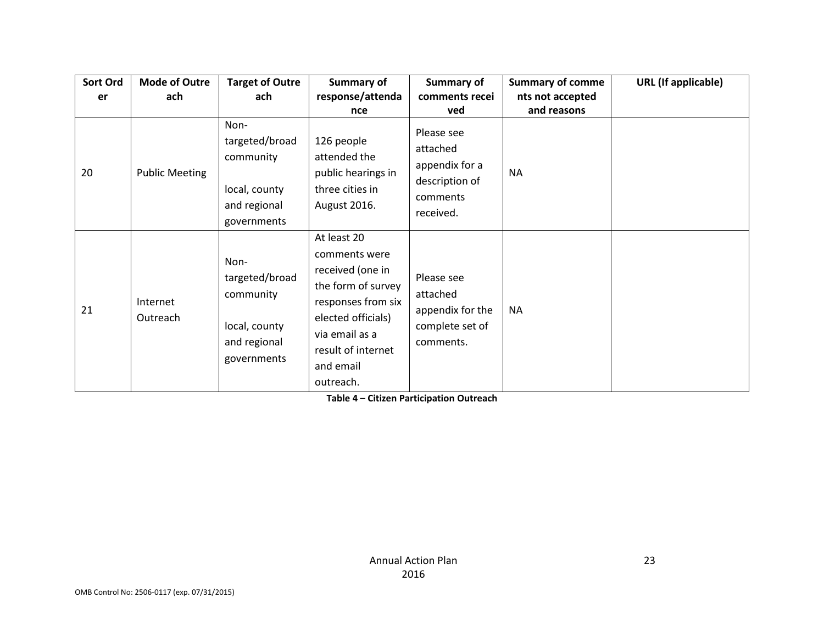| Sort Ord | <b>Mode of Outre</b>  | <b>Target of Outre</b>                                                              | Summary of                                                                                                                                                                           | Summary of                                                                          | <b>Summary of comme</b> | URL (If applicable) |
|----------|-----------------------|-------------------------------------------------------------------------------------|--------------------------------------------------------------------------------------------------------------------------------------------------------------------------------------|-------------------------------------------------------------------------------------|-------------------------|---------------------|
| er       | ach                   | ach                                                                                 | response/attenda                                                                                                                                                                     | comments recei                                                                      | nts not accepted        |                     |
|          |                       |                                                                                     | nce                                                                                                                                                                                  | ved                                                                                 | and reasons             |                     |
| 20       | <b>Public Meeting</b> | Non-<br>targeted/broad<br>community<br>local, county<br>and regional<br>governments | 126 people<br>attended the<br>public hearings in<br>three cities in<br>August 2016.                                                                                                  | Please see<br>attached<br>appendix for a<br>description of<br>comments<br>received. | <b>NA</b>               |                     |
| 21       | Internet<br>Outreach  | Non-<br>targeted/broad<br>community<br>local, county<br>and regional<br>governments | At least 20<br>comments were<br>received (one in<br>the form of survey<br>responses from six<br>elected officials)<br>via email as a<br>result of internet<br>and email<br>outreach. | Please see<br>attached<br>appendix for the<br>complete set of<br>comments.          | <b>NA</b>               |                     |

**Table 4 – Citizen Participation Outreach**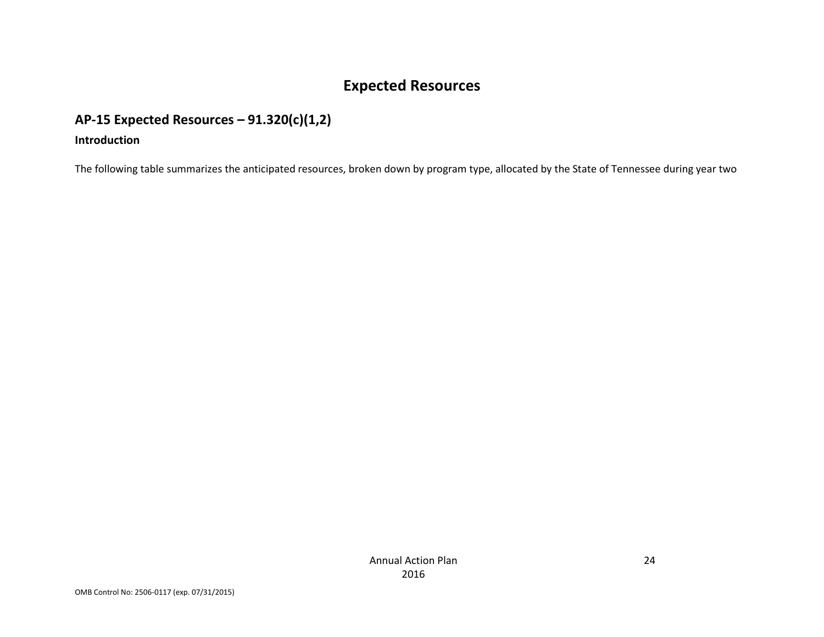# **Expected Resources**

# **AP-15 Expected Resources – 91.320(c)(1,2)**

#### **Introduction**

The following table summarizes the anticipated resources, broken down by program type, allocated by the State of Tennessee during year two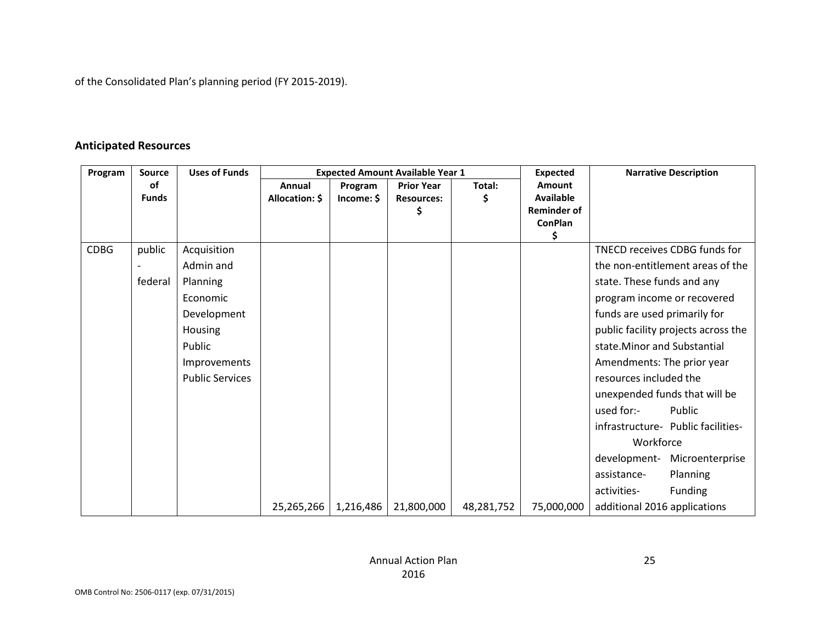of the Consolidated Plan's planning period (FY 2015-2019).

### **Anticipated Resources**

| Program     | Source       | <b>Uses of Funds</b>   |                |            | <b>Expected Amount Available Year 1</b> |            | <b>Expected</b>    |                                     | <b>Narrative Description</b>        |  |
|-------------|--------------|------------------------|----------------|------------|-----------------------------------------|------------|--------------------|-------------------------------------|-------------------------------------|--|
|             | of           |                        | Annual         | Program    | <b>Prior Year</b>                       | Total:     | <b>Amount</b>      |                                     |                                     |  |
|             | <b>Funds</b> |                        | Allocation: \$ | Income: \$ | <b>Resources:</b>                       | Ś          | <b>Available</b>   |                                     |                                     |  |
|             |              |                        |                |            | \$                                      |            | <b>Reminder of</b> |                                     |                                     |  |
|             |              |                        |                |            |                                         |            | <b>ConPlan</b>     |                                     |                                     |  |
| <b>CDBG</b> | public       |                        |                |            |                                         |            | \$                 |                                     | TNECD receives CDBG funds for       |  |
|             |              | Acquisition            |                |            |                                         |            |                    |                                     |                                     |  |
|             |              | Admin and              |                |            |                                         |            |                    |                                     | the non-entitlement areas of the    |  |
|             | federal      | Planning               |                |            |                                         |            |                    | state. These funds and any          |                                     |  |
|             |              | Economic               |                |            |                                         |            |                    | program income or recovered         |                                     |  |
|             |              | Development            |                |            |                                         |            |                    |                                     | funds are used primarily for        |  |
|             |              | Housing                |                |            |                                         |            |                    | public facility projects across the |                                     |  |
|             |              | Public                 |                |            |                                         |            |                    | state. Minor and Substantial        |                                     |  |
|             |              | Improvements           |                |            |                                         |            |                    | Amendments: The prior year          |                                     |  |
|             |              | <b>Public Services</b> |                |            |                                         |            |                    | resources included the              |                                     |  |
|             |              |                        |                |            |                                         |            |                    | unexpended funds that will be       |                                     |  |
|             |              |                        |                |            |                                         |            |                    | used for:-                          | Public                              |  |
|             |              |                        |                |            |                                         |            |                    |                                     | infrastructure - Public facilities- |  |
|             |              |                        |                |            |                                         |            |                    | Workforce                           |                                     |  |
|             |              |                        |                |            |                                         |            |                    | development-                        | Microenterprise                     |  |
|             |              |                        |                |            |                                         |            |                    | assistance-                         | Planning                            |  |
|             |              |                        |                |            |                                         |            |                    | activities-                         | Funding                             |  |
|             |              |                        | 25,265,266     | 1,216,486  | 21,800,000                              | 48,281,752 | 75,000,000         | additional 2016 applications        |                                     |  |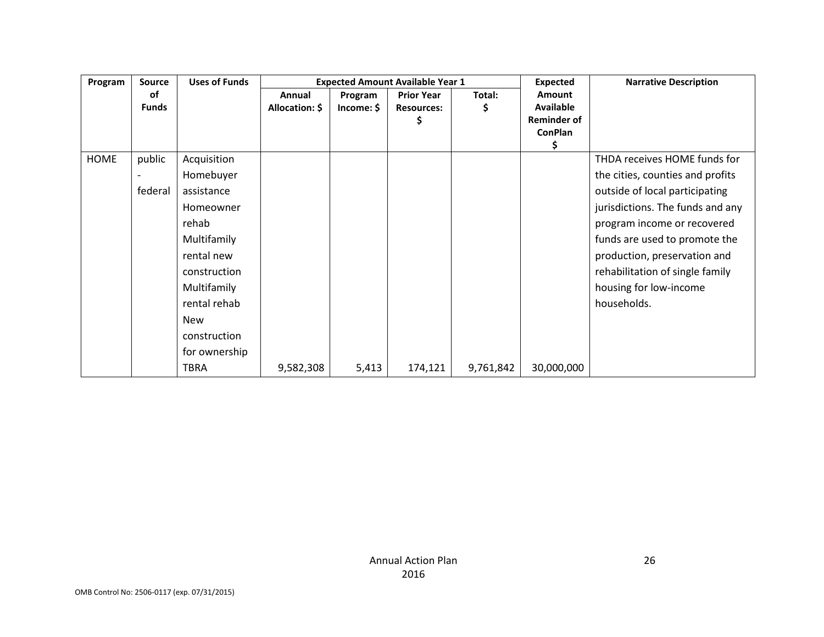| Program     | <b>Source</b> | <b>Uses of Funds</b> |                | <b>Expected Amount Available Year 1</b> |                   |           | <b>Expected</b>    | <b>Narrative Description</b>     |
|-------------|---------------|----------------------|----------------|-----------------------------------------|-------------------|-----------|--------------------|----------------------------------|
|             | оf            |                      | Annual         | Program                                 | <b>Prior Year</b> | Total:    | <b>Amount</b>      |                                  |
|             | <b>Funds</b>  |                      | Allocation: \$ | Income: \$                              | <b>Resources:</b> | S         | <b>Available</b>   |                                  |
|             |               |                      |                |                                         |                   |           | <b>Reminder of</b> |                                  |
|             |               |                      |                |                                         |                   |           | <b>ConPlan</b>     |                                  |
|             |               |                      |                |                                         |                   |           | Ş.                 |                                  |
| <b>HOME</b> | public        | Acquisition          |                |                                         |                   |           |                    | THDA receives HOME funds for     |
|             |               | Homebuyer            |                |                                         |                   |           |                    | the cities, counties and profits |
|             | federal       | assistance           |                |                                         |                   |           |                    | outside of local participating   |
|             |               | Homeowner            |                |                                         |                   |           |                    | jurisdictions. The funds and any |
|             |               | rehab                |                |                                         |                   |           |                    | program income or recovered      |
|             |               | Multifamily          |                |                                         |                   |           |                    | funds are used to promote the    |
|             |               | rental new           |                |                                         |                   |           |                    | production, preservation and     |
|             |               | construction         |                |                                         |                   |           |                    | rehabilitation of single family  |
|             |               | Multifamily          |                |                                         |                   |           |                    | housing for low-income           |
|             |               | rental rehab         |                |                                         |                   |           |                    | households.                      |
|             |               | <b>New</b>           |                |                                         |                   |           |                    |                                  |
|             |               | construction         |                |                                         |                   |           |                    |                                  |
|             |               | for ownership        |                |                                         |                   |           |                    |                                  |
|             |               | <b>TBRA</b>          | 9,582,308      | 5,413                                   | 174,121           | 9,761,842 | 30,000,000         |                                  |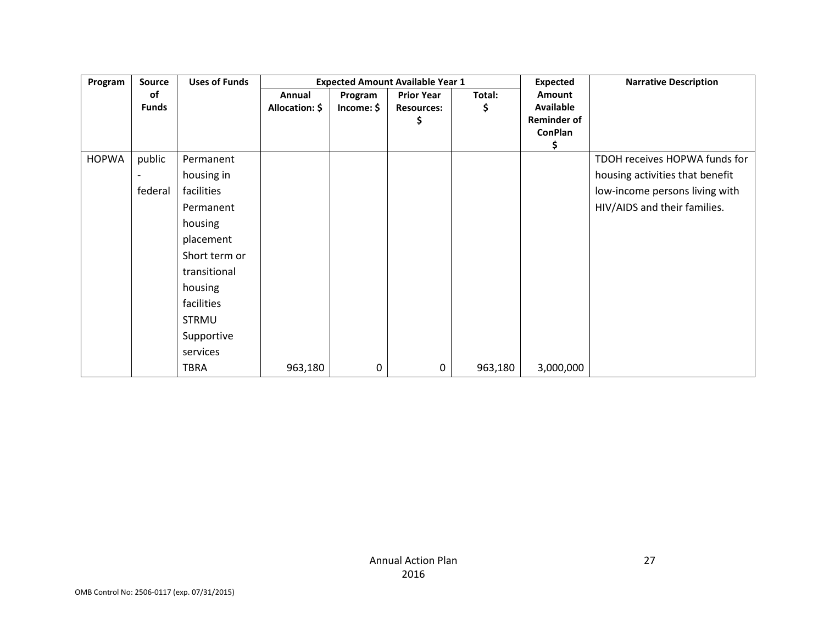| Program      | <b>Source</b> | <b>Uses of Funds</b> |                | <b>Expected Amount Available Year 1</b> |                   |         |                    | <b>Narrative Description</b>    |
|--------------|---------------|----------------------|----------------|-----------------------------------------|-------------------|---------|--------------------|---------------------------------|
|              | οf            |                      | Annual         | Program                                 | <b>Prior Year</b> | Total:  | Amount             |                                 |
|              | <b>Funds</b>  |                      | Allocation: \$ | Income: \$                              | <b>Resources:</b> | Ş       | <b>Available</b>   |                                 |
|              |               |                      |                |                                         | Ş                 |         | <b>Reminder of</b> |                                 |
|              |               |                      |                |                                         |                   |         | <b>ConPlan</b>     |                                 |
|              |               |                      |                |                                         |                   |         | \$                 |                                 |
| <b>HOPWA</b> | public        | Permanent            |                |                                         |                   |         |                    | TDOH receives HOPWA funds for   |
|              |               | housing in           |                |                                         |                   |         |                    | housing activities that benefit |
|              | federal       | facilities           |                |                                         |                   |         |                    | low-income persons living with  |
|              |               | Permanent            |                |                                         |                   |         |                    | HIV/AIDS and their families.    |
|              |               | housing              |                |                                         |                   |         |                    |                                 |
|              |               | placement            |                |                                         |                   |         |                    |                                 |
|              |               | Short term or        |                |                                         |                   |         |                    |                                 |
|              |               | transitional         |                |                                         |                   |         |                    |                                 |
|              |               | housing              |                |                                         |                   |         |                    |                                 |
|              |               | facilities           |                |                                         |                   |         |                    |                                 |
|              |               | <b>STRMU</b>         |                |                                         |                   |         |                    |                                 |
|              |               | Supportive           |                |                                         |                   |         |                    |                                 |
|              |               | services             |                |                                         |                   |         |                    |                                 |
|              |               | <b>TBRA</b>          | 963,180        | 0                                       | $\pmb{0}$         | 963,180 | 3,000,000          |                                 |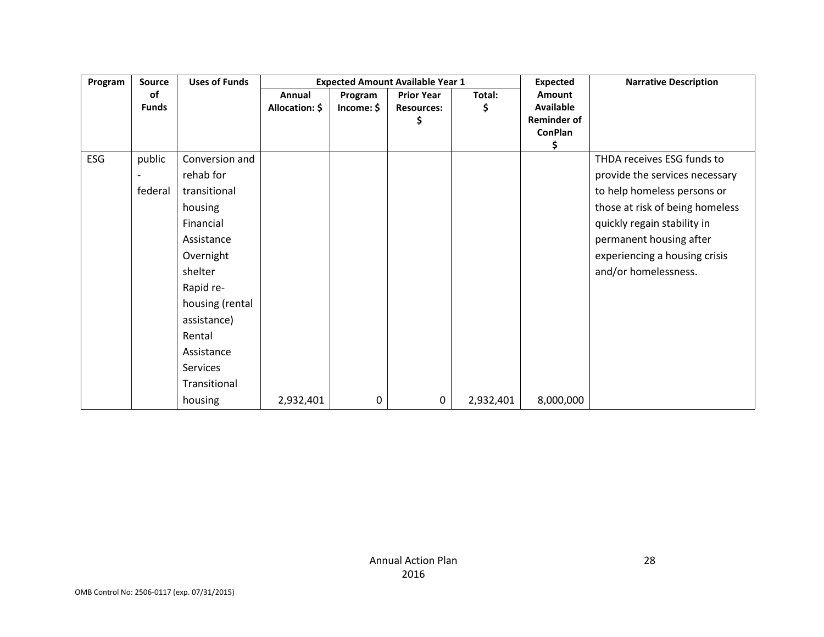| Program | <b>Source</b> | <b>Uses of Funds</b> |                |            | <b>Expected Amount Available Year 1</b> |           | <b>Expected</b>                      | <b>Narrative Description</b>    |
|---------|---------------|----------------------|----------------|------------|-----------------------------------------|-----------|--------------------------------------|---------------------------------|
|         | of            |                      | Annual         | Program    | <b>Prior Year</b>                       | Total:    | <b>Amount</b>                        |                                 |
|         | <b>Funds</b>  |                      | Allocation: \$ | Income: \$ | <b>Resources:</b>                       | \$        | <b>Available</b>                     |                                 |
|         |               |                      |                |            | \$                                      |           | <b>Reminder of</b><br><b>ConPlan</b> |                                 |
|         |               |                      |                |            |                                         |           | \$                                   |                                 |
| ESG     | public        | Conversion and       |                |            |                                         |           |                                      | THDA receives ESG funds to      |
|         |               | rehab for            |                |            |                                         |           |                                      | provide the services necessary  |
|         | federal       | transitional         |                |            |                                         |           |                                      | to help homeless persons or     |
|         |               | housing              |                |            |                                         |           |                                      | those at risk of being homeless |
|         |               | Financial            |                |            |                                         |           |                                      | quickly regain stability in     |
|         |               | Assistance           |                |            |                                         |           |                                      | permanent housing after         |
|         |               | Overnight            |                |            |                                         |           |                                      | experiencing a housing crisis   |
|         |               | shelter              |                |            |                                         |           |                                      | and/or homelessness.            |
|         |               | Rapid re-            |                |            |                                         |           |                                      |                                 |
|         |               | housing (rental      |                |            |                                         |           |                                      |                                 |
|         |               | assistance)          |                |            |                                         |           |                                      |                                 |
|         |               | Rental               |                |            |                                         |           |                                      |                                 |
|         |               | Assistance           |                |            |                                         |           |                                      |                                 |
|         |               | Services             |                |            |                                         |           |                                      |                                 |
|         |               | Transitional         |                |            |                                         |           |                                      |                                 |
|         |               | housing              | 2,932,401      | 0          | 0                                       | 2,932,401 | 8,000,000                            |                                 |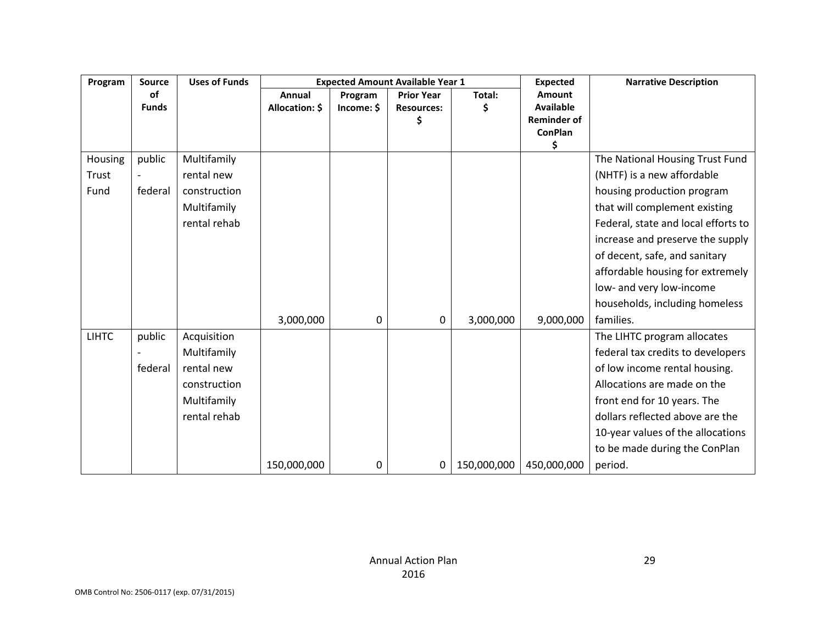| Program      | <b>Source</b> | <b>Uses of Funds</b> |                |            | <b>Expected Amount Available Year 1</b> |             | <b>Expected</b>                      | <b>Narrative Description</b>        |
|--------------|---------------|----------------------|----------------|------------|-----------------------------------------|-------------|--------------------------------------|-------------------------------------|
|              | 0f            |                      | Annual         | Program    | <b>Prior Year</b>                       | Total:      | Amount                               |                                     |
|              | <b>Funds</b>  |                      | Allocation: \$ | Income: \$ | <b>Resources:</b>                       |             | <b>Available</b>                     |                                     |
|              |               |                      |                |            |                                         |             | <b>Reminder of</b><br><b>ConPlan</b> |                                     |
|              |               |                      |                |            |                                         |             | \$                                   |                                     |
| Housing      | public        | Multifamily          |                |            |                                         |             |                                      | The National Housing Trust Fund     |
| Trust        |               | rental new           |                |            |                                         |             |                                      | (NHTF) is a new affordable          |
| Fund         | federal       | construction         |                |            |                                         |             |                                      | housing production program          |
|              |               | Multifamily          |                |            |                                         |             |                                      | that will complement existing       |
|              |               | rental rehab         |                |            |                                         |             |                                      | Federal, state and local efforts to |
|              |               |                      |                |            |                                         |             |                                      | increase and preserve the supply    |
|              |               |                      |                |            |                                         |             |                                      | of decent, safe, and sanitary       |
|              |               |                      |                |            |                                         |             |                                      | affordable housing for extremely    |
|              |               |                      |                |            |                                         |             |                                      | low- and very low-income            |
|              |               |                      |                |            |                                         |             |                                      | households, including homeless      |
|              |               |                      | 3,000,000      | 0          | 0                                       | 3,000,000   | 9,000,000                            | families.                           |
| <b>LIHTC</b> | public        | Acquisition          |                |            |                                         |             |                                      | The LIHTC program allocates         |
|              |               | Multifamily          |                |            |                                         |             |                                      | federal tax credits to developers   |
|              | federal       | rental new           |                |            |                                         |             |                                      | of low income rental housing.       |
|              |               | construction         |                |            |                                         |             |                                      | Allocations are made on the         |
|              |               | Multifamily          |                |            |                                         |             |                                      | front end for 10 years. The         |
|              |               | rental rehab         |                |            |                                         |             |                                      | dollars reflected above are the     |
|              |               |                      |                |            |                                         |             |                                      | 10-year values of the allocations   |
|              |               |                      |                |            |                                         |             |                                      | to be made during the ConPlan       |
|              |               |                      | 150,000,000    | 0          | 0                                       | 150,000,000 | 450,000,000                          | period.                             |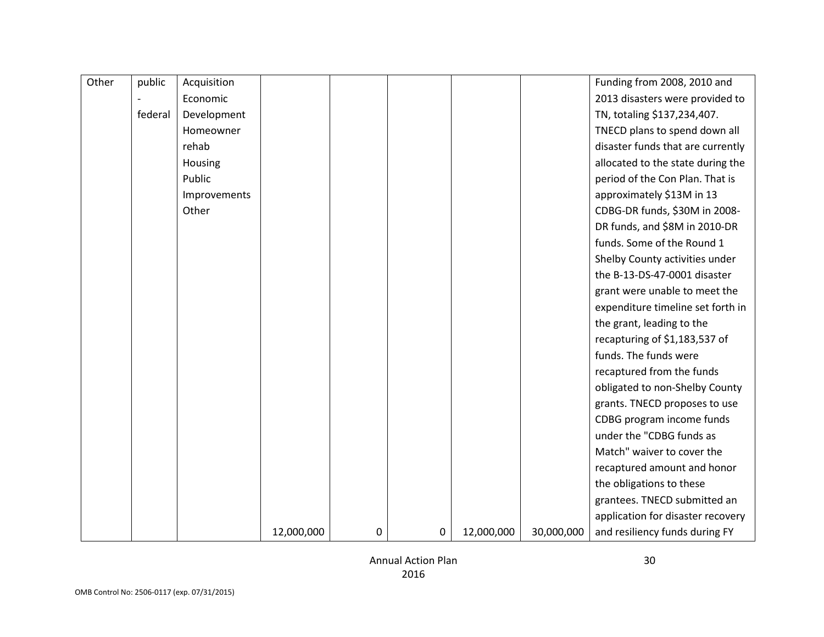| Other | public  | Acquisition  |            |   |             |            |            | Funding from 2008, 2010 and       |
|-------|---------|--------------|------------|---|-------------|------------|------------|-----------------------------------|
|       |         | Economic     |            |   |             |            |            | 2013 disasters were provided to   |
|       | federal | Development  |            |   |             |            |            | TN, totaling \$137,234,407.       |
|       |         | Homeowner    |            |   |             |            |            | TNECD plans to spend down all     |
|       |         | rehab        |            |   |             |            |            | disaster funds that are currently |
|       |         | Housing      |            |   |             |            |            | allocated to the state during the |
|       |         | Public       |            |   |             |            |            | period of the Con Plan. That is   |
|       |         | Improvements |            |   |             |            |            | approximately \$13M in 13         |
|       |         | Other        |            |   |             |            |            | CDBG-DR funds, \$30M in 2008-     |
|       |         |              |            |   |             |            |            | DR funds, and \$8M in 2010-DR     |
|       |         |              |            |   |             |            |            | funds. Some of the Round 1        |
|       |         |              |            |   |             |            |            | Shelby County activities under    |
|       |         |              |            |   |             |            |            | the B-13-DS-47-0001 disaster      |
|       |         |              |            |   |             |            |            | grant were unable to meet the     |
|       |         |              |            |   |             |            |            | expenditure timeline set forth in |
|       |         |              |            |   |             |            |            | the grant, leading to the         |
|       |         |              |            |   |             |            |            | recapturing of \$1,183,537 of     |
|       |         |              |            |   |             |            |            | funds. The funds were             |
|       |         |              |            |   |             |            |            | recaptured from the funds         |
|       |         |              |            |   |             |            |            | obligated to non-Shelby County    |
|       |         |              |            |   |             |            |            | grants. TNECD proposes to use     |
|       |         |              |            |   |             |            |            | CDBG program income funds         |
|       |         |              |            |   |             |            |            | under the "CDBG funds as          |
|       |         |              |            |   |             |            |            | Match" waiver to cover the        |
|       |         |              |            |   |             |            |            | recaptured amount and honor       |
|       |         |              |            |   |             |            |            | the obligations to these          |
|       |         |              |            |   |             |            |            | grantees. TNECD submitted an      |
|       |         |              |            |   |             |            |            | application for disaster recovery |
|       |         |              | 12,000,000 | 0 | $\mathbf 0$ | 12,000,000 | 30,000,000 | and resiliency funds during FY    |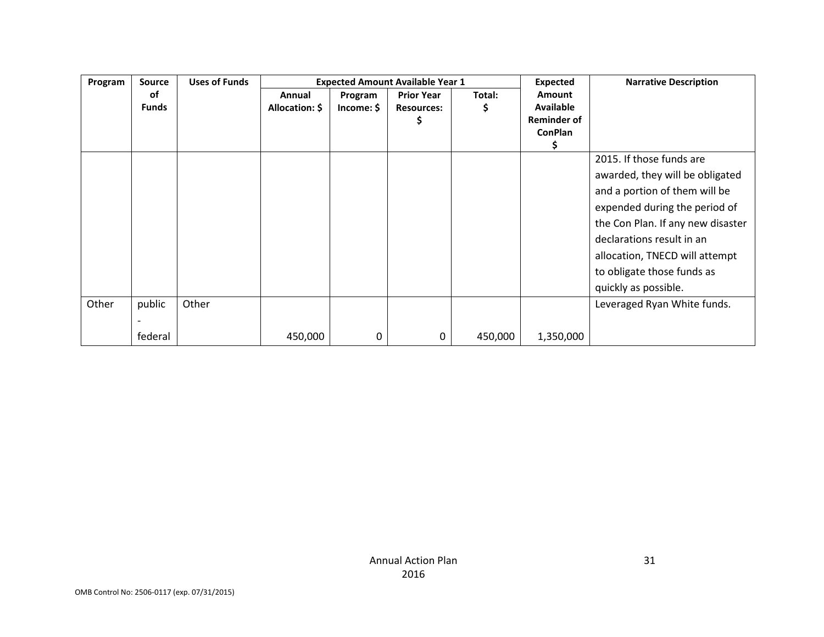| Program | <b>Source</b> | <b>Uses of Funds</b> |                | <b>Expected Amount Available Year 1</b> |                   |         |                    | <b>Narrative Description</b>      |
|---------|---------------|----------------------|----------------|-----------------------------------------|-------------------|---------|--------------------|-----------------------------------|
|         | оf            |                      | Annual         | Program                                 | <b>Prior Year</b> | Total:  | Amount             |                                   |
|         | <b>Funds</b>  |                      | Allocation: \$ | Income: \$                              | <b>Resources:</b> |         | <b>Available</b>   |                                   |
|         |               |                      |                |                                         |                   |         | <b>Reminder of</b> |                                   |
|         |               |                      |                |                                         |                   |         | <b>ConPlan</b>     |                                   |
|         |               |                      |                |                                         |                   |         |                    |                                   |
|         |               |                      |                |                                         |                   |         |                    | 2015. If those funds are          |
|         |               |                      |                |                                         |                   |         |                    | awarded, they will be obligated   |
|         |               |                      |                |                                         |                   |         |                    | and a portion of them will be     |
|         |               |                      |                |                                         |                   |         |                    | expended during the period of     |
|         |               |                      |                |                                         |                   |         |                    | the Con Plan. If any new disaster |
|         |               |                      |                |                                         |                   |         |                    | declarations result in an         |
|         |               |                      |                |                                         |                   |         |                    | allocation, TNECD will attempt    |
|         |               |                      |                |                                         |                   |         |                    | to obligate those funds as        |
|         |               |                      |                |                                         |                   |         |                    | quickly as possible.              |
| Other   | public        | Other                |                |                                         |                   |         |                    | Leveraged Ryan White funds.       |
|         |               |                      |                |                                         |                   |         |                    |                                   |
|         | federal       |                      | 450,000        | 0                                       | 0                 | 450,000 | 1,350,000          |                                   |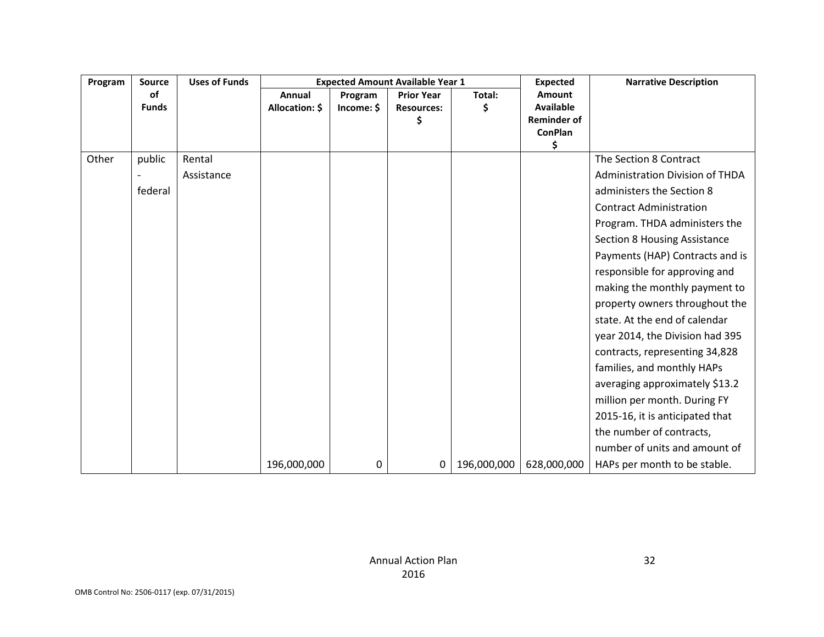| Program | <b>Source</b> | <b>Uses of Funds</b> |                |            | <b>Expected Amount Available Year 1</b> |             | <b>Expected</b>                      | <b>Narrative Description</b>           |
|---------|---------------|----------------------|----------------|------------|-----------------------------------------|-------------|--------------------------------------|----------------------------------------|
|         | of            |                      | Annual         | Program    | <b>Prior Year</b>                       | Total:      | Amount                               |                                        |
|         | <b>Funds</b>  |                      | Allocation: \$ | Income: \$ | <b>Resources:</b>                       |             | <b>Available</b>                     |                                        |
|         |               |                      |                |            | \$                                      |             | <b>Reminder of</b><br><b>ConPlan</b> |                                        |
|         |               |                      |                |            |                                         |             | \$                                   |                                        |
| Other   | public        | Rental               |                |            |                                         |             |                                      | The Section 8 Contract                 |
|         |               | Assistance           |                |            |                                         |             |                                      | <b>Administration Division of THDA</b> |
|         | federal       |                      |                |            |                                         |             |                                      | administers the Section 8              |
|         |               |                      |                |            |                                         |             |                                      | <b>Contract Administration</b>         |
|         |               |                      |                |            |                                         |             |                                      | Program. THDA administers the          |
|         |               |                      |                |            |                                         |             |                                      | <b>Section 8 Housing Assistance</b>    |
|         |               |                      |                |            |                                         |             |                                      | Payments (HAP) Contracts and is        |
|         |               |                      |                |            |                                         |             |                                      | responsible for approving and          |
|         |               |                      |                |            |                                         |             |                                      | making the monthly payment to          |
|         |               |                      |                |            |                                         |             |                                      | property owners throughout the         |
|         |               |                      |                |            |                                         |             |                                      | state. At the end of calendar          |
|         |               |                      |                |            |                                         |             |                                      | year 2014, the Division had 395        |
|         |               |                      |                |            |                                         |             |                                      | contracts, representing 34,828         |
|         |               |                      |                |            |                                         |             |                                      | families, and monthly HAPs             |
|         |               |                      |                |            |                                         |             |                                      | averaging approximately \$13.2         |
|         |               |                      |                |            |                                         |             |                                      | million per month. During FY           |
|         |               |                      |                |            |                                         |             |                                      | 2015-16, it is anticipated that        |
|         |               |                      |                |            |                                         |             |                                      | the number of contracts,               |
|         |               |                      |                |            |                                         |             |                                      | number of units and amount of          |
|         |               |                      | 196,000,000    | 0          | 0                                       | 196,000,000 | 628,000,000                          | HAPs per month to be stable.           |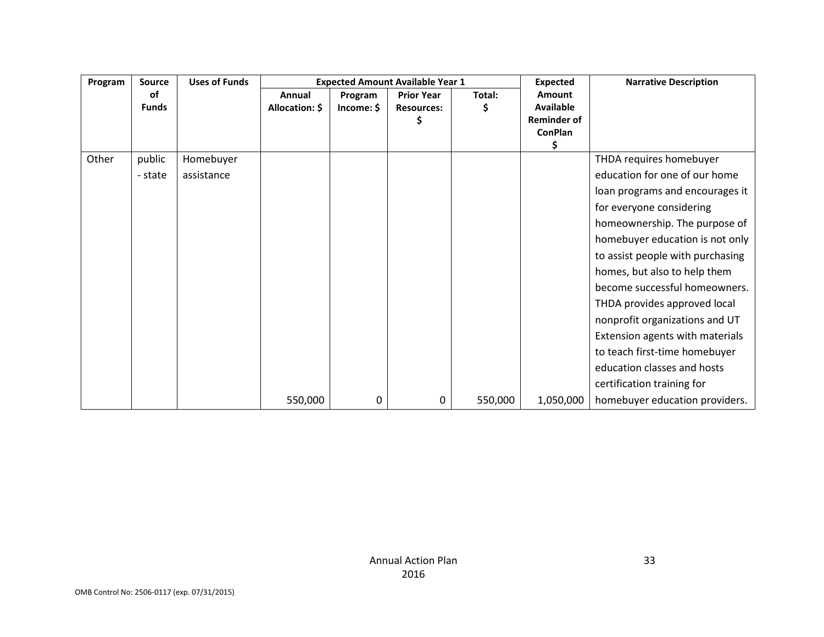| Program | Source             | <b>Uses of Funds</b> |                          |                       | <b>Expected Amount Available Year 1</b>      |             | <b>Expected</b>                                                    | <b>Narrative Description</b>     |
|---------|--------------------|----------------------|--------------------------|-----------------------|----------------------------------------------|-------------|--------------------------------------------------------------------|----------------------------------|
|         | of<br><b>Funds</b> |                      | Annual<br>Allocation: \$ | Program<br>Income: \$ | <b>Prior Year</b><br><b>Resources:</b><br>\$ | Total:<br>S | Amount<br><b>Available</b><br><b>Reminder of</b><br><b>ConPlan</b> |                                  |
|         |                    |                      |                          |                       |                                              |             | S                                                                  |                                  |
| Other   | public             | Homebuyer            |                          |                       |                                              |             |                                                                    | THDA requires homebuyer          |
|         | - state            | assistance           |                          |                       |                                              |             |                                                                    | education for one of our home    |
|         |                    |                      |                          |                       |                                              |             |                                                                    | loan programs and encourages it  |
|         |                    |                      |                          |                       |                                              |             |                                                                    | for everyone considering         |
|         |                    |                      |                          |                       |                                              |             |                                                                    | homeownership. The purpose of    |
|         |                    |                      |                          |                       |                                              |             |                                                                    | homebuyer education is not only  |
|         |                    |                      |                          |                       |                                              |             |                                                                    | to assist people with purchasing |
|         |                    |                      |                          |                       |                                              |             |                                                                    | homes, but also to help them     |
|         |                    |                      |                          |                       |                                              |             |                                                                    | become successful homeowners.    |
|         |                    |                      |                          |                       |                                              |             |                                                                    | THDA provides approved local     |
|         |                    |                      |                          |                       |                                              |             |                                                                    | nonprofit organizations and UT   |
|         |                    |                      |                          |                       |                                              |             |                                                                    | Extension agents with materials  |
|         |                    |                      |                          |                       |                                              |             |                                                                    | to teach first-time homebuyer    |
|         |                    |                      |                          |                       |                                              |             |                                                                    | education classes and hosts      |
|         |                    |                      |                          |                       |                                              |             |                                                                    | certification training for       |
|         |                    |                      | 550,000                  | 0                     | 0                                            | 550,000     | 1,050,000                                                          | homebuyer education providers.   |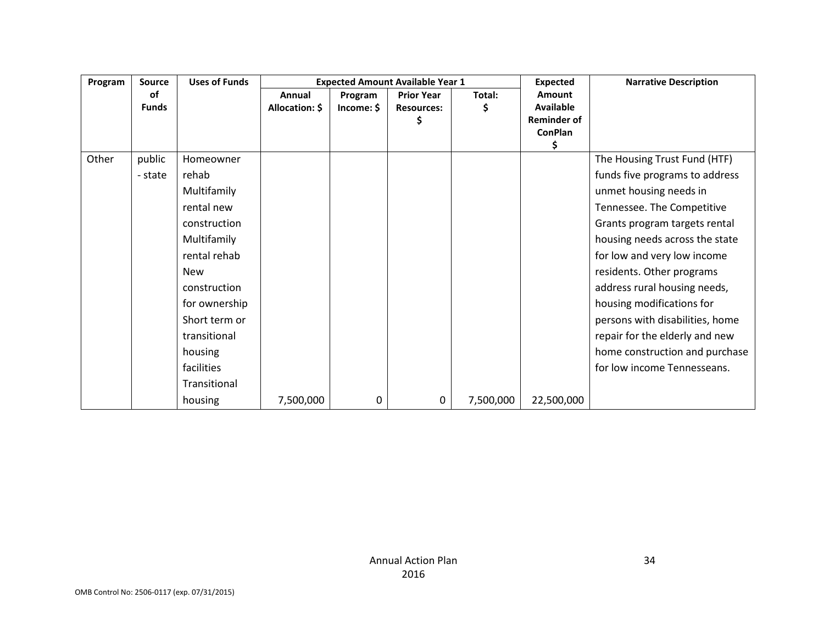| Program | <b>Source</b> | <b>Uses of Funds</b> |                |            | <b>Expected Amount Available Year 1</b> |           | <b>Expected</b>                      | <b>Narrative Description</b>    |
|---------|---------------|----------------------|----------------|------------|-----------------------------------------|-----------|--------------------------------------|---------------------------------|
|         | 0f            |                      | Annual         | Program    | <b>Prior Year</b>                       | Total:    | Amount                               |                                 |
|         | <b>Funds</b>  |                      | Allocation: \$ | Income: \$ | <b>Resources:</b>                       | Ş         | <b>Available</b>                     |                                 |
|         |               |                      |                |            |                                         |           | <b>Reminder of</b><br><b>ConPlan</b> |                                 |
|         |               |                      |                |            |                                         |           | S.                                   |                                 |
| Other   | public        | Homeowner            |                |            |                                         |           |                                      | The Housing Trust Fund (HTF)    |
|         | - state       | rehab                |                |            |                                         |           |                                      | funds five programs to address  |
|         |               | Multifamily          |                |            |                                         |           |                                      | unmet housing needs in          |
|         |               | rental new           |                |            |                                         |           |                                      | Tennessee. The Competitive      |
|         |               | construction         |                |            |                                         |           |                                      | Grants program targets rental   |
|         |               | Multifamily          |                |            |                                         |           |                                      | housing needs across the state  |
|         |               | rental rehab         |                |            |                                         |           |                                      | for low and very low income     |
|         |               | <b>New</b>           |                |            |                                         |           |                                      | residents. Other programs       |
|         |               | construction         |                |            |                                         |           |                                      | address rural housing needs,    |
|         |               | for ownership        |                |            |                                         |           |                                      | housing modifications for       |
|         |               | Short term or        |                |            |                                         |           |                                      | persons with disabilities, home |
|         |               | transitional         |                |            |                                         |           |                                      | repair for the elderly and new  |
|         |               | housing              |                |            |                                         |           |                                      | home construction and purchase  |
|         |               | facilities           |                |            |                                         |           |                                      | for low income Tennesseans.     |
|         |               | Transitional         |                |            |                                         |           |                                      |                                 |
|         |               | housing              | 7,500,000      | 0          | 0                                       | 7,500,000 | 22,500,000                           |                                 |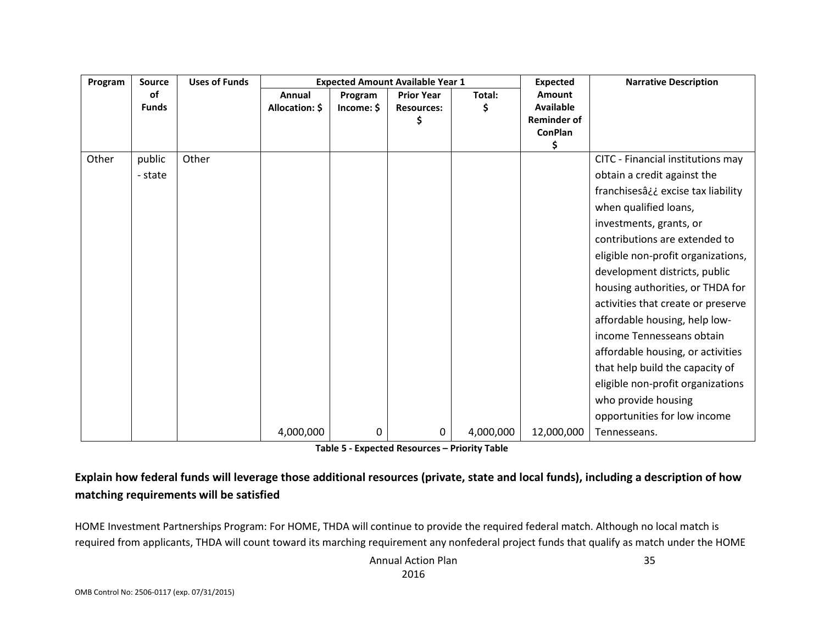| Program | <b>Source</b>      | <b>Uses of Funds</b> |                          | <b>Expected Amount Available Year 1</b> |                                              |           | <b>Expected</b>                                                                 | <b>Narrative Description</b>       |
|---------|--------------------|----------------------|--------------------------|-----------------------------------------|----------------------------------------------|-----------|---------------------------------------------------------------------------------|------------------------------------|
|         | of<br><b>Funds</b> |                      | Annual<br>Allocation: \$ | Program<br>Income: \$                   | <b>Prior Year</b><br><b>Resources:</b><br>\$ | Total:    | <b>Amount</b><br><b>Available</b><br><b>Reminder of</b><br><b>ConPlan</b><br>\$ |                                    |
| Other   | public             | Other                |                          |                                         |                                              |           |                                                                                 | CITC - Financial institutions may  |
|         | - state            |                      |                          |                                         |                                              |           |                                                                                 | obtain a credit against the        |
|         |                    |                      |                          |                                         |                                              |           |                                                                                 | franchisesâ¿¿ excise tax liability |
|         |                    |                      |                          |                                         |                                              |           |                                                                                 | when qualified loans,              |
|         |                    |                      |                          |                                         |                                              |           |                                                                                 | investments, grants, or            |
|         |                    |                      |                          |                                         |                                              |           |                                                                                 | contributions are extended to      |
|         |                    |                      |                          |                                         |                                              |           |                                                                                 | eligible non-profit organizations, |
|         |                    |                      |                          |                                         |                                              |           |                                                                                 | development districts, public      |
|         |                    |                      |                          |                                         |                                              |           |                                                                                 | housing authorities, or THDA for   |
|         |                    |                      |                          |                                         |                                              |           |                                                                                 | activities that create or preserve |
|         |                    |                      |                          |                                         |                                              |           |                                                                                 | affordable housing, help low-      |
|         |                    |                      |                          |                                         |                                              |           |                                                                                 | income Tennesseans obtain          |
|         |                    |                      |                          |                                         |                                              |           |                                                                                 | affordable housing, or activities  |
|         |                    |                      |                          |                                         |                                              |           |                                                                                 | that help build the capacity of    |
|         |                    |                      |                          |                                         |                                              |           |                                                                                 | eligible non-profit organizations  |
|         |                    |                      |                          |                                         |                                              |           |                                                                                 | who provide housing                |
|         |                    |                      |                          |                                         |                                              |           |                                                                                 | opportunities for low income       |
|         |                    |                      | 4,000,000                | 0                                       | 0                                            | 4,000,000 | 12,000,000                                                                      | Tennesseans.                       |

**Table 5 - Expected Resources – Priority Table**

### **Explain how federal funds will leverage those additional resources (private, state and local funds), including a description of how matching requirements will be satisfied**

HOME Investment Partnerships Program: For HOME, THDA will continue to provide the required federal match. Although no local match is required from applicants, THDA will count toward its marching requirement any nonfederal project funds that qualify as match under the HOME

> Annual Action Plan 2016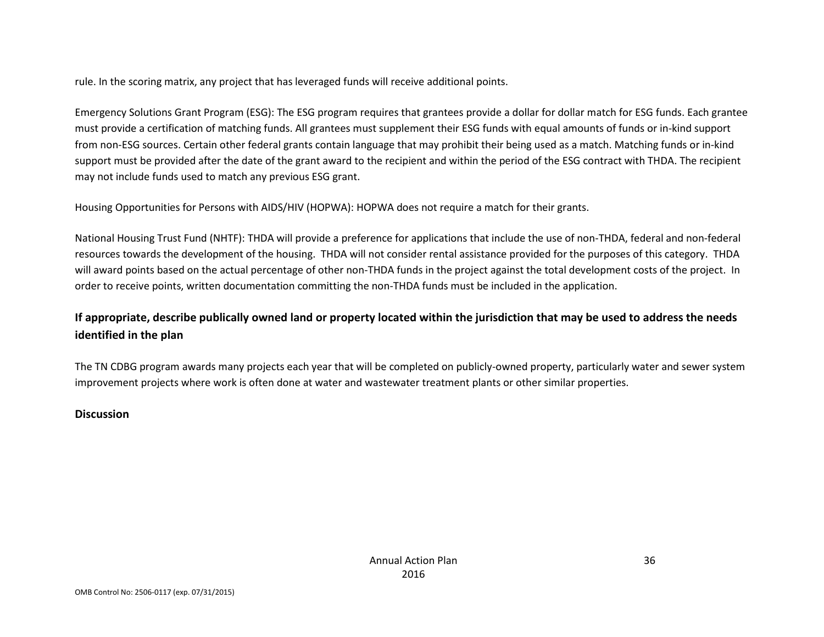rule. In the scoring matrix, any project that has leveraged funds will receive additional points.

Emergency Solutions Grant Program (ESG): The ESG program requires that grantees provide a dollar for dollar match for ESG funds. Each grantee must provide a certification of matching funds. All grantees must supplement their ESG funds with equal amounts of funds or in-kind support from non-ESG sources. Certain other federal grants contain language that may prohibit their being used as a match. Matching funds or in-kind support must be provided after the date of the grant award to the recipient and within the period of the ESG contract with THDA. The recipient may not include funds used to match any previous ESG grant.

Housing Opportunities for Persons with AIDS/HIV (HOPWA): HOPWA does not require a match for their grants.

National Housing Trust Fund (NHTF): THDA will provide a preference for applications that include the use of non-THDA, federal and non-federal resources towards the development of the housing. THDA will not consider rental assistance provided for the purposes of this category. THDA will award points based on the actual percentage of other non-THDA funds in the project against the total development costs of the project. In order to receive points, written documentation committing the non-THDA funds must be included in the application.

### **If appropriate, describe publically owned land or property located within the jurisdiction that may be used to address the needs identified in the plan**

The TN CDBG program awards many projects each year that will be completed on publicly-owned property, particularly water and sewer system improvement projects where work is often done at water and wastewater treatment plants or other similar properties.

#### **Discussion**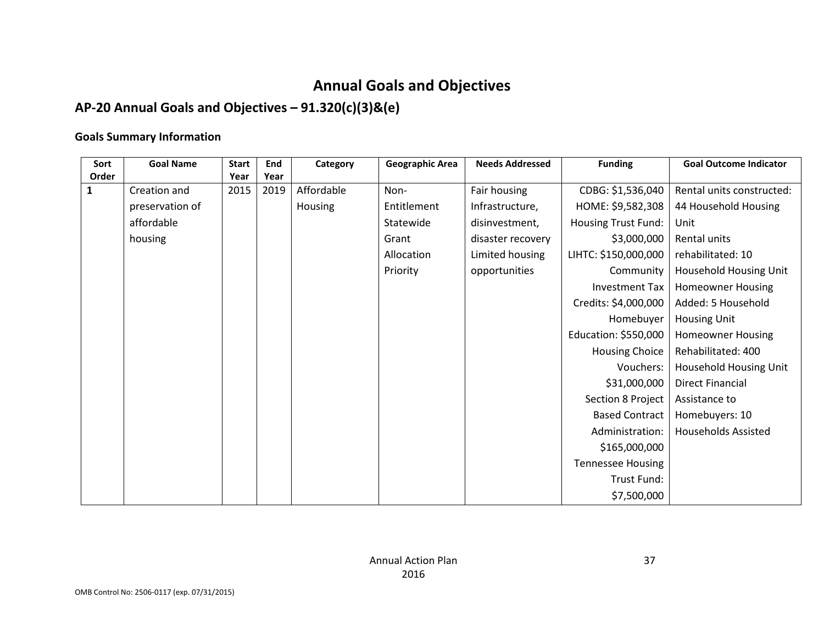# **Annual Goals and Objectives**

## **AP-20 Annual Goals and Objectives – 91.320(c)(3)&(e)**

## **Goals Summary Information**

| Sort  | <b>Goal Name</b> | <b>Start</b> | <b>End</b> | Category   | <b>Funding</b><br><b>Geographic Area</b><br><b>Needs Addressed</b> |                   | <b>Goal Outcome Indicator</b> |                            |  |
|-------|------------------|--------------|------------|------------|--------------------------------------------------------------------|-------------------|-------------------------------|----------------------------|--|
| Order |                  | Year         | Year       |            |                                                                    |                   |                               |                            |  |
| 1     | Creation and     | 2015         | 2019       | Affordable | Non-                                                               | Fair housing      | CDBG: \$1,536,040             | Rental units constructed:  |  |
|       | preservation of  |              |            | Housing    | Entitlement                                                        | Infrastructure,   | HOME: \$9,582,308             | 44 Household Housing       |  |
|       | affordable       |              |            |            | Statewide                                                          | disinvestment,    | Housing Trust Fund:           | Unit                       |  |
|       | housing          |              |            |            | Grant                                                              | disaster recovery | \$3,000,000                   | Rental units               |  |
|       |                  |              |            |            | Allocation                                                         | Limited housing   | LIHTC: \$150,000,000          | rehabilitated: 10          |  |
|       |                  |              |            |            | Priority                                                           | opportunities     | Community                     | Household Housing Unit     |  |
|       |                  |              |            |            |                                                                    |                   | Investment Tax                | <b>Homeowner Housing</b>   |  |
|       |                  |              |            |            |                                                                    |                   | Credits: \$4,000,000          | Added: 5 Household         |  |
|       |                  |              |            |            |                                                                    |                   | Homebuyer                     | <b>Housing Unit</b>        |  |
|       |                  |              |            |            |                                                                    |                   | Education: \$550,000          | <b>Homeowner Housing</b>   |  |
|       |                  |              |            |            |                                                                    |                   | <b>Housing Choice</b>         | Rehabilitated: 400         |  |
|       |                  |              |            |            |                                                                    |                   | Vouchers:                     | Household Housing Unit     |  |
|       |                  |              |            |            |                                                                    |                   | \$31,000,000                  | <b>Direct Financial</b>    |  |
|       |                  |              |            |            |                                                                    |                   | Section 8 Project             | Assistance to              |  |
|       |                  |              |            |            |                                                                    |                   | <b>Based Contract</b>         | Homebuyers: 10             |  |
|       |                  |              |            |            |                                                                    |                   | Administration:               | <b>Households Assisted</b> |  |
|       |                  |              |            |            |                                                                    |                   | \$165,000,000                 |                            |  |
|       |                  |              |            |            |                                                                    |                   | <b>Tennessee Housing</b>      |                            |  |
|       |                  |              |            |            |                                                                    |                   | Trust Fund:                   |                            |  |
|       |                  |              |            |            |                                                                    |                   | \$7,500,000                   |                            |  |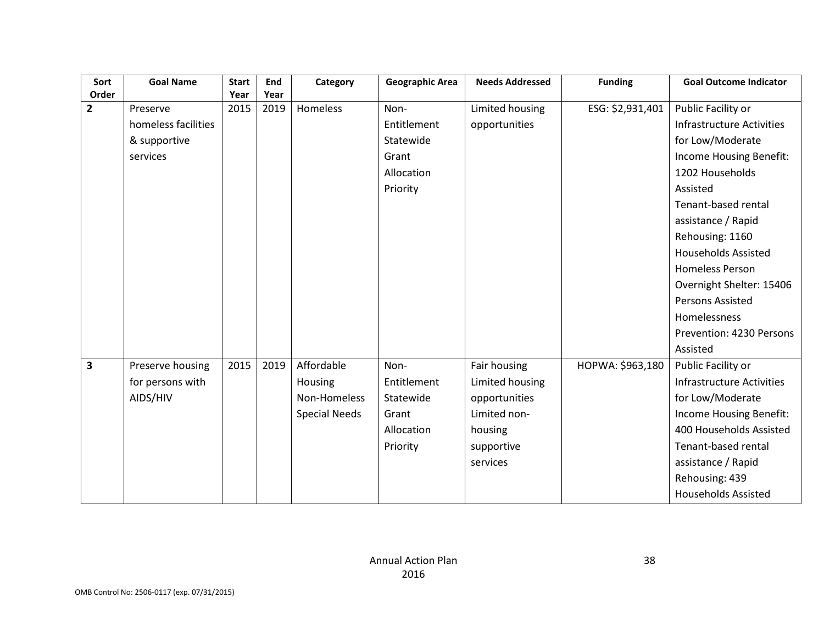| Sort                    | <b>Goal Name</b>    | <b>Start</b> | End  | Category             | <b>Geographic Area</b> | <b>Needs Addressed</b> | <b>Funding</b>   | <b>Goal Outcome Indicator</b> |
|-------------------------|---------------------|--------------|------|----------------------|------------------------|------------------------|------------------|-------------------------------|
| Order                   |                     | Year         | Year |                      |                        |                        |                  |                               |
| $\overline{\mathbf{2}}$ | Preserve            | 2015         | 2019 | Homeless             | Non-                   | Limited housing        | ESG: \$2,931,401 | Public Facility or            |
|                         | homeless facilities |              |      |                      | Entitlement            | opportunities          |                  | Infrastructure Activities     |
|                         | & supportive        |              |      |                      | Statewide              |                        |                  | for Low/Moderate              |
|                         | services            |              |      |                      | Grant                  |                        |                  | Income Housing Benefit:       |
|                         |                     |              |      |                      | Allocation             |                        |                  | 1202 Households               |
|                         |                     |              |      |                      | Priority               |                        |                  | Assisted                      |
|                         |                     |              |      |                      |                        |                        |                  | Tenant-based rental           |
|                         |                     |              |      |                      |                        |                        |                  | assistance / Rapid            |
|                         |                     |              |      |                      |                        |                        |                  | Rehousing: 1160               |
|                         |                     |              |      |                      |                        |                        |                  | <b>Households Assisted</b>    |
|                         |                     |              |      |                      |                        |                        |                  | <b>Homeless Person</b>        |
|                         |                     |              |      |                      |                        |                        |                  | Overnight Shelter: 15406      |
|                         |                     |              |      |                      |                        |                        |                  | Persons Assisted              |
|                         |                     |              |      |                      |                        |                        |                  | Homelessness                  |
|                         |                     |              |      |                      |                        |                        |                  | Prevention: 4230 Persons      |
|                         |                     |              |      |                      |                        |                        |                  | Assisted                      |
| 3                       | Preserve housing    | 2015         | 2019 | Affordable           | Non-                   | Fair housing           | HOPWA: \$963,180 | Public Facility or            |
|                         | for persons with    |              |      | Housing              | Entitlement            | Limited housing        |                  | Infrastructure Activities     |
|                         | AIDS/HIV            |              |      | Non-Homeless         | Statewide              | opportunities          |                  | for Low/Moderate              |
|                         |                     |              |      | <b>Special Needs</b> | Grant                  | Limited non-           |                  | Income Housing Benefit:       |
|                         |                     |              |      |                      | Allocation             | housing                |                  | 400 Households Assisted       |
|                         |                     |              |      |                      | Priority               | supportive             |                  | Tenant-based rental           |
|                         |                     |              |      |                      |                        | services               |                  | assistance / Rapid            |
|                         |                     |              |      |                      |                        |                        |                  | Rehousing: 439                |
|                         |                     |              |      |                      |                        |                        |                  | <b>Households Assisted</b>    |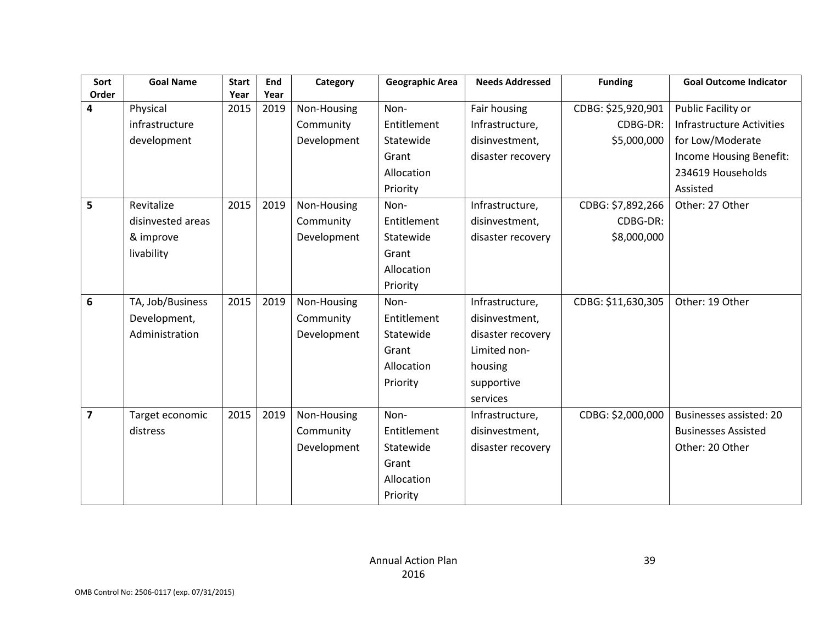| Sort           | <b>Goal Name</b>  | <b>Start</b> | End  | Category    | <b>Geographic Area</b> | <b>Needs Addressed</b> | <b>Funding</b>     | <b>Goal Outcome Indicator</b>    |
|----------------|-------------------|--------------|------|-------------|------------------------|------------------------|--------------------|----------------------------------|
| Order          |                   | Year         | Year |             |                        |                        |                    |                                  |
| 4              | Physical          | 2015         | 2019 | Non-Housing | Non-                   | Fair housing           | CDBG: \$25,920,901 | Public Facility or               |
|                | infrastructure    |              |      | Community   | Entitlement            | Infrastructure,        | CDBG-DR:           | <b>Infrastructure Activities</b> |
|                | development       |              |      | Development | Statewide              | disinvestment,         | \$5,000,000        | for Low/Moderate                 |
|                |                   |              |      |             | Grant                  | disaster recovery      |                    | Income Housing Benefit:          |
|                |                   |              |      |             | Allocation             |                        |                    | 234619 Households                |
|                |                   |              |      |             | Priority               |                        |                    | Assisted                         |
| 5              | Revitalize        | 2015         | 2019 | Non-Housing | Non-                   | Infrastructure,        | CDBG: \$7,892,266  | Other: 27 Other                  |
|                | disinvested areas |              |      | Community   | Entitlement            | disinvestment,         | CDBG-DR:           |                                  |
|                | & improve         |              |      | Development | Statewide              | disaster recovery      | \$8,000,000        |                                  |
|                | livability        |              |      |             | Grant                  |                        |                    |                                  |
|                |                   |              |      |             | Allocation             |                        |                    |                                  |
|                |                   |              |      |             | Priority               |                        |                    |                                  |
| 6              | TA, Job/Business  | 2015         | 2019 | Non-Housing | Non-                   | Infrastructure,        | CDBG: \$11,630,305 | Other: 19 Other                  |
|                | Development,      |              |      | Community   | Entitlement            | disinvestment,         |                    |                                  |
|                | Administration    |              |      | Development | Statewide              | disaster recovery      |                    |                                  |
|                |                   |              |      |             | Grant                  | Limited non-           |                    |                                  |
|                |                   |              |      |             | Allocation             | housing                |                    |                                  |
|                |                   |              |      |             | Priority               | supportive             |                    |                                  |
|                |                   |              |      |             |                        | services               |                    |                                  |
| $\overline{7}$ | Target economic   | 2015         | 2019 | Non-Housing | Non-                   | Infrastructure,        | CDBG: \$2,000,000  | <b>Businesses assisted: 20</b>   |
|                | distress          |              |      | Community   | Entitlement            | disinvestment,         |                    | <b>Businesses Assisted</b>       |
|                |                   |              |      | Development | Statewide              | disaster recovery      |                    | Other: 20 Other                  |
|                |                   |              |      |             | Grant                  |                        |                    |                                  |
|                |                   |              |      |             | Allocation             |                        |                    |                                  |
|                |                   |              |      |             | Priority               |                        |                    |                                  |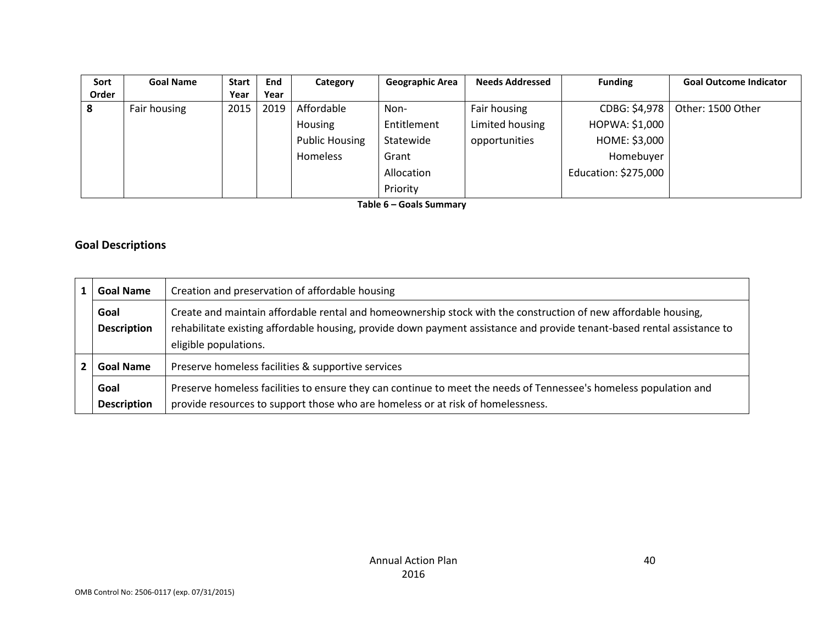| Sort  | <b>Goal Name</b> | <b>Start</b> | End  | Category              | <b>Geographic Area</b> | <b>Needs Addressed</b> | <b>Funding</b>       | <b>Goal Outcome Indicator</b> |
|-------|------------------|--------------|------|-----------------------|------------------------|------------------------|----------------------|-------------------------------|
| Order |                  | Year         | Year |                       |                        |                        |                      |                               |
| 8     | Fair housing     | 2015         | 2019 | Affordable            | Non-                   | Fair housing           | CDBG: \$4,978        | Other: 1500 Other             |
|       |                  |              |      | <b>Housing</b>        | Entitlement            | Limited housing        | HOPWA: \$1,000       |                               |
|       |                  |              |      | <b>Public Housing</b> | Statewide              | opportunities          | HOME: \$3,000        |                               |
|       |                  |              |      | Homeless              | Grant                  |                        | Homebuyer            |                               |
|       |                  |              |      |                       | Allocation             |                        | Education: \$275,000 |                               |
|       |                  |              |      |                       | Priority               |                        |                      |                               |

**Table 6 – Goals Summary**

### **Goal Descriptions**

| <b>Goal Name</b>           | Creation and preservation of affordable housing                                                                                                                                                                                                                    |  |  |  |  |  |
|----------------------------|--------------------------------------------------------------------------------------------------------------------------------------------------------------------------------------------------------------------------------------------------------------------|--|--|--|--|--|
| Goal<br><b>Description</b> | Create and maintain affordable rental and homeownership stock with the construction of new affordable housing,<br>rehabilitate existing affordable housing, provide down payment assistance and provide tenant-based rental assistance to<br>eligible populations. |  |  |  |  |  |
| <b>Goal Name</b>           | Preserve homeless facilities & supportive services                                                                                                                                                                                                                 |  |  |  |  |  |
| Goal<br><b>Description</b> | Preserve homeless facilities to ensure they can continue to meet the needs of Tennessee's homeless population and<br>provide resources to support those who are homeless or at risk of homelessness.                                                               |  |  |  |  |  |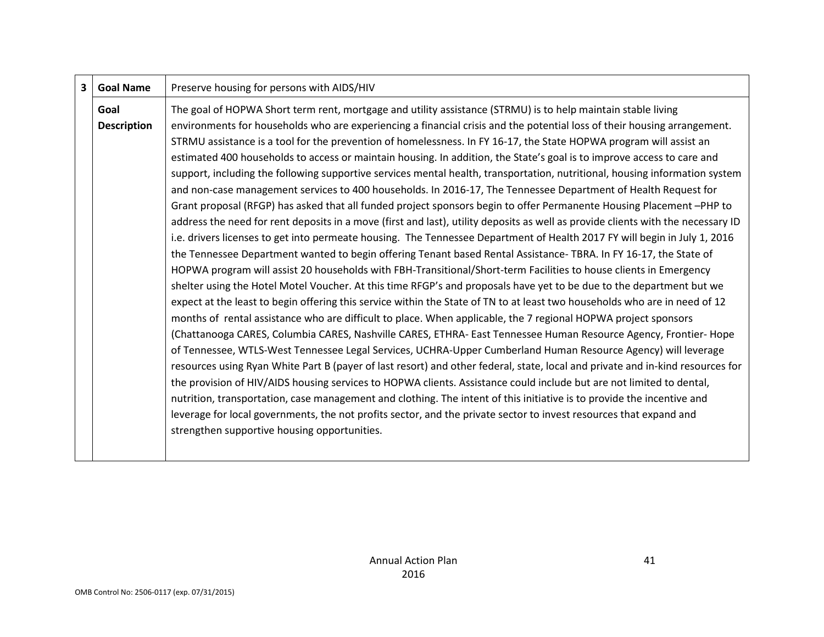| $\overline{\mathbf{3}}$ | <b>Goal Name</b>   | Preserve housing for persons with AIDS/HIV                                                                                       |
|-------------------------|--------------------|----------------------------------------------------------------------------------------------------------------------------------|
|                         | Goal               | The goal of HOPWA Short term rent, mortgage and utility assistance (STRMU) is to help maintain stable living                     |
|                         | <b>Description</b> | environments for households who are experiencing a financial crisis and the potential loss of their housing arrangement.         |
|                         |                    | STRMU assistance is a tool for the prevention of homelessness. In FY 16-17, the State HOPWA program will assist an               |
|                         |                    | estimated 400 households to access or maintain housing. In addition, the State's goal is to improve access to care and           |
|                         |                    | support, including the following supportive services mental health, transportation, nutritional, housing information system      |
|                         |                    | and non-case management services to 400 households. In 2016-17, The Tennessee Department of Health Request for                   |
|                         |                    | Grant proposal (RFGP) has asked that all funded project sponsors begin to offer Permanente Housing Placement-PHP to              |
|                         |                    | address the need for rent deposits in a move (first and last), utility deposits as well as provide clients with the necessary ID |
|                         |                    | i.e. drivers licenses to get into permeate housing. The Tennessee Department of Health 2017 FY will begin in July 1, 2016        |
|                         |                    | the Tennessee Department wanted to begin offering Tenant based Rental Assistance-TBRA. In FY 16-17, the State of                 |
|                         |                    | HOPWA program will assist 20 households with FBH-Transitional/Short-term Facilities to house clients in Emergency                |
|                         |                    | shelter using the Hotel Motel Voucher. At this time RFGP's and proposals have yet to be due to the department but we             |
|                         |                    | expect at the least to begin offering this service within the State of TN to at least two households who are in need of 12       |
|                         |                    | months of rental assistance who are difficult to place. When applicable, the 7 regional HOPWA project sponsors                   |
|                         |                    | (Chattanooga CARES, Columbia CARES, Nashville CARES, ETHRA- East Tennessee Human Resource Agency, Frontier- Hope                 |
|                         |                    | of Tennessee, WTLS-West Tennessee Legal Services, UCHRA-Upper Cumberland Human Resource Agency) will leverage                    |
|                         |                    | resources using Ryan White Part B (payer of last resort) and other federal, state, local and private and in-kind resources for   |
|                         |                    | the provision of HIV/AIDS housing services to HOPWA clients. Assistance could include but are not limited to dental,             |
|                         |                    | nutrition, transportation, case management and clothing. The intent of this initiative is to provide the incentive and           |
|                         |                    | leverage for local governments, the not profits sector, and the private sector to invest resources that expand and               |
|                         |                    | strengthen supportive housing opportunities.                                                                                     |
|                         |                    |                                                                                                                                  |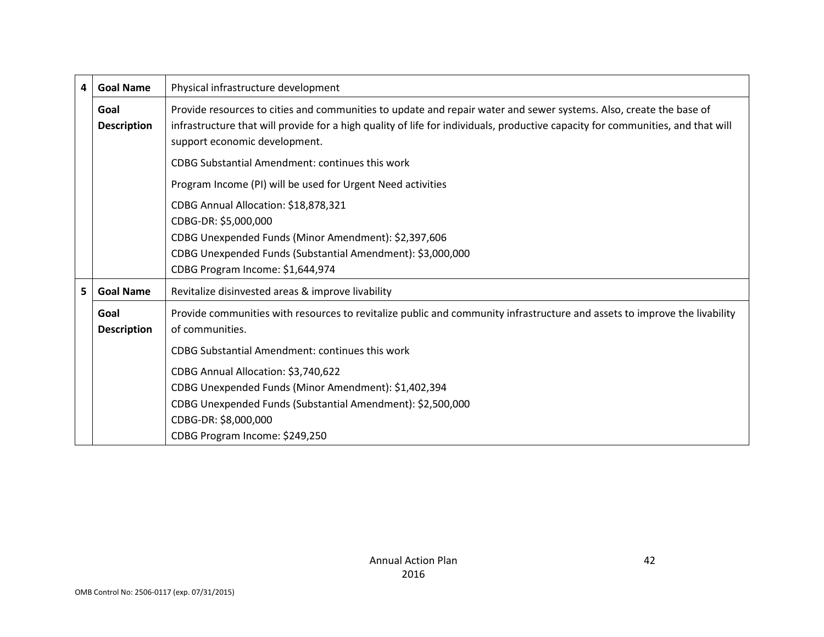| $\overline{\mathbf{4}}$ | <b>Goal Name</b>                                     | Physical infrastructure development                                                                                                                                                                                                                                                    |  |  |  |  |
|-------------------------|------------------------------------------------------|----------------------------------------------------------------------------------------------------------------------------------------------------------------------------------------------------------------------------------------------------------------------------------------|--|--|--|--|
|                         | Goal<br><b>Description</b>                           | Provide resources to cities and communities to update and repair water and sewer systems. Also, create the base of<br>infrastructure that will provide for a high quality of life for individuals, productive capacity for communities, and that will<br>support economic development. |  |  |  |  |
|                         |                                                      | <b>CDBG Substantial Amendment: continues this work</b>                                                                                                                                                                                                                                 |  |  |  |  |
|                         |                                                      | Program Income (PI) will be used for Urgent Need activities                                                                                                                                                                                                                            |  |  |  |  |
|                         |                                                      | CDBG Annual Allocation: \$18,878,321<br>CDBG-DR: \$5,000,000                                                                                                                                                                                                                           |  |  |  |  |
|                         | CDBG Unexpended Funds (Minor Amendment): \$2,397,606 |                                                                                                                                                                                                                                                                                        |  |  |  |  |
|                         |                                                      | CDBG Unexpended Funds (Substantial Amendment): \$3,000,000<br>CDBG Program Income: \$1,644,974                                                                                                                                                                                         |  |  |  |  |
| 5.                      | <b>Goal Name</b>                                     | Revitalize disinvested areas & improve livability                                                                                                                                                                                                                                      |  |  |  |  |
|                         | Goal<br><b>Description</b>                           | Provide communities with resources to revitalize public and community infrastructure and assets to improve the livability<br>of communities.                                                                                                                                           |  |  |  |  |
|                         |                                                      | <b>CDBG Substantial Amendment: continues this work</b>                                                                                                                                                                                                                                 |  |  |  |  |
|                         |                                                      | CDBG Annual Allocation: \$3,740,622                                                                                                                                                                                                                                                    |  |  |  |  |
|                         |                                                      | CDBG Unexpended Funds (Minor Amendment): \$1,402,394                                                                                                                                                                                                                                   |  |  |  |  |
|                         |                                                      | CDBG Unexpended Funds (Substantial Amendment): \$2,500,000                                                                                                                                                                                                                             |  |  |  |  |
|                         |                                                      | CDBG-DR: \$8,000,000                                                                                                                                                                                                                                                                   |  |  |  |  |
|                         |                                                      | CDBG Program Income: \$249,250                                                                                                                                                                                                                                                         |  |  |  |  |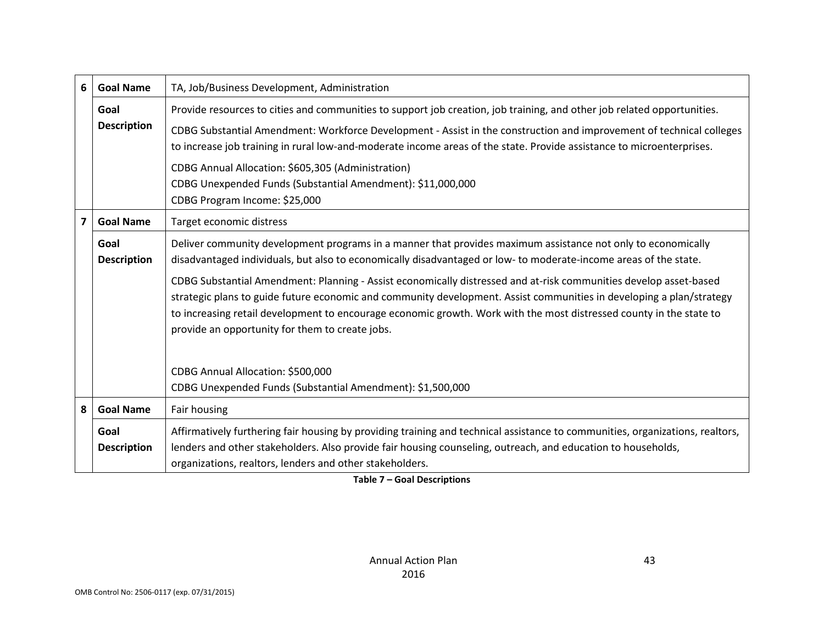| 6                                                                                                                               | <b>Goal Name</b>           | TA, Job/Business Development, Administration                                                                                                                                                                                                                                                                                                                                                                                                                                                                                                                                                                                                                                                                                                              |  |  |
|---------------------------------------------------------------------------------------------------------------------------------|----------------------------|-----------------------------------------------------------------------------------------------------------------------------------------------------------------------------------------------------------------------------------------------------------------------------------------------------------------------------------------------------------------------------------------------------------------------------------------------------------------------------------------------------------------------------------------------------------------------------------------------------------------------------------------------------------------------------------------------------------------------------------------------------------|--|--|
| Provide resources to cities and communities to support job creation, job training, and other job related opportunities.<br>Goal |                            |                                                                                                                                                                                                                                                                                                                                                                                                                                                                                                                                                                                                                                                                                                                                                           |  |  |
|                                                                                                                                 | <b>Description</b>         | CDBG Substantial Amendment: Workforce Development - Assist in the construction and improvement of technical colleges<br>to increase job training in rural low-and-moderate income areas of the state. Provide assistance to microenterprises.<br>CDBG Annual Allocation: \$605,305 (Administration)<br>CDBG Unexpended Funds (Substantial Amendment): \$11,000,000                                                                                                                                                                                                                                                                                                                                                                                        |  |  |
|                                                                                                                                 |                            | CDBG Program Income: \$25,000                                                                                                                                                                                                                                                                                                                                                                                                                                                                                                                                                                                                                                                                                                                             |  |  |
| $\overline{7}$                                                                                                                  | <b>Goal Name</b>           | Target economic distress                                                                                                                                                                                                                                                                                                                                                                                                                                                                                                                                                                                                                                                                                                                                  |  |  |
|                                                                                                                                 | Goal<br><b>Description</b> | Deliver community development programs in a manner that provides maximum assistance not only to economically<br>disadvantaged individuals, but also to economically disadvantaged or low-to moderate-income areas of the state.<br>CDBG Substantial Amendment: Planning - Assist economically distressed and at-risk communities develop asset-based<br>strategic plans to guide future economic and community development. Assist communities in developing a plan/strategy<br>to increasing retail development to encourage economic growth. Work with the most distressed county in the state to<br>provide an opportunity for them to create jobs.<br>CDBG Annual Allocation: \$500,000<br>CDBG Unexpended Funds (Substantial Amendment): \$1,500,000 |  |  |
| 8                                                                                                                               | <b>Goal Name</b>           | Fair housing                                                                                                                                                                                                                                                                                                                                                                                                                                                                                                                                                                                                                                                                                                                                              |  |  |
|                                                                                                                                 | Goal<br><b>Description</b> | Affirmatively furthering fair housing by providing training and technical assistance to communities, organizations, realtors,<br>lenders and other stakeholders. Also provide fair housing counseling, outreach, and education to households,<br>organizations, realtors, lenders and other stakeholders.                                                                                                                                                                                                                                                                                                                                                                                                                                                 |  |  |

**Table 7 – Goal Descriptions**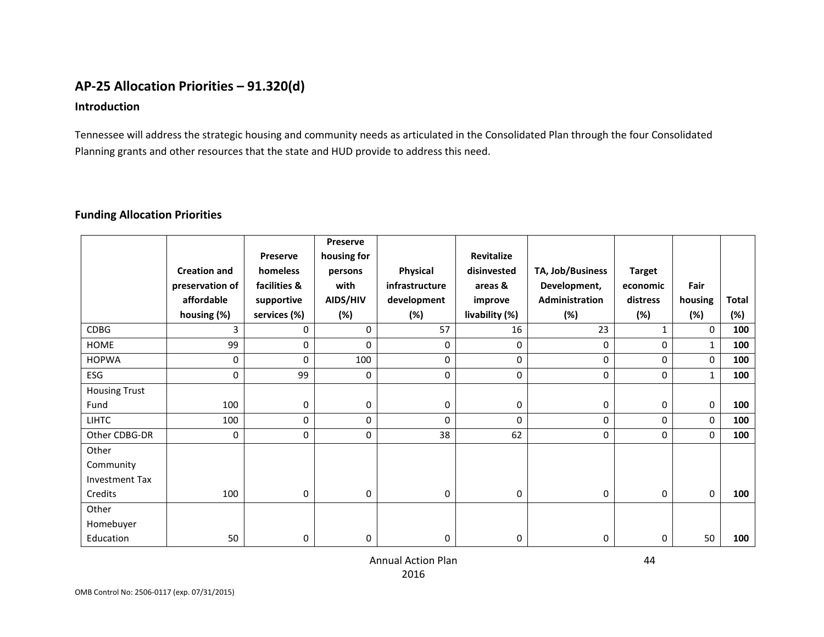## **AP-25 Allocation Priorities – 91.320(d)**

#### **Introduction**

Tennessee will address the strategic housing and community needs as articulated in the Consolidated Plan through the four Consolidated Planning grants and other resources that the state and HUD provide to address this need.

#### **Funding Allocation Priorities**

|                       |                     |                 | Preserve    |                |                   |                  |               |              |       |
|-----------------------|---------------------|-----------------|-------------|----------------|-------------------|------------------|---------------|--------------|-------|
|                       |                     | <b>Preserve</b> | housing for |                | <b>Revitalize</b> |                  |               |              |       |
|                       | <b>Creation and</b> | homeless        | persons     | Physical       | disinvested       | TA, Job/Business | <b>Target</b> |              |       |
|                       | preservation of     | facilities &    | with        | infrastructure | areas &           | Development,     | economic      | Fair         |       |
|                       | affordable          | supportive      | AIDS/HIV    | development    | improve           | Administration   | distress      | housing      | Total |
|                       | housing (%)         | services (%)    | (%)         | (%)            | livability (%)    | (%)              | (%)           | (%)          | (%)   |
| <b>CDBG</b>           | 3                   | 0               | $\Omega$    | 57             | 16                | 23               | 1             | $\Omega$     | 100   |
| HOME                  | 99                  | 0               | 0           | 0              | 0                 | 0                | $\Omega$      | $\mathbf{1}$ | 100   |
| <b>HOPWA</b>          | $\mathbf 0$         | $\Omega$        | 100         | $\mathbf 0$    | $\mathbf 0$       | 0                | $\Omega$      | 0            | 100   |
| ESG                   | 0                   | 99              | 0           | 0              | $\mathbf 0$       | 0                | 0             | $\mathbf{1}$ | 100   |
| <b>Housing Trust</b>  |                     |                 |             |                |                   |                  |               |              |       |
| Fund                  | 100                 | 0               | 0           | 0              | 0                 | 0                | $\Omega$      | 0            | 100   |
| <b>LIHTC</b>          | 100                 | 0               | 0           | $\Omega$       | $\Omega$          | 0                | 0             | 0            | 100   |
| Other CDBG-DR         | 0                   | 0               | 0           | 38             | 62                | $\mathbf 0$      | $\Omega$      | 0            | 100   |
| Other                 |                     |                 |             |                |                   |                  |               |              |       |
| Community             |                     |                 |             |                |                   |                  |               |              |       |
| <b>Investment Tax</b> |                     |                 |             |                |                   |                  |               |              |       |
| Credits               | 100                 | 0               | 0           | 0              | 0                 | 0                | $\Omega$      | 0            | 100   |
| Other                 |                     |                 |             |                |                   |                  |               |              |       |
| Homebuyer             |                     |                 |             |                |                   |                  |               |              |       |
| Education             | 50                  | 0               | 0           | 0              | 0                 | 0                | 0             | 50           | 100   |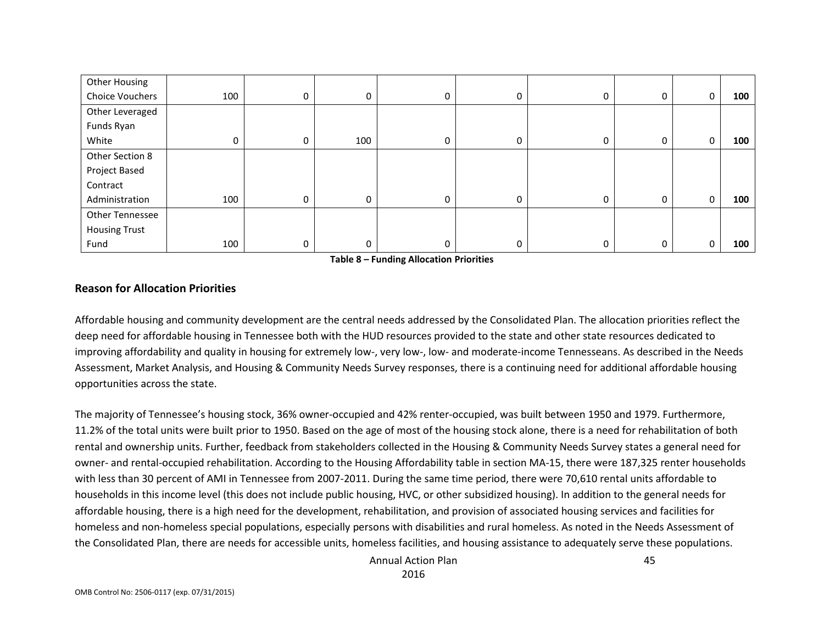| Other Housing          |     |   |     |   |   |   |   |   |     |
|------------------------|-----|---|-----|---|---|---|---|---|-----|
| <b>Choice Vouchers</b> | 100 | 0 | 0   | 0 | 0 | 0 | 0 | 0 | 100 |
| Other Leveraged        |     |   |     |   |   |   |   |   |     |
| Funds Ryan             |     |   |     |   |   |   |   |   |     |
| White                  |     | 0 | 100 | 0 | 0 | 0 | 0 | 0 | 100 |
| Other Section 8        |     |   |     |   |   |   |   |   |     |
| Project Based          |     |   |     |   |   |   |   |   |     |
| Contract               |     |   |     |   |   |   |   |   |     |
| Administration         | 100 | 0 | 0   | 0 | 0 | 0 | 0 | 0 | 100 |
| <b>Other Tennessee</b> |     |   |     |   |   |   |   |   |     |
| <b>Housing Trust</b>   |     |   |     |   |   |   |   |   |     |
| Fund                   | 100 | 0 | 0   | 0 | 0 | 0 | 0 | 0 | 100 |

**Table 8 – Funding Allocation Priorities**

#### **Reason for Allocation Priorities**

Affordable housing and community development are the central needs addressed by the Consolidated Plan. The allocation priorities reflect the deep need for affordable housing in Tennessee both with the HUD resources provided to the state and other state resources dedicated to improving affordability and quality in housing for extremely low-, very low-, low- and moderate-income Tennesseans. As described in the Needs Assessment, Market Analysis, and Housing & Community Needs Survey responses, there is a continuing need for additional affordable housing opportunities across the state.

The majority of Tennessee's housing stock, 36% owner-occupied and 42% renter-occupied, was built between 1950 and 1979. Furthermore, 11.2% of the total units were built prior to 1950. Based on the age of most of the housing stock alone, there is a need for rehabilitation of both rental and ownership units. Further, feedback from stakeholders collected in the Housing & Community Needs Survey states a general need for owner- and rental-occupied rehabilitation. According to the Housing Affordability table in section MA-15, there were 187,325 renter households with less than 30 percent of AMI in Tennessee from 2007-2011. During the same time period, there were 70,610 rental units affordable to households in this income level (this does not include public housing, HVC, or other subsidized housing). In addition to the general needs for affordable housing, there is a high need for the development, rehabilitation, and provision of associated housing services and facilities for homeless and non-homeless special populations, especially persons with disabilities and rural homeless. As noted in the Needs Assessment of the Consolidated Plan, there are needs for accessible units, homeless facilities, and housing assistance to adequately serve these populations.

> Annual Action Plan 2016

45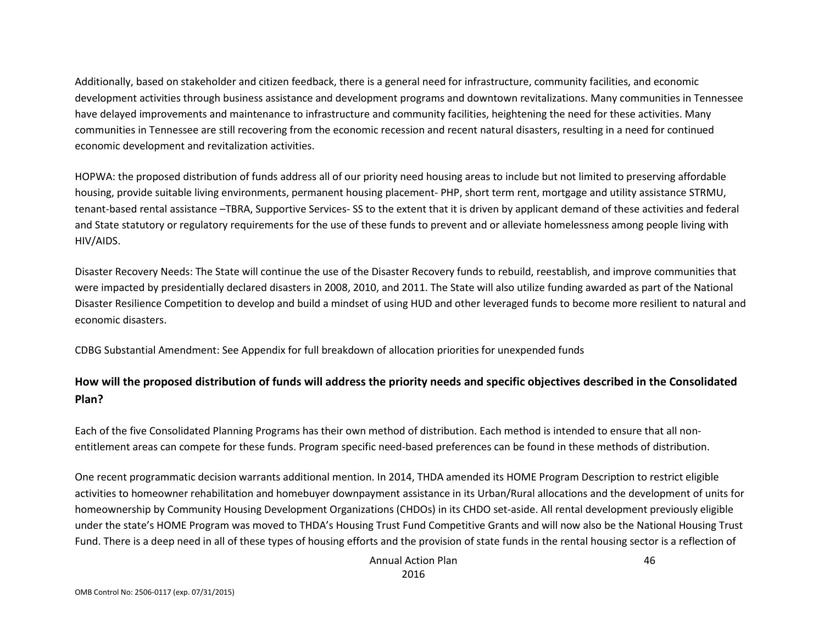Additionally, based on stakeholder and citizen feedback, there is a general need for infrastructure, community facilities, and economic development activities through business assistance and development programs and downtown revitalizations. Many communities in Tennessee have delayed improvements and maintenance to infrastructure and community facilities, heightening the need for these activities. Many communities in Tennessee are still recovering from the economic recession and recent natural disasters, resulting in a need for continued economic development and revitalization activities.

HOPWA: the proposed distribution of funds address all of our priority need housing areas to include but not limited to preserving affordable housing, provide suitable living environments, permanent housing placement- PHP, short term rent, mortgage and utility assistance STRMU, tenant-based rental assistance –TBRA, Supportive Services- SS to the extent that it is driven by applicant demand of these activities and federal and State statutory or regulatory requirements for the use of these funds to prevent and or alleviate homelessness among people living with HIV/AIDS.

Disaster Recovery Needs: The State will continue the use of the Disaster Recovery funds to rebuild, reestablish, and improve communities that were impacted by presidentially declared disasters in 2008, 2010, and 2011. The State will also utilize funding awarded as part of the National Disaster Resilience Competition to develop and build a mindset of using HUD and other leveraged funds to become more resilient to natural and economic disasters.

CDBG Substantial Amendment: See Appendix for full breakdown of allocation priorities for unexpended funds

## **How will the proposed distribution of funds will address the priority needs and specific objectives described in the Consolidated Plan?**

Each of the five Consolidated Planning Programs has their own method of distribution. Each method is intended to ensure that all nonentitlement areas can compete for these funds. Program specific need-based preferences can be found in these methods of distribution.

One recent programmatic decision warrants additional mention. In 2014, THDA amended its HOME Program Description to restrict eligible activities to homeowner rehabilitation and homebuyer downpayment assistance in its Urban/Rural allocations and the development of units for homeownership by Community Housing Development Organizations (CHDOs) in its CHDO set-aside. All rental development previously eligible under the state's HOME Program was moved to THDA's Housing Trust Fund Competitive Grants and will now also be the National Housing Trust Fund. There is a deep need in all of these types of housing efforts and the provision of state funds in the rental housing sector is a reflection of

> Annual Action Plan 2016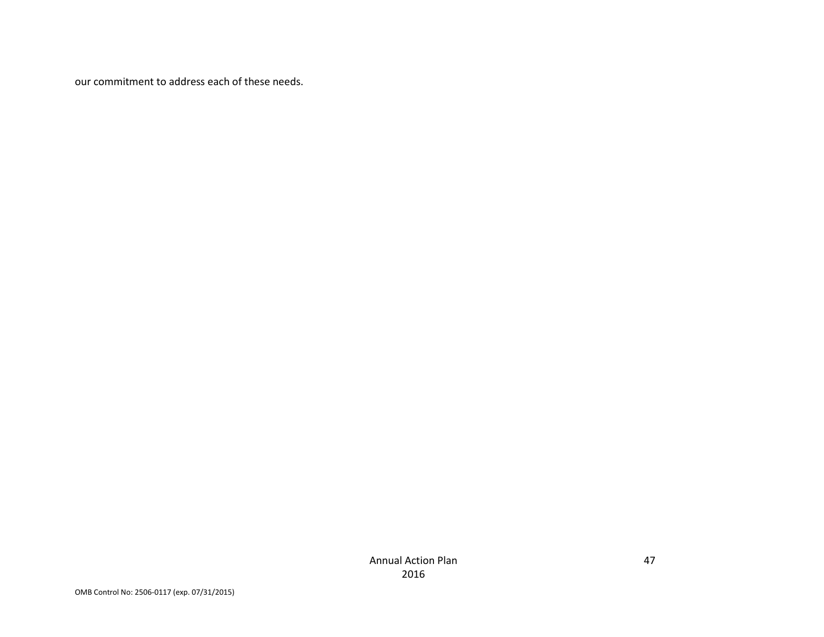our commitment to address each of these needs.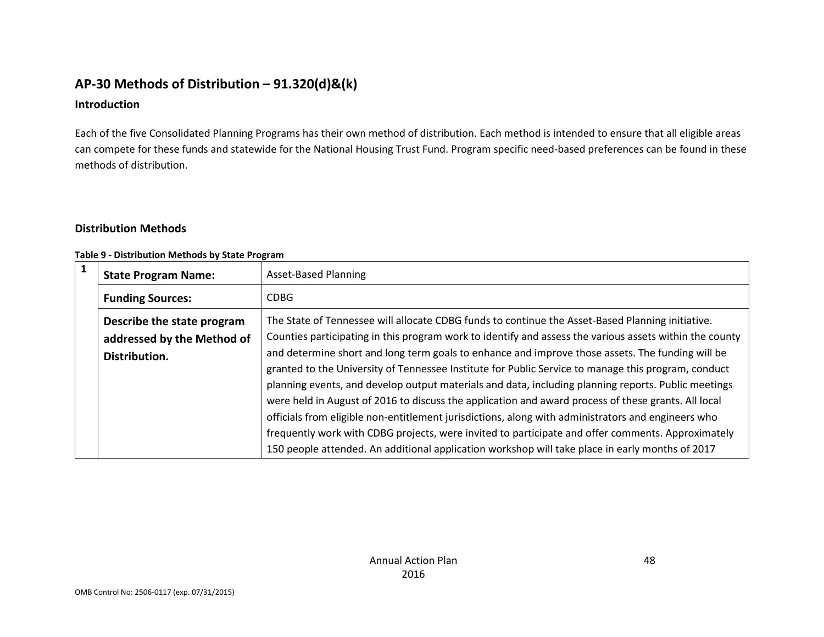## **AP-30 Methods of Distribution – 91.320(d)&(k)**

#### **Introduction**

Each of the five Consolidated Planning Programs has their own method of distribution. Each method is intended to ensure that all eligible areas can compete for these funds and statewide for the National Housing Trust Fund. Program specific need-based preferences can be found in these methods of distribution.

### **Distribution Methods**

#### **Table 9 - Distribution Methods by State Program**

| $\mathbf{1}$ | <b>State Program Name:</b>                                                | <b>Asset-Based Planning</b>                                                                                                                                                                                                                                                                                                                                                                                                                                                                                              |
|--------------|---------------------------------------------------------------------------|--------------------------------------------------------------------------------------------------------------------------------------------------------------------------------------------------------------------------------------------------------------------------------------------------------------------------------------------------------------------------------------------------------------------------------------------------------------------------------------------------------------------------|
|              | <b>Funding Sources:</b>                                                   | <b>CDBG</b>                                                                                                                                                                                                                                                                                                                                                                                                                                                                                                              |
|              | Describe the state program<br>addressed by the Method of<br>Distribution. | The State of Tennessee will allocate CDBG funds to continue the Asset-Based Planning initiative.<br>Counties participating in this program work to identify and assess the various assets within the county<br>and determine short and long term goals to enhance and improve those assets. The funding will be<br>granted to the University of Tennessee Institute for Public Service to manage this program, conduct                                                                                                   |
|              |                                                                           | planning events, and develop output materials and data, including planning reports. Public meetings<br>were held in August of 2016 to discuss the application and award process of these grants. All local<br>officials from eligible non-entitlement jurisdictions, along with administrators and engineers who<br>frequently work with CDBG projects, were invited to participate and offer comments. Approximately<br>150 people attended. An additional application workshop will take place in early months of 2017 |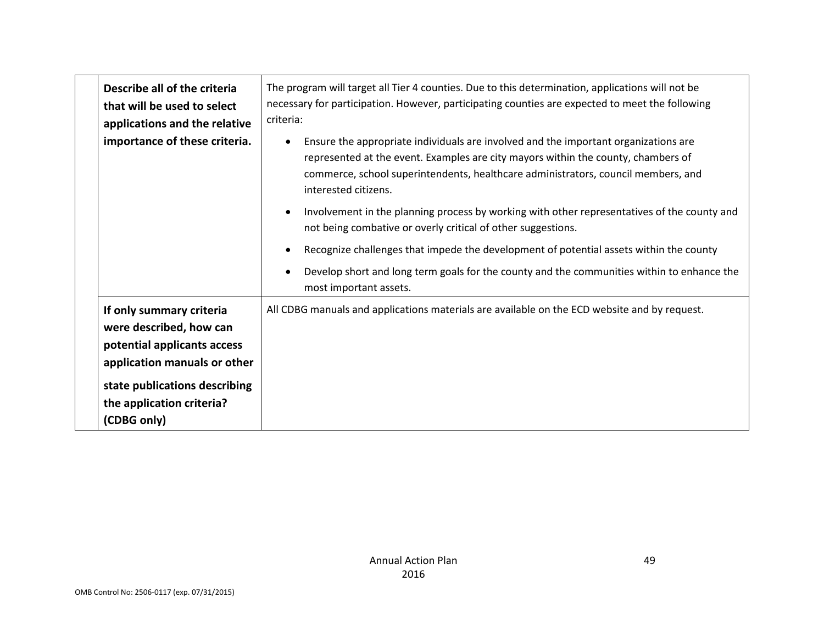| Describe all of the criteria<br>that will be used to select<br>applications and the relative                                                                                                    | The program will target all Tier 4 counties. Due to this determination, applications will not be<br>necessary for participation. However, participating counties are expected to meet the following<br>criteria:                                                                                   |
|-------------------------------------------------------------------------------------------------------------------------------------------------------------------------------------------------|----------------------------------------------------------------------------------------------------------------------------------------------------------------------------------------------------------------------------------------------------------------------------------------------------|
| importance of these criteria.                                                                                                                                                                   | Ensure the appropriate individuals are involved and the important organizations are<br>$\bullet$<br>represented at the event. Examples are city mayors within the county, chambers of<br>commerce, school superintendents, healthcare administrators, council members, and<br>interested citizens. |
|                                                                                                                                                                                                 | Involvement in the planning process by working with other representatives of the county and<br>not being combative or overly critical of other suggestions.                                                                                                                                        |
|                                                                                                                                                                                                 | Recognize challenges that impede the development of potential assets within the county                                                                                                                                                                                                             |
|                                                                                                                                                                                                 | Develop short and long term goals for the county and the communities within to enhance the<br>most important assets.                                                                                                                                                                               |
| If only summary criteria<br>were described, how can<br>potential applicants access<br>application manuals or other<br>state publications describing<br>the application criteria?<br>(CDBG only) | All CDBG manuals and applications materials are available on the ECD website and by request.                                                                                                                                                                                                       |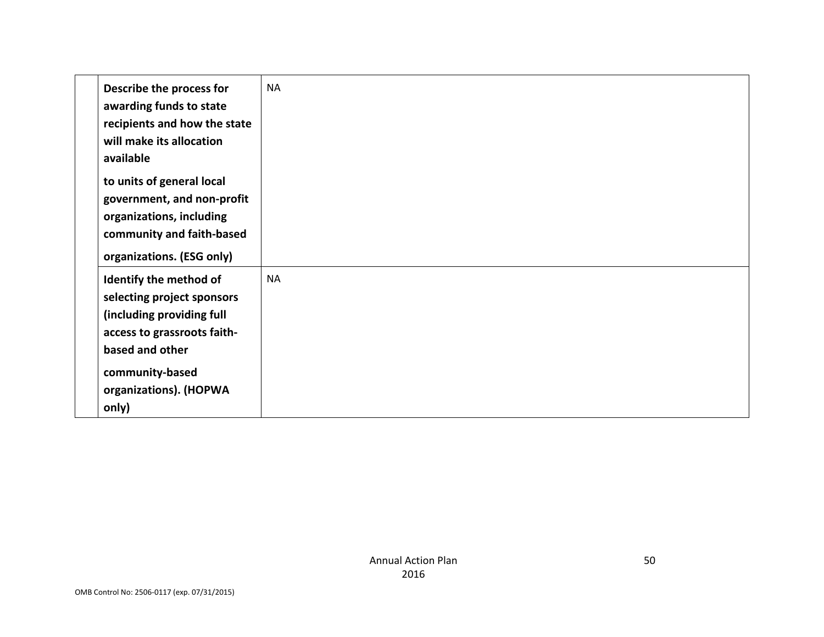| Describe the process for<br>awarding funds to state<br>recipients and how the state<br>will make its allocation<br>available<br>to units of general local<br>government, and non-profit<br>organizations, including<br>community and faith-based | <b>NA</b> |  |  |
|--------------------------------------------------------------------------------------------------------------------------------------------------------------------------------------------------------------------------------------------------|-----------|--|--|
| organizations. (ESG only)<br>Identify the method of<br>selecting project sponsors<br>(including providing full<br>access to grassroots faith-<br>based and other<br>community-based<br>organizations). (HOPWA<br>only)                           | <b>NA</b> |  |  |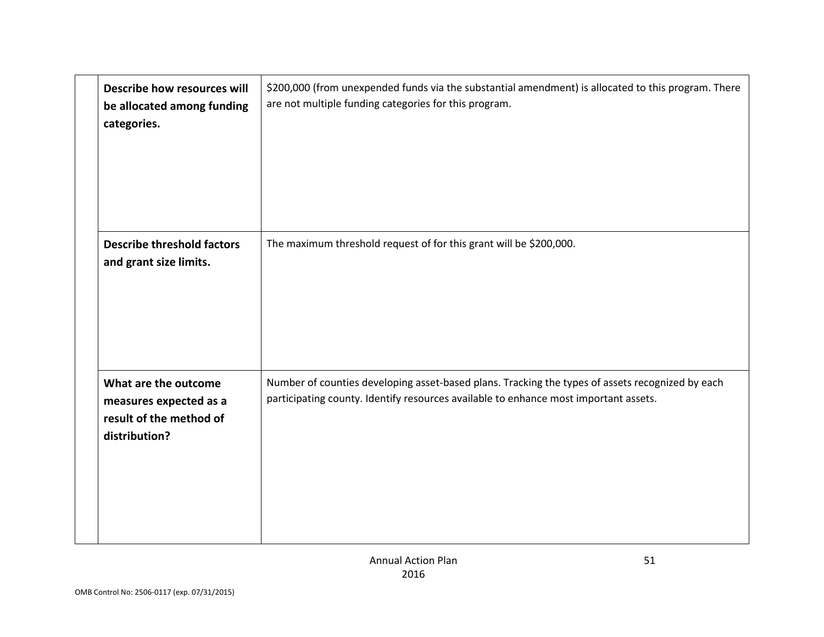| Describe how resources will<br>be allocated among funding<br>categories.                   | \$200,000 (from unexpended funds via the substantial amendment) is allocated to this program. There<br>are not multiple funding categories for this program.                             |
|--------------------------------------------------------------------------------------------|------------------------------------------------------------------------------------------------------------------------------------------------------------------------------------------|
| <b>Describe threshold factors</b><br>and grant size limits.                                | The maximum threshold request of for this grant will be \$200,000.                                                                                                                       |
| What are the outcome<br>measures expected as a<br>result of the method of<br>distribution? | Number of counties developing asset-based plans. Tracking the types of assets recognized by each<br>participating county. Identify resources available to enhance most important assets. |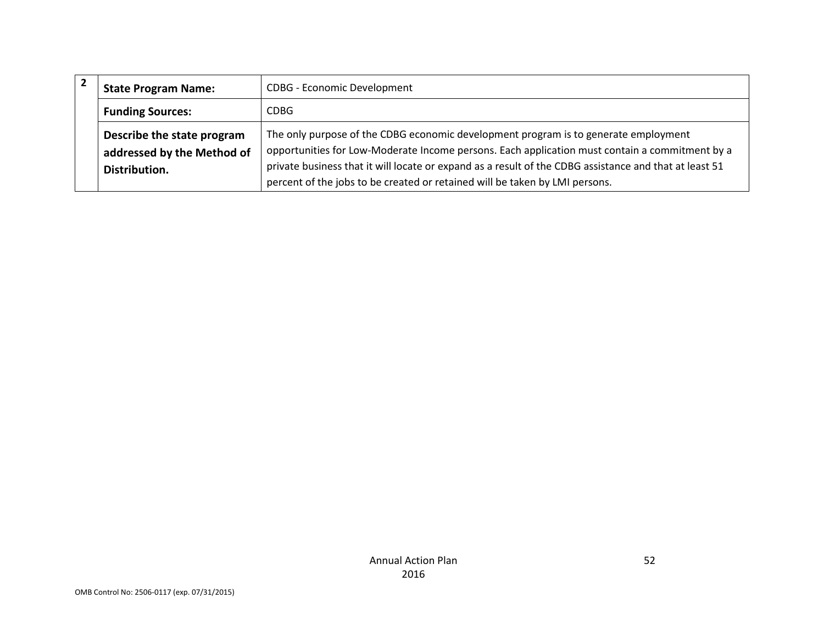| <b>State Program Name:</b> | <b>CDBG - Economic Development</b>                                                                     |
|----------------------------|--------------------------------------------------------------------------------------------------------|
| <b>Funding Sources:</b>    | <b>CDBG</b>                                                                                            |
| Describe the state program | The only purpose of the CDBG economic development program is to generate employment                    |
| addressed by the Method of | opportunities for Low-Moderate Income persons. Each application must contain a commitment by a         |
| Distribution.              | private business that it will locate or expand as a result of the CDBG assistance and that at least 51 |
|                            | percent of the jobs to be created or retained will be taken by LMI persons.                            |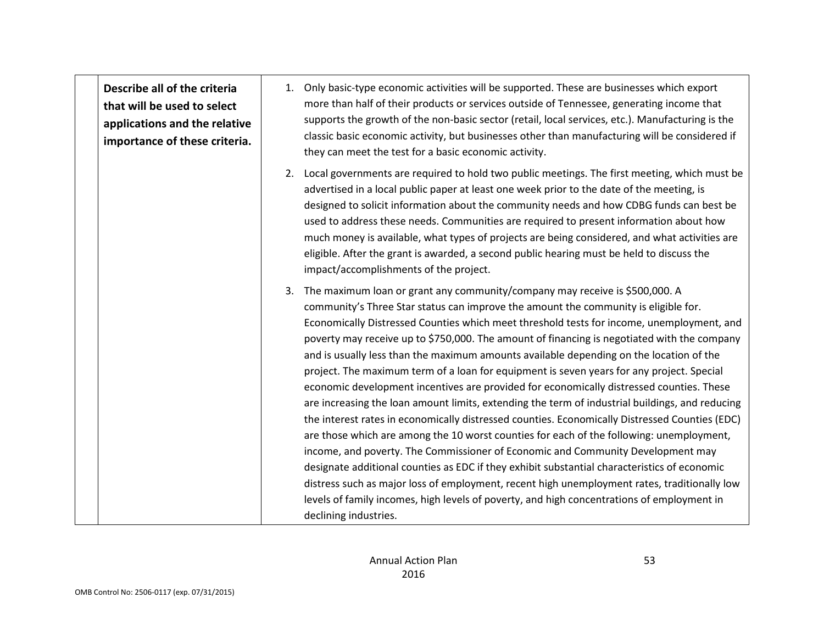**Describe all of the criteria that will be used to select applications and the relative importance of these criteria.**  1. Only basic-type economic activities will be supported. These are businesses which export more than half of their products or services outside of Tennessee, generating income that supports the growth of the non-basic sector (retail, local services, etc.). Manufacturing is the classic basic economic activity, but businesses other than manufacturing will be considered if they can meet the test for a basic economic activity. 2. Local governments are required to hold two public meetings. The first meeting, which must be advertised in a local public paper at least one week prior to the date of the meeting, is designed to solicit information about the community needs and how CDBG funds can best be used to address these needs. Communities are required to present information about how much money is available, what types of projects are being considered, and what activities are eligible. After the grant is awarded, a second public hearing must be held to discuss the impact/accomplishments of the project. 3. The maximum loan or grant any community/company may receive is \$500,000. A community's Three Star status can improve the amount the community is eligible for. Economically Distressed Counties which meet threshold tests for income, unemployment, and poverty may receive up to \$750,000. The amount of financing is negotiated with the company and is usually less than the maximum amounts available depending on the location of the project. The maximum term of a loan for equipment is seven years for any project. Special economic development incentives are provided for economically distressed counties. These are increasing the loan amount limits, extending the term of industrial buildings, and reducing the interest rates in economically distressed counties. Economically Distressed Counties (EDC) are those which are among the 10 worst counties for each of the following: unemployment, income, and poverty. The Commissioner of Economic and Community Development may designate additional counties as EDC if they exhibit substantial characteristics of economic distress such as major loss of employment, recent high unemployment rates, traditionally low levels of family incomes, high levels of poverty, and high concentrations of employment in declining industries.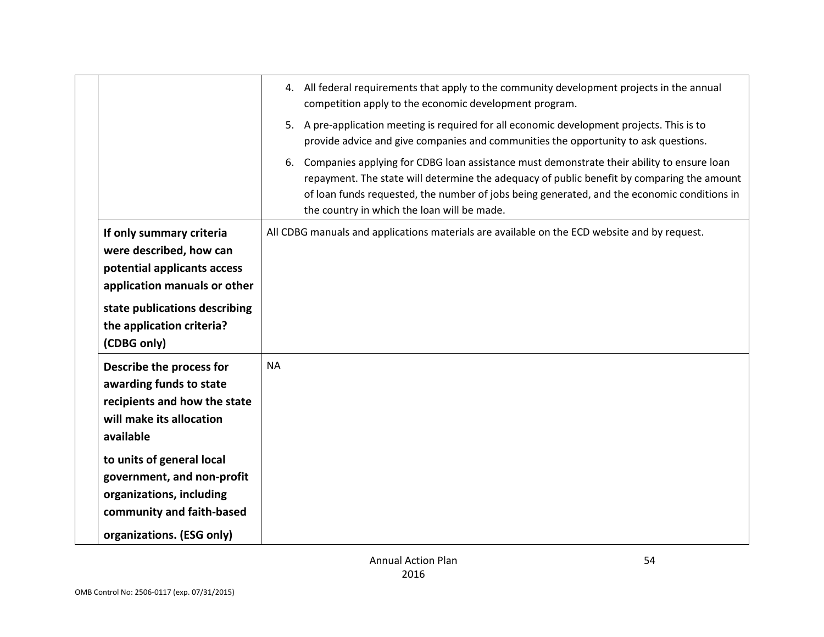|                                                                                                                                               | 4. All federal requirements that apply to the community development projects in the annual<br>competition apply to the economic development program.<br>5. A pre-application meeting is required for all economic development projects. This is to<br>provide advice and give companies and communities the opportunity to ask questions. |
|-----------------------------------------------------------------------------------------------------------------------------------------------|-------------------------------------------------------------------------------------------------------------------------------------------------------------------------------------------------------------------------------------------------------------------------------------------------------------------------------------------|
|                                                                                                                                               | 6. Companies applying for CDBG loan assistance must demonstrate their ability to ensure loan<br>repayment. The state will determine the adequacy of public benefit by comparing the amount<br>of loan funds requested, the number of jobs being generated, and the economic conditions in<br>the country in which the loan will be made.  |
| If only summary criteria<br>were described, how can<br>potential applicants access<br>application manuals or other                            | All CDBG manuals and applications materials are available on the ECD website and by request.                                                                                                                                                                                                                                              |
| state publications describing<br>the application criteria?<br>(CDBG only)                                                                     |                                                                                                                                                                                                                                                                                                                                           |
| Describe the process for<br>awarding funds to state<br>recipients and how the state<br>will make its allocation<br>available                  | <b>NA</b>                                                                                                                                                                                                                                                                                                                                 |
| to units of general local<br>government, and non-profit<br>organizations, including<br>community and faith-based<br>organizations. (ESG only) |                                                                                                                                                                                                                                                                                                                                           |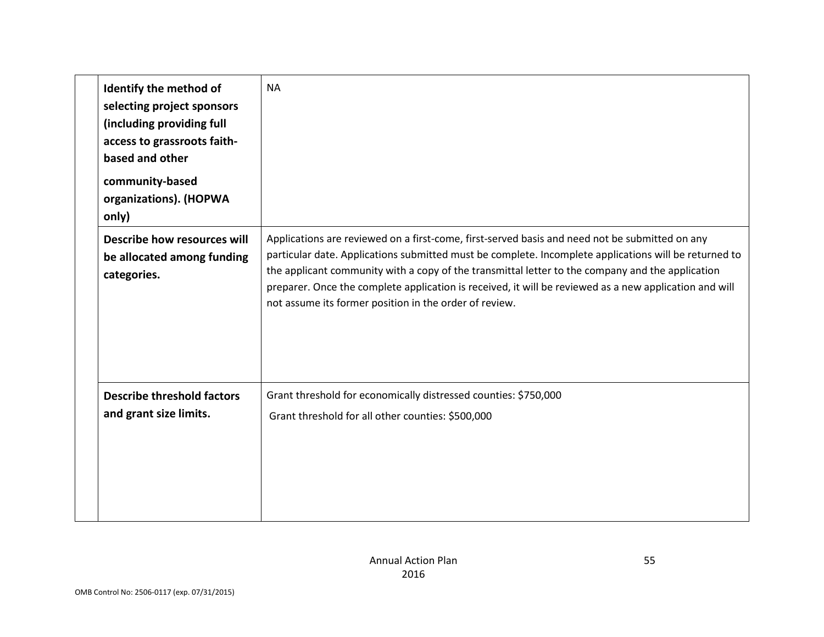| Identify the method of<br>selecting project sponsors<br>(including providing full<br>access to grassroots faith-<br>based and other<br>community-based<br>organizations). (HOPWA<br>only) | <b>NA</b>                                                                                                                                                                                                                                                                                                                                                                                                                                                                       |
|-------------------------------------------------------------------------------------------------------------------------------------------------------------------------------------------|---------------------------------------------------------------------------------------------------------------------------------------------------------------------------------------------------------------------------------------------------------------------------------------------------------------------------------------------------------------------------------------------------------------------------------------------------------------------------------|
| Describe how resources will<br>be allocated among funding<br>categories.                                                                                                                  | Applications are reviewed on a first-come, first-served basis and need not be submitted on any<br>particular date. Applications submitted must be complete. Incomplete applications will be returned to<br>the applicant community with a copy of the transmittal letter to the company and the application<br>preparer. Once the complete application is received, it will be reviewed as a new application and will<br>not assume its former position in the order of review. |
| <b>Describe threshold factors</b><br>and grant size limits.                                                                                                                               | Grant threshold for economically distressed counties: \$750,000<br>Grant threshold for all other counties: \$500,000                                                                                                                                                                                                                                                                                                                                                            |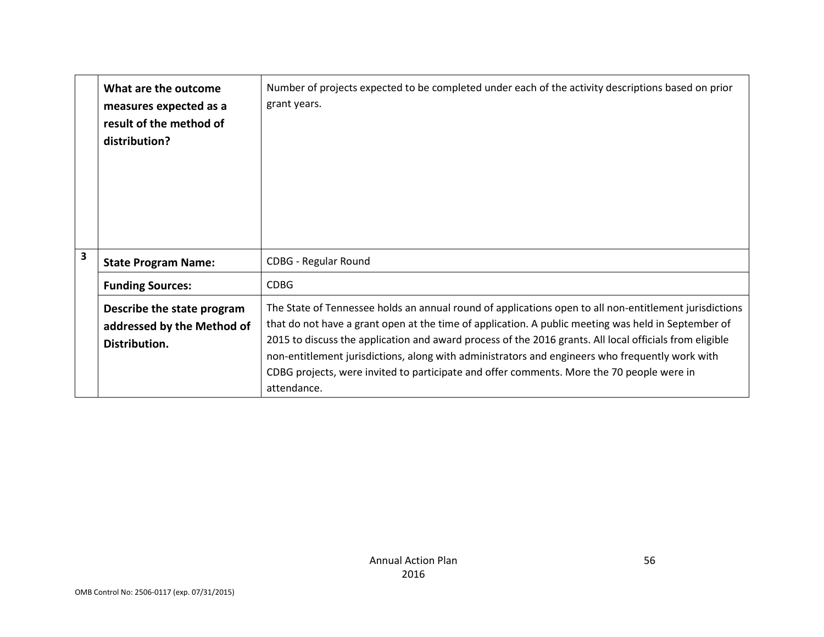|   | What are the outcome<br>measures expected as a<br>result of the method of<br>distribution? | Number of projects expected to be completed under each of the activity descriptions based on prior<br>grant years.                                                                                                                                                                                                                                                                                                                                                                                                                      |
|---|--------------------------------------------------------------------------------------------|-----------------------------------------------------------------------------------------------------------------------------------------------------------------------------------------------------------------------------------------------------------------------------------------------------------------------------------------------------------------------------------------------------------------------------------------------------------------------------------------------------------------------------------------|
| 3 | <b>State Program Name:</b>                                                                 | <b>CDBG - Regular Round</b>                                                                                                                                                                                                                                                                                                                                                                                                                                                                                                             |
|   | <b>Funding Sources:</b>                                                                    | <b>CDBG</b>                                                                                                                                                                                                                                                                                                                                                                                                                                                                                                                             |
|   | Describe the state program<br>addressed by the Method of<br>Distribution.                  | The State of Tennessee holds an annual round of applications open to all non-entitlement jurisdictions<br>that do not have a grant open at the time of application. A public meeting was held in September of<br>2015 to discuss the application and award process of the 2016 grants. All local officials from eligible<br>non-entitlement jurisdictions, along with administrators and engineers who frequently work with<br>CDBG projects, were invited to participate and offer comments. More the 70 people were in<br>attendance. |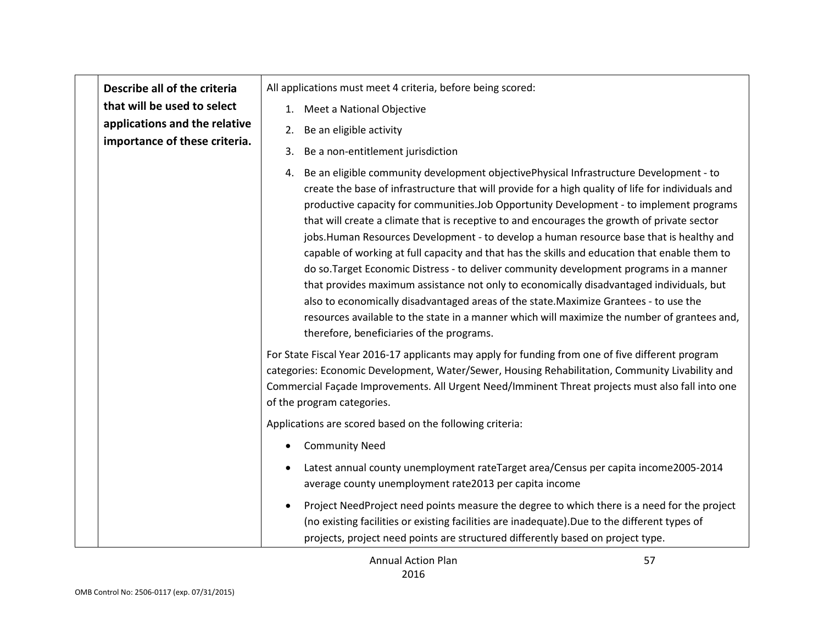|  | Describe all of the criteria<br>that will be used to select<br>applications and the relative<br>importance of these criteria. | All applications must meet 4 criteria, before being scored:                                                                                                                                                                                                                                                                                                                                                                                                                                                                                                                                                                                                                                                                                                                                                                                                                                                                                                                                                           |
|--|-------------------------------------------------------------------------------------------------------------------------------|-----------------------------------------------------------------------------------------------------------------------------------------------------------------------------------------------------------------------------------------------------------------------------------------------------------------------------------------------------------------------------------------------------------------------------------------------------------------------------------------------------------------------------------------------------------------------------------------------------------------------------------------------------------------------------------------------------------------------------------------------------------------------------------------------------------------------------------------------------------------------------------------------------------------------------------------------------------------------------------------------------------------------|
|  |                                                                                                                               | 1. Meet a National Objective                                                                                                                                                                                                                                                                                                                                                                                                                                                                                                                                                                                                                                                                                                                                                                                                                                                                                                                                                                                          |
|  |                                                                                                                               | Be an eligible activity<br>2.                                                                                                                                                                                                                                                                                                                                                                                                                                                                                                                                                                                                                                                                                                                                                                                                                                                                                                                                                                                         |
|  |                                                                                                                               | Be a non-entitlement jurisdiction<br>3.                                                                                                                                                                                                                                                                                                                                                                                                                                                                                                                                                                                                                                                                                                                                                                                                                                                                                                                                                                               |
|  |                                                                                                                               | Be an eligible community development objectivePhysical Infrastructure Development - to<br>4.<br>create the base of infrastructure that will provide for a high quality of life for individuals and<br>productive capacity for communities. Job Opportunity Development - to implement programs<br>that will create a climate that is receptive to and encourages the growth of private sector<br>jobs.Human Resources Development - to develop a human resource base that is healthy and<br>capable of working at full capacity and that has the skills and education that enable them to<br>do so.Target Economic Distress - to deliver community development programs in a manner<br>that provides maximum assistance not only to economically disadvantaged individuals, but<br>also to economically disadvantaged areas of the state. Maximize Grantees - to use the<br>resources available to the state in a manner which will maximize the number of grantees and,<br>therefore, beneficiaries of the programs. |
|  |                                                                                                                               | For State Fiscal Year 2016-17 applicants may apply for funding from one of five different program<br>categories: Economic Development, Water/Sewer, Housing Rehabilitation, Community Livability and<br>Commercial Façade Improvements. All Urgent Need/Imminent Threat projects must also fall into one<br>of the program categories.                                                                                                                                                                                                                                                                                                                                                                                                                                                                                                                                                                                                                                                                                |
|  |                                                                                                                               | Applications are scored based on the following criteria:                                                                                                                                                                                                                                                                                                                                                                                                                                                                                                                                                                                                                                                                                                                                                                                                                                                                                                                                                              |
|  |                                                                                                                               | <b>Community Need</b>                                                                                                                                                                                                                                                                                                                                                                                                                                                                                                                                                                                                                                                                                                                                                                                                                                                                                                                                                                                                 |
|  |                                                                                                                               | Latest annual county unemployment rateTarget area/Census per capita income2005-2014<br>average county unemployment rate2013 per capita income                                                                                                                                                                                                                                                                                                                                                                                                                                                                                                                                                                                                                                                                                                                                                                                                                                                                         |
|  |                                                                                                                               | Project NeedProject need points measure the degree to which there is a need for the project<br>(no existing facilities or existing facilities are inadequate).Due to the different types of<br>projects, project need points are structured differently based on project type.                                                                                                                                                                                                                                                                                                                                                                                                                                                                                                                                                                                                                                                                                                                                        |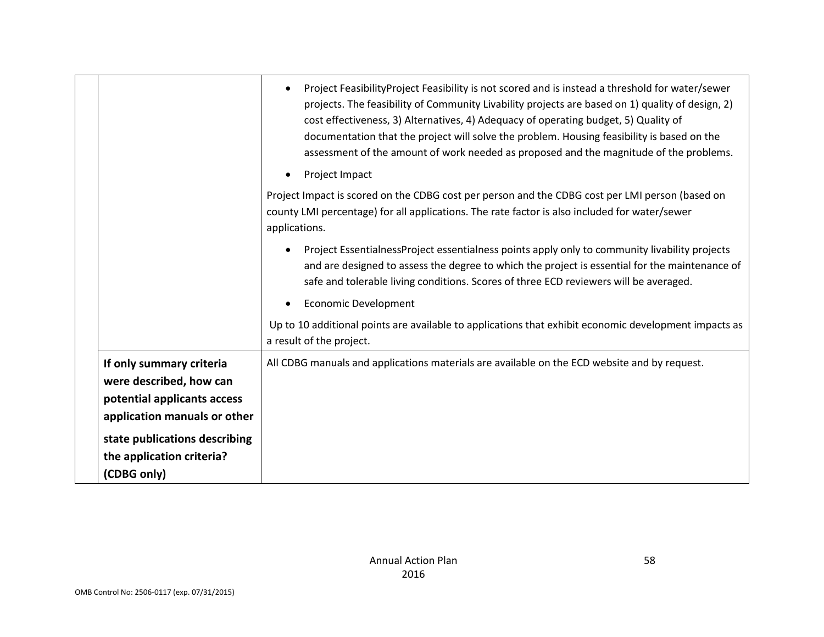|                                                                                                                    | Project FeasibilityProject Feasibility is not scored and is instead a threshold for water/sewer<br>$\bullet$<br>projects. The feasibility of Community Livability projects are based on 1) quality of design, 2)<br>cost effectiveness, 3) Alternatives, 4) Adequacy of operating budget, 5) Quality of<br>documentation that the project will solve the problem. Housing feasibility is based on the<br>assessment of the amount of work needed as proposed and the magnitude of the problems. |
|--------------------------------------------------------------------------------------------------------------------|-------------------------------------------------------------------------------------------------------------------------------------------------------------------------------------------------------------------------------------------------------------------------------------------------------------------------------------------------------------------------------------------------------------------------------------------------------------------------------------------------|
|                                                                                                                    | Project Impact<br>$\bullet$                                                                                                                                                                                                                                                                                                                                                                                                                                                                     |
|                                                                                                                    | Project Impact is scored on the CDBG cost per person and the CDBG cost per LMI person (based on<br>county LMI percentage) for all applications. The rate factor is also included for water/sewer<br>applications.                                                                                                                                                                                                                                                                               |
|                                                                                                                    | Project EssentialnessProject essentialness points apply only to community livability projects<br>$\bullet$<br>and are designed to assess the degree to which the project is essential for the maintenance of<br>safe and tolerable living conditions. Scores of three ECD reviewers will be averaged.                                                                                                                                                                                           |
|                                                                                                                    | <b>Economic Development</b>                                                                                                                                                                                                                                                                                                                                                                                                                                                                     |
|                                                                                                                    | Up to 10 additional points are available to applications that exhibit economic development impacts as<br>a result of the project.                                                                                                                                                                                                                                                                                                                                                               |
| If only summary criteria<br>were described, how can<br>potential applicants access<br>application manuals or other | All CDBG manuals and applications materials are available on the ECD website and by request.                                                                                                                                                                                                                                                                                                                                                                                                    |
| state publications describing                                                                                      |                                                                                                                                                                                                                                                                                                                                                                                                                                                                                                 |
| the application criteria?                                                                                          |                                                                                                                                                                                                                                                                                                                                                                                                                                                                                                 |
| (CDBG only)                                                                                                        |                                                                                                                                                                                                                                                                                                                                                                                                                                                                                                 |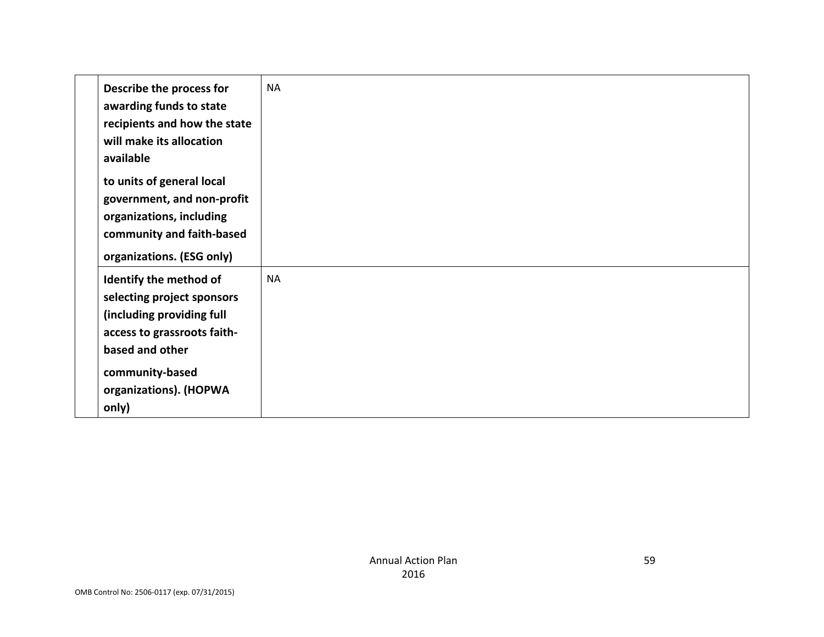| Describe the process for<br>awarding funds to state<br>recipients and how the state<br>will make its allocation<br>available                                                              | <b>NA</b> |
|-------------------------------------------------------------------------------------------------------------------------------------------------------------------------------------------|-----------|
| to units of general local<br>government, and non-profit<br>organizations, including<br>community and faith-based<br>organizations. (ESG only)                                             |           |
| Identify the method of<br>selecting project sponsors<br>(including providing full<br>access to grassroots faith-<br>based and other<br>community-based<br>organizations). (HOPWA<br>only) | <b>NA</b> |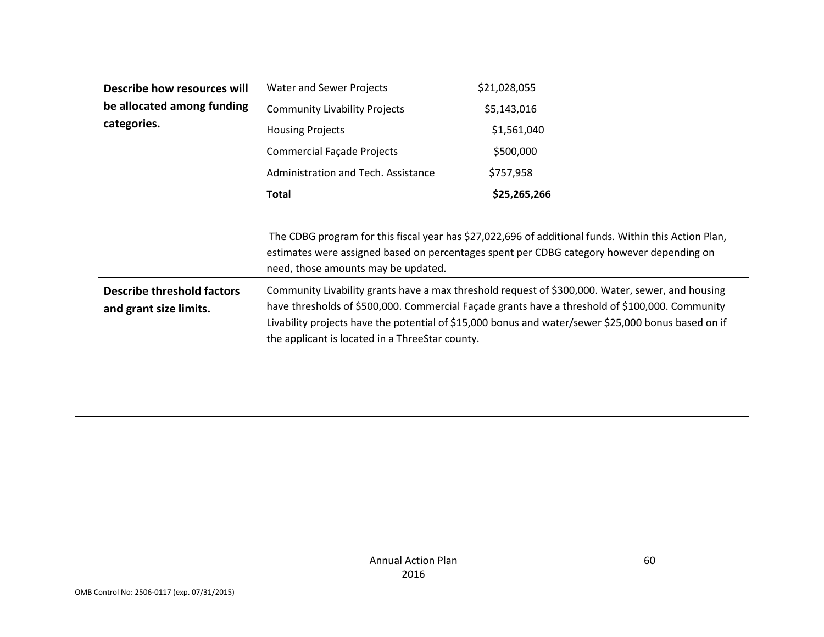| Describe how resources will                                 | Water and Sewer Projects                                                                                                                                                                                                                 | \$21,028,055                                                                                                                                                                                                                                                                                               |
|-------------------------------------------------------------|------------------------------------------------------------------------------------------------------------------------------------------------------------------------------------------------------------------------------------------|------------------------------------------------------------------------------------------------------------------------------------------------------------------------------------------------------------------------------------------------------------------------------------------------------------|
| be allocated among funding                                  | <b>Community Livability Projects</b>                                                                                                                                                                                                     | \$5,143,016                                                                                                                                                                                                                                                                                                |
| categories.                                                 | <b>Housing Projects</b>                                                                                                                                                                                                                  | \$1,561,040                                                                                                                                                                                                                                                                                                |
|                                                             | <b>Commercial Façade Projects</b>                                                                                                                                                                                                        | \$500,000                                                                                                                                                                                                                                                                                                  |
|                                                             | Administration and Tech. Assistance                                                                                                                                                                                                      | \$757,958                                                                                                                                                                                                                                                                                                  |
|                                                             | <b>Total</b>                                                                                                                                                                                                                             | \$25,265,266                                                                                                                                                                                                                                                                                               |
|                                                             |                                                                                                                                                                                                                                          |                                                                                                                                                                                                                                                                                                            |
|                                                             | The CDBG program for this fiscal year has \$27,022,696 of additional funds. Within this Action Plan,<br>estimates were assigned based on percentages spent per CDBG category however depending on<br>need, those amounts may be updated. |                                                                                                                                                                                                                                                                                                            |
| <b>Describe threshold factors</b><br>and grant size limits. | the applicant is located in a ThreeStar county.                                                                                                                                                                                          | Community Livability grants have a max threshold request of \$300,000. Water, sewer, and housing<br>have thresholds of \$500,000. Commercial Façade grants have a threshold of \$100,000. Community<br>Livability projects have the potential of \$15,000 bonus and water/sewer \$25,000 bonus based on if |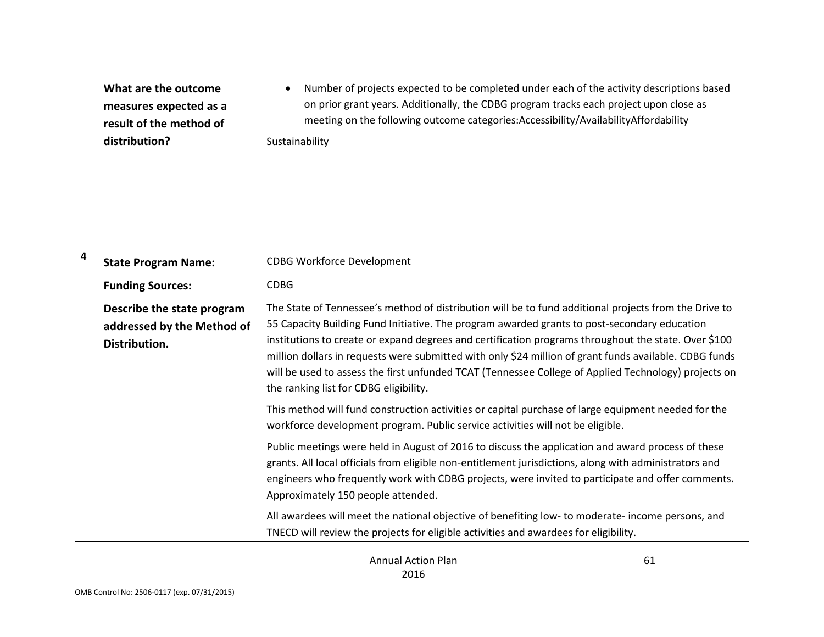|                         | What are the outcome<br>measures expected as a<br>result of the method of<br>distribution? | Number of projects expected to be completed under each of the activity descriptions based<br>on prior grant years. Additionally, the CDBG program tracks each project upon close as<br>meeting on the following outcome categories: Accessibility/Availability Affordability<br>Sustainability                                                                                                                                                                                                                                                                            |
|-------------------------|--------------------------------------------------------------------------------------------|---------------------------------------------------------------------------------------------------------------------------------------------------------------------------------------------------------------------------------------------------------------------------------------------------------------------------------------------------------------------------------------------------------------------------------------------------------------------------------------------------------------------------------------------------------------------------|
| $\overline{\mathbf{4}}$ | <b>State Program Name:</b>                                                                 | <b>CDBG Workforce Development</b>                                                                                                                                                                                                                                                                                                                                                                                                                                                                                                                                         |
|                         | <b>Funding Sources:</b>                                                                    | <b>CDBG</b>                                                                                                                                                                                                                                                                                                                                                                                                                                                                                                                                                               |
|                         | Describe the state program<br>addressed by the Method of<br>Distribution.                  | The State of Tennessee's method of distribution will be to fund additional projects from the Drive to<br>55 Capacity Building Fund Initiative. The program awarded grants to post-secondary education<br>institutions to create or expand degrees and certification programs throughout the state. Over \$100<br>million dollars in requests were submitted with only \$24 million of grant funds available. CDBG funds<br>will be used to assess the first unfunded TCAT (Tennessee College of Applied Technology) projects on<br>the ranking list for CDBG eligibility. |
|                         |                                                                                            | This method will fund construction activities or capital purchase of large equipment needed for the<br>workforce development program. Public service activities will not be eligible.                                                                                                                                                                                                                                                                                                                                                                                     |
|                         |                                                                                            | Public meetings were held in August of 2016 to discuss the application and award process of these<br>grants. All local officials from eligible non-entitlement jurisdictions, along with administrators and<br>engineers who frequently work with CDBG projects, were invited to participate and offer comments.<br>Approximately 150 people attended.                                                                                                                                                                                                                    |
|                         |                                                                                            | All awardees will meet the national objective of benefiting low- to moderate-income persons, and<br>TNECD will review the projects for eligible activities and awardees for eligibility.                                                                                                                                                                                                                                                                                                                                                                                  |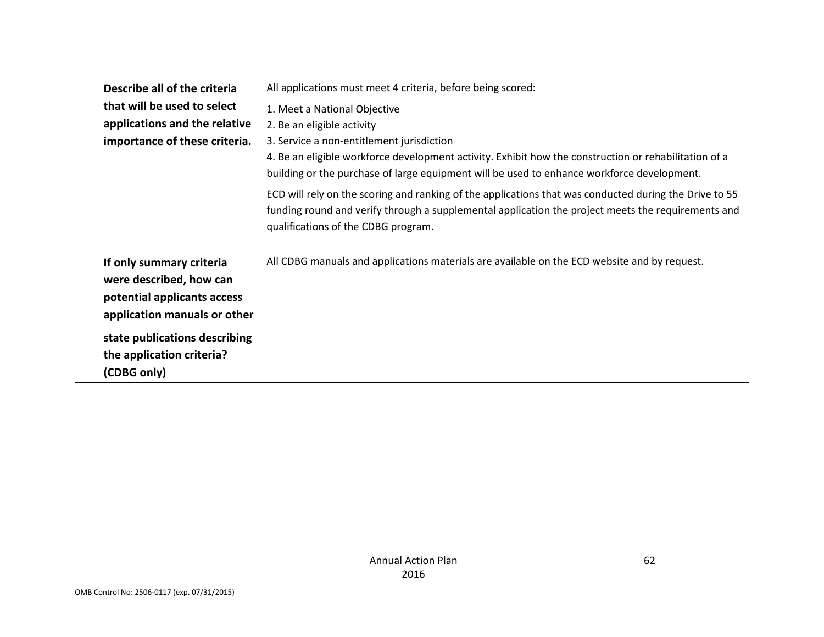| Describe all of the criteria<br>that will be used to select<br>applications and the relative<br>importance of these criteria.                                                                   | All applications must meet 4 criteria, before being scored:<br>1. Meet a National Objective<br>2. Be an eligible activity<br>3. Service a non-entitlement jurisdiction<br>4. Be an eligible workforce development activity. Exhibit how the construction or rehabilitation of a<br>building or the purchase of large equipment will be used to enhance workforce development.<br>ECD will rely on the scoring and ranking of the applications that was conducted during the Drive to 55<br>funding round and verify through a supplemental application the project meets the requirements and<br>qualifications of the CDBG program. |
|-------------------------------------------------------------------------------------------------------------------------------------------------------------------------------------------------|--------------------------------------------------------------------------------------------------------------------------------------------------------------------------------------------------------------------------------------------------------------------------------------------------------------------------------------------------------------------------------------------------------------------------------------------------------------------------------------------------------------------------------------------------------------------------------------------------------------------------------------|
| If only summary criteria<br>were described, how can<br>potential applicants access<br>application manuals or other<br>state publications describing<br>the application criteria?<br>(CDBG only) | All CDBG manuals and applications materials are available on the ECD website and by request.                                                                                                                                                                                                                                                                                                                                                                                                                                                                                                                                         |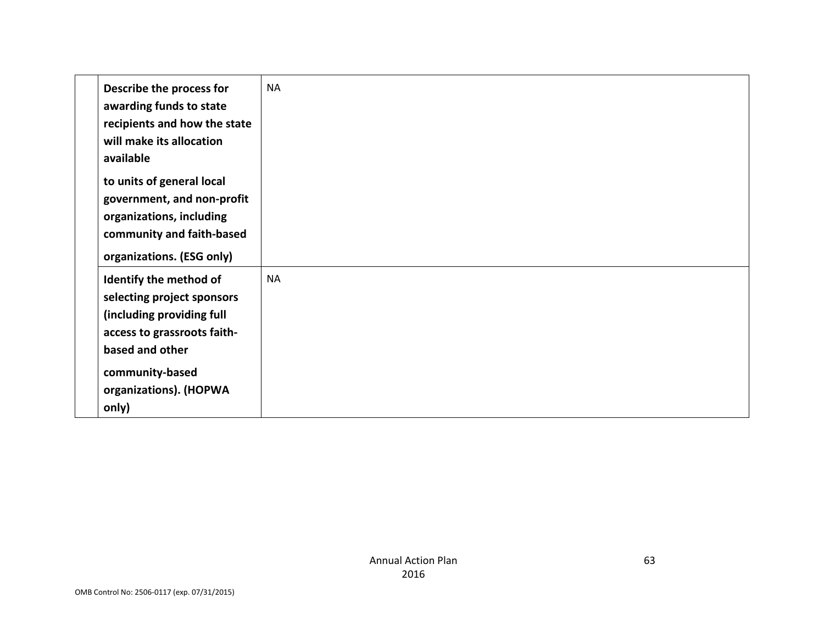| Describe the process for<br>awarding funds to state<br>recipients and how the state<br>will make its allocation<br>available                                                              | <b>NA</b> |
|-------------------------------------------------------------------------------------------------------------------------------------------------------------------------------------------|-----------|
| to units of general local<br>government, and non-profit<br>organizations, including<br>community and faith-based<br>organizations. (ESG only)                                             |           |
| Identify the method of<br>selecting project sponsors<br>(including providing full<br>access to grassroots faith-<br>based and other<br>community-based<br>organizations). (HOPWA<br>only) | <b>NA</b> |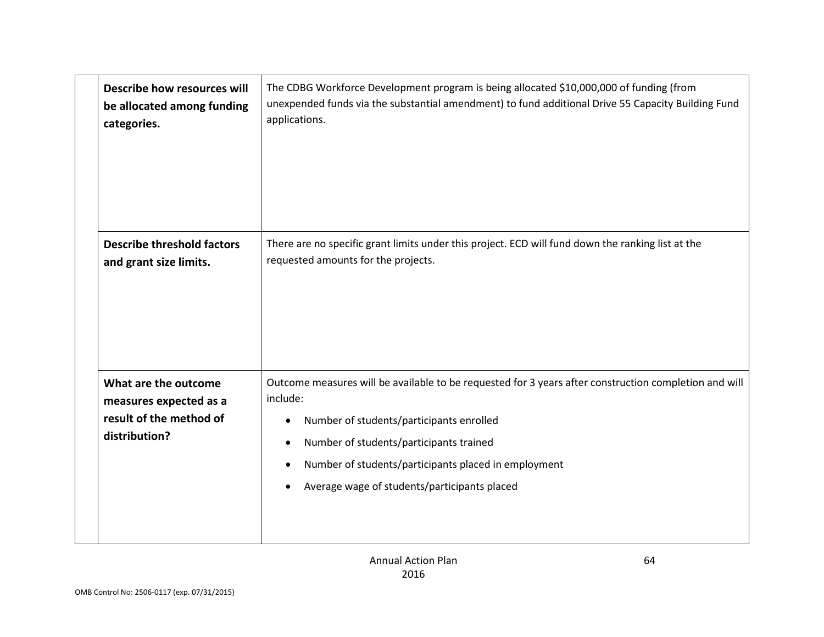|  | Describe how resources will<br>be allocated among funding<br>categories.                   | The CDBG Workforce Development program is being allocated \$10,000,000 of funding (from<br>unexpended funds via the substantial amendment) to fund additional Drive 55 Capacity Building Fund<br>applications.                                                                                                                             |
|--|--------------------------------------------------------------------------------------------|--------------------------------------------------------------------------------------------------------------------------------------------------------------------------------------------------------------------------------------------------------------------------------------------------------------------------------------------|
|  | <b>Describe threshold factors</b><br>and grant size limits.                                | There are no specific grant limits under this project. ECD will fund down the ranking list at the<br>requested amounts for the projects.                                                                                                                                                                                                   |
|  | What are the outcome<br>measures expected as a<br>result of the method of<br>distribution? | Outcome measures will be available to be requested for 3 years after construction completion and will<br>include:<br>Number of students/participants enrolled<br>$\bullet$<br>Number of students/participants trained<br>$\bullet$<br>Number of students/participants placed in employment<br>Average wage of students/participants placed |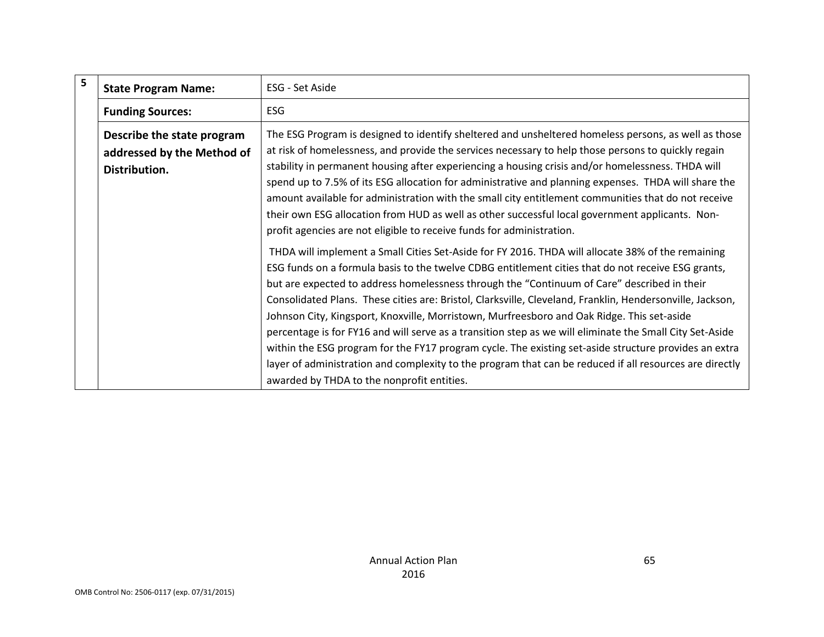| 5 | <b>State Program Name:</b> | ESG - Set Aside                                                                                                                                                                                                                                                                                                                                                                                                                                                                                                                                                                                                                                                                                                                                                                                                                                                                                 |
|---|----------------------------|-------------------------------------------------------------------------------------------------------------------------------------------------------------------------------------------------------------------------------------------------------------------------------------------------------------------------------------------------------------------------------------------------------------------------------------------------------------------------------------------------------------------------------------------------------------------------------------------------------------------------------------------------------------------------------------------------------------------------------------------------------------------------------------------------------------------------------------------------------------------------------------------------|
|   | <b>Funding Sources:</b>    | ESG                                                                                                                                                                                                                                                                                                                                                                                                                                                                                                                                                                                                                                                                                                                                                                                                                                                                                             |
|   | Describe the state program | The ESG Program is designed to identify sheltered and unsheltered homeless persons, as well as those                                                                                                                                                                                                                                                                                                                                                                                                                                                                                                                                                                                                                                                                                                                                                                                            |
|   | addressed by the Method of | at risk of homelessness, and provide the services necessary to help those persons to quickly regain                                                                                                                                                                                                                                                                                                                                                                                                                                                                                                                                                                                                                                                                                                                                                                                             |
|   | Distribution.              | stability in permanent housing after experiencing a housing crisis and/or homelessness. THDA will<br>spend up to 7.5% of its ESG allocation for administrative and planning expenses. THDA will share the<br>amount available for administration with the small city entitlement communities that do not receive<br>their own ESG allocation from HUD as well as other successful local government applicants. Non-<br>profit agencies are not eligible to receive funds for administration.                                                                                                                                                                                                                                                                                                                                                                                                    |
|   |                            | THDA will implement a Small Cities Set-Aside for FY 2016. THDA will allocate 38% of the remaining<br>ESG funds on a formula basis to the twelve CDBG entitlement cities that do not receive ESG grants,<br>but are expected to address homelessness through the "Continuum of Care" described in their<br>Consolidated Plans. These cities are: Bristol, Clarksville, Cleveland, Franklin, Hendersonville, Jackson,<br>Johnson City, Kingsport, Knoxville, Morristown, Murfreesboro and Oak Ridge. This set-aside<br>percentage is for FY16 and will serve as a transition step as we will eliminate the Small City Set-Aside<br>within the ESG program for the FY17 program cycle. The existing set-aside structure provides an extra<br>layer of administration and complexity to the program that can be reduced if all resources are directly<br>awarded by THDA to the nonprofit entities. |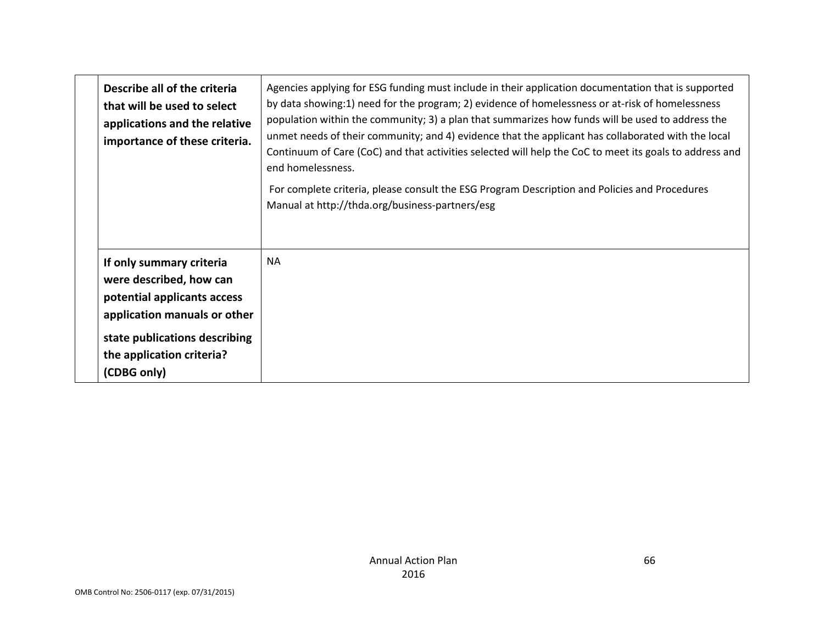| Describe all of the criteria<br>that will be used to select<br>applications and the relative<br>importance of these criteria.                                                                   | Agencies applying for ESG funding must include in their application documentation that is supported<br>by data showing:1) need for the program; 2) evidence of homelessness or at-risk of homelessness<br>population within the community; 3) a plan that summarizes how funds will be used to address the<br>unmet needs of their community; and 4) evidence that the applicant has collaborated with the local<br>Continuum of Care (CoC) and that activities selected will help the CoC to meet its goals to address and<br>end homelessness.<br>For complete criteria, please consult the ESG Program Description and Policies and Procedures<br>Manual at http://thda.org/business-partners/esg |
|-------------------------------------------------------------------------------------------------------------------------------------------------------------------------------------------------|------------------------------------------------------------------------------------------------------------------------------------------------------------------------------------------------------------------------------------------------------------------------------------------------------------------------------------------------------------------------------------------------------------------------------------------------------------------------------------------------------------------------------------------------------------------------------------------------------------------------------------------------------------------------------------------------------|
| If only summary criteria<br>were described, how can<br>potential applicants access<br>application manuals or other<br>state publications describing<br>the application criteria?<br>(CDBG only) | <b>NA</b>                                                                                                                                                                                                                                                                                                                                                                                                                                                                                                                                                                                                                                                                                            |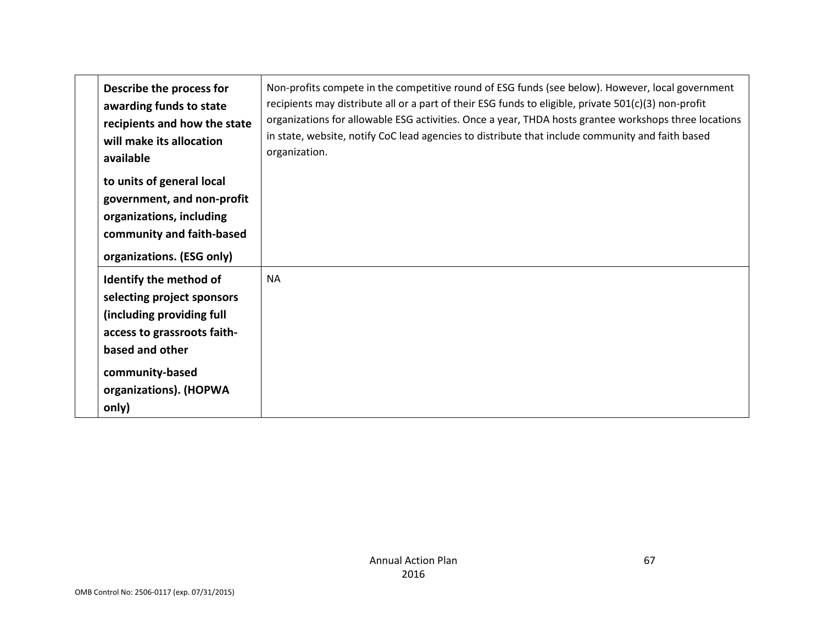| Describe the process for<br>awarding funds to state<br>recipients and how the state<br>will make its allocation<br>available                                                              | Non-profits compete in the competitive round of ESG funds (see below). However, local government<br>recipients may distribute all or a part of their ESG funds to eligible, private 501(c)(3) non-profit<br>organizations for allowable ESG activities. Once a year, THDA hosts grantee workshops three locations<br>in state, website, notify CoC lead agencies to distribute that include community and faith based<br>organization. |
|-------------------------------------------------------------------------------------------------------------------------------------------------------------------------------------------|----------------------------------------------------------------------------------------------------------------------------------------------------------------------------------------------------------------------------------------------------------------------------------------------------------------------------------------------------------------------------------------------------------------------------------------|
| to units of general local<br>government, and non-profit<br>organizations, including<br>community and faith-based<br>organizations. (ESG only)                                             |                                                                                                                                                                                                                                                                                                                                                                                                                                        |
| Identify the method of<br>selecting project sponsors<br>(including providing full<br>access to grassroots faith-<br>based and other<br>community-based<br>organizations). (HOPWA<br>only) | <b>NA</b>                                                                                                                                                                                                                                                                                                                                                                                                                              |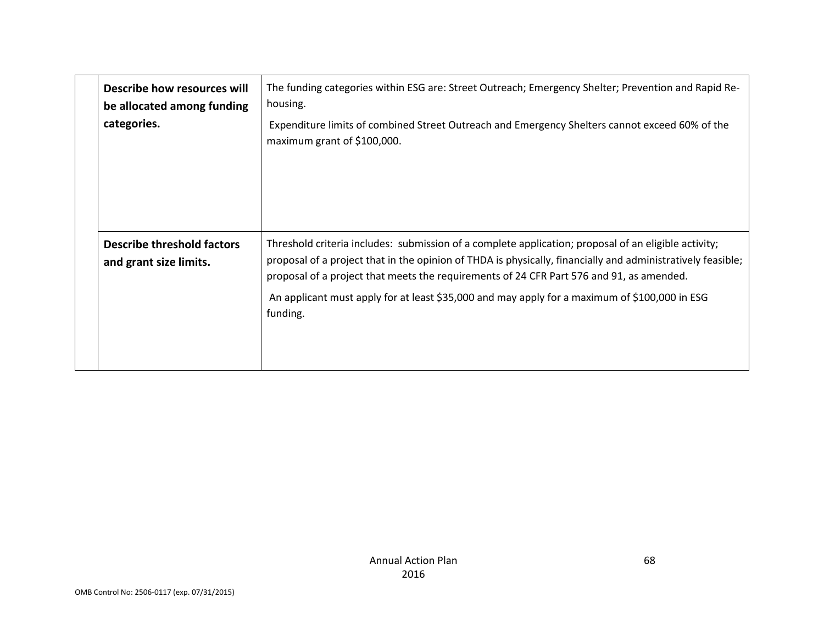| Describe how resources will<br>be allocated among funding<br>categories. | The funding categories within ESG are: Street Outreach; Emergency Shelter; Prevention and Rapid Re-<br>housing.<br>Expenditure limits of combined Street Outreach and Emergency Shelters cannot exceed 60% of the<br>maximum grant of \$100,000.                                                                                                                                                                             |
|--------------------------------------------------------------------------|------------------------------------------------------------------------------------------------------------------------------------------------------------------------------------------------------------------------------------------------------------------------------------------------------------------------------------------------------------------------------------------------------------------------------|
| <b>Describe threshold factors</b><br>and grant size limits.              | Threshold criteria includes: submission of a complete application; proposal of an eligible activity;<br>proposal of a project that in the opinion of THDA is physically, financially and administratively feasible;<br>proposal of a project that meets the requirements of 24 CFR Part 576 and 91, as amended.<br>An applicant must apply for at least \$35,000 and may apply for a maximum of \$100,000 in ESG<br>funding. |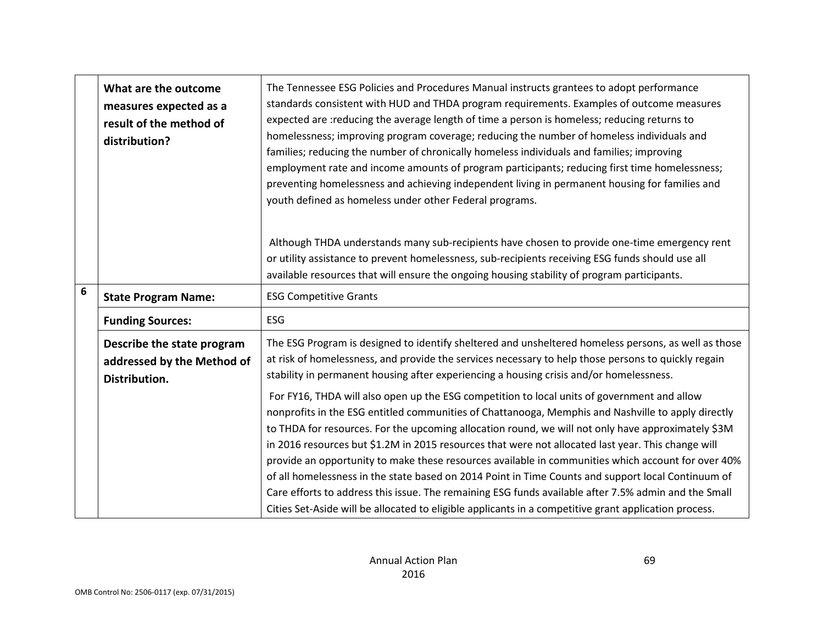|   | What are the outcome<br>measures expected as a<br>result of the method of<br>distribution? | The Tennessee ESG Policies and Procedures Manual instructs grantees to adopt performance<br>standards consistent with HUD and THDA program requirements. Examples of outcome measures<br>expected are : reducing the average length of time a person is homeless; reducing returns to<br>homelessness; improving program coverage; reducing the number of homeless individuals and<br>families; reducing the number of chronically homeless individuals and families; improving<br>employment rate and income amounts of program participants; reducing first time homelessness;<br>preventing homelessness and achieving independent living in permanent housing for families and<br>youth defined as homeless under other Federal programs.                                                                                                                                                                                                                                                                                                                                                                                                        |
|---|--------------------------------------------------------------------------------------------|------------------------------------------------------------------------------------------------------------------------------------------------------------------------------------------------------------------------------------------------------------------------------------------------------------------------------------------------------------------------------------------------------------------------------------------------------------------------------------------------------------------------------------------------------------------------------------------------------------------------------------------------------------------------------------------------------------------------------------------------------------------------------------------------------------------------------------------------------------------------------------------------------------------------------------------------------------------------------------------------------------------------------------------------------------------------------------------------------------------------------------------------------|
|   |                                                                                            | Although THDA understands many sub-recipients have chosen to provide one-time emergency rent<br>or utility assistance to prevent homelessness, sub-recipients receiving ESG funds should use all<br>available resources that will ensure the ongoing housing stability of program participants.                                                                                                                                                                                                                                                                                                                                                                                                                                                                                                                                                                                                                                                                                                                                                                                                                                                      |
| 6 | <b>State Program Name:</b>                                                                 | <b>ESG Competitive Grants</b>                                                                                                                                                                                                                                                                                                                                                                                                                                                                                                                                                                                                                                                                                                                                                                                                                                                                                                                                                                                                                                                                                                                        |
|   | <b>Funding Sources:</b>                                                                    | <b>ESG</b>                                                                                                                                                                                                                                                                                                                                                                                                                                                                                                                                                                                                                                                                                                                                                                                                                                                                                                                                                                                                                                                                                                                                           |
|   | Describe the state program<br>addressed by the Method of<br>Distribution.                  | The ESG Program is designed to identify sheltered and unsheltered homeless persons, as well as those<br>at risk of homelessness, and provide the services necessary to help those persons to quickly regain<br>stability in permanent housing after experiencing a housing crisis and/or homelessness.<br>For FY16, THDA will also open up the ESG competition to local units of government and allow<br>nonprofits in the ESG entitled communities of Chattanooga, Memphis and Nashville to apply directly<br>to THDA for resources. For the upcoming allocation round, we will not only have approximately \$3M<br>in 2016 resources but \$1.2M in 2015 resources that were not allocated last year. This change will<br>provide an opportunity to make these resources available in communities which account for over 40%<br>of all homelessness in the state based on 2014 Point in Time Counts and support local Continuum of<br>Care efforts to address this issue. The remaining ESG funds available after 7.5% admin and the Small<br>Cities Set-Aside will be allocated to eligible applicants in a competitive grant application process. |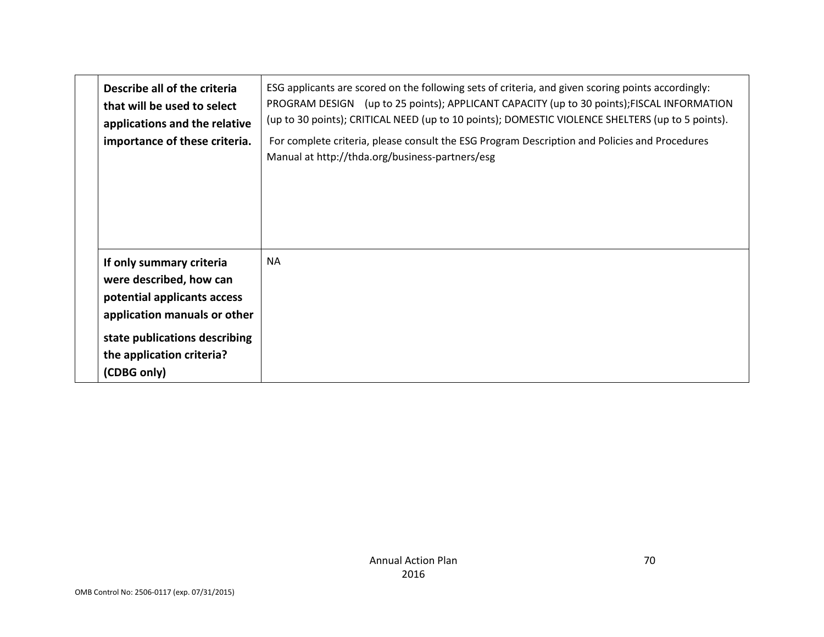| Describe all of the criteria<br>that will be used to select<br>applications and the relative<br>importance of these criteria.                                                                   | ESG applicants are scored on the following sets of criteria, and given scoring points accordingly:<br>PROGRAM DESIGN (up to 25 points); APPLICANT CAPACITY (up to 30 points); FISCAL INFORMATION<br>(up to 30 points); CRITICAL NEED (up to 10 points); DOMESTIC VIOLENCE SHELTERS (up to 5 points).<br>For complete criteria, please consult the ESG Program Description and Policies and Procedures<br>Manual at http://thda.org/business-partners/esg |
|-------------------------------------------------------------------------------------------------------------------------------------------------------------------------------------------------|----------------------------------------------------------------------------------------------------------------------------------------------------------------------------------------------------------------------------------------------------------------------------------------------------------------------------------------------------------------------------------------------------------------------------------------------------------|
| If only summary criteria<br>were described, how can<br>potential applicants access<br>application manuals or other<br>state publications describing<br>the application criteria?<br>(CDBG only) | <b>NA</b>                                                                                                                                                                                                                                                                                                                                                                                                                                                |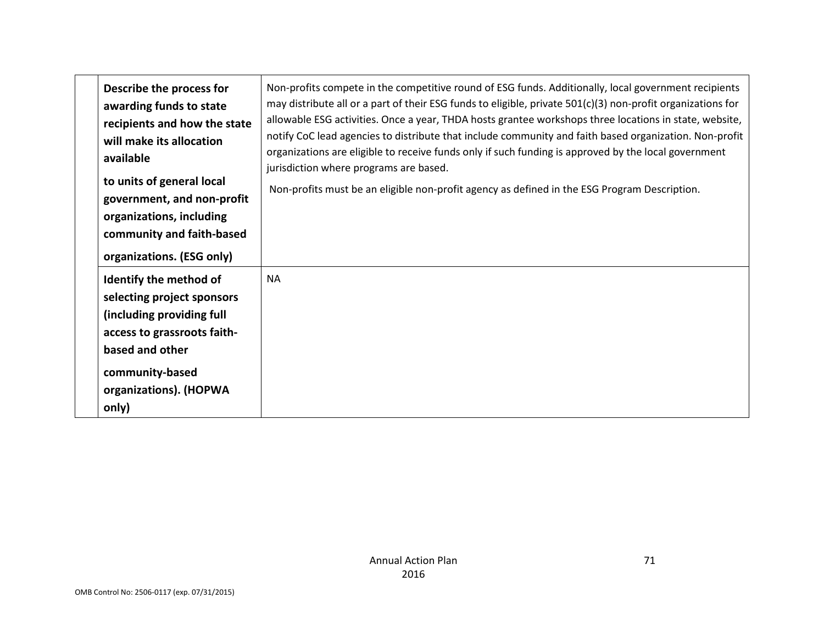| Describe the process for<br>awarding funds to state<br>recipients and how the state<br>will make its allocation<br>available<br>to units of general local<br>government, and non-profit<br>organizations, including<br>community and faith-based | Non-profits compete in the competitive round of ESG funds. Additionally, local government recipients<br>may distribute all or a part of their ESG funds to eligible, private $501(c)(3)$ non-profit organizations for<br>allowable ESG activities. Once a year, THDA hosts grantee workshops three locations in state, website,<br>notify CoC lead agencies to distribute that include community and faith based organization. Non-profit<br>organizations are eligible to receive funds only if such funding is approved by the local government<br>jurisdiction where programs are based.<br>Non-profits must be an eligible non-profit agency as defined in the ESG Program Description. |
|--------------------------------------------------------------------------------------------------------------------------------------------------------------------------------------------------------------------------------------------------|---------------------------------------------------------------------------------------------------------------------------------------------------------------------------------------------------------------------------------------------------------------------------------------------------------------------------------------------------------------------------------------------------------------------------------------------------------------------------------------------------------------------------------------------------------------------------------------------------------------------------------------------------------------------------------------------|
| organizations. (ESG only)<br>Identify the method of<br>selecting project sponsors<br>(including providing full<br>access to grassroots faith-<br>based and other<br>community-based<br>organizations). (HOPWA<br>only)                           | <b>NA</b>                                                                                                                                                                                                                                                                                                                                                                                                                                                                                                                                                                                                                                                                                   |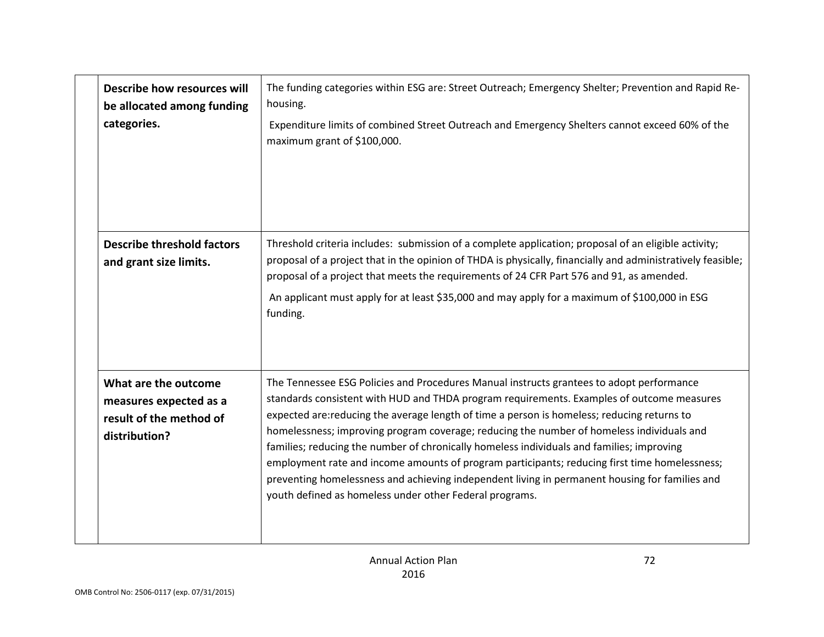| Describe how resources will<br>be allocated among funding<br>categories.                   | The funding categories within ESG are: Street Outreach; Emergency Shelter; Prevention and Rapid Re-<br>housing.<br>Expenditure limits of combined Street Outreach and Emergency Shelters cannot exceed 60% of the<br>maximum grant of \$100,000.                                                                                                                                                                                                                                                                                                                                                                                                                                                                                            |
|--------------------------------------------------------------------------------------------|---------------------------------------------------------------------------------------------------------------------------------------------------------------------------------------------------------------------------------------------------------------------------------------------------------------------------------------------------------------------------------------------------------------------------------------------------------------------------------------------------------------------------------------------------------------------------------------------------------------------------------------------------------------------------------------------------------------------------------------------|
| <b>Describe threshold factors</b><br>and grant size limits.                                | Threshold criteria includes: submission of a complete application; proposal of an eligible activity;<br>proposal of a project that in the opinion of THDA is physically, financially and administratively feasible;<br>proposal of a project that meets the requirements of 24 CFR Part 576 and 91, as amended.<br>An applicant must apply for at least \$35,000 and may apply for a maximum of \$100,000 in ESG<br>funding.                                                                                                                                                                                                                                                                                                                |
| What are the outcome<br>measures expected as a<br>result of the method of<br>distribution? | The Tennessee ESG Policies and Procedures Manual instructs grantees to adopt performance<br>standards consistent with HUD and THDA program requirements. Examples of outcome measures<br>expected are:reducing the average length of time a person is homeless; reducing returns to<br>homelessness; improving program coverage; reducing the number of homeless individuals and<br>families; reducing the number of chronically homeless individuals and families; improving<br>employment rate and income amounts of program participants; reducing first time homelessness;<br>preventing homelessness and achieving independent living in permanent housing for families and<br>youth defined as homeless under other Federal programs. |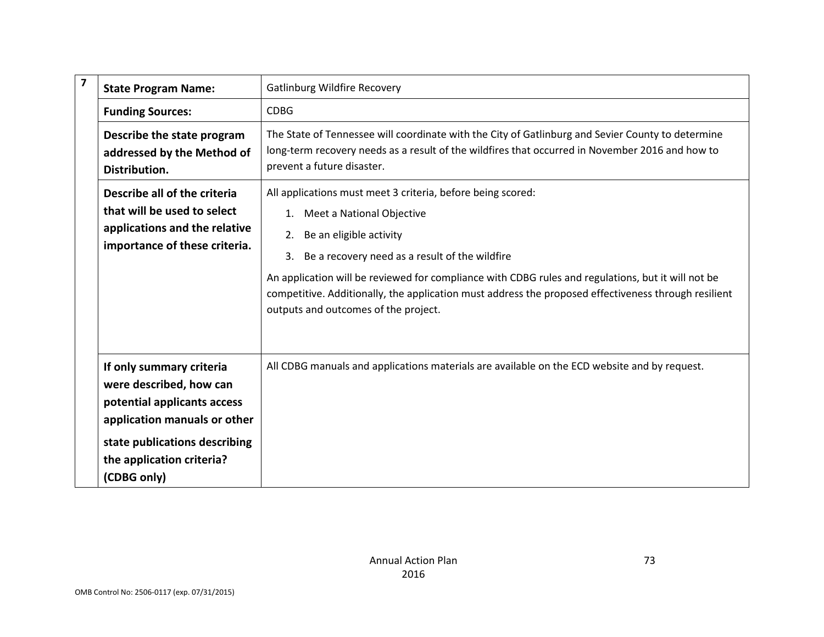| $\overline{\mathbf{z}}$ | <b>State Program Name:</b>                                                                                                                                                                      | <b>Gatlinburg Wildfire Recovery</b>                                                                                                                                                                                                                                                                                                                                                                                                     |
|-------------------------|-------------------------------------------------------------------------------------------------------------------------------------------------------------------------------------------------|-----------------------------------------------------------------------------------------------------------------------------------------------------------------------------------------------------------------------------------------------------------------------------------------------------------------------------------------------------------------------------------------------------------------------------------------|
|                         | <b>Funding Sources:</b>                                                                                                                                                                         | <b>CDBG</b>                                                                                                                                                                                                                                                                                                                                                                                                                             |
|                         | Describe the state program<br>addressed by the Method of<br>Distribution.                                                                                                                       | The State of Tennessee will coordinate with the City of Gatlinburg and Sevier County to determine<br>long-term recovery needs as a result of the wildfires that occurred in November 2016 and how to<br>prevent a future disaster.                                                                                                                                                                                                      |
|                         | Describe all of the criteria<br>that will be used to select<br>applications and the relative<br>importance of these criteria.                                                                   | All applications must meet 3 criteria, before being scored:<br>1. Meet a National Objective<br>2. Be an eligible activity<br>Be a recovery need as a result of the wildfire<br>3.<br>An application will be reviewed for compliance with CDBG rules and regulations, but it will not be<br>competitive. Additionally, the application must address the proposed effectiveness through resilient<br>outputs and outcomes of the project. |
|                         | If only summary criteria<br>were described, how can<br>potential applicants access<br>application manuals or other<br>state publications describing<br>the application criteria?<br>(CDBG only) | All CDBG manuals and applications materials are available on the ECD website and by request.                                                                                                                                                                                                                                                                                                                                            |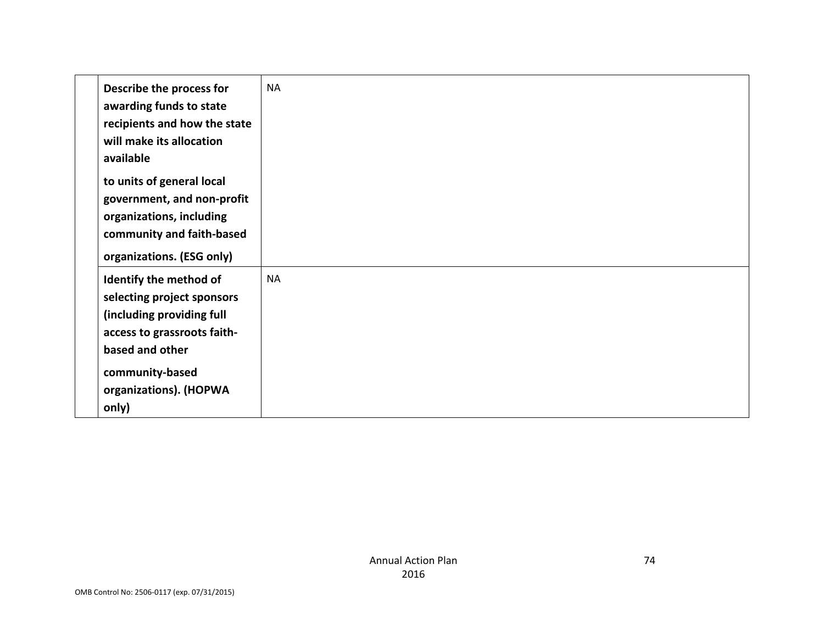| Describe the process for<br>awarding funds to state<br>recipients and how the state<br>will make its allocation<br>available                                                              | <b>NA</b> |
|-------------------------------------------------------------------------------------------------------------------------------------------------------------------------------------------|-----------|
| to units of general local<br>government, and non-profit<br>organizations, including<br>community and faith-based<br>organizations. (ESG only)                                             |           |
| Identify the method of<br>selecting project sponsors<br>(including providing full<br>access to grassroots faith-<br>based and other<br>community-based<br>organizations). (HOPWA<br>only) | <b>NA</b> |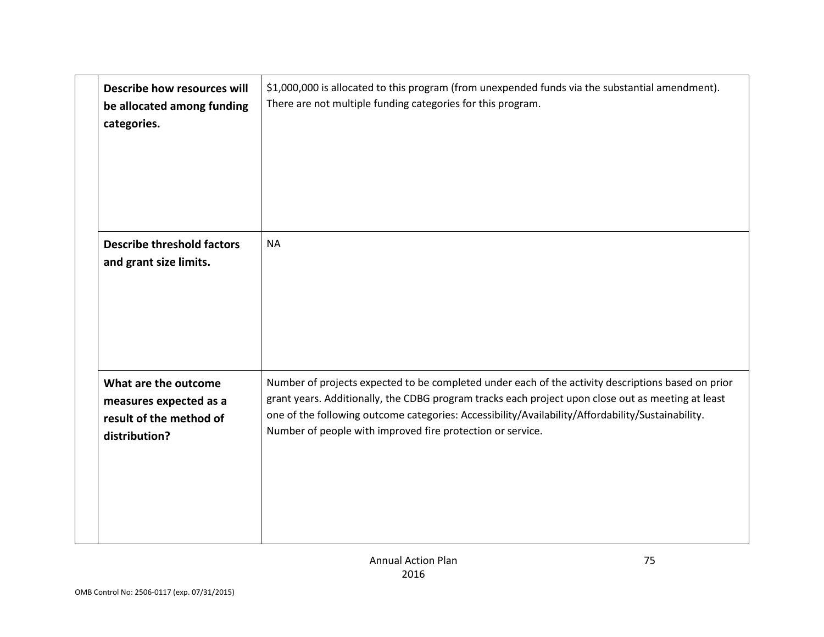| Describe how resources will<br>be allocated among funding<br>categories.                   | \$1,000,000 is allocated to this program (from unexpended funds via the substantial amendment).<br>There are not multiple funding categories for this program.                                                                                                                                                                                                              |
|--------------------------------------------------------------------------------------------|-----------------------------------------------------------------------------------------------------------------------------------------------------------------------------------------------------------------------------------------------------------------------------------------------------------------------------------------------------------------------------|
| <b>Describe threshold factors</b><br>and grant size limits.                                | <b>NA</b>                                                                                                                                                                                                                                                                                                                                                                   |
| What are the outcome<br>measures expected as a<br>result of the method of<br>distribution? | Number of projects expected to be completed under each of the activity descriptions based on prior<br>grant years. Additionally, the CDBG program tracks each project upon close out as meeting at least<br>one of the following outcome categories: Accessibility/Availability/Affordability/Sustainability.<br>Number of people with improved fire protection or service. |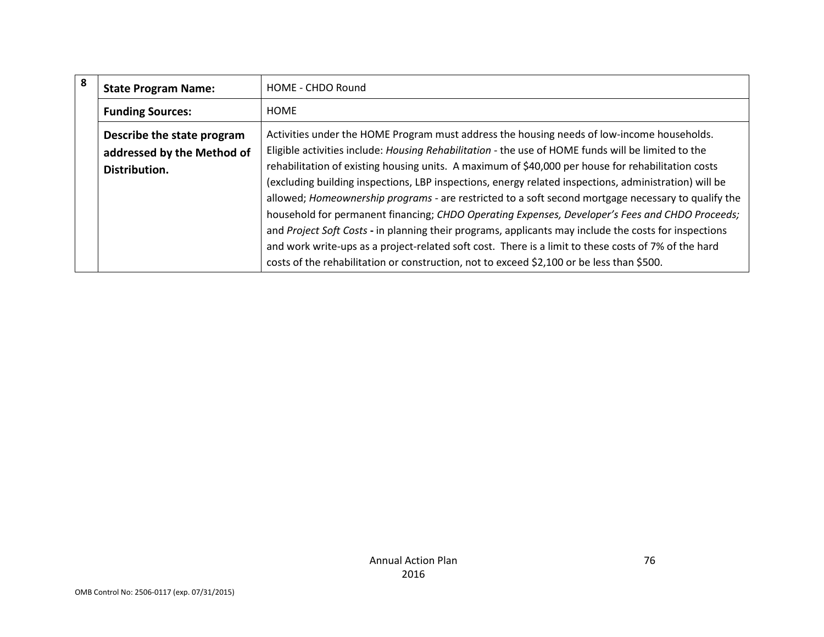| 8 | <b>State Program Name:</b>                                                | HOME - CHDO Round                                                                                                                                                                                                                                                                                                                                                                                                                                                                                                                                                                                                                                                                                                                                                                                                                          |
|---|---------------------------------------------------------------------------|--------------------------------------------------------------------------------------------------------------------------------------------------------------------------------------------------------------------------------------------------------------------------------------------------------------------------------------------------------------------------------------------------------------------------------------------------------------------------------------------------------------------------------------------------------------------------------------------------------------------------------------------------------------------------------------------------------------------------------------------------------------------------------------------------------------------------------------------|
|   | <b>Funding Sources:</b>                                                   | HOME                                                                                                                                                                                                                                                                                                                                                                                                                                                                                                                                                                                                                                                                                                                                                                                                                                       |
|   | Describe the state program<br>addressed by the Method of<br>Distribution. | Activities under the HOME Program must address the housing needs of low-income households.<br>Eligible activities include: Housing Rehabilitation - the use of HOME funds will be limited to the<br>rehabilitation of existing housing units. A maximum of \$40,000 per house for rehabilitation costs<br>(excluding building inspections, LBP inspections, energy related inspections, administration) will be<br>allowed; Homeownership programs - are restricted to a soft second mortgage necessary to qualify the<br>household for permanent financing; CHDO Operating Expenses, Developer's Fees and CHDO Proceeds;<br>and Project Soft Costs - in planning their programs, applicants may include the costs for inspections<br>and work write-ups as a project-related soft cost. There is a limit to these costs of 7% of the hard |
|   |                                                                           | costs of the rehabilitation or construction, not to exceed \$2,100 or be less than \$500.                                                                                                                                                                                                                                                                                                                                                                                                                                                                                                                                                                                                                                                                                                                                                  |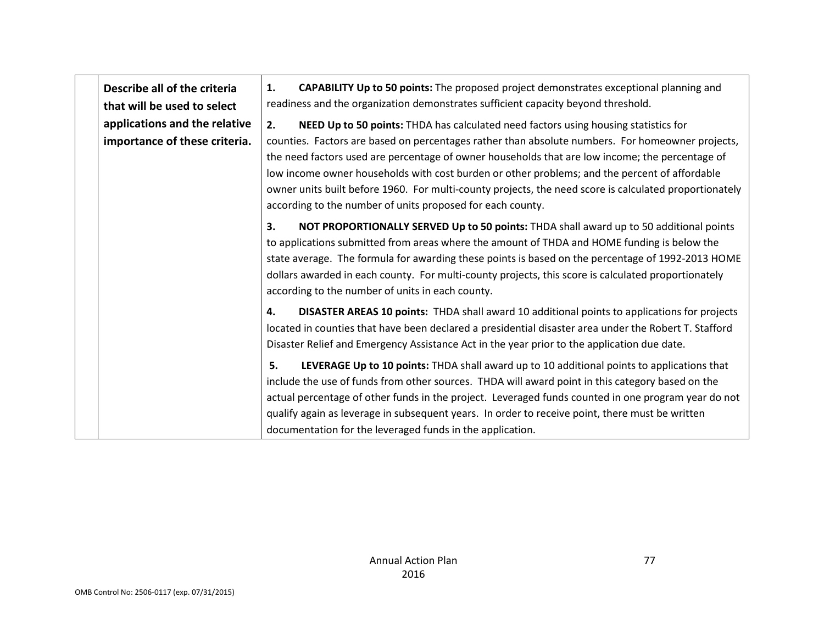| Describe all of the criteria  | <b>CAPABILITY Up to 50 points:</b> The proposed project demonstrates exceptional planning and<br>1.                                                                                                                                                                                                                                                                                                                                                                          |
|-------------------------------|------------------------------------------------------------------------------------------------------------------------------------------------------------------------------------------------------------------------------------------------------------------------------------------------------------------------------------------------------------------------------------------------------------------------------------------------------------------------------|
| that will be used to select   | readiness and the organization demonstrates sufficient capacity beyond threshold.                                                                                                                                                                                                                                                                                                                                                                                            |
| applications and the relative | NEED Up to 50 points: THDA has calculated need factors using housing statistics for<br>2.                                                                                                                                                                                                                                                                                                                                                                                    |
| importance of these criteria. | counties. Factors are based on percentages rather than absolute numbers. For homeowner projects,<br>the need factors used are percentage of owner households that are low income; the percentage of<br>low income owner households with cost burden or other problems; and the percent of affordable<br>owner units built before 1960. For multi-county projects, the need score is calculated proportionately<br>according to the number of units proposed for each county. |
|                               | NOT PROPORTIONALLY SERVED Up to 50 points: THDA shall award up to 50 additional points<br>3.<br>to applications submitted from areas where the amount of THDA and HOME funding is below the<br>state average. The formula for awarding these points is based on the percentage of 1992-2013 HOME<br>dollars awarded in each county. For multi-county projects, this score is calculated proportionately<br>according to the number of units in each county.                  |
|                               | DISASTER AREAS 10 points: THDA shall award 10 additional points to applications for projects<br>4.<br>located in counties that have been declared a presidential disaster area under the Robert T. Stafford<br>Disaster Relief and Emergency Assistance Act in the year prior to the application due date.                                                                                                                                                                   |
|                               | LEVERAGE Up to 10 points: THDA shall award up to 10 additional points to applications that<br>5.<br>include the use of funds from other sources. THDA will award point in this category based on the<br>actual percentage of other funds in the project. Leveraged funds counted in one program year do not                                                                                                                                                                  |
|                               | qualify again as leverage in subsequent years. In order to receive point, there must be written<br>documentation for the leveraged funds in the application.                                                                                                                                                                                                                                                                                                                 |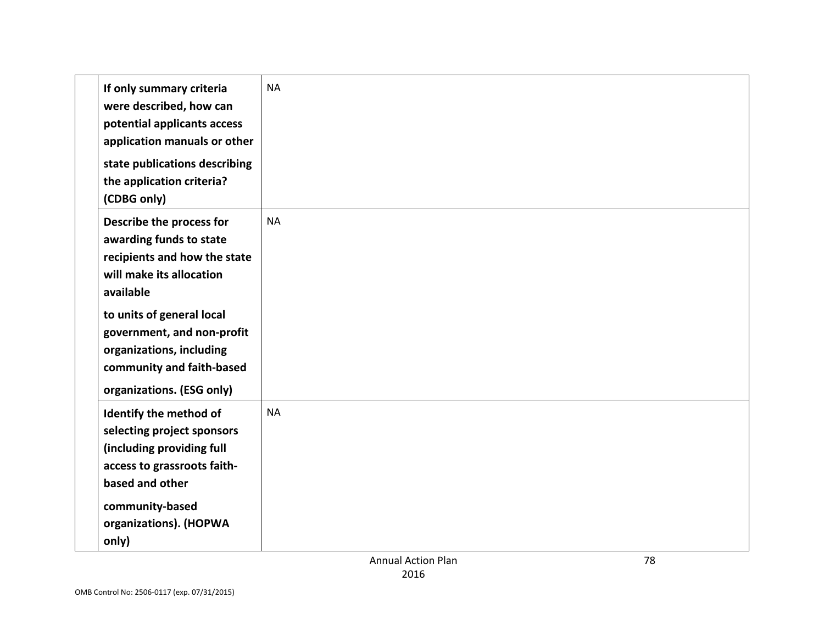|                                                                                                                    | <b>Annual Action Plan</b> | 78 |
|--------------------------------------------------------------------------------------------------------------------|---------------------------|----|
| community-based<br>organizations). (HOPWA<br>only)                                                                 |                           |    |
| access to grassroots faith-<br>based and other                                                                     |                           |    |
| (including providing full                                                                                          |                           |    |
| Identify the method of<br>selecting project sponsors                                                               | <b>NA</b>                 |    |
| organizations. (ESG only)                                                                                          |                           |    |
| organizations, including<br>community and faith-based                                                              |                           |    |
| to units of general local<br>government, and non-profit                                                            |                           |    |
| available                                                                                                          |                           |    |
| recipients and how the state<br>will make its allocation                                                           |                           |    |
| Describe the process for<br>awarding funds to state                                                                | <b>NA</b>                 |    |
| state publications describing<br>the application criteria?<br>(CDBG only)                                          |                           |    |
| If only summary criteria<br>were described, how can<br>potential applicants access<br>application manuals or other | <b>NA</b>                 |    |
|                                                                                                                    |                           |    |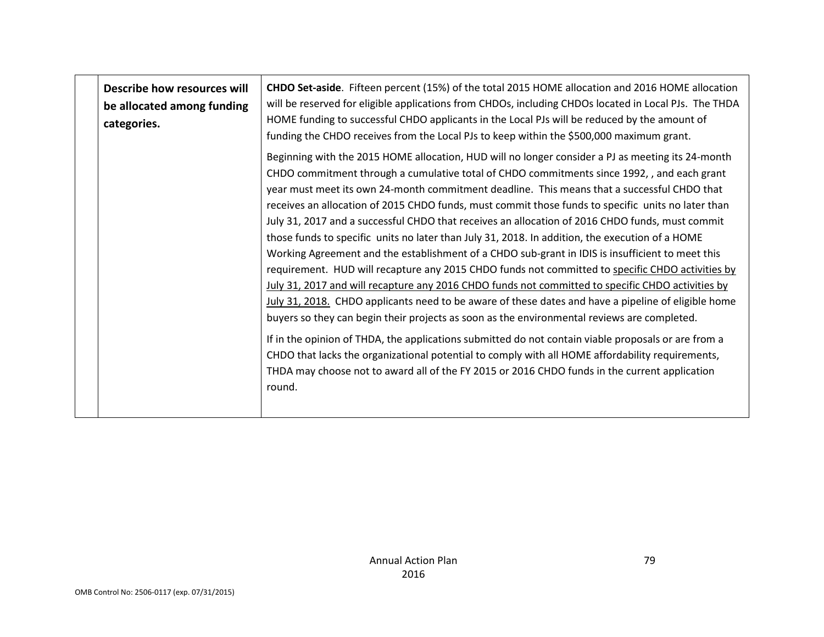| Describe how resources will<br>be allocated among funding<br>categories. | CHDO Set-aside. Fifteen percent (15%) of the total 2015 HOME allocation and 2016 HOME allocation<br>will be reserved for eligible applications from CHDOs, including CHDOs located in Local PJs. The THDA<br>HOME funding to successful CHDO applicants in the Local PJs will be reduced by the amount of<br>funding the CHDO receives from the Local PJs to keep within the \$500,000 maximum grant.                                                                                                                                                                                                                                                                                                                                                                                                                                                                                                                                                                                                                                                                                                                                                                                                                                                                                                                                                                                                                                               |
|--------------------------------------------------------------------------|-----------------------------------------------------------------------------------------------------------------------------------------------------------------------------------------------------------------------------------------------------------------------------------------------------------------------------------------------------------------------------------------------------------------------------------------------------------------------------------------------------------------------------------------------------------------------------------------------------------------------------------------------------------------------------------------------------------------------------------------------------------------------------------------------------------------------------------------------------------------------------------------------------------------------------------------------------------------------------------------------------------------------------------------------------------------------------------------------------------------------------------------------------------------------------------------------------------------------------------------------------------------------------------------------------------------------------------------------------------------------------------------------------------------------------------------------------|
|                                                                          | Beginning with the 2015 HOME allocation, HUD will no longer consider a PJ as meeting its 24-month<br>CHDO commitment through a cumulative total of CHDO commitments since 1992,, and each grant<br>year must meet its own 24-month commitment deadline. This means that a successful CHDO that<br>receives an allocation of 2015 CHDO funds, must commit those funds to specific units no later than<br>July 31, 2017 and a successful CHDO that receives an allocation of 2016 CHDO funds, must commit<br>those funds to specific units no later than July 31, 2018. In addition, the execution of a HOME<br>Working Agreement and the establishment of a CHDO sub-grant in IDIS is insufficient to meet this<br>requirement. HUD will recapture any 2015 CHDO funds not committed to specific CHDO activities by<br>July 31, 2017 and will recapture any 2016 CHDO funds not committed to specific CHDO activities by<br>July 31, 2018. CHDO applicants need to be aware of these dates and have a pipeline of eligible home<br>buyers so they can begin their projects as soon as the environmental reviews are completed.<br>If in the opinion of THDA, the applications submitted do not contain viable proposals or are from a<br>CHDO that lacks the organizational potential to comply with all HOME affordability requirements,<br>THDA may choose not to award all of the FY 2015 or 2016 CHDO funds in the current application<br>round. |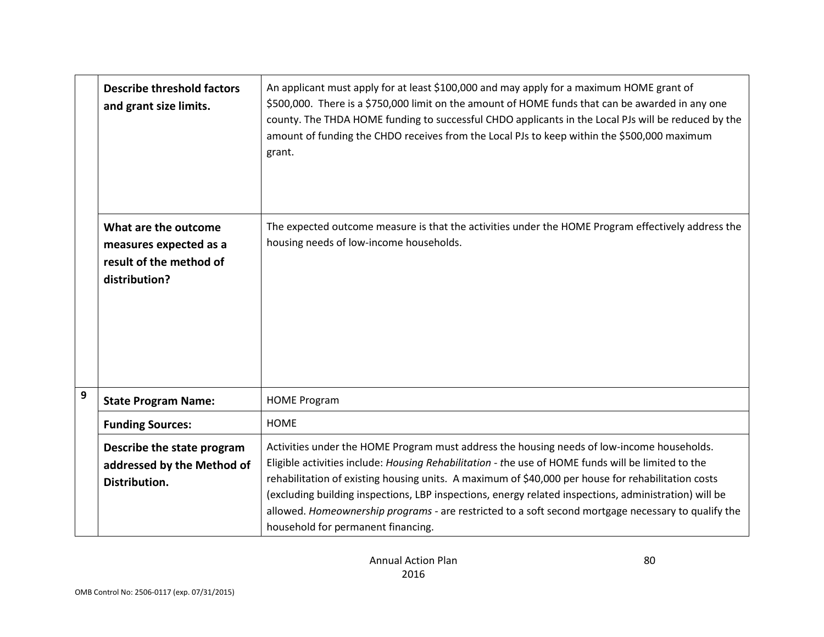|   | <b>Describe threshold factors</b><br>and grant size limits.                                | An applicant must apply for at least \$100,000 and may apply for a maximum HOME grant of<br>\$500,000. There is a \$750,000 limit on the amount of HOME funds that can be awarded in any one<br>county. The THDA HOME funding to successful CHDO applicants in the Local PJs will be reduced by the<br>amount of funding the CHDO receives from the Local PJs to keep within the \$500,000 maximum<br>grant.                                                                                                                                                 |
|---|--------------------------------------------------------------------------------------------|--------------------------------------------------------------------------------------------------------------------------------------------------------------------------------------------------------------------------------------------------------------------------------------------------------------------------------------------------------------------------------------------------------------------------------------------------------------------------------------------------------------------------------------------------------------|
|   | What are the outcome<br>measures expected as a<br>result of the method of<br>distribution? | The expected outcome measure is that the activities under the HOME Program effectively address the<br>housing needs of low-income households.                                                                                                                                                                                                                                                                                                                                                                                                                |
| 9 | <b>State Program Name:</b>                                                                 | <b>HOME Program</b>                                                                                                                                                                                                                                                                                                                                                                                                                                                                                                                                          |
|   | <b>Funding Sources:</b>                                                                    | <b>HOME</b>                                                                                                                                                                                                                                                                                                                                                                                                                                                                                                                                                  |
|   | Describe the state program<br>addressed by the Method of<br>Distribution.                  | Activities under the HOME Program must address the housing needs of low-income households.<br>Eligible activities include: Housing Rehabilitation - the use of HOME funds will be limited to the<br>rehabilitation of existing housing units. A maximum of \$40,000 per house for rehabilitation costs<br>(excluding building inspections, LBP inspections, energy related inspections, administration) will be<br>allowed. Homeownership programs - are restricted to a soft second mortgage necessary to qualify the<br>household for permanent financing. |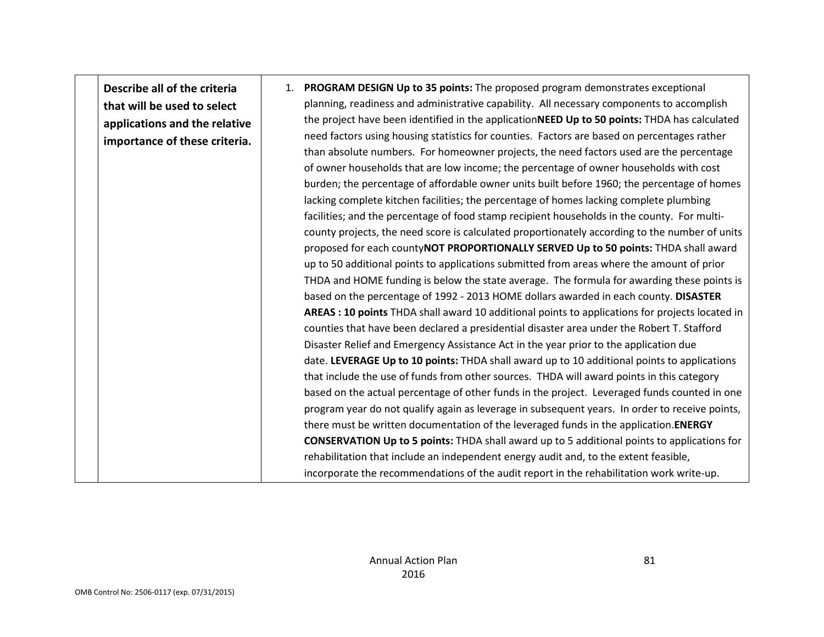**Describe all of the criteria that will be used to select applications and the relative importance of these criteria.** 

1. **PROGRAM DESIGN Up to 35 points:** The proposed program demonstrates exceptional planning, readiness and administrative capability. All necessary components to accomplish the project have been identified in the application**NEED Up to 50 points:** THDA has calculated need factors using housing statistics for counties. Factors are based on percentages rather than absolute numbers. For homeowner projects, the need factors used are the percentage of owner households that are low income; the percentage of owner households with cost burden; the percentage of affordable owner units built before 1960; the percentage of homes lacking complete kitchen facilities; the percentage of homes lacking complete plumbing facilities; and the percentage of food stamp recipient households in the county. For multicounty projects, the need score is calculated proportionately according to the number of units proposed for each county**NOT PROPORTIONALLY SERVED Up to 50 points:** THDA shall award up to 50 additional points to applications submitted from areas where the amount of prior THDA and HOME funding is below the state average. The formula for awarding these points is based on the percentage of 1992 - 2013 HOME dollars awarded in each county. **DISASTER AREAS : 10 points** THDA shall award 10 additional points to applications for projects located in counties that have been declared a presidential disaster area under the Robert T. Stafford Disaster Relief and Emergency Assistance Act in the year prior to the application due date. **LEVERAGE Up to 10 points:** THDA shall award up to 10 additional points to applications that include the use of funds from other sources. THDA will award points in this category based on the actual percentage of other funds in the project. Leveraged funds counted in one program year do not qualify again as leverage in subsequent years. In order to receive points, there must be written documentation of the leveraged funds in the application.**ENERGY CONSERVATION Up to 5 points:** THDA shall award up to 5 additional points to applications for rehabilitation that include an independent energy audit and, to the extent feasible, incorporate the recommendations of the audit report in the rehabilitation work write-up.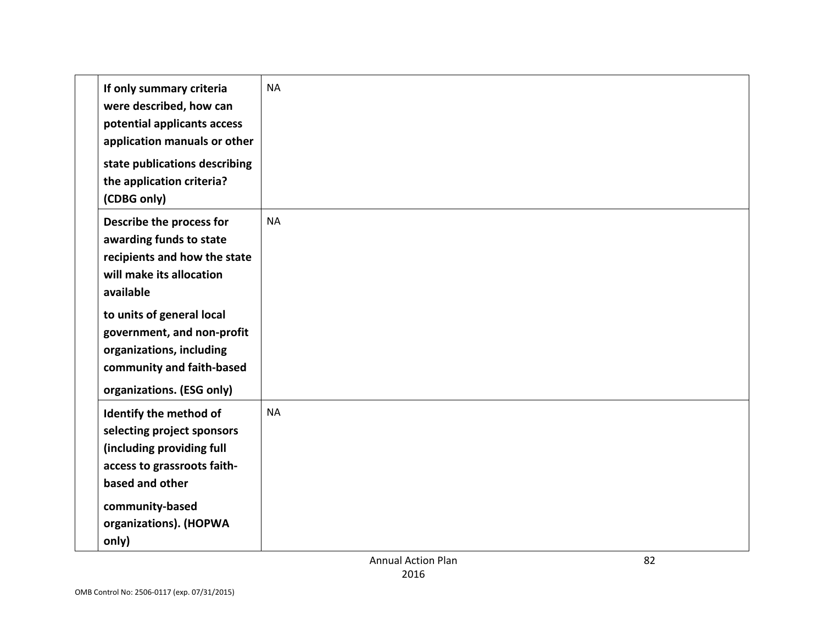| If only summary criteria<br>were described, how can<br>potential applicants access<br>application manuals or other                                     | <b>NA</b> |
|--------------------------------------------------------------------------------------------------------------------------------------------------------|-----------|
| state publications describing<br>the application criteria?<br>(CDBG only)                                                                              |           |
| Describe the process for<br>awarding funds to state<br>recipients and how the state<br>will make its allocation<br>available                           | <b>NA</b> |
| to units of general local<br>government, and non-profit<br>organizations, including<br>community and faith-based<br>organizations. (ESG only)          |           |
| Identify the method of<br>selecting project sponsors<br>(including providing full<br>access to grassroots faith-<br>based and other<br>community-based | <b>NA</b> |
| organizations). (HOPWA<br>only)                                                                                                                        |           |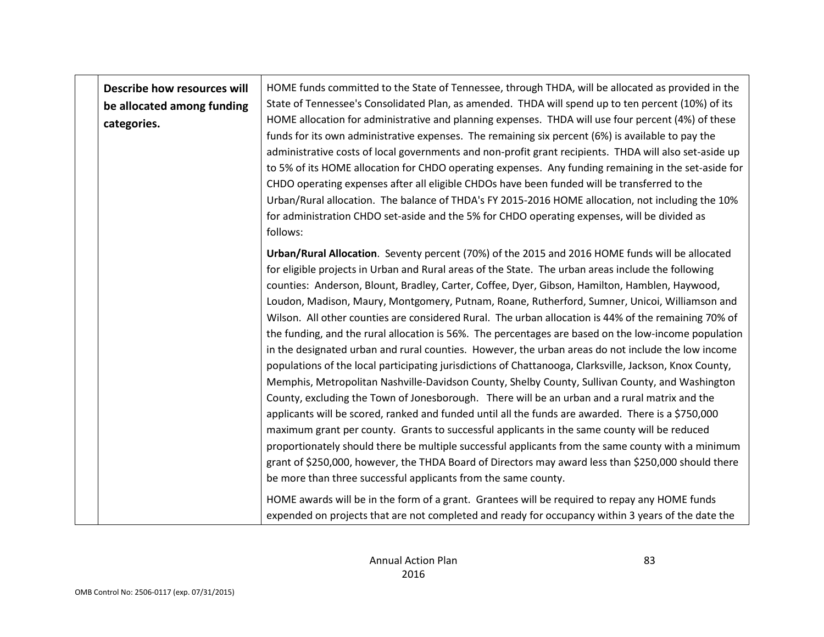| Describe how resources will<br>be allocated among funding<br>categories. | HOME funds committed to the State of Tennessee, through THDA, will be allocated as provided in the<br>State of Tennessee's Consolidated Plan, as amended. THDA will spend up to ten percent (10%) of its<br>HOME allocation for administrative and planning expenses. THDA will use four percent (4%) of these<br>funds for its own administrative expenses. The remaining six percent (6%) is available to pay the<br>administrative costs of local governments and non-profit grant recipients. THDA will also set-aside up<br>to 5% of its HOME allocation for CHDO operating expenses. Any funding remaining in the set-aside for<br>CHDO operating expenses after all eligible CHDOs have been funded will be transferred to the<br>Urban/Rural allocation. The balance of THDA's FY 2015-2016 HOME allocation, not including the 10%<br>for administration CHDO set-aside and the 5% for CHDO operating expenses, will be divided as<br>follows:                                                                                                                                                                                                                                                                                                                                                                                                                                                                                                                                                                                                                                                                              |
|--------------------------------------------------------------------------|-------------------------------------------------------------------------------------------------------------------------------------------------------------------------------------------------------------------------------------------------------------------------------------------------------------------------------------------------------------------------------------------------------------------------------------------------------------------------------------------------------------------------------------------------------------------------------------------------------------------------------------------------------------------------------------------------------------------------------------------------------------------------------------------------------------------------------------------------------------------------------------------------------------------------------------------------------------------------------------------------------------------------------------------------------------------------------------------------------------------------------------------------------------------------------------------------------------------------------------------------------------------------------------------------------------------------------------------------------------------------------------------------------------------------------------------------------------------------------------------------------------------------------------------------------------------------------------------------------------------------------------|
|                                                                          | Urban/Rural Allocation. Seventy percent (70%) of the 2015 and 2016 HOME funds will be allocated<br>for eligible projects in Urban and Rural areas of the State. The urban areas include the following<br>counties: Anderson, Blount, Bradley, Carter, Coffee, Dyer, Gibson, Hamilton, Hamblen, Haywood,<br>Loudon, Madison, Maury, Montgomery, Putnam, Roane, Rutherford, Sumner, Unicoi, Williamson and<br>Wilson. All other counties are considered Rural. The urban allocation is 44% of the remaining 70% of<br>the funding, and the rural allocation is 56%. The percentages are based on the low-income population<br>in the designated urban and rural counties. However, the urban areas do not include the low income<br>populations of the local participating jurisdictions of Chattanooga, Clarksville, Jackson, Knox County,<br>Memphis, Metropolitan Nashville-Davidson County, Shelby County, Sullivan County, and Washington<br>County, excluding the Town of Jonesborough. There will be an urban and a rural matrix and the<br>applicants will be scored, ranked and funded until all the funds are awarded. There is a \$750,000<br>maximum grant per county. Grants to successful applicants in the same county will be reduced<br>proportionately should there be multiple successful applicants from the same county with a minimum<br>grant of \$250,000, however, the THDA Board of Directors may award less than \$250,000 should there<br>be more than three successful applicants from the same county.<br>HOME awards will be in the form of a grant. Grantees will be required to repay any HOME funds |
|                                                                          | expended on projects that are not completed and ready for occupancy within 3 years of the date the                                                                                                                                                                                                                                                                                                                                                                                                                                                                                                                                                                                                                                                                                                                                                                                                                                                                                                                                                                                                                                                                                                                                                                                                                                                                                                                                                                                                                                                                                                                                  |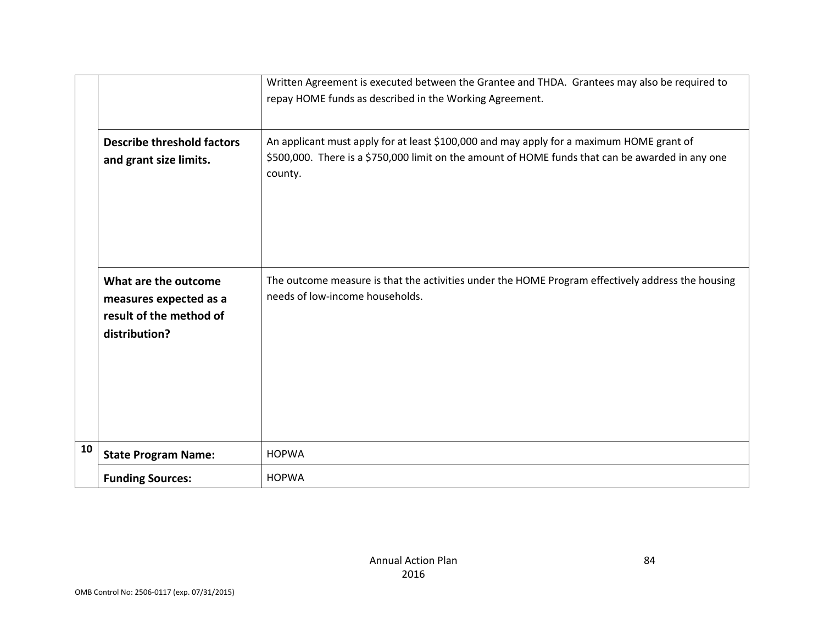|    |                                                                                            | Written Agreement is executed between the Grantee and THDA. Grantees may also be required to<br>repay HOME funds as described in the Working Agreement.                                                 |
|----|--------------------------------------------------------------------------------------------|---------------------------------------------------------------------------------------------------------------------------------------------------------------------------------------------------------|
|    | <b>Describe threshold factors</b><br>and grant size limits.                                | An applicant must apply for at least \$100,000 and may apply for a maximum HOME grant of<br>\$500,000. There is a \$750,000 limit on the amount of HOME funds that can be awarded in any one<br>county. |
|    | What are the outcome<br>measures expected as a<br>result of the method of<br>distribution? | The outcome measure is that the activities under the HOME Program effectively address the housing<br>needs of low-income households.                                                                    |
| 10 | <b>State Program Name:</b>                                                                 | <b>HOPWA</b>                                                                                                                                                                                            |
|    | <b>Funding Sources:</b>                                                                    | <b>HOPWA</b>                                                                                                                                                                                            |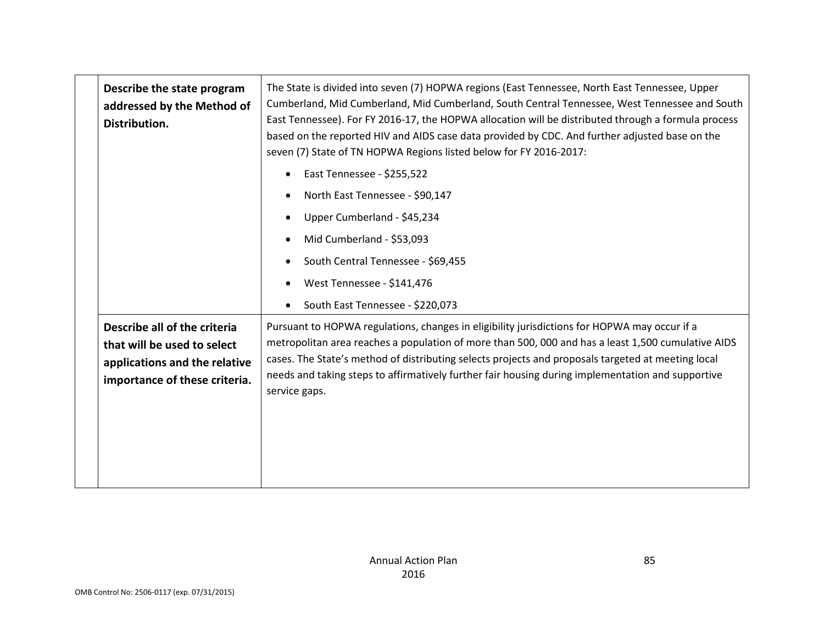| Describe the state program<br>addressed by the Method of<br>Distribution.                                                     | The State is divided into seven (7) HOPWA regions (East Tennessee, North East Tennessee, Upper<br>Cumberland, Mid Cumberland, Mid Cumberland, South Central Tennessee, West Tennessee and South<br>East Tennessee). For FY 2016-17, the HOPWA allocation will be distributed through a formula process<br>based on the reported HIV and AIDS case data provided by CDC. And further adjusted base on the<br>seven (7) State of TN HOPWA Regions listed below for FY 2016-2017: |  |
|-------------------------------------------------------------------------------------------------------------------------------|--------------------------------------------------------------------------------------------------------------------------------------------------------------------------------------------------------------------------------------------------------------------------------------------------------------------------------------------------------------------------------------------------------------------------------------------------------------------------------|--|
|                                                                                                                               | East Tennessee - \$255,522                                                                                                                                                                                                                                                                                                                                                                                                                                                     |  |
|                                                                                                                               | North East Tennessee - \$90,147                                                                                                                                                                                                                                                                                                                                                                                                                                                |  |
|                                                                                                                               | Upper Cumberland - \$45,234                                                                                                                                                                                                                                                                                                                                                                                                                                                    |  |
|                                                                                                                               | Mid Cumberland - \$53,093                                                                                                                                                                                                                                                                                                                                                                                                                                                      |  |
|                                                                                                                               | South Central Tennessee - \$69,455                                                                                                                                                                                                                                                                                                                                                                                                                                             |  |
|                                                                                                                               | West Tennessee - \$141,476                                                                                                                                                                                                                                                                                                                                                                                                                                                     |  |
|                                                                                                                               | South East Tennessee - \$220,073                                                                                                                                                                                                                                                                                                                                                                                                                                               |  |
| Describe all of the criteria<br>that will be used to select<br>applications and the relative<br>importance of these criteria. | Pursuant to HOPWA regulations, changes in eligibility jurisdictions for HOPWA may occur if a<br>metropolitan area reaches a population of more than 500, 000 and has a least 1,500 cumulative AIDS<br>cases. The State's method of distributing selects projects and proposals targeted at meeting local<br>needs and taking steps to affirmatively further fair housing during implementation and supportive<br>service gaps.                                                 |  |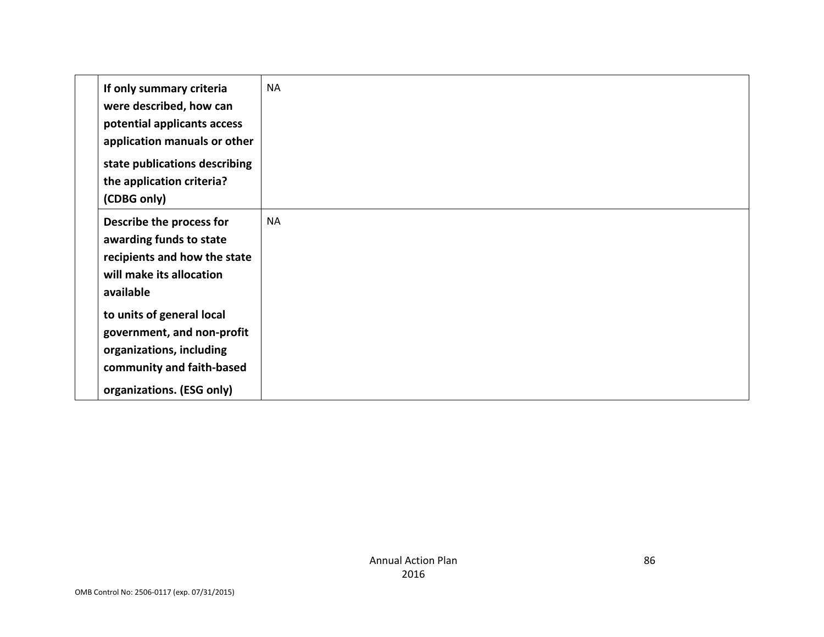| If only summary criteria<br>were described, how can<br>potential applicants access<br>application manuals or other<br>state publications describing<br>the application criteria?<br>(CDBG only) | <b>NA</b> |
|-------------------------------------------------------------------------------------------------------------------------------------------------------------------------------------------------|-----------|
| Describe the process for<br>awarding funds to state<br>recipients and how the state<br>will make its allocation<br>available                                                                    | <b>NA</b> |
| to units of general local<br>government, and non-profit<br>organizations, including<br>community and faith-based<br>organizations. (ESG only)                                                   |           |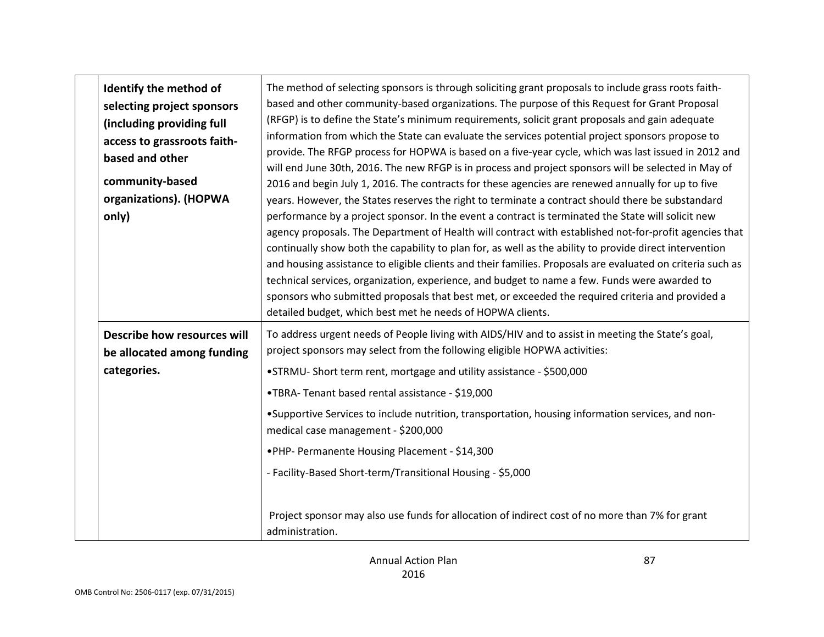| Identify the method of<br>selecting project sponsors<br>(including providing full<br>access to grassroots faith-<br>based and other<br>community-based<br>organizations). (HOPWA<br>only) | The method of selecting sponsors is through soliciting grant proposals to include grass roots faith-<br>based and other community-based organizations. The purpose of this Request for Grant Proposal<br>(RFGP) is to define the State's minimum requirements, solicit grant proposals and gain adequate<br>information from which the State can evaluate the services potential project sponsors propose to<br>provide. The RFGP process for HOPWA is based on a five-year cycle, which was last issued in 2012 and<br>will end June 30th, 2016. The new RFGP is in process and project sponsors will be selected in May of<br>2016 and begin July 1, 2016. The contracts for these agencies are renewed annually for up to five<br>years. However, the States reserves the right to terminate a contract should there be substandard<br>performance by a project sponsor. In the event a contract is terminated the State will solicit new<br>agency proposals. The Department of Health will contract with established not-for-profit agencies that<br>continually show both the capability to plan for, as well as the ability to provide direct intervention<br>and housing assistance to eligible clients and their families. Proposals are evaluated on criteria such as<br>technical services, organization, experience, and budget to name a few. Funds were awarded to<br>sponsors who submitted proposals that best met, or exceeded the required criteria and provided a<br>detailed budget, which best met he needs of HOPWA clients. |
|-------------------------------------------------------------------------------------------------------------------------------------------------------------------------------------------|----------------------------------------------------------------------------------------------------------------------------------------------------------------------------------------------------------------------------------------------------------------------------------------------------------------------------------------------------------------------------------------------------------------------------------------------------------------------------------------------------------------------------------------------------------------------------------------------------------------------------------------------------------------------------------------------------------------------------------------------------------------------------------------------------------------------------------------------------------------------------------------------------------------------------------------------------------------------------------------------------------------------------------------------------------------------------------------------------------------------------------------------------------------------------------------------------------------------------------------------------------------------------------------------------------------------------------------------------------------------------------------------------------------------------------------------------------------------------------------------------------------------------------------------------|
| Describe how resources will<br>be allocated among funding                                                                                                                                 | To address urgent needs of People living with AIDS/HIV and to assist in meeting the State's goal,<br>project sponsors may select from the following eligible HOPWA activities:                                                                                                                                                                                                                                                                                                                                                                                                                                                                                                                                                                                                                                                                                                                                                                                                                                                                                                                                                                                                                                                                                                                                                                                                                                                                                                                                                                     |
| categories.                                                                                                                                                                               | •STRMU-Short term rent, mortgage and utility assistance - \$500,000<br>•TBRA-Tenant based rental assistance - \$19,000                                                                                                                                                                                                                                                                                                                                                                                                                                                                                                                                                                                                                                                                                                                                                                                                                                                                                                                                                                                                                                                                                                                                                                                                                                                                                                                                                                                                                             |
|                                                                                                                                                                                           | •Supportive Services to include nutrition, transportation, housing information services, and non-<br>medical case management - \$200,000                                                                                                                                                                                                                                                                                                                                                                                                                                                                                                                                                                                                                                                                                                                                                                                                                                                                                                                                                                                                                                                                                                                                                                                                                                                                                                                                                                                                           |
|                                                                                                                                                                                           | .PHP- Permanente Housing Placement - \$14,300                                                                                                                                                                                                                                                                                                                                                                                                                                                                                                                                                                                                                                                                                                                                                                                                                                                                                                                                                                                                                                                                                                                                                                                                                                                                                                                                                                                                                                                                                                      |
|                                                                                                                                                                                           | - Facility-Based Short-term/Transitional Housing - \$5,000                                                                                                                                                                                                                                                                                                                                                                                                                                                                                                                                                                                                                                                                                                                                                                                                                                                                                                                                                                                                                                                                                                                                                                                                                                                                                                                                                                                                                                                                                         |
|                                                                                                                                                                                           | Project sponsor may also use funds for allocation of indirect cost of no more than 7% for grant<br>administration.                                                                                                                                                                                                                                                                                                                                                                                                                                                                                                                                                                                                                                                                                                                                                                                                                                                                                                                                                                                                                                                                                                                                                                                                                                                                                                                                                                                                                                 |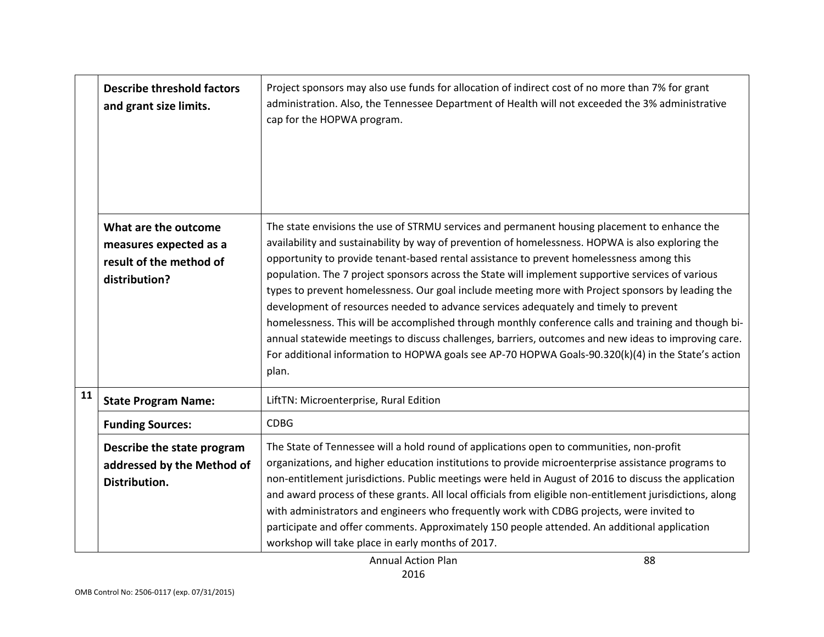|    | <b>Describe threshold factors</b><br>and grant size limits.                                | Project sponsors may also use funds for allocation of indirect cost of no more than 7% for grant<br>administration. Also, the Tennessee Department of Health will not exceeded the 3% administrative<br>cap for the HOPWA program.                                                                                                                                                                                                                                                                                                                                                                                                                                                                                                                                                                                                                                                                                             |
|----|--------------------------------------------------------------------------------------------|--------------------------------------------------------------------------------------------------------------------------------------------------------------------------------------------------------------------------------------------------------------------------------------------------------------------------------------------------------------------------------------------------------------------------------------------------------------------------------------------------------------------------------------------------------------------------------------------------------------------------------------------------------------------------------------------------------------------------------------------------------------------------------------------------------------------------------------------------------------------------------------------------------------------------------|
|    | What are the outcome<br>measures expected as a<br>result of the method of<br>distribution? | The state envisions the use of STRMU services and permanent housing placement to enhance the<br>availability and sustainability by way of prevention of homelessness. HOPWA is also exploring the<br>opportunity to provide tenant-based rental assistance to prevent homelessness among this<br>population. The 7 project sponsors across the State will implement supportive services of various<br>types to prevent homelessness. Our goal include meeting more with Project sponsors by leading the<br>development of resources needed to advance services adequately and timely to prevent<br>homelessness. This will be accomplished through monthly conference calls and training and though bi-<br>annual statewide meetings to discuss challenges, barriers, outcomes and new ideas to improving care.<br>For additional information to HOPWA goals see AP-70 HOPWA Goals-90.320(k)(4) in the State's action<br>plan. |
| 11 | <b>State Program Name:</b>                                                                 | LiftTN: Microenterprise, Rural Edition                                                                                                                                                                                                                                                                                                                                                                                                                                                                                                                                                                                                                                                                                                                                                                                                                                                                                         |
|    | <b>Funding Sources:</b>                                                                    | <b>CDBG</b>                                                                                                                                                                                                                                                                                                                                                                                                                                                                                                                                                                                                                                                                                                                                                                                                                                                                                                                    |
|    | Describe the state program<br>addressed by the Method of<br>Distribution.                  | The State of Tennessee will a hold round of applications open to communities, non-profit<br>organizations, and higher education institutions to provide microenterprise assistance programs to<br>non-entitlement jurisdictions. Public meetings were held in August of 2016 to discuss the application<br>and award process of these grants. All local officials from eligible non-entitlement jurisdictions, along<br>with administrators and engineers who frequently work with CDBG projects, were invited to<br>participate and offer comments. Approximately 150 people attended. An additional application<br>workshop will take place in early months of 2017.                                                                                                                                                                                                                                                         |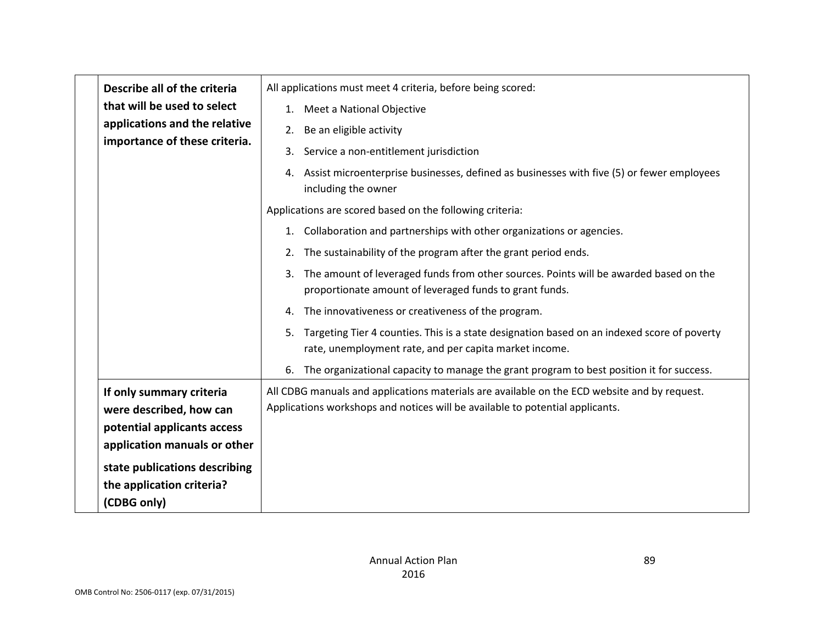| Describe all of the criteria                        | All applications must meet 4 criteria, before being scored:                                                                                                                   |
|-----------------------------------------------------|-------------------------------------------------------------------------------------------------------------------------------------------------------------------------------|
| that will be used to select                         | 1. Meet a National Objective                                                                                                                                                  |
| applications and the relative                       | 2. Be an eligible activity                                                                                                                                                    |
| importance of these criteria.                       | 3. Service a non-entitlement jurisdiction                                                                                                                                     |
|                                                     | 4. Assist microenterprise businesses, defined as businesses with five (5) or fewer employees<br>including the owner                                                           |
|                                                     | Applications are scored based on the following criteria:                                                                                                                      |
|                                                     | 1. Collaboration and partnerships with other organizations or agencies.                                                                                                       |
|                                                     | 2. The sustainability of the program after the grant period ends.                                                                                                             |
|                                                     | 3. The amount of leveraged funds from other sources. Points will be awarded based on the<br>proportionate amount of leveraged funds to grant funds.                           |
|                                                     | 4. The innovativeness or creativeness of the program.                                                                                                                         |
|                                                     | 5. Targeting Tier 4 counties. This is a state designation based on an indexed score of poverty<br>rate, unemployment rate, and per capita market income.                      |
|                                                     | 6. The organizational capacity to manage the grant program to best position it for success.                                                                                   |
| If only summary criteria<br>were described, how can | All CDBG manuals and applications materials are available on the ECD website and by request.<br>Applications workshops and notices will be available to potential applicants. |
| potential applicants access                         |                                                                                                                                                                               |
| application manuals or other                        |                                                                                                                                                                               |
| state publications describing                       |                                                                                                                                                                               |
| the application criteria?<br>(CDBG only)            |                                                                                                                                                                               |
|                                                     |                                                                                                                                                                               |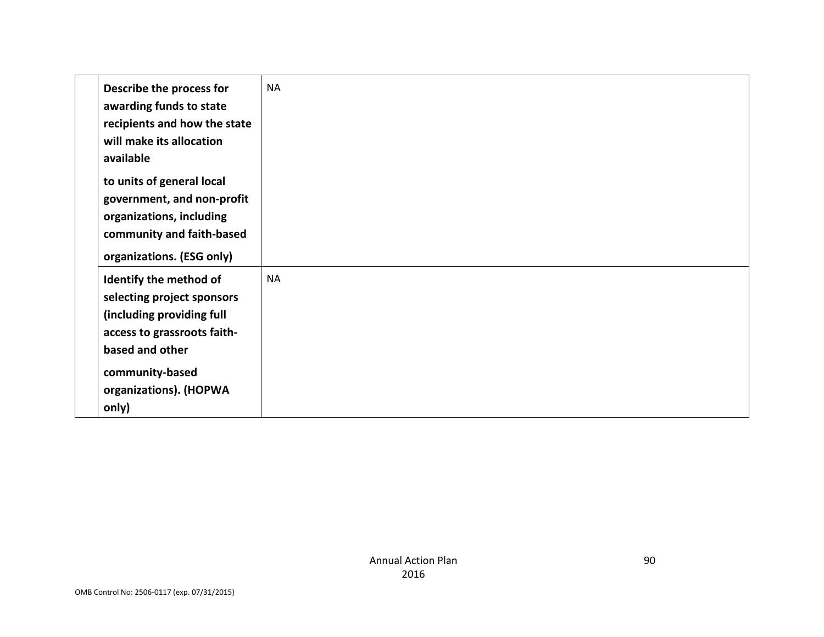| Describe the process for<br>awarding funds to state<br>recipients and how the state<br>will make its allocation<br>available                                                              | <b>NA</b> |
|-------------------------------------------------------------------------------------------------------------------------------------------------------------------------------------------|-----------|
| to units of general local<br>government, and non-profit<br>organizations, including<br>community and faith-based<br>organizations. (ESG only)                                             |           |
| Identify the method of<br>selecting project sponsors<br>(including providing full<br>access to grassroots faith-<br>based and other<br>community-based<br>organizations). (HOPWA<br>only) | <b>NA</b> |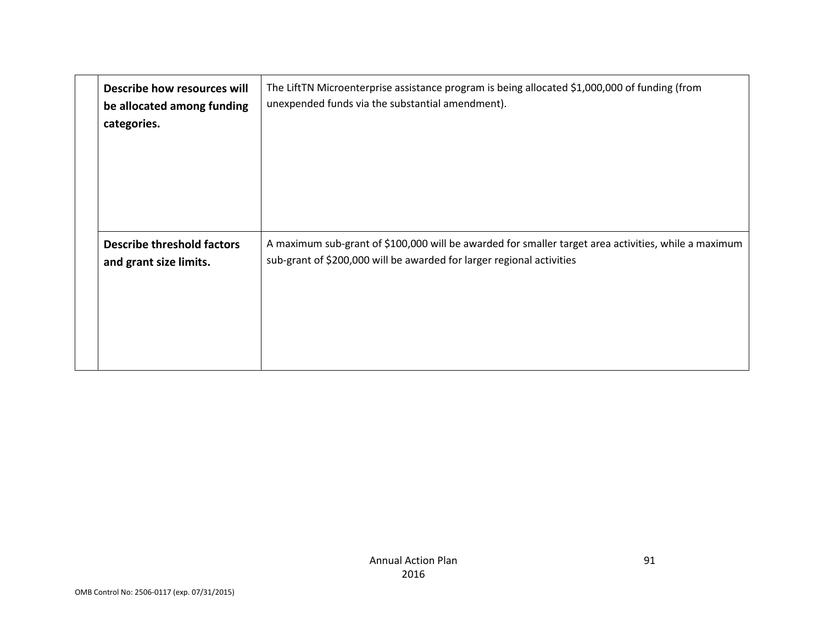| Describe how resources will<br>be allocated among funding<br>categories. | The LiftTN Microenterprise assistance program is being allocated \$1,000,000 of funding (from<br>unexpended funds via the substantial amendment).                             |
|--------------------------------------------------------------------------|-------------------------------------------------------------------------------------------------------------------------------------------------------------------------------|
| <b>Describe threshold factors</b><br>and grant size limits.              | A maximum sub-grant of \$100,000 will be awarded for smaller target area activities, while a maximum<br>sub-grant of \$200,000 will be awarded for larger regional activities |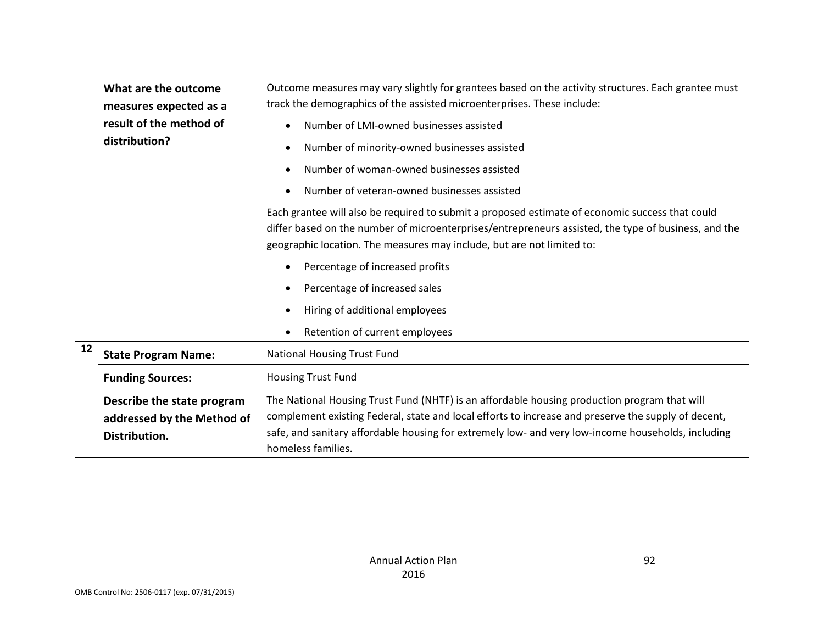|    | What are the outcome<br>measures expected as a<br>result of the method of<br>distribution? | Outcome measures may vary slightly for grantees based on the activity structures. Each grantee must<br>track the demographics of the assisted microenterprises. These include:<br>Number of LMI-owned businesses assisted<br>$\bullet$<br>Number of minority-owned businesses assisted<br>$\bullet$<br>Number of woman-owned businesses assisted<br>$\bullet$<br>Number of veteran-owned businesses assisted<br>$\bullet$<br>Each grantee will also be required to submit a proposed estimate of economic success that could<br>differ based on the number of microenterprises/entrepreneurs assisted, the type of business, and the<br>geographic location. The measures may include, but are not limited to:<br>Percentage of increased profits<br>$\bullet$<br>Percentage of increased sales<br>$\bullet$<br>Hiring of additional employees<br>$\bullet$<br>Retention of current employees<br>$\bullet$ |
|----|--------------------------------------------------------------------------------------------|------------------------------------------------------------------------------------------------------------------------------------------------------------------------------------------------------------------------------------------------------------------------------------------------------------------------------------------------------------------------------------------------------------------------------------------------------------------------------------------------------------------------------------------------------------------------------------------------------------------------------------------------------------------------------------------------------------------------------------------------------------------------------------------------------------------------------------------------------------------------------------------------------------|
| 12 | <b>State Program Name:</b>                                                                 | National Housing Trust Fund                                                                                                                                                                                                                                                                                                                                                                                                                                                                                                                                                                                                                                                                                                                                                                                                                                                                                |
|    | <b>Funding Sources:</b>                                                                    | Housing Trust Fund                                                                                                                                                                                                                                                                                                                                                                                                                                                                                                                                                                                                                                                                                                                                                                                                                                                                                         |
|    | Describe the state program<br>addressed by the Method of<br>Distribution.                  | The National Housing Trust Fund (NHTF) is an affordable housing production program that will<br>complement existing Federal, state and local efforts to increase and preserve the supply of decent,<br>safe, and sanitary affordable housing for extremely low- and very low-income households, including<br>homeless families.                                                                                                                                                                                                                                                                                                                                                                                                                                                                                                                                                                            |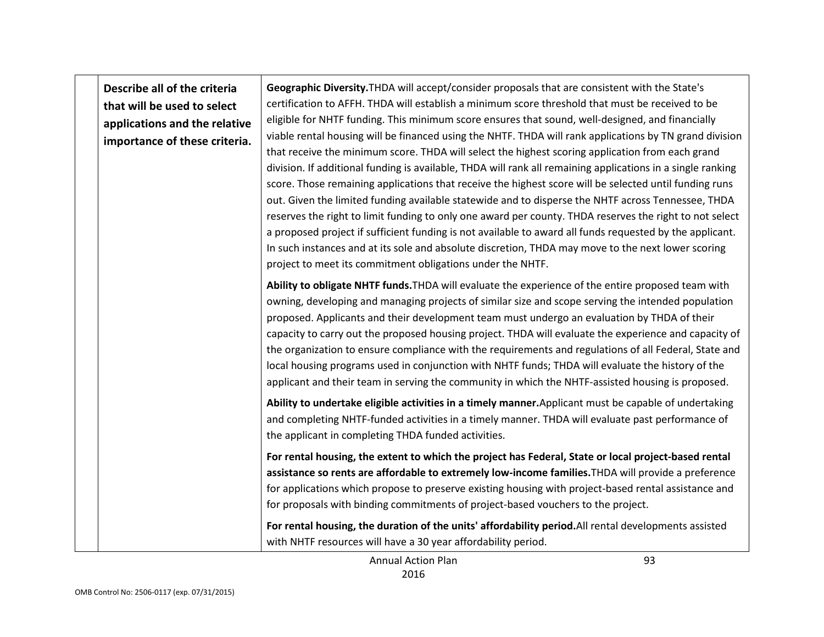| Describe all of the criteria<br>that will be used to select<br>applications and the relative<br>importance of these criteria. | Geographic Diversity. THDA will accept/consider proposals that are consistent with the State's<br>certification to AFFH. THDA will establish a minimum score threshold that must be received to be<br>eligible for NHTF funding. This minimum score ensures that sound, well-designed, and financially<br>viable rental housing will be financed using the NHTF. THDA will rank applications by TN grand division<br>that receive the minimum score. THDA will select the highest scoring application from each grand<br>division. If additional funding is available, THDA will rank all remaining applications in a single ranking<br>score. Those remaining applications that receive the highest score will be selected until funding runs<br>out. Given the limited funding available statewide and to disperse the NHTF across Tennessee, THDA<br>reserves the right to limit funding to only one award per county. THDA reserves the right to not select<br>a proposed project if sufficient funding is not available to award all funds requested by the applicant.<br>In such instances and at its sole and absolute discretion, THDA may move to the next lower scoring<br>project to meet its commitment obligations under the NHTF. |
|-------------------------------------------------------------------------------------------------------------------------------|-------------------------------------------------------------------------------------------------------------------------------------------------------------------------------------------------------------------------------------------------------------------------------------------------------------------------------------------------------------------------------------------------------------------------------------------------------------------------------------------------------------------------------------------------------------------------------------------------------------------------------------------------------------------------------------------------------------------------------------------------------------------------------------------------------------------------------------------------------------------------------------------------------------------------------------------------------------------------------------------------------------------------------------------------------------------------------------------------------------------------------------------------------------------------------------------------------------------------------------------------|
|                                                                                                                               | Ability to obligate NHTF funds. THDA will evaluate the experience of the entire proposed team with<br>owning, developing and managing projects of similar size and scope serving the intended population<br>proposed. Applicants and their development team must undergo an evaluation by THDA of their<br>capacity to carry out the proposed housing project. THDA will evaluate the experience and capacity of<br>the organization to ensure compliance with the requirements and regulations of all Federal, State and<br>local housing programs used in conjunction with NHTF funds; THDA will evaluate the history of the<br>applicant and their team in serving the community in which the NHTF-assisted housing is proposed.                                                                                                                                                                                                                                                                                                                                                                                                                                                                                                             |
|                                                                                                                               | Ability to undertake eligible activities in a timely manner. Applicant must be capable of undertaking<br>and completing NHTF-funded activities in a timely manner. THDA will evaluate past performance of<br>the applicant in completing THDA funded activities.                                                                                                                                                                                                                                                                                                                                                                                                                                                                                                                                                                                                                                                                                                                                                                                                                                                                                                                                                                                |
|                                                                                                                               | For rental housing, the extent to which the project has Federal, State or local project-based rental<br>assistance so rents are affordable to extremely low-income families. THDA will provide a preference<br>for applications which propose to preserve existing housing with project-based rental assistance and<br>for proposals with binding commitments of project-based vouchers to the project.                                                                                                                                                                                                                                                                                                                                                                                                                                                                                                                                                                                                                                                                                                                                                                                                                                         |
|                                                                                                                               | For rental housing, the duration of the units' affordability period. All rental developments assisted<br>with NHTF resources will have a 30 year affordability period.                                                                                                                                                                                                                                                                                                                                                                                                                                                                                                                                                                                                                                                                                                                                                                                                                                                                                                                                                                                                                                                                          |

┯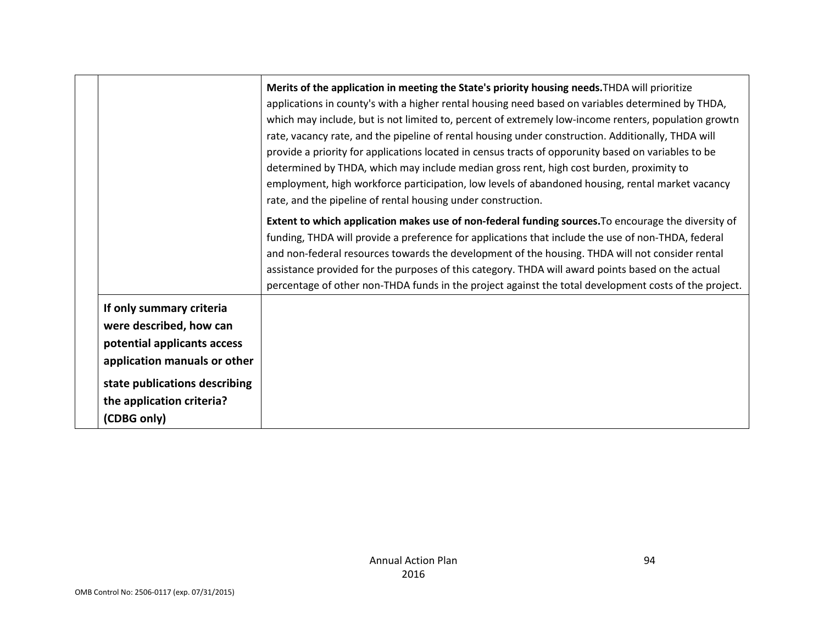|                                                                                                                                                                                                 | Merits of the application in meeting the State's priority housing needs. THDA will prioritize<br>applications in county's with a higher rental housing need based on variables determined by THDA,<br>which may include, but is not limited to, percent of extremely low-income renters, population growtn<br>rate, vacancy rate, and the pipeline of rental housing under construction. Additionally, THDA will<br>provide a priority for applications located in census tracts of opporunity based on variables to be<br>determined by THDA, which may include median gross rent, high cost burden, proximity to<br>employment, high workforce participation, low levels of abandoned housing, rental market vacancy<br>rate, and the pipeline of rental housing under construction. |
|-------------------------------------------------------------------------------------------------------------------------------------------------------------------------------------------------|----------------------------------------------------------------------------------------------------------------------------------------------------------------------------------------------------------------------------------------------------------------------------------------------------------------------------------------------------------------------------------------------------------------------------------------------------------------------------------------------------------------------------------------------------------------------------------------------------------------------------------------------------------------------------------------------------------------------------------------------------------------------------------------|
|                                                                                                                                                                                                 | Extent to which application makes use of non-federal funding sources. To encourage the diversity of<br>funding, THDA will provide a preference for applications that include the use of non-THDA, federal<br>and non-federal resources towards the development of the housing. THDA will not consider rental<br>assistance provided for the purposes of this category. THDA will award points based on the actual<br>percentage of other non-THDA funds in the project against the total development costs of the project.                                                                                                                                                                                                                                                             |
| If only summary criteria<br>were described, how can<br>potential applicants access<br>application manuals or other<br>state publications describing<br>the application criteria?<br>(CDBG only) |                                                                                                                                                                                                                                                                                                                                                                                                                                                                                                                                                                                                                                                                                                                                                                                        |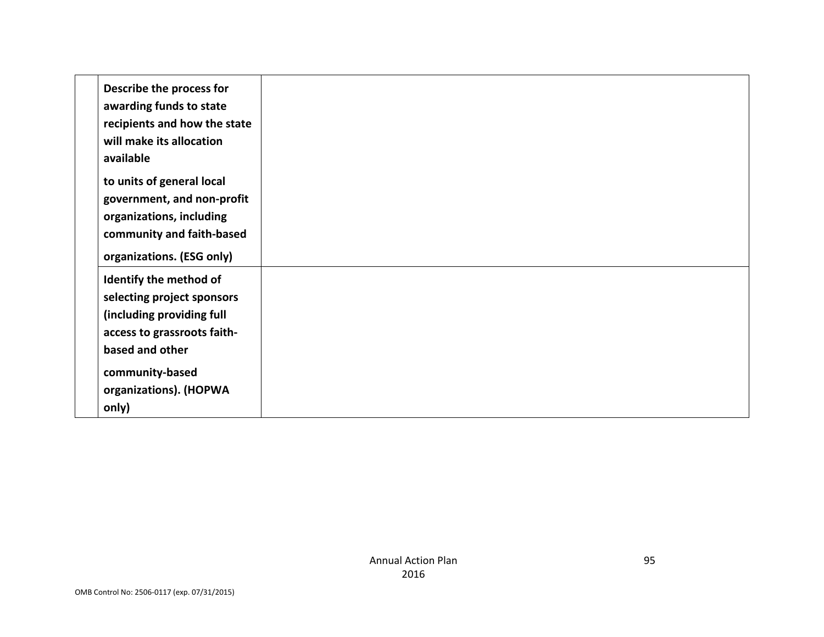| Describe the process for     |  |
|------------------------------|--|
| awarding funds to state      |  |
| recipients and how the state |  |
| will make its allocation     |  |
|                              |  |
| available                    |  |
| to units of general local    |  |
| government, and non-profit   |  |
| organizations, including     |  |
| community and faith-based    |  |
|                              |  |
| organizations. (ESG only)    |  |
| Identify the method of       |  |
| selecting project sponsors   |  |
| (including providing full    |  |
| access to grassroots faith-  |  |
|                              |  |
| based and other              |  |
| community-based              |  |
| organizations). (HOPWA       |  |
| only)                        |  |
|                              |  |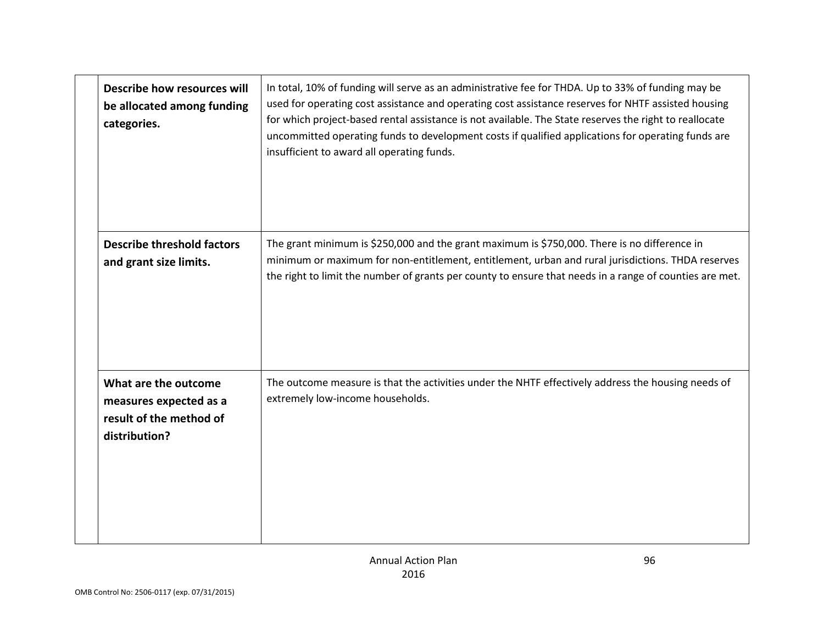| Describe how resources will<br>be allocated among funding<br>categories.                   | In total, 10% of funding will serve as an administrative fee for THDA. Up to 33% of funding may be<br>used for operating cost assistance and operating cost assistance reserves for NHTF assisted housing<br>for which project-based rental assistance is not available. The State reserves the right to reallocate<br>uncommitted operating funds to development costs if qualified applications for operating funds are<br>insufficient to award all operating funds. |
|--------------------------------------------------------------------------------------------|-------------------------------------------------------------------------------------------------------------------------------------------------------------------------------------------------------------------------------------------------------------------------------------------------------------------------------------------------------------------------------------------------------------------------------------------------------------------------|
| <b>Describe threshold factors</b><br>and grant size limits.                                | The grant minimum is \$250,000 and the grant maximum is \$750,000. There is no difference in<br>minimum or maximum for non-entitlement, entitlement, urban and rural jurisdictions. THDA reserves<br>the right to limit the number of grants per county to ensure that needs in a range of counties are met.                                                                                                                                                            |
| What are the outcome<br>measures expected as a<br>result of the method of<br>distribution? | The outcome measure is that the activities under the NHTF effectively address the housing needs of<br>extremely low-income households.                                                                                                                                                                                                                                                                                                                                  |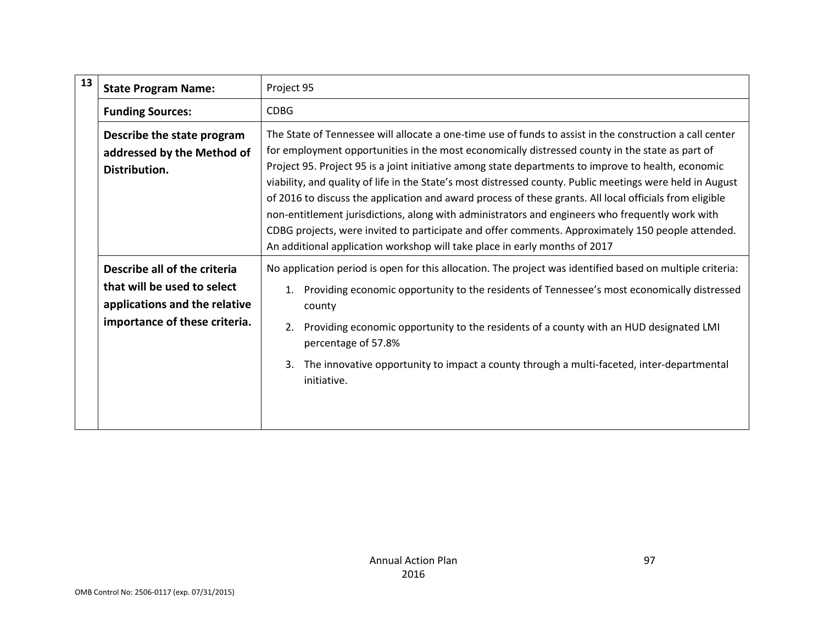| 13 | <b>State Program Name:</b>                                                                                                    | Project 95                                                                                                                                                                                                                                                                                                                                                                                                                                                                                                                                                                                                                                                                                                                                                                                                                       |
|----|-------------------------------------------------------------------------------------------------------------------------------|----------------------------------------------------------------------------------------------------------------------------------------------------------------------------------------------------------------------------------------------------------------------------------------------------------------------------------------------------------------------------------------------------------------------------------------------------------------------------------------------------------------------------------------------------------------------------------------------------------------------------------------------------------------------------------------------------------------------------------------------------------------------------------------------------------------------------------|
|    | <b>Funding Sources:</b>                                                                                                       | <b>CDBG</b>                                                                                                                                                                                                                                                                                                                                                                                                                                                                                                                                                                                                                                                                                                                                                                                                                      |
|    | Describe the state program<br>addressed by the Method of<br>Distribution.                                                     | The State of Tennessee will allocate a one-time use of funds to assist in the construction a call center<br>for employment opportunities in the most economically distressed county in the state as part of<br>Project 95. Project 95 is a joint initiative among state departments to improve to health, economic<br>viability, and quality of life in the State's most distressed county. Public meetings were held in August<br>of 2016 to discuss the application and award process of these grants. All local officials from eligible<br>non-entitlement jurisdictions, along with administrators and engineers who frequently work with<br>CDBG projects, were invited to participate and offer comments. Approximately 150 people attended.<br>An additional application workshop will take place in early months of 2017 |
|    | Describe all of the criteria<br>that will be used to select<br>applications and the relative<br>importance of these criteria. | No application period is open for this allocation. The project was identified based on multiple criteria:<br>Providing economic opportunity to the residents of Tennessee's most economically distressed<br>1.<br>county<br>Providing economic opportunity to the residents of a county with an HUD designated LMI<br>2.<br>percentage of 57.8%<br>The innovative opportunity to impact a county through a multi-faceted, inter-departmental<br>3.<br>initiative.                                                                                                                                                                                                                                                                                                                                                                |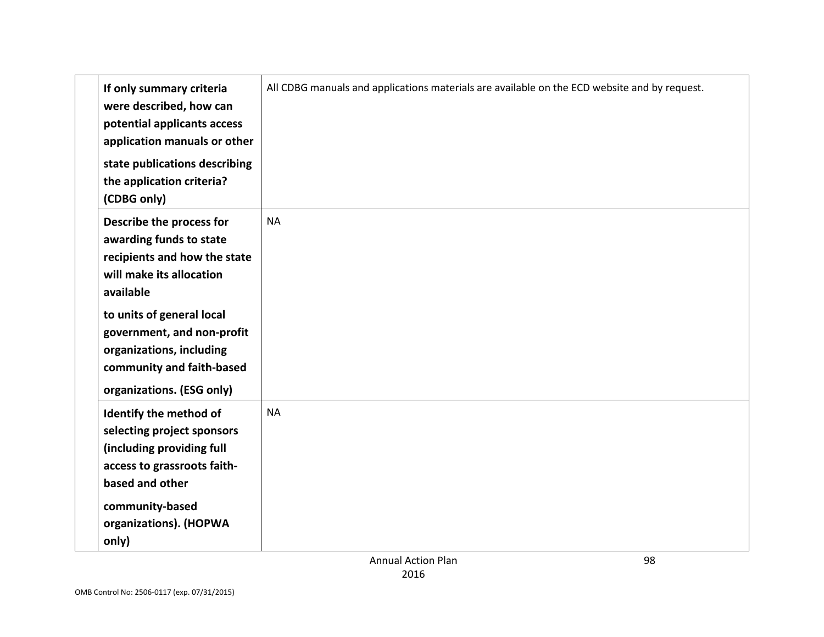| If only summary criteria<br>were described, how can<br>potential applicants access<br>application manuals or other<br>state publications describing<br>the application criteria?<br>(CDBG only) | All CDBG manuals and applications materials are available on the ECD website and by request. |    |
|-------------------------------------------------------------------------------------------------------------------------------------------------------------------------------------------------|----------------------------------------------------------------------------------------------|----|
| Describe the process for<br>awarding funds to state<br>recipients and how the state<br>will make its allocation<br>available<br>to units of general local                                       | <b>NA</b>                                                                                    |    |
| government, and non-profit<br>organizations, including<br>community and faith-based<br>organizations. (ESG only)                                                                                |                                                                                              |    |
| Identify the method of<br>selecting project sponsors<br>(including providing full<br>access to grassroots faith-<br>based and other                                                             | <b>NA</b>                                                                                    |    |
| community-based<br>organizations). (HOPWA<br>only)                                                                                                                                              | <b>Annual Action Plan</b>                                                                    | 98 |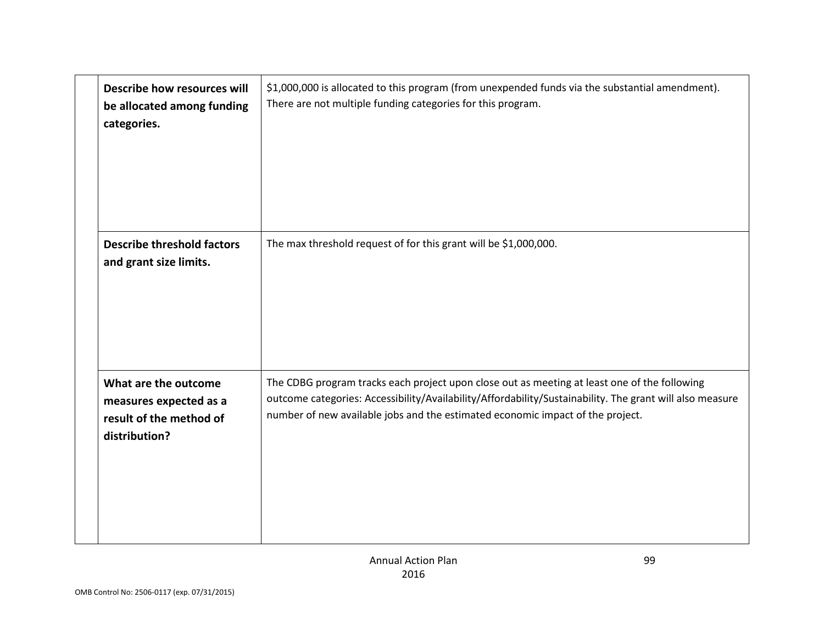| Describe how resources will<br>be allocated among funding<br>categories.                   | \$1,000,000 is allocated to this program (from unexpended funds via the substantial amendment).<br>There are not multiple funding categories for this program.                                                                                                                             |
|--------------------------------------------------------------------------------------------|--------------------------------------------------------------------------------------------------------------------------------------------------------------------------------------------------------------------------------------------------------------------------------------------|
| <b>Describe threshold factors</b><br>and grant size limits.                                | The max threshold request of for this grant will be \$1,000,000.                                                                                                                                                                                                                           |
| What are the outcome<br>measures expected as a<br>result of the method of<br>distribution? | The CDBG program tracks each project upon close out as meeting at least one of the following<br>outcome categories: Accessibility/Availability/Affordability/Sustainability. The grant will also measure<br>number of new available jobs and the estimated economic impact of the project. |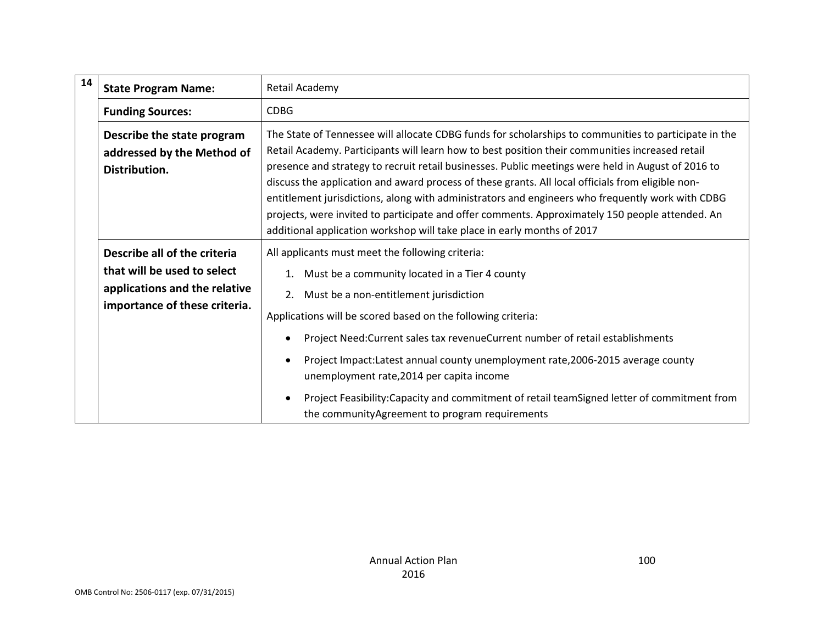| 14 | <b>State Program Name:</b>                                                                                                    | Retail Academy                                                                                                                                                                                                                                                                                                                                                                                                                                                                                                                                                                                                                                                                                        |
|----|-------------------------------------------------------------------------------------------------------------------------------|-------------------------------------------------------------------------------------------------------------------------------------------------------------------------------------------------------------------------------------------------------------------------------------------------------------------------------------------------------------------------------------------------------------------------------------------------------------------------------------------------------------------------------------------------------------------------------------------------------------------------------------------------------------------------------------------------------|
|    | <b>Funding Sources:</b>                                                                                                       | <b>CDBG</b>                                                                                                                                                                                                                                                                                                                                                                                                                                                                                                                                                                                                                                                                                           |
|    | Describe the state program<br>addressed by the Method of<br>Distribution.                                                     | The State of Tennessee will allocate CDBG funds for scholarships to communities to participate in the<br>Retail Academy. Participants will learn how to best position their communities increased retail<br>presence and strategy to recruit retail businesses. Public meetings were held in August of 2016 to<br>discuss the application and award process of these grants. All local officials from eligible non-<br>entitlement jurisdictions, along with administrators and engineers who frequently work with CDBG<br>projects, were invited to participate and offer comments. Approximately 150 people attended. An<br>additional application workshop will take place in early months of 2017 |
|    | Describe all of the criteria<br>that will be used to select<br>applications and the relative<br>importance of these criteria. | All applicants must meet the following criteria:<br>Must be a community located in a Tier 4 county<br>1.<br>Must be a non-entitlement jurisdiction<br>2.<br>Applications will be scored based on the following criteria:<br>Project Need: Current sales tax revenue Current number of retail establishments<br>Project Impact:Latest annual county unemployment rate, 2006-2015 average county<br>unemployment rate, 2014 per capita income<br>Project Feasibility:Capacity and commitment of retail teamSigned letter of commitment from<br>the community Agreement to program requirements                                                                                                          |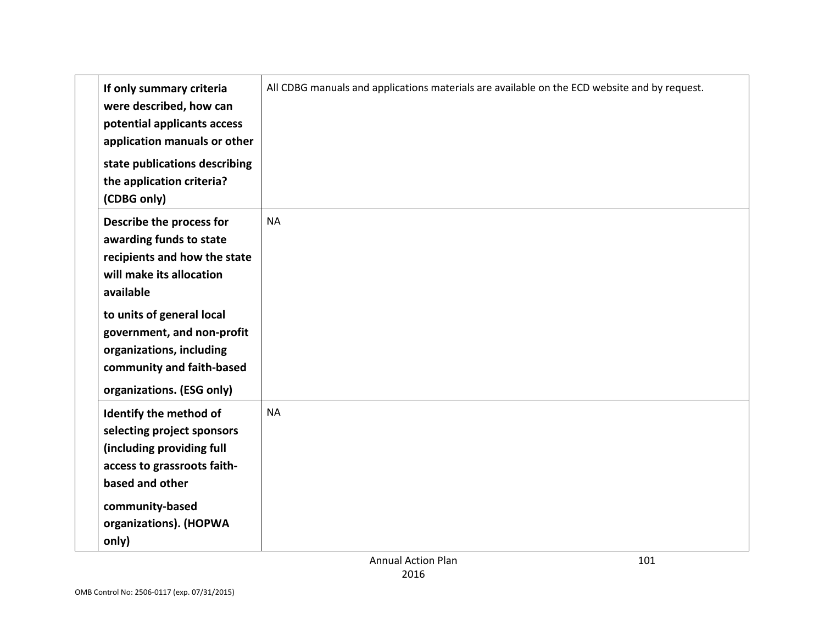| If only summary criteria<br>were described, how can<br>potential applicants access<br>application manuals or other<br>state publications describing<br>the application criteria?<br>(CDBG only) | All CDBG manuals and applications materials are available on the ECD website and by request. |  |
|-------------------------------------------------------------------------------------------------------------------------------------------------------------------------------------------------|----------------------------------------------------------------------------------------------|--|
| Describe the process for<br>awarding funds to state<br>recipients and how the state<br>will make its allocation<br>available<br>to units of general local<br>government, and non-profit         | <b>NA</b>                                                                                    |  |
| organizations, including<br>community and faith-based<br>organizations. (ESG only)                                                                                                              |                                                                                              |  |
| Identify the method of<br>selecting project sponsors<br>(including providing full<br>access to grassroots faith-<br>based and other                                                             | <b>NA</b>                                                                                    |  |
| community-based<br>organizations). (HOPWA<br>only)                                                                                                                                              | <b>Annual Action Plan</b><br>101                                                             |  |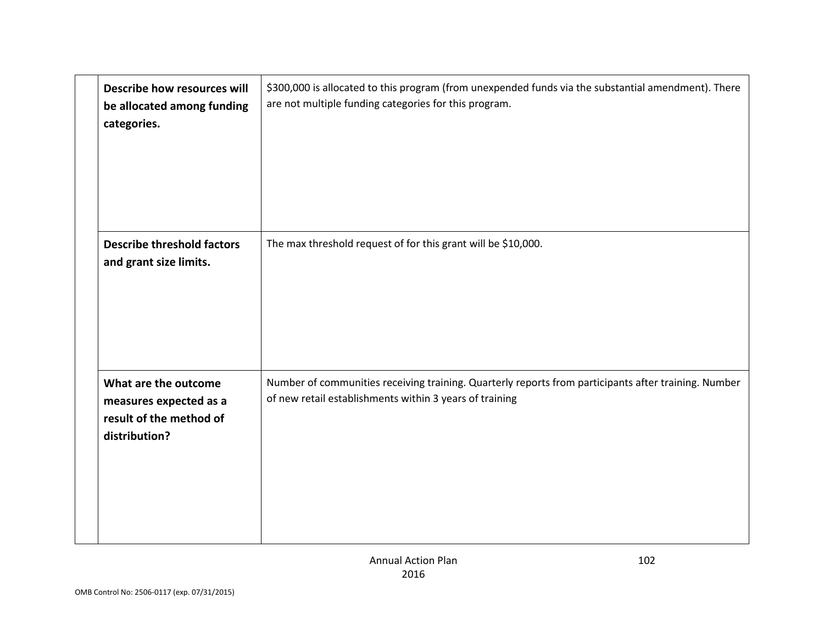| Describe how resources will<br>be allocated among funding<br>categories.                   | \$300,000 is allocated to this program (from unexpended funds via the substantial amendment). There<br>are not multiple funding categories for this program.    |
|--------------------------------------------------------------------------------------------|-----------------------------------------------------------------------------------------------------------------------------------------------------------------|
| <b>Describe threshold factors</b><br>and grant size limits.                                | The max threshold request of for this grant will be \$10,000.                                                                                                   |
| What are the outcome<br>measures expected as a<br>result of the method of<br>distribution? | Number of communities receiving training. Quarterly reports from participants after training. Number<br>of new retail establishments within 3 years of training |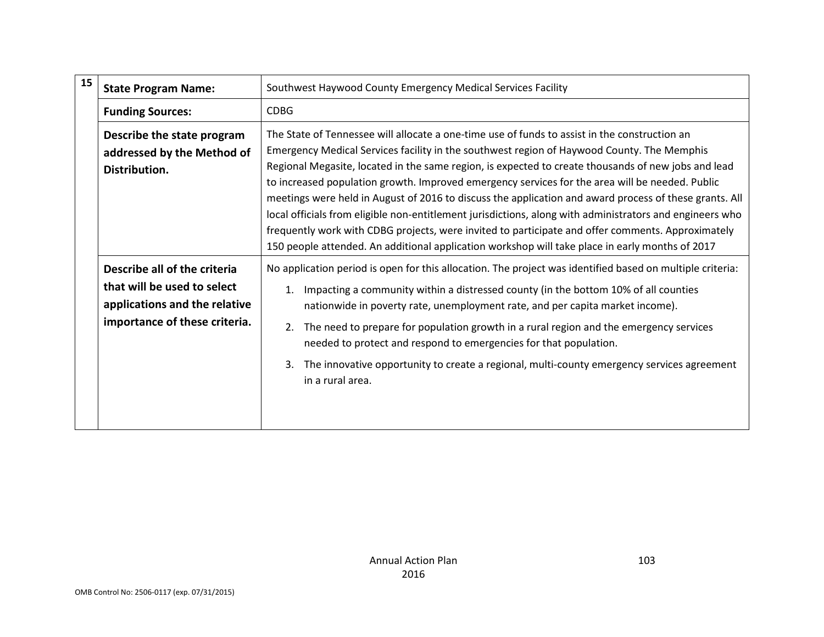| 15 | <b>State Program Name:</b>                                                                                                    | Southwest Haywood County Emergency Medical Services Facility                                                                                                                                                                                                                                                                                                                                                                                                                                                                                                                                                                                                                                                                                                                                                                        |
|----|-------------------------------------------------------------------------------------------------------------------------------|-------------------------------------------------------------------------------------------------------------------------------------------------------------------------------------------------------------------------------------------------------------------------------------------------------------------------------------------------------------------------------------------------------------------------------------------------------------------------------------------------------------------------------------------------------------------------------------------------------------------------------------------------------------------------------------------------------------------------------------------------------------------------------------------------------------------------------------|
|    | <b>Funding Sources:</b>                                                                                                       | <b>CDBG</b>                                                                                                                                                                                                                                                                                                                                                                                                                                                                                                                                                                                                                                                                                                                                                                                                                         |
|    | Describe the state program<br>addressed by the Method of<br>Distribution.                                                     | The State of Tennessee will allocate a one-time use of funds to assist in the construction an<br>Emergency Medical Services facility in the southwest region of Haywood County. The Memphis<br>Regional Megasite, located in the same region, is expected to create thousands of new jobs and lead<br>to increased population growth. Improved emergency services for the area will be needed. Public<br>meetings were held in August of 2016 to discuss the application and award process of these grants. All<br>local officials from eligible non-entitlement jurisdictions, along with administrators and engineers who<br>frequently work with CDBG projects, were invited to participate and offer comments. Approximately<br>150 people attended. An additional application workshop will take place in early months of 2017 |
|    | Describe all of the criteria<br>that will be used to select<br>applications and the relative<br>importance of these criteria. | No application period is open for this allocation. The project was identified based on multiple criteria:<br>Impacting a community within a distressed county (in the bottom 10% of all counties<br>1.<br>nationwide in poverty rate, unemployment rate, and per capita market income).<br>The need to prepare for population growth in a rural region and the emergency services<br>2.<br>needed to protect and respond to emergencies for that population.<br>The innovative opportunity to create a regional, multi-county emergency services agreement<br>3.<br>in a rural area.                                                                                                                                                                                                                                                |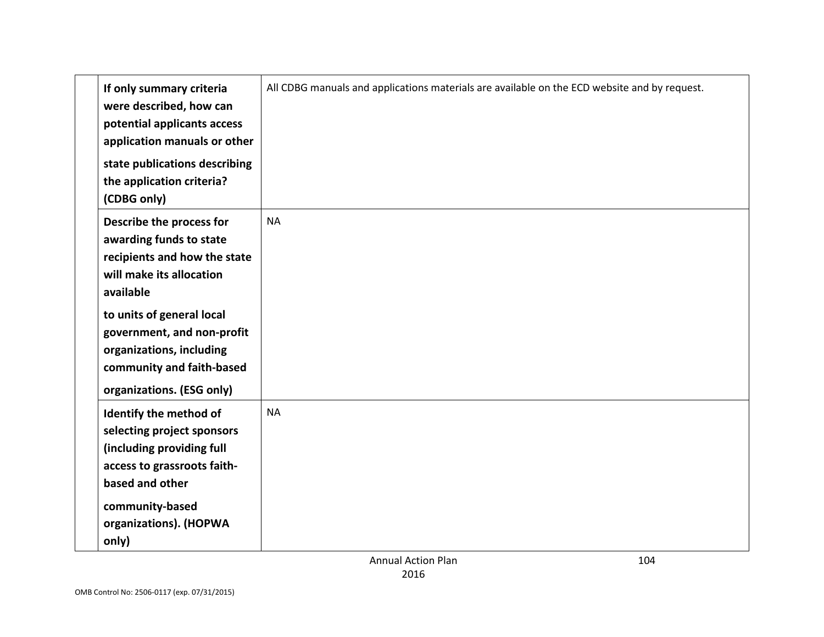| If only summary criteria<br>were described, how can<br>potential applicants access<br>application manuals or other<br>state publications describing<br>the application criteria?<br>(CDBG only)                     | All CDBG manuals and applications materials are available on the ECD website and by request. |  |
|---------------------------------------------------------------------------------------------------------------------------------------------------------------------------------------------------------------------|----------------------------------------------------------------------------------------------|--|
| Describe the process for<br>awarding funds to state<br>recipients and how the state<br>will make its allocation<br>available<br>to units of general local<br>government, and non-profit<br>organizations, including | <b>NA</b>                                                                                    |  |
| community and faith-based<br>organizations. (ESG only)                                                                                                                                                              |                                                                                              |  |
| Identify the method of<br>selecting project sponsors<br>(including providing full<br>access to grassroots faith-<br>based and other                                                                                 | <b>NA</b>                                                                                    |  |
| community-based<br>organizations). (HOPWA<br>only)                                                                                                                                                                  |                                                                                              |  |
|                                                                                                                                                                                                                     | <b>Annual Action Plan</b><br>104                                                             |  |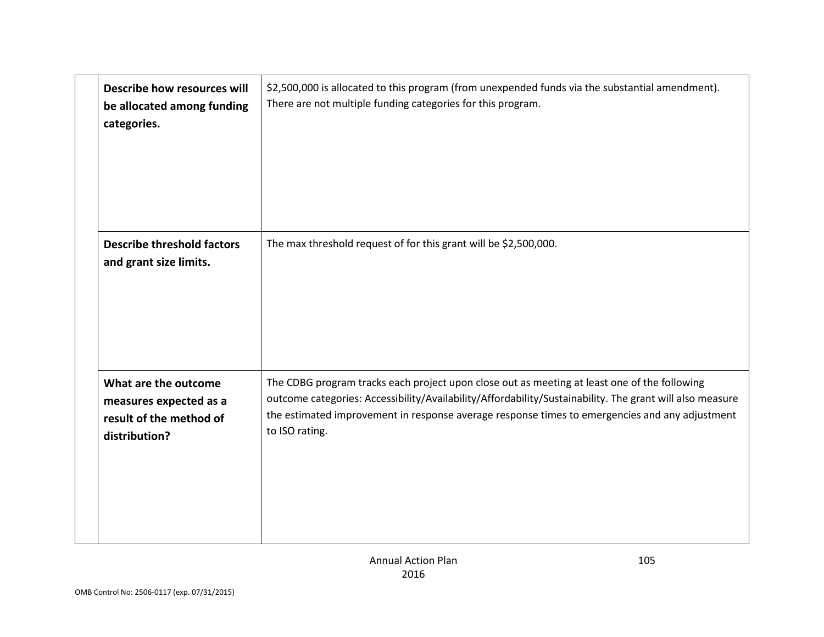| Describe how resources will<br>be allocated among funding<br>categories.                   | \$2,500,000 is allocated to this program (from unexpended funds via the substantial amendment).<br>There are not multiple funding categories for this program.                                                                                                                                                               |
|--------------------------------------------------------------------------------------------|------------------------------------------------------------------------------------------------------------------------------------------------------------------------------------------------------------------------------------------------------------------------------------------------------------------------------|
| <b>Describe threshold factors</b><br>and grant size limits.                                | The max threshold request of for this grant will be \$2,500,000.                                                                                                                                                                                                                                                             |
| What are the outcome<br>measures expected as a<br>result of the method of<br>distribution? | The CDBG program tracks each project upon close out as meeting at least one of the following<br>outcome categories: Accessibility/Availability/Affordability/Sustainability. The grant will also measure<br>the estimated improvement in response average response times to emergencies and any adjustment<br>to ISO rating. |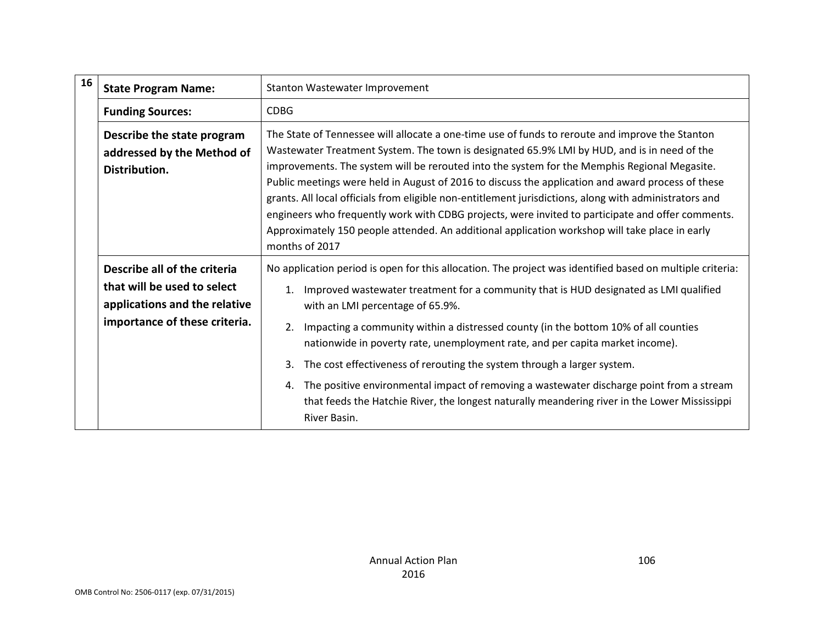| 16 | <b>State Program Name:</b>                                                                                                    | Stanton Wastewater Improvement                                                                                                                                                                                                                                                                                                                                                                                                                                                                                                                                                                                                                                                                                                         |
|----|-------------------------------------------------------------------------------------------------------------------------------|----------------------------------------------------------------------------------------------------------------------------------------------------------------------------------------------------------------------------------------------------------------------------------------------------------------------------------------------------------------------------------------------------------------------------------------------------------------------------------------------------------------------------------------------------------------------------------------------------------------------------------------------------------------------------------------------------------------------------------------|
|    | <b>Funding Sources:</b>                                                                                                       | <b>CDBG</b>                                                                                                                                                                                                                                                                                                                                                                                                                                                                                                                                                                                                                                                                                                                            |
|    | Describe the state program<br>addressed by the Method of<br>Distribution.                                                     | The State of Tennessee will allocate a one-time use of funds to reroute and improve the Stanton<br>Wastewater Treatment System. The town is designated 65.9% LMI by HUD, and is in need of the<br>improvements. The system will be rerouted into the system for the Memphis Regional Megasite.<br>Public meetings were held in August of 2016 to discuss the application and award process of these<br>grants. All local officials from eligible non-entitlement jurisdictions, along with administrators and<br>engineers who frequently work with CDBG projects, were invited to participate and offer comments.<br>Approximately 150 people attended. An additional application workshop will take place in early<br>months of 2017 |
|    | Describe all of the criteria<br>that will be used to select<br>applications and the relative<br>importance of these criteria. | No application period is open for this allocation. The project was identified based on multiple criteria:<br>Improved wastewater treatment for a community that is HUD designated as LMI qualified<br>1.<br>with an LMI percentage of 65.9%.<br>Impacting a community within a distressed county (in the bottom 10% of all counties<br>2.<br>nationwide in poverty rate, unemployment rate, and per capita market income).<br>The cost effectiveness of rerouting the system through a larger system.<br>3.<br>The positive environmental impact of removing a wastewater discharge point from a stream<br>4.<br>that feeds the Hatchie River, the longest naturally meandering river in the Lower Mississippi<br>River Basin.         |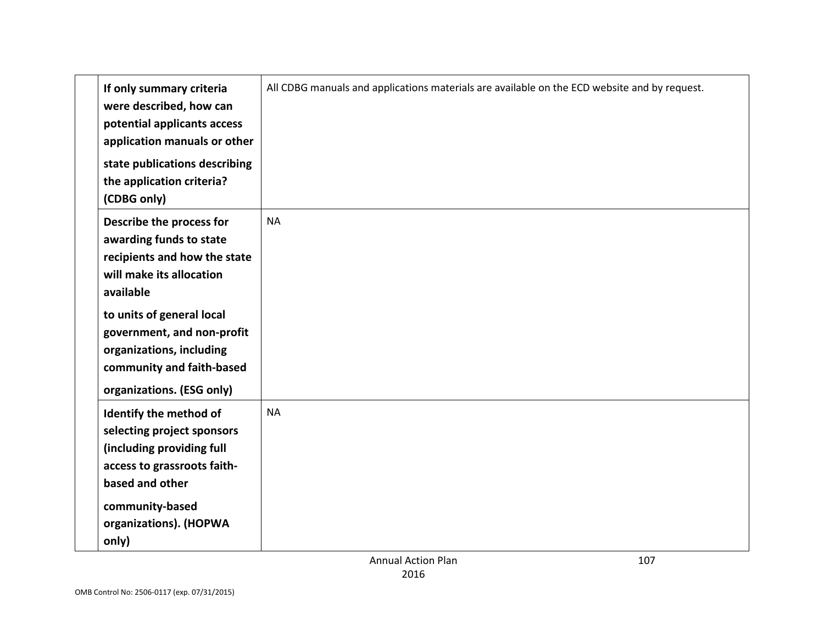| If only summary criteria<br>were described, how can<br>potential applicants access<br>application manuals or other<br>state publications describing<br>the application criteria?<br>(CDBG only) | All CDBG manuals and applications materials are available on the ECD website and by request. |  |
|-------------------------------------------------------------------------------------------------------------------------------------------------------------------------------------------------|----------------------------------------------------------------------------------------------|--|
| Describe the process for<br>awarding funds to state<br>recipients and how the state<br>will make its allocation<br>available<br>to units of general local<br>government, and non-profit         | <b>NA</b>                                                                                    |  |
| organizations, including<br>community and faith-based<br>organizations. (ESG only)                                                                                                              |                                                                                              |  |
| Identify the method of<br>selecting project sponsors<br>(including providing full<br>access to grassroots faith-<br>based and other                                                             | <b>NA</b>                                                                                    |  |
| community-based<br>organizations). (HOPWA<br>only)                                                                                                                                              | <b>Annual Action Plan</b><br>107                                                             |  |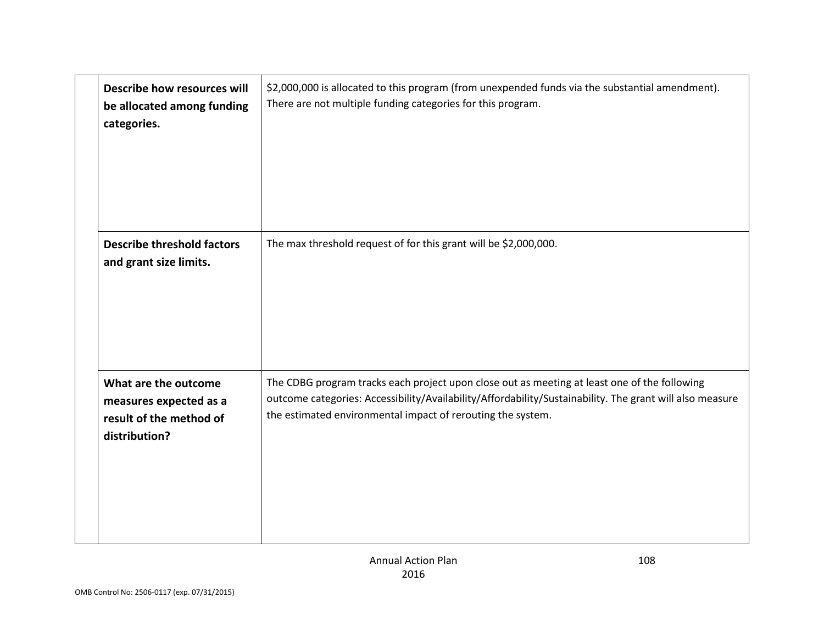| Describe how resources will<br>be allocated among funding<br>categories.                   | \$2,000,000 is allocated to this program (from unexpended funds via the substantial amendment).<br>There are not multiple funding categories for this program.                                                                                                          |
|--------------------------------------------------------------------------------------------|-------------------------------------------------------------------------------------------------------------------------------------------------------------------------------------------------------------------------------------------------------------------------|
| <b>Describe threshold factors</b><br>and grant size limits.                                | The max threshold request of for this grant will be \$2,000,000.                                                                                                                                                                                                        |
| What are the outcome<br>measures expected as a<br>result of the method of<br>distribution? | The CDBG program tracks each project upon close out as meeting at least one of the following<br>outcome categories: Accessibility/Availability/Affordability/Sustainability. The grant will also measure<br>the estimated environmental impact of rerouting the system. |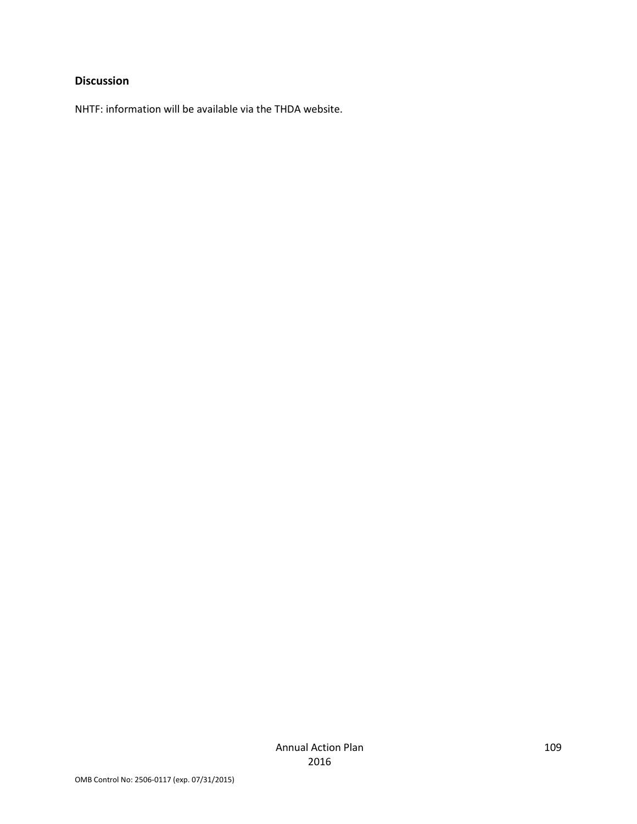#### **Discussion**

NHTF: information will be available via the THDA website.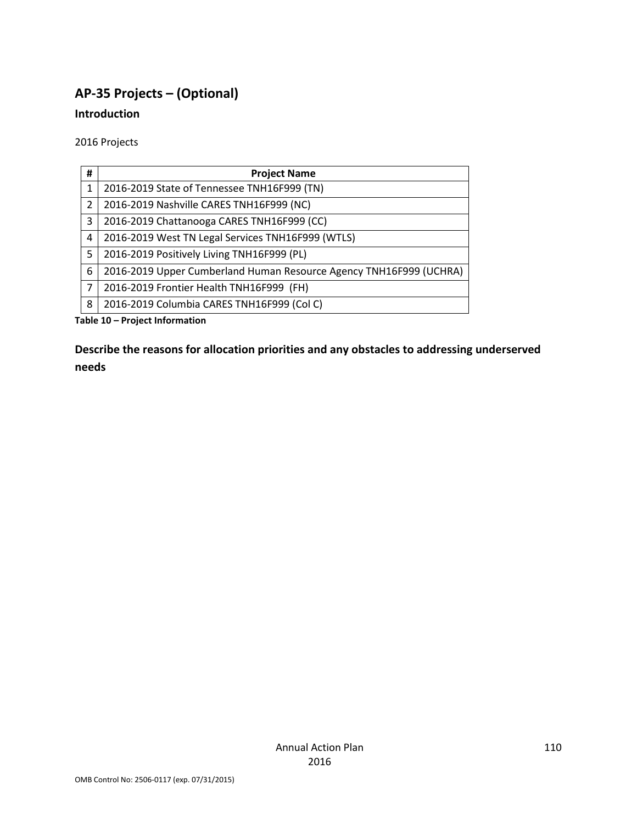# **AP-35 Projects – (Optional)**

#### **Introduction**

2016 Projects

| #              | <b>Project Name</b>                                                |
|----------------|--------------------------------------------------------------------|
| 1              | 2016-2019 State of Tennessee TNH16F999 (TN)                        |
| $\overline{2}$ | 2016-2019 Nashville CARES TNH16F999 (NC)                           |
| 3              | 2016-2019 Chattanooga CARES TNH16F999 (CC)                         |
| 4              | 2016-2019 West TN Legal Services TNH16F999 (WTLS)                  |
| 5              | 2016-2019 Positively Living TNH16F999 (PL)                         |
| 6              | 2016-2019 Upper Cumberland Human Resource Agency TNH16F999 (UCHRA) |
| 7              | 2016-2019 Frontier Health TNH16F999 (FH)                           |
| 8              | 2016-2019 Columbia CARES TNH16F999 (Col C)                         |

**Table 10 – Project Information**

**Describe the reasons for allocation priorities and any obstacles to addressing underserved needs**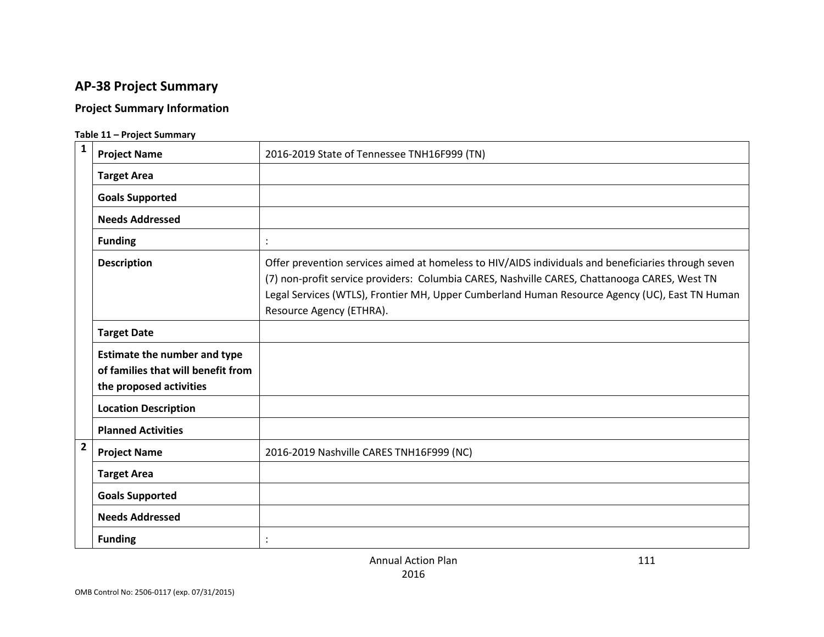# **AP-38 Project Summary**

#### **Project Summary Information**

#### **Table 11 – Project Summary**

| $\mathbf{1}$   | <b>Project Name</b>                                                                                  | 2016-2019 State of Tennessee TNH16F999 (TN)                                                                                                                                                                                                                                                                                        |
|----------------|------------------------------------------------------------------------------------------------------|------------------------------------------------------------------------------------------------------------------------------------------------------------------------------------------------------------------------------------------------------------------------------------------------------------------------------------|
|                | <b>Target Area</b>                                                                                   |                                                                                                                                                                                                                                                                                                                                    |
|                | <b>Goals Supported</b>                                                                               |                                                                                                                                                                                                                                                                                                                                    |
|                | <b>Needs Addressed</b>                                                                               |                                                                                                                                                                                                                                                                                                                                    |
|                | <b>Funding</b>                                                                                       | $\cdot$                                                                                                                                                                                                                                                                                                                            |
|                | <b>Description</b>                                                                                   | Offer prevention services aimed at homeless to HIV/AIDS individuals and beneficiaries through seven<br>(7) non-profit service providers: Columbia CARES, Nashville CARES, Chattanooga CARES, West TN<br>Legal Services (WTLS), Frontier MH, Upper Cumberland Human Resource Agency (UC), East TN Human<br>Resource Agency (ETHRA). |
|                | <b>Target Date</b>                                                                                   |                                                                                                                                                                                                                                                                                                                                    |
|                | <b>Estimate the number and type</b><br>of families that will benefit from<br>the proposed activities |                                                                                                                                                                                                                                                                                                                                    |
|                | <b>Location Description</b>                                                                          |                                                                                                                                                                                                                                                                                                                                    |
|                | <b>Planned Activities</b>                                                                            |                                                                                                                                                                                                                                                                                                                                    |
| $\overline{2}$ | <b>Project Name</b>                                                                                  | 2016-2019 Nashville CARES TNH16F999 (NC)                                                                                                                                                                                                                                                                                           |
|                | <b>Target Area</b>                                                                                   |                                                                                                                                                                                                                                                                                                                                    |
|                | <b>Goals Supported</b>                                                                               |                                                                                                                                                                                                                                                                                                                                    |
|                | <b>Needs Addressed</b>                                                                               |                                                                                                                                                                                                                                                                                                                                    |
|                | <b>Funding</b>                                                                                       |                                                                                                                                                                                                                                                                                                                                    |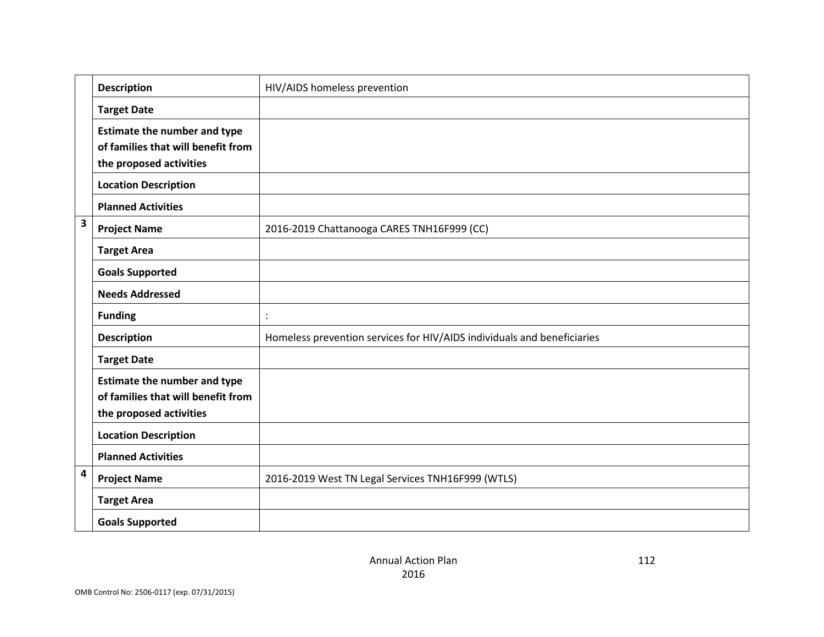|                         | <b>Description</b>                                                                                   | HIV/AIDS homeless prevention                                            |
|-------------------------|------------------------------------------------------------------------------------------------------|-------------------------------------------------------------------------|
|                         | <b>Target Date</b>                                                                                   |                                                                         |
|                         | <b>Estimate the number and type</b><br>of families that will benefit from<br>the proposed activities |                                                                         |
|                         | <b>Location Description</b>                                                                          |                                                                         |
|                         | <b>Planned Activities</b>                                                                            |                                                                         |
| $\overline{\mathbf{3}}$ | <b>Project Name</b>                                                                                  | 2016-2019 Chattanooga CARES TNH16F999 (CC)                              |
|                         | <b>Target Area</b>                                                                                   |                                                                         |
|                         | <b>Goals Supported</b>                                                                               |                                                                         |
|                         | <b>Needs Addressed</b>                                                                               |                                                                         |
|                         | <b>Funding</b>                                                                                       |                                                                         |
|                         | <b>Description</b>                                                                                   | Homeless prevention services for HIV/AIDS individuals and beneficiaries |
|                         | <b>Target Date</b>                                                                                   |                                                                         |
|                         | <b>Estimate the number and type</b><br>of families that will benefit from<br>the proposed activities |                                                                         |
|                         | <b>Location Description</b>                                                                          |                                                                         |
|                         | <b>Planned Activities</b>                                                                            |                                                                         |
| $\overline{\mathbf{4}}$ | <b>Project Name</b>                                                                                  | 2016-2019 West TN Legal Services TNH16F999 (WTLS)                       |
|                         | <b>Target Area</b>                                                                                   |                                                                         |
|                         | <b>Goals Supported</b>                                                                               |                                                                         |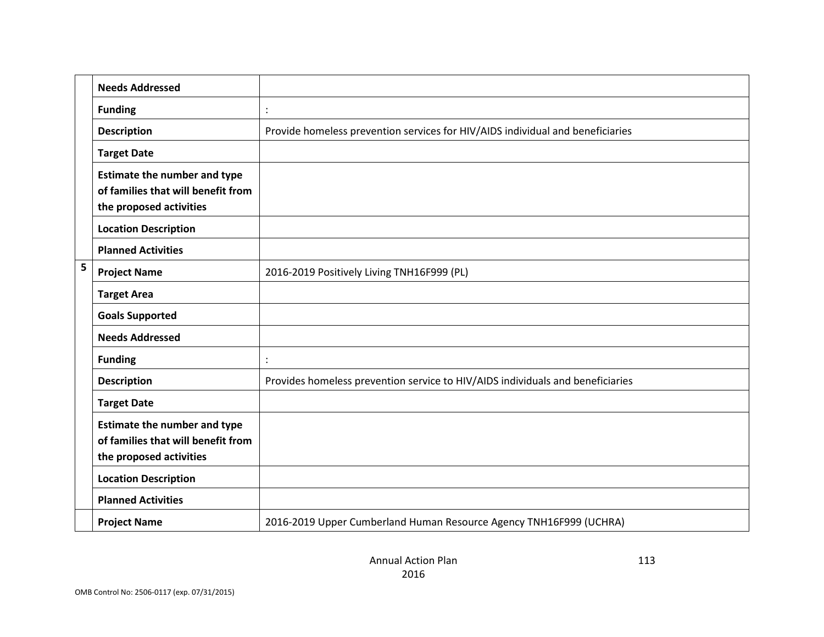|   | <b>Needs Addressed</b>                                                                               |                                                                                |
|---|------------------------------------------------------------------------------------------------------|--------------------------------------------------------------------------------|
|   | <b>Funding</b>                                                                                       |                                                                                |
|   | <b>Description</b>                                                                                   | Provide homeless prevention services for HIV/AIDS individual and beneficiaries |
|   | <b>Target Date</b>                                                                                   |                                                                                |
|   | <b>Estimate the number and type</b><br>of families that will benefit from<br>the proposed activities |                                                                                |
|   | <b>Location Description</b>                                                                          |                                                                                |
|   | <b>Planned Activities</b>                                                                            |                                                                                |
| 5 | <b>Project Name</b>                                                                                  | 2016-2019 Positively Living TNH16F999 (PL)                                     |
|   | <b>Target Area</b>                                                                                   |                                                                                |
|   | <b>Goals Supported</b>                                                                               |                                                                                |
|   | <b>Needs Addressed</b>                                                                               |                                                                                |
|   | <b>Funding</b>                                                                                       |                                                                                |
|   | <b>Description</b>                                                                                   | Provides homeless prevention service to HIV/AIDS individuals and beneficiaries |
|   | <b>Target Date</b>                                                                                   |                                                                                |
|   | <b>Estimate the number and type</b><br>of families that will benefit from<br>the proposed activities |                                                                                |
|   | <b>Location Description</b>                                                                          |                                                                                |
|   | <b>Planned Activities</b>                                                                            |                                                                                |
|   | <b>Project Name</b>                                                                                  | 2016-2019 Upper Cumberland Human Resource Agency TNH16F999 (UCHRA)             |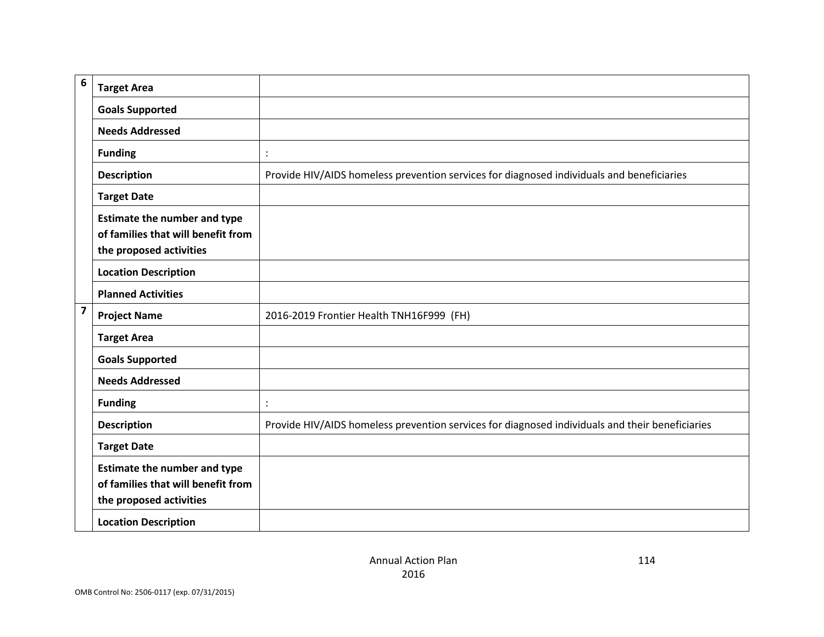| 6                       | <b>Target Area</b>                                                                                   |                                                                                                 |
|-------------------------|------------------------------------------------------------------------------------------------------|-------------------------------------------------------------------------------------------------|
|                         | <b>Goals Supported</b>                                                                               |                                                                                                 |
|                         | <b>Needs Addressed</b>                                                                               |                                                                                                 |
|                         | <b>Funding</b>                                                                                       | $\ddot{\cdot}$                                                                                  |
|                         | <b>Description</b>                                                                                   | Provide HIV/AIDS homeless prevention services for diagnosed individuals and beneficiaries       |
|                         | <b>Target Date</b>                                                                                   |                                                                                                 |
|                         | <b>Estimate the number and type</b><br>of families that will benefit from<br>the proposed activities |                                                                                                 |
|                         | <b>Location Description</b>                                                                          |                                                                                                 |
|                         | <b>Planned Activities</b>                                                                            |                                                                                                 |
| $\overline{\mathbf{z}}$ | <b>Project Name</b>                                                                                  | 2016-2019 Frontier Health TNH16F999 (FH)                                                        |
|                         | <b>Target Area</b>                                                                                   |                                                                                                 |
|                         | <b>Goals Supported</b>                                                                               |                                                                                                 |
|                         | <b>Needs Addressed</b>                                                                               |                                                                                                 |
|                         | <b>Funding</b>                                                                                       | $\ddot{\cdot}$                                                                                  |
|                         | <b>Description</b>                                                                                   | Provide HIV/AIDS homeless prevention services for diagnosed individuals and their beneficiaries |
|                         | <b>Target Date</b>                                                                                   |                                                                                                 |
|                         | <b>Estimate the number and type</b><br>of families that will benefit from<br>the proposed activities |                                                                                                 |
|                         | <b>Location Description</b>                                                                          |                                                                                                 |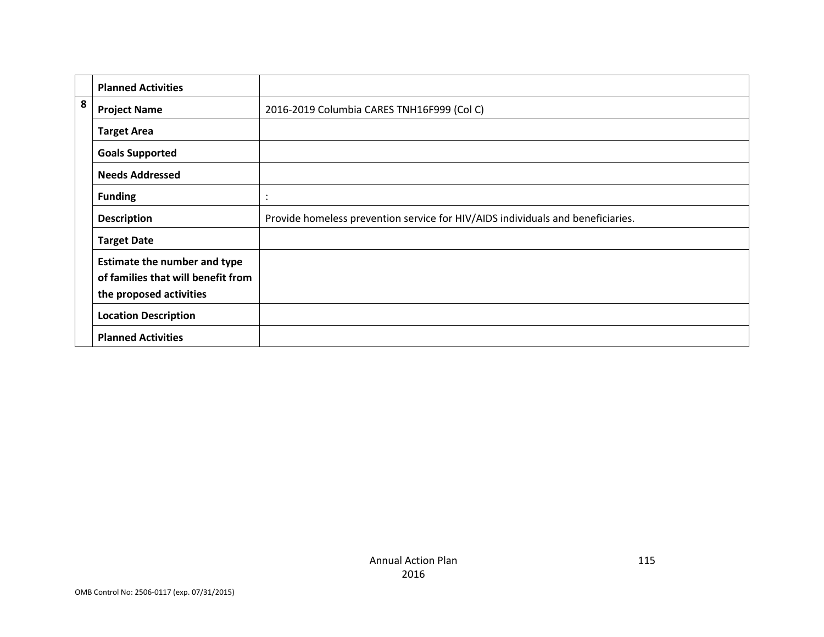|   | <b>Planned Activities</b>           |                                                                                 |
|---|-------------------------------------|---------------------------------------------------------------------------------|
| 8 | <b>Project Name</b>                 | 2016-2019 Columbia CARES TNH16F999 (Col C)                                      |
|   | <b>Target Area</b>                  |                                                                                 |
|   | <b>Goals Supported</b>              |                                                                                 |
|   | <b>Needs Addressed</b>              |                                                                                 |
|   | <b>Funding</b>                      | $\cdot$                                                                         |
|   | <b>Description</b>                  | Provide homeless prevention service for HIV/AIDS individuals and beneficiaries. |
|   | <b>Target Date</b>                  |                                                                                 |
|   | <b>Estimate the number and type</b> |                                                                                 |
|   | of families that will benefit from  |                                                                                 |
|   | the proposed activities             |                                                                                 |
|   | <b>Location Description</b>         |                                                                                 |
|   | <b>Planned Activities</b>           |                                                                                 |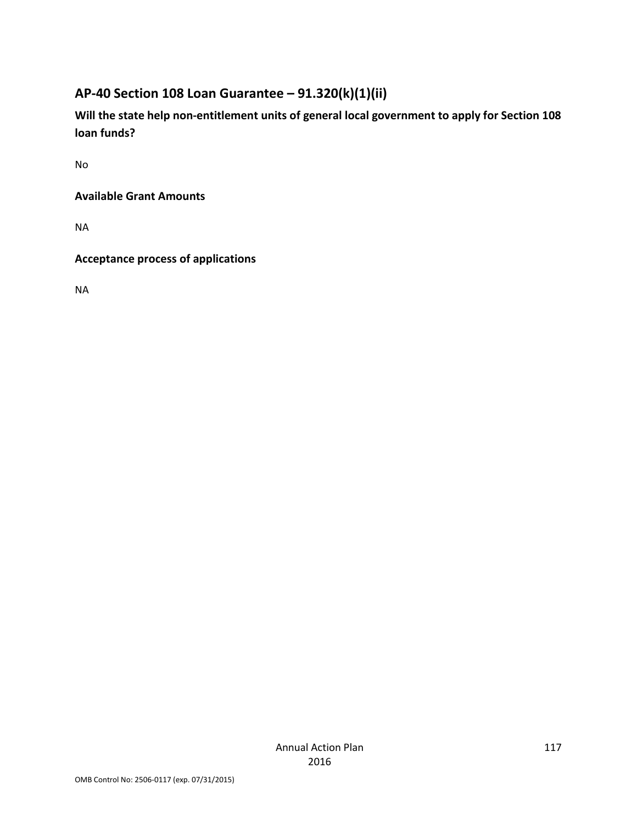## **AP-40 Section 108 Loan Guarantee – 91.320(k)(1)(ii)**

**Will the state help non-entitlement units of general local government to apply for Section 108 loan funds?**

No

**Available Grant Amounts** 

NA

**Acceptance process of applications** 

NA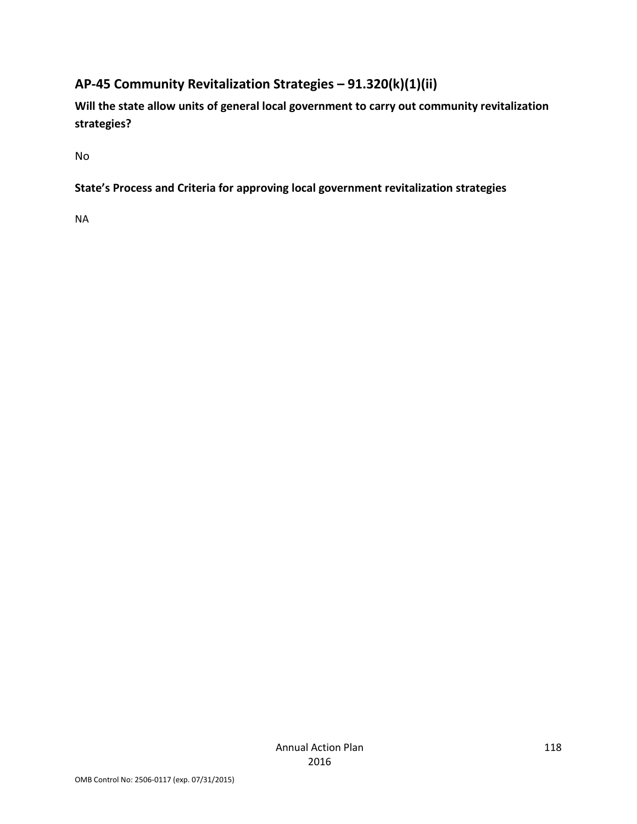# **AP-45 Community Revitalization Strategies – 91.320(k)(1)(ii)**

**Will the state allow units of general local government to carry out community revitalization strategies?**

No

### **State's Process and Criteria for approving local government revitalization strategies**

NA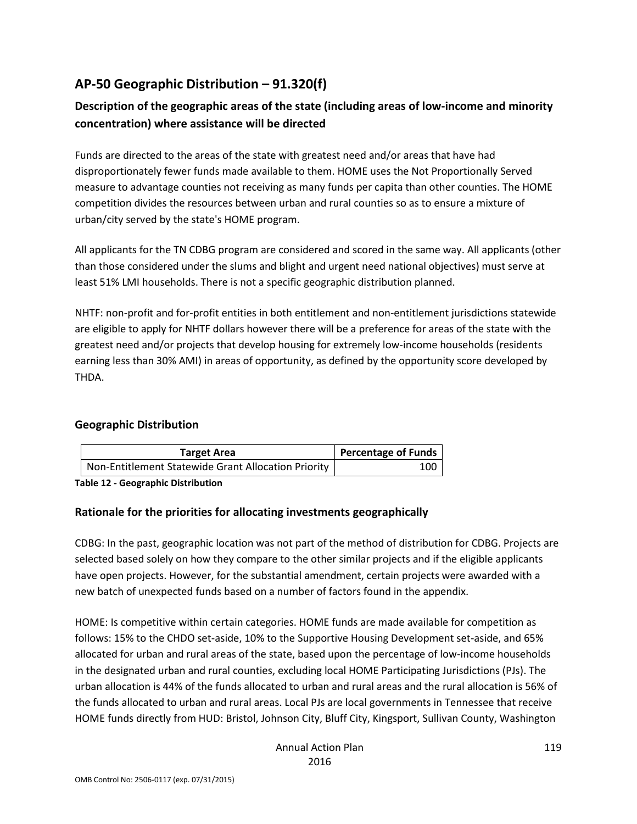### **AP-50 Geographic Distribution – 91.320(f)**

### **Description of the geographic areas of the state (including areas of low-income and minority concentration) where assistance will be directed**

Funds are directed to the areas of the state with greatest need and/or areas that have had disproportionately fewer funds made available to them. HOME uses the Not Proportionally Served measure to advantage counties not receiving as many funds per capita than other counties. The HOME competition divides the resources between urban and rural counties so as to ensure a mixture of urban/city served by the state's HOME program.

All applicants for the TN CDBG program are considered and scored in the same way. All applicants (other than those considered under the slums and blight and urgent need national objectives) must serve at least 51% LMI households. There is not a specific geographic distribution planned.

NHTF: non-profit and for-profit entities in both entitlement and non-entitlement jurisdictions statewide are eligible to apply for NHTF dollars however there will be a preference for areas of the state with the greatest need and/or projects that develop housing for extremely low-income households (residents earning less than 30% AMI) in areas of opportunity, as defined by the opportunity score developed by THDA.

#### **Geographic Distribution**

| Target Area                                         | Percentage of Funds |
|-----------------------------------------------------|---------------------|
| Non-Entitlement Statewide Grant Allocation Priority | 100                 |

**Table 12 - Geographic Distribution** 

#### **Rationale for the priorities for allocating investments geographically**

CDBG: In the past, geographic location was not part of the method of distribution for CDBG. Projects are selected based solely on how they compare to the other similar projects and if the eligible applicants have open projects. However, for the substantial amendment, certain projects were awarded with a new batch of unexpected funds based on a number of factors found in the appendix.

HOME: Is competitive within certain categories. HOME funds are made available for competition as follows: 15% to the CHDO set-aside, 10% to the Supportive Housing Development set-aside, and 65% allocated for urban and rural areas of the state, based upon the percentage of low-income households in the designated urban and rural counties, excluding local HOME Participating Jurisdictions (PJs). The urban allocation is 44% of the funds allocated to urban and rural areas and the rural allocation is 56% of the funds allocated to urban and rural areas. Local PJs are local governments in Tennessee that receive HOME funds directly from HUD: Bristol, Johnson City, Bluff City, Kingsport, Sullivan County, Washington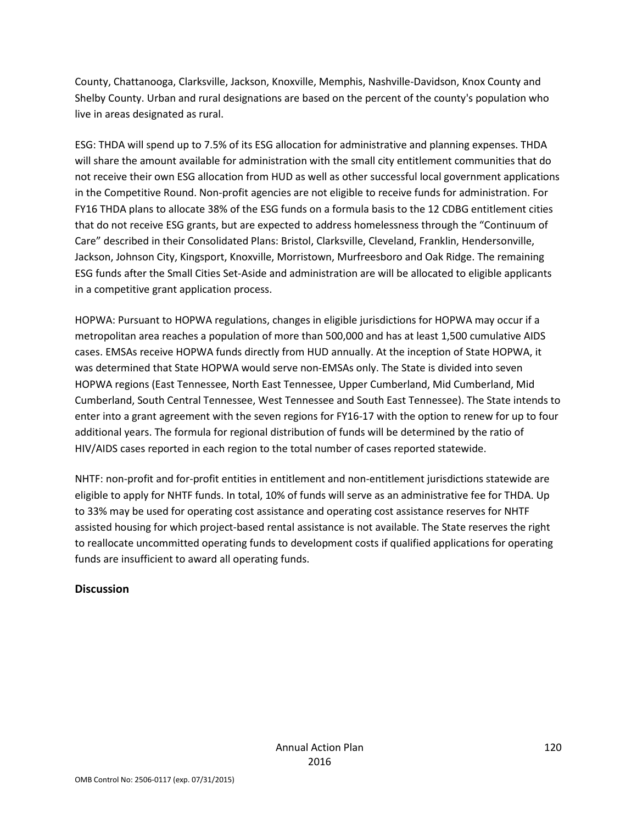County, Chattanooga, Clarksville, Jackson, Knoxville, Memphis, Nashville-Davidson, Knox County and Shelby County. Urban and rural designations are based on the percent of the county's population who live in areas designated as rural.

ESG: THDA will spend up to 7.5% of its ESG allocation for administrative and planning expenses. THDA will share the amount available for administration with the small city entitlement communities that do not receive their own ESG allocation from HUD as well as other successful local government applications in the Competitive Round. Non-profit agencies are not eligible to receive funds for administration. For FY16 THDA plans to allocate 38% of the ESG funds on a formula basis to the 12 CDBG entitlement cities that do not receive ESG grants, but are expected to address homelessness through the "Continuum of Care" described in their Consolidated Plans: Bristol, Clarksville, Cleveland, Franklin, Hendersonville, Jackson, Johnson City, Kingsport, Knoxville, Morristown, Murfreesboro and Oak Ridge. The remaining ESG funds after the Small Cities Set-Aside and administration are will be allocated to eligible applicants in a competitive grant application process.

HOPWA: Pursuant to HOPWA regulations, changes in eligible jurisdictions for HOPWA may occur if a metropolitan area reaches a population of more than 500,000 and has at least 1,500 cumulative AIDS cases. EMSAs receive HOPWA funds directly from HUD annually. At the inception of State HOPWA, it was determined that State HOPWA would serve non-EMSAs only. The State is divided into seven HOPWA regions (East Tennessee, North East Tennessee, Upper Cumberland, Mid Cumberland, Mid Cumberland, South Central Tennessee, West Tennessee and South East Tennessee). The State intends to enter into a grant agreement with the seven regions for FY16-17 with the option to renew for up to four additional years. The formula for regional distribution of funds will be determined by the ratio of HIV/AIDS cases reported in each region to the total number of cases reported statewide.

NHTF: non-profit and for-profit entities in entitlement and non-entitlement jurisdictions statewide are eligible to apply for NHTF funds. In total, 10% of funds will serve as an administrative fee for THDA. Up to 33% may be used for operating cost assistance and operating cost assistance reserves for NHTF assisted housing for which project-based rental assistance is not available. The State reserves the right to reallocate uncommitted operating funds to development costs if qualified applications for operating funds are insufficient to award all operating funds.

#### **Discussion**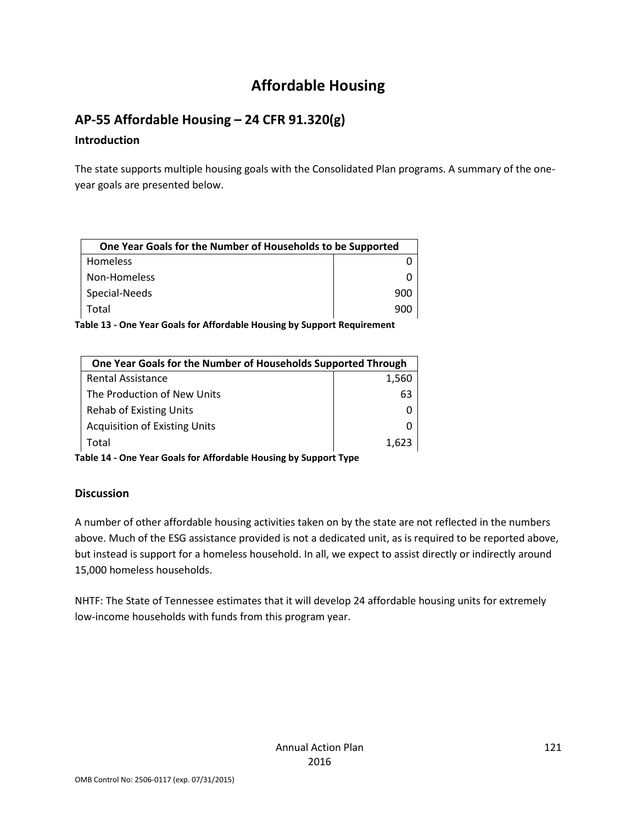# **Affordable Housing**

### **AP-55 Affordable Housing – 24 CFR 91.320(g)**

#### **Introduction**

The state supports multiple housing goals with the Consolidated Plan programs. A summary of the oneyear goals are presented below.

| One Year Goals for the Number of Households to be Supported |     |
|-------------------------------------------------------------|-----|
| <b>Homeless</b>                                             |     |
| Non-Homeless                                                |     |
| Special-Needs                                               | 900 |
| Total                                                       | 900 |

**Table 13 - One Year Goals for Affordable Housing by Support Requirement**

| One Year Goals for the Number of Households Supported Through |       |
|---------------------------------------------------------------|-------|
| <b>Rental Assistance</b>                                      | 1,560 |
| The Production of New Units                                   | 63    |
| <b>Rehab of Existing Units</b>                                |       |
| <b>Acquisition of Existing Units</b>                          |       |
| Total                                                         | 1.623 |

**Table 14 - One Year Goals for Affordable Housing by Support Type**

#### **Discussion**

A number of other affordable housing activities taken on by the state are not reflected in the numbers above. Much of the ESG assistance provided is not a dedicated unit, as is required to be reported above, but instead is support for a homeless household. In all, we expect to assist directly or indirectly around 15,000 homeless households.

NHTF: The State of Tennessee estimates that it will develop 24 affordable housing units for extremely low-income households with funds from this program year.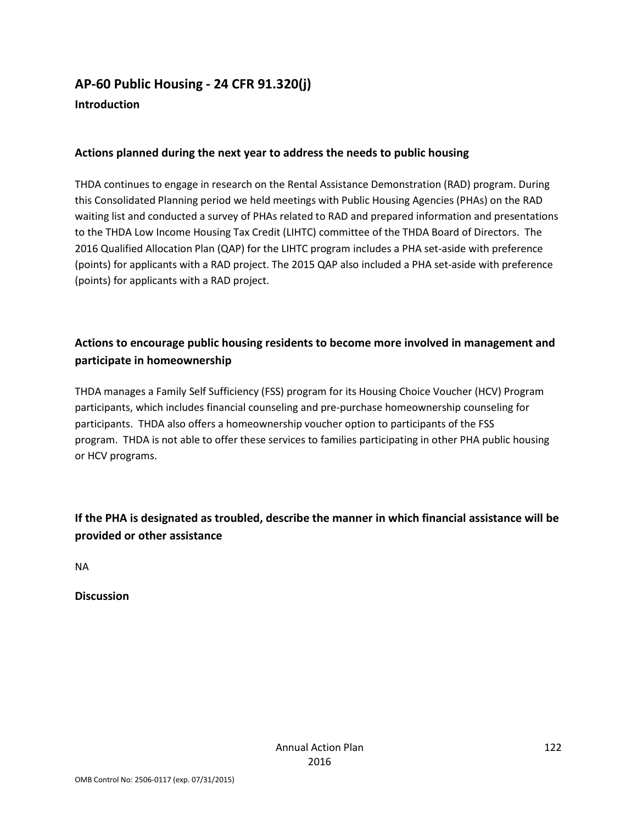### **AP-60 Public Housing - 24 CFR 91.320(j) Introduction**

#### **Actions planned during the next year to address the needs to public housing**

THDA continues to engage in research on the Rental Assistance Demonstration (RAD) program. During this Consolidated Planning period we held meetings with Public Housing Agencies (PHAs) on the RAD waiting list and conducted a survey of PHAs related to RAD and prepared information and presentations to the THDA Low Income Housing Tax Credit (LIHTC) committee of the THDA Board of Directors. The 2016 Qualified Allocation Plan (QAP) for the LIHTC program includes a PHA set-aside with preference (points) for applicants with a RAD project. The 2015 QAP also included a PHA set-aside with preference (points) for applicants with a RAD project.

### **Actions to encourage public housing residents to become more involved in management and participate in homeownership**

THDA manages a Family Self Sufficiency (FSS) program for its Housing Choice Voucher (HCV) Program participants, which includes financial counseling and pre-purchase homeownership counseling for participants. THDA also offers a homeownership voucher option to participants of the FSS program. THDA is not able to offer these services to families participating in other PHA public housing or HCV programs.

**If the PHA is designated as troubled, describe the manner in which financial assistance will be provided or other assistance** 

NA

**Discussion**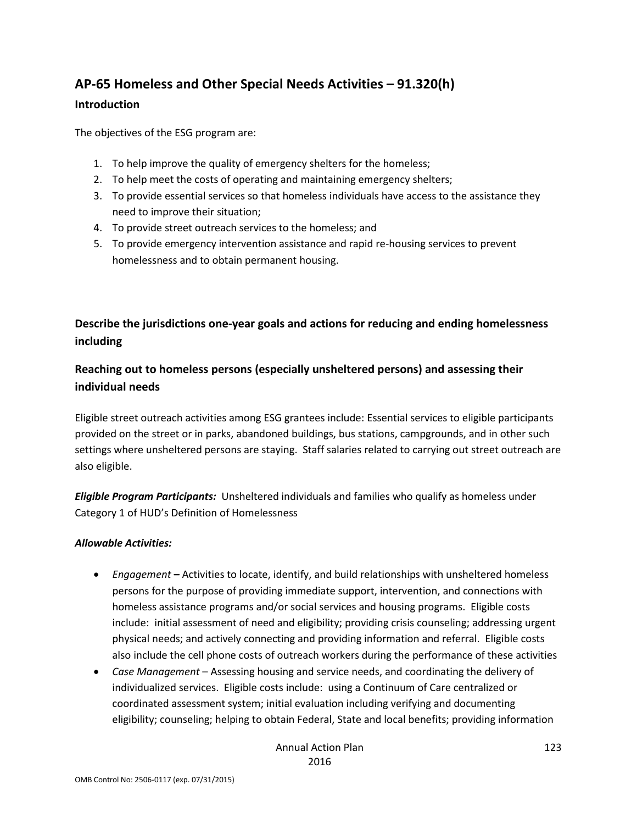# **AP-65 Homeless and Other Special Needs Activities – 91.320(h)**

#### **Introduction**

The objectives of the ESG program are:

- 1. To help improve the quality of emergency shelters for the homeless;
- 2. To help meet the costs of operating and maintaining emergency shelters;
- 3. To provide essential services so that homeless individuals have access to the assistance they need to improve their situation;
- 4. To provide street outreach services to the homeless; and
- 5. To provide emergency intervention assistance and rapid re-housing services to prevent homelessness and to obtain permanent housing.

### **Describe the jurisdictions one-year goals and actions for reducing and ending homelessness including**

### **Reaching out to homeless persons (especially unsheltered persons) and assessing their individual needs**

Eligible street outreach activities among ESG grantees include: Essential services to eligible participants provided on the street or in parks, abandoned buildings, bus stations, campgrounds, and in other such settings where unsheltered persons are staying. Staff salaries related to carrying out street outreach are also eligible.

*Eligible Program Participants:* Unsheltered individuals and families who qualify as homeless under Category 1 of HUD's Definition of Homelessness

#### *Allowable Activities:*

- *Engagement* **–** Activities to locate, identify, and build relationships with unsheltered homeless persons for the purpose of providing immediate support, intervention, and connections with homeless assistance programs and/or social services and housing programs. Eligible costs include: initial assessment of need and eligibility; providing crisis counseling; addressing urgent physical needs; and actively connecting and providing information and referral. Eligible costs also include the cell phone costs of outreach workers during the performance of these activities
- *Case Management* Assessing housing and service needs, and coordinating the delivery of individualized services. Eligible costs include: using a Continuum of Care centralized or coordinated assessment system; initial evaluation including verifying and documenting eligibility; counseling; helping to obtain Federal, State and local benefits; providing information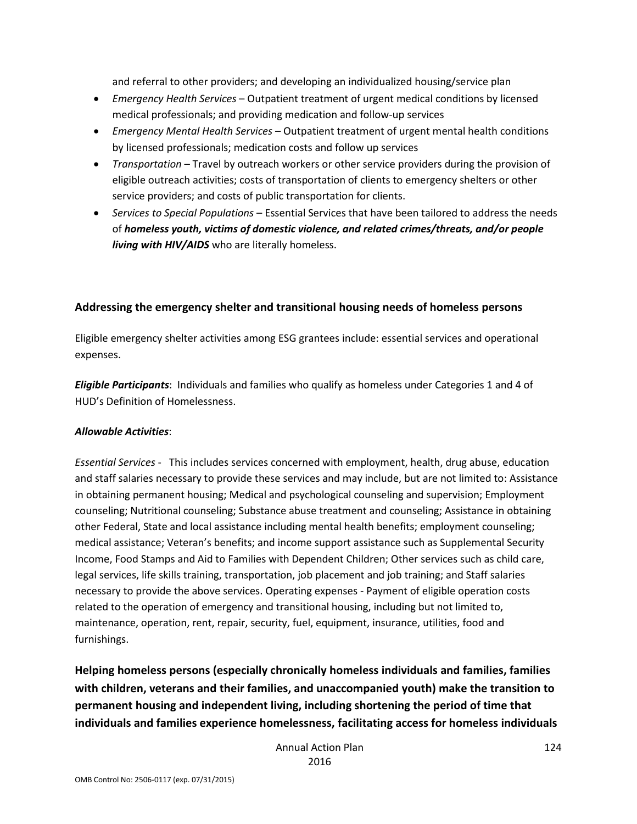and referral to other providers; and developing an individualized housing/service plan

- *Emergency Health Services* Outpatient treatment of urgent medical conditions by licensed medical professionals; and providing medication and follow-up services
- *Emergency Mental Health Services* Outpatient treatment of urgent mental health conditions by licensed professionals; medication costs and follow up services
- *Transportation* Travel by outreach workers or other service providers during the provision of eligible outreach activities; costs of transportation of clients to emergency shelters or other service providers; and costs of public transportation for clients.
- *Services to Special Populations* Essential Services that have been tailored to address the needs of *homeless youth, victims of domestic violence, and related crimes/threats, and/or people living with HIV/AIDS* who are literally homeless.

#### **Addressing the emergency shelter and transitional housing needs of homeless persons**

Eligible emergency shelter activities among ESG grantees include: essential services and operational expenses.

*Eligible Participants*: Individuals and families who qualify as homeless under Categories 1 and 4 of HUD's Definition of Homelessness.

#### *Allowable Activities*:

*Essential Services* - This includes services concerned with employment, health, drug abuse, education and staff salaries necessary to provide these services and may include, but are not limited to: Assistance in obtaining permanent housing; Medical and psychological counseling and supervision; Employment counseling; Nutritional counseling; Substance abuse treatment and counseling; Assistance in obtaining other Federal, State and local assistance including mental health benefits; employment counseling; medical assistance; Veteran's benefits; and income support assistance such as Supplemental Security Income, Food Stamps and Aid to Families with Dependent Children; Other services such as child care, legal services, life skills training, transportation, job placement and job training; and Staff salaries necessary to provide the above services. Operating expenses - Payment of eligible operation costs related to the operation of emergency and transitional housing, including but not limited to, maintenance, operation, rent, repair, security, fuel, equipment, insurance, utilities, food and furnishings.

**Helping homeless persons (especially chronically homeless individuals and families, families with children, veterans and their families, and unaccompanied youth) make the transition to permanent housing and independent living, including shortening the period of time that individuals and families experience homelessness, facilitating access for homeless individuals**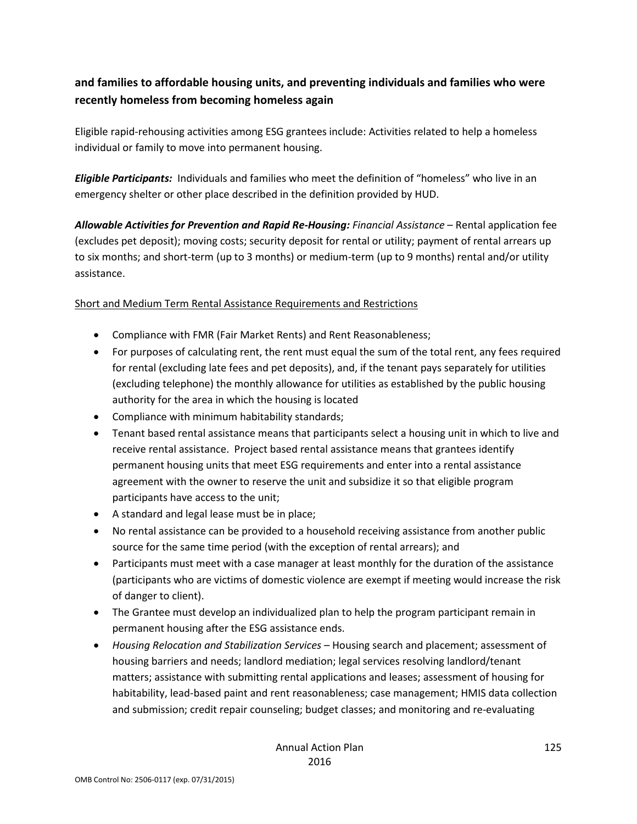### **and families to affordable housing units, and preventing individuals and families who were recently homeless from becoming homeless again**

Eligible rapid-rehousing activities among ESG grantees include: Activities related to help a homeless individual or family to move into permanent housing.

*Eligible Participants:* Individuals and families who meet the definition of "homeless" who live in an emergency shelter or other place described in the definition provided by HUD.

*Allowable Activities for Prevention and Rapid Re-Housing: Financial Assistance* – Rental application fee (excludes pet deposit); moving costs; security deposit for rental or utility; payment of rental arrears up to six months; and short-term (up to 3 months) or medium-term (up to 9 months) rental and/or utility assistance.

#### Short and Medium Term Rental Assistance Requirements and Restrictions

- Compliance with FMR (Fair Market Rents) and Rent Reasonableness;
- For purposes of calculating rent, the rent must equal the sum of the total rent, any fees required for rental (excluding late fees and pet deposits), and, if the tenant pays separately for utilities (excluding telephone) the monthly allowance for utilities as established by the public housing authority for the area in which the housing is located
- Compliance with minimum habitability standards;
- Tenant based rental assistance means that participants select a housing unit in which to live and receive rental assistance. Project based rental assistance means that grantees identify permanent housing units that meet ESG requirements and enter into a rental assistance agreement with the owner to reserve the unit and subsidize it so that eligible program participants have access to the unit;
- A standard and legal lease must be in place;
- No rental assistance can be provided to a household receiving assistance from another public source for the same time period (with the exception of rental arrears); and
- Participants must meet with a case manager at least monthly for the duration of the assistance (participants who are victims of domestic violence are exempt if meeting would increase the risk of danger to client).
- The Grantee must develop an individualized plan to help the program participant remain in permanent housing after the ESG assistance ends.
- *Housing Relocation and Stabilization Services* Housing search and placement; assessment of housing barriers and needs; landlord mediation; legal services resolving landlord/tenant matters; assistance with submitting rental applications and leases; assessment of housing for habitability, lead-based paint and rent reasonableness; case management; HMIS data collection and submission; credit repair counseling; budget classes; and monitoring and re-evaluating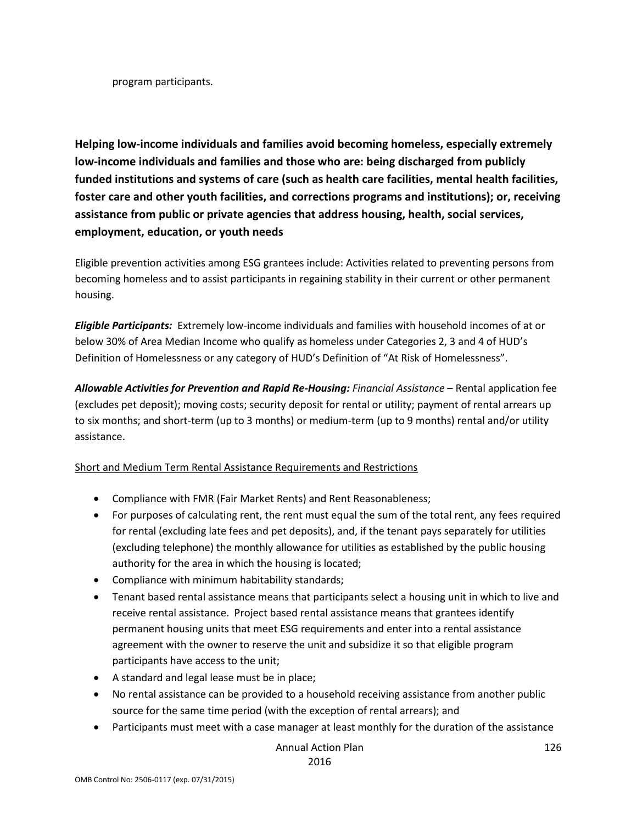program participants.

**Helping low-income individuals and families avoid becoming homeless, especially extremely low-income individuals and families and those who are: being discharged from publicly funded institutions and systems of care (such as health care facilities, mental health facilities, foster care and other youth facilities, and corrections programs and institutions); or, receiving assistance from public or private agencies that address housing, health, social services, employment, education, or youth needs**

Eligible prevention activities among ESG grantees include: Activities related to preventing persons from becoming homeless and to assist participants in regaining stability in their current or other permanent housing.

*Eligible Participants:* Extremely low-income individuals and families with household incomes of at or below 30% of Area Median Income who qualify as homeless under Categories 2, 3 and 4 of HUD's Definition of Homelessness or any category of HUD's Definition of "At Risk of Homelessness".

*Allowable Activities for Prevention and Rapid Re-Housing: Financial Assistance* – Rental application fee (excludes pet deposit); moving costs; security deposit for rental or utility; payment of rental arrears up to six months; and short-term (up to 3 months) or medium-term (up to 9 months) rental and/or utility assistance.

#### Short and Medium Term Rental Assistance Requirements and Restrictions

- Compliance with FMR (Fair Market Rents) and Rent Reasonableness;
- For purposes of calculating rent, the rent must equal the sum of the total rent, any fees required for rental (excluding late fees and pet deposits), and, if the tenant pays separately for utilities (excluding telephone) the monthly allowance for utilities as established by the public housing authority for the area in which the housing is located;
- Compliance with minimum habitability standards;
- Tenant based rental assistance means that participants select a housing unit in which to live and receive rental assistance. Project based rental assistance means that grantees identify permanent housing units that meet ESG requirements and enter into a rental assistance agreement with the owner to reserve the unit and subsidize it so that eligible program participants have access to the unit;
- A standard and legal lease must be in place;
- No rental assistance can be provided to a household receiving assistance from another public source for the same time period (with the exception of rental arrears); and
- Participants must meet with a case manager at least monthly for the duration of the assistance

Annual Action Plan 2016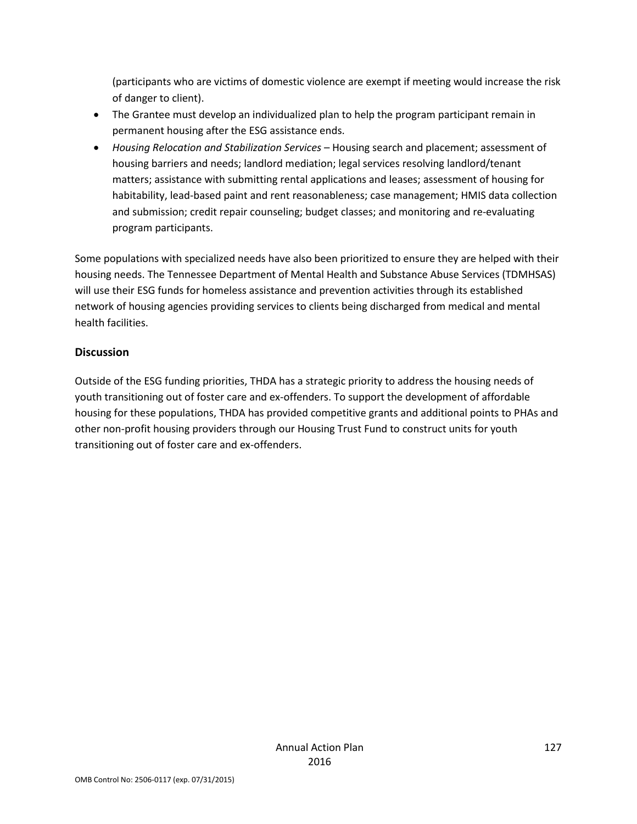(participants who are victims of domestic violence are exempt if meeting would increase the risk of danger to client).

- The Grantee must develop an individualized plan to help the program participant remain in permanent housing after the ESG assistance ends.
- *Housing Relocation and Stabilization Services* Housing search and placement; assessment of housing barriers and needs; landlord mediation; legal services resolving landlord/tenant matters; assistance with submitting rental applications and leases; assessment of housing for habitability, lead-based paint and rent reasonableness; case management; HMIS data collection and submission; credit repair counseling; budget classes; and monitoring and re-evaluating program participants.

Some populations with specialized needs have also been prioritized to ensure they are helped with their housing needs. The Tennessee Department of Mental Health and Substance Abuse Services (TDMHSAS) will use their ESG funds for homeless assistance and prevention activities through its established network of housing agencies providing services to clients being discharged from medical and mental health facilities.

#### **Discussion**

Outside of the ESG funding priorities, THDA has a strategic priority to address the housing needs of youth transitioning out of foster care and ex-offenders. To support the development of affordable housing for these populations, THDA has provided competitive grants and additional points to PHAs and other non-profit housing providers through our Housing Trust Fund to construct units for youth transitioning out of foster care and ex-offenders.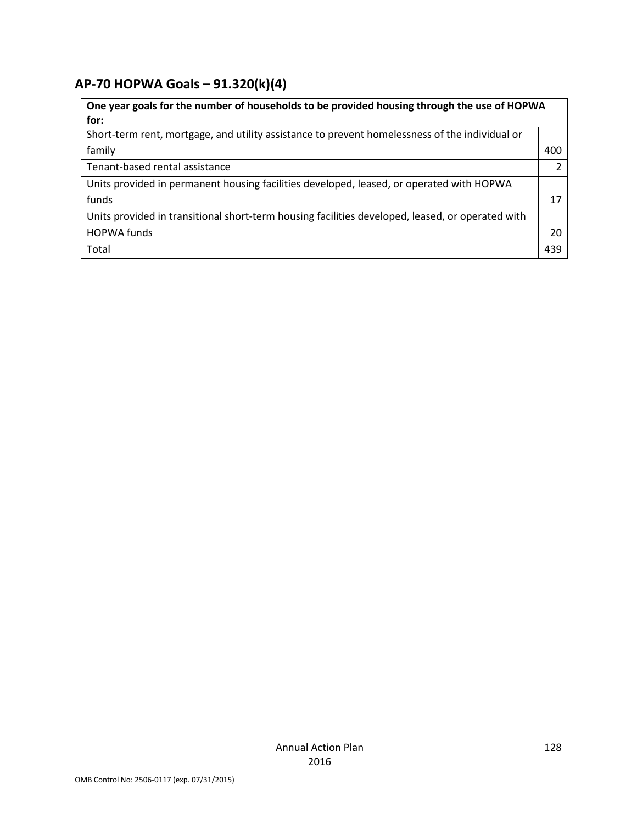# **AP-70 HOPWA Goals – 91.320(k)(4)**

| One year goals for the number of households to be provided housing through the use of HOPWA      |     |  |
|--------------------------------------------------------------------------------------------------|-----|--|
| for:                                                                                             |     |  |
| Short-term rent, mortgage, and utility assistance to prevent homelessness of the individual or   |     |  |
| family                                                                                           | 400 |  |
| Tenant-based rental assistance                                                                   | 2   |  |
| Units provided in permanent housing facilities developed, leased, or operated with HOPWA         |     |  |
| funds                                                                                            | 17  |  |
| Units provided in transitional short-term housing facilities developed, leased, or operated with |     |  |
| <b>HOPWA funds</b>                                                                               | 20  |  |
| Total                                                                                            | 439 |  |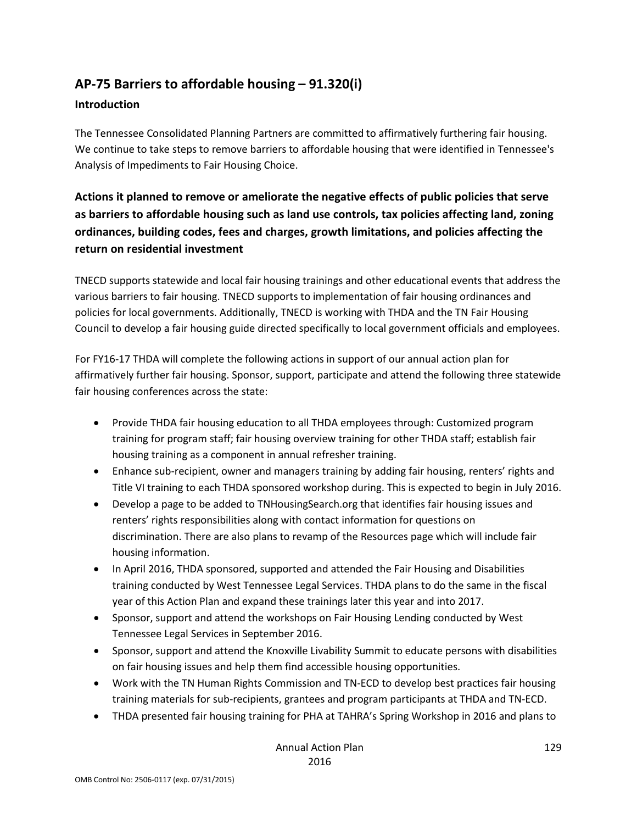### **AP-75 Barriers to affordable housing – 91.320(i)**

#### **Introduction**

The Tennessee Consolidated Planning Partners are committed to affirmatively furthering fair housing. We continue to take steps to remove barriers to affordable housing that were identified in Tennessee's Analysis of Impediments to Fair Housing Choice.

### **Actions it planned to remove or ameliorate the negative effects of public policies that serve as barriers to affordable housing such as land use controls, tax policies affecting land, zoning ordinances, building codes, fees and charges, growth limitations, and policies affecting the return on residential investment**

TNECD supports statewide and local fair housing trainings and other educational events that address the various barriers to fair housing. TNECD supports to implementation of fair housing ordinances and policies for local governments. Additionally, TNECD is working with THDA and the TN Fair Housing Council to develop a fair housing guide directed specifically to local government officials and employees.

For FY16-17 THDA will complete the following actions in support of our annual action plan for affirmatively further fair housing. Sponsor, support, participate and attend the following three statewide fair housing conferences across the state:

- Provide THDA fair housing education to all THDA employees through: Customized program training for program staff; fair housing overview training for other THDA staff; establish fair housing training as a component in annual refresher training.
- Enhance sub-recipient, owner and managers training by adding fair housing, renters' rights and Title VI training to each THDA sponsored workshop during. This is expected to begin in July 2016.
- Develop a page to be added to TNHousingSearch.org that identifies fair housing issues and renters' rights responsibilities along with contact information for questions on discrimination. There are also plans to revamp of the Resources page which will include fair housing information.
- In April 2016, THDA sponsored, supported and attended the Fair Housing and Disabilities training conducted by West Tennessee Legal Services. THDA plans to do the same in the fiscal year of this Action Plan and expand these trainings later this year and into 2017.
- Sponsor, support and attend the workshops on Fair Housing Lending conducted by West Tennessee Legal Services in September 2016.
- Sponsor, support and attend the Knoxville Livability Summit to educate persons with disabilities on fair housing issues and help them find accessible housing opportunities.
- Work with the TN Human Rights Commission and TN-ECD to develop best practices fair housing training materials for sub-recipients, grantees and program participants at THDA and TN-ECD.
- THDA presented fair housing training for PHA at TAHRA's Spring Workshop in 2016 and plans to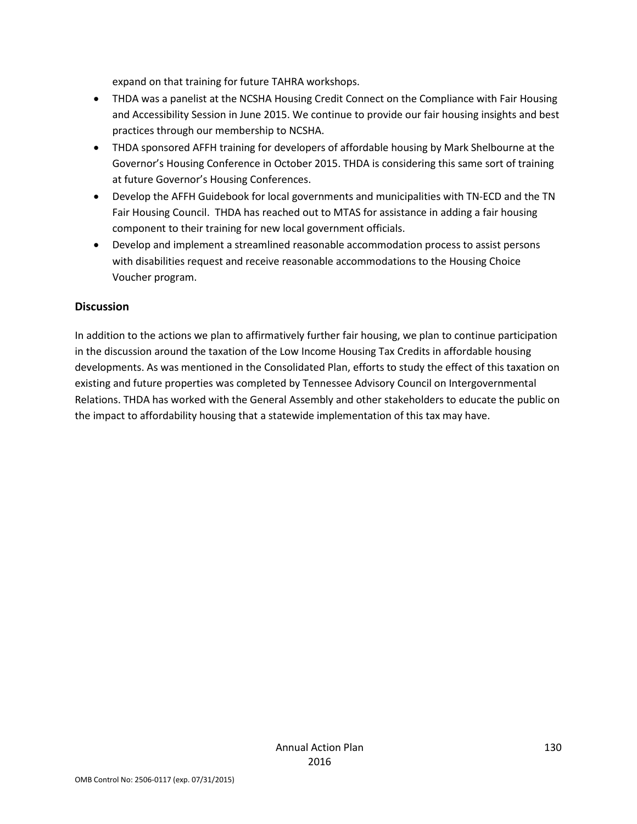expand on that training for future TAHRA workshops.

- THDA was a panelist at the NCSHA Housing Credit Connect on the Compliance with Fair Housing and Accessibility Session in June 2015. We continue to provide our fair housing insights and best practices through our membership to NCSHA.
- THDA sponsored AFFH training for developers of affordable housing by Mark Shelbourne at the Governor's Housing Conference in October 2015. THDA is considering this same sort of training at future Governor's Housing Conferences.
- Develop the AFFH Guidebook for local governments and municipalities with TN-ECD and the TN Fair Housing Council. THDA has reached out to MTAS for assistance in adding a fair housing component to their training for new local government officials.
- Develop and implement a streamlined reasonable accommodation process to assist persons with disabilities request and receive reasonable accommodations to the Housing Choice Voucher program.

#### **Discussion**

In addition to the actions we plan to affirmatively further fair housing, we plan to continue participation in the discussion around the taxation of the Low Income Housing Tax Credits in affordable housing developments. As was mentioned in the Consolidated Plan, efforts to study the effect of this taxation on existing and future properties was completed by Tennessee Advisory Council on Intergovernmental Relations. THDA has worked with the General Assembly and other stakeholders to educate the public on the impact to affordability housing that a statewide implementation of this tax may have.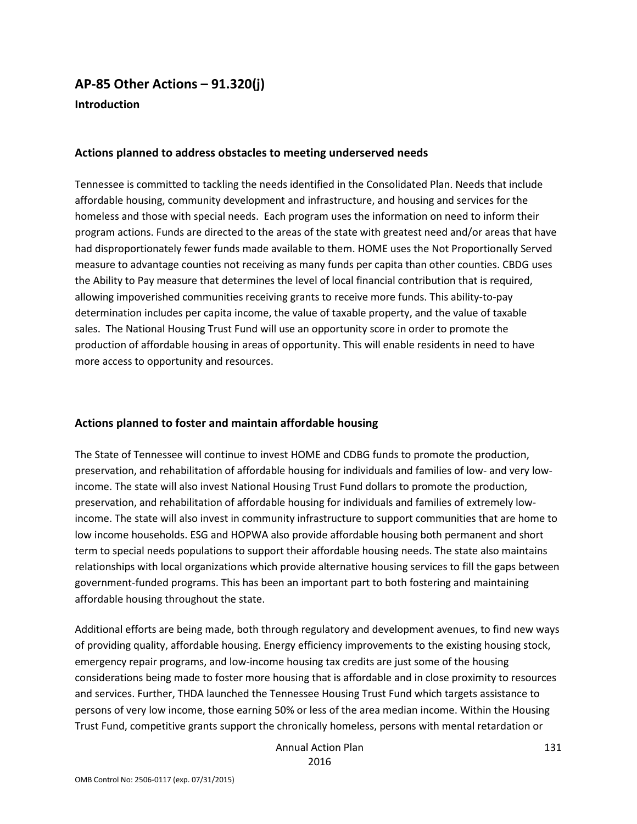# **AP-85 Other Actions – 91.320(j)**

**Introduction**

#### **Actions planned to address obstacles to meeting underserved needs**

Tennessee is committed to tackling the needs identified in the Consolidated Plan. Needs that include affordable housing, community development and infrastructure, and housing and services for the homeless and those with special needs. Each program uses the information on need to inform their program actions. Funds are directed to the areas of the state with greatest need and/or areas that have had disproportionately fewer funds made available to them. HOME uses the Not Proportionally Served measure to advantage counties not receiving as many funds per capita than other counties. CBDG uses the Ability to Pay measure that determines the level of local financial contribution that is required, allowing impoverished communities receiving grants to receive more funds. This ability-to-pay determination includes per capita income, the value of taxable property, and the value of taxable sales. The National Housing Trust Fund will use an opportunity score in order to promote the production of affordable housing in areas of opportunity. This will enable residents in need to have more access to opportunity and resources.

#### **Actions planned to foster and maintain affordable housing**

The State of Tennessee will continue to invest HOME and CDBG funds to promote the production, preservation, and rehabilitation of affordable housing for individuals and families of low- and very lowincome. The state will also invest National Housing Trust Fund dollars to promote the production, preservation, and rehabilitation of affordable housing for individuals and families of extremely lowincome. The state will also invest in community infrastructure to support communities that are home to low income households. ESG and HOPWA also provide affordable housing both permanent and short term to special needs populations to support their affordable housing needs. The state also maintains relationships with local organizations which provide alternative housing services to fill the gaps between government-funded programs. This has been an important part to both fostering and maintaining affordable housing throughout the state.

Additional efforts are being made, both through regulatory and development avenues, to find new ways of providing quality, affordable housing. Energy efficiency improvements to the existing housing stock, emergency repair programs, and low-income housing tax credits are just some of the housing considerations being made to foster more housing that is affordable and in close proximity to resources and services. Further, THDA launched the Tennessee Housing Trust Fund which targets assistance to persons of very low income, those earning 50% or less of the area median income. Within the Housing Trust Fund, competitive grants support the chronically homeless, persons with mental retardation or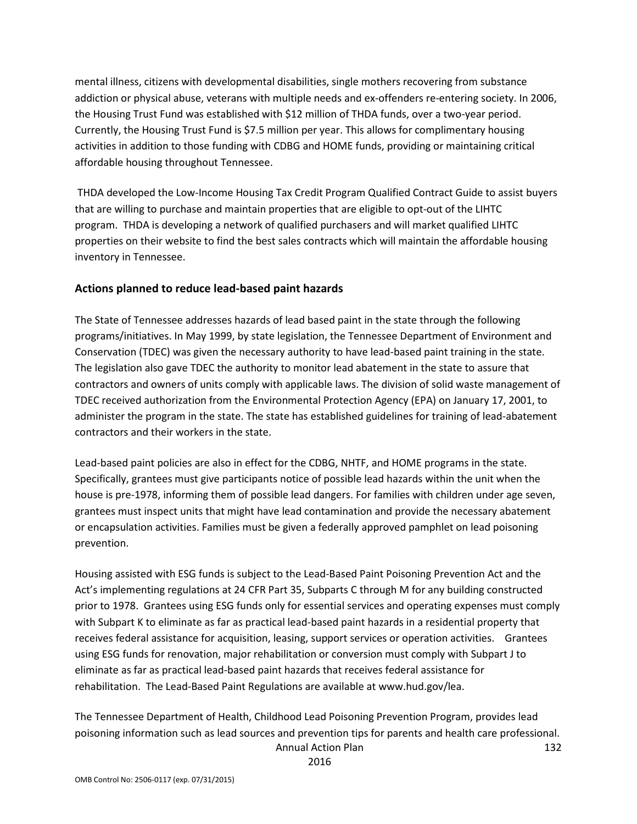mental illness, citizens with developmental disabilities, single mothers recovering from substance addiction or physical abuse, veterans with multiple needs and ex-offenders re-entering society. In 2006, the Housing Trust Fund was established with \$12 million of THDA funds, over a two-year period. Currently, the Housing Trust Fund is \$7.5 million per year. This allows for complimentary housing activities in addition to those funding with CDBG and HOME funds, providing or maintaining critical affordable housing throughout Tennessee.

THDA developed the Low-Income Housing Tax Credit Program Qualified Contract Guide to assist buyers that are willing to purchase and maintain properties that are eligible to opt-out of the LIHTC program. THDA is developing a network of qualified purchasers and will market qualified LIHTC properties on their website to find the best sales contracts which will maintain the affordable housing inventory in Tennessee.

#### **Actions planned to reduce lead-based paint hazards**

The State of Tennessee addresses hazards of lead based paint in the state through the following programs/initiatives. In May 1999, by state legislation, the Tennessee Department of Environment and Conservation (TDEC) was given the necessary authority to have lead-based paint training in the state. The legislation also gave TDEC the authority to monitor lead abatement in the state to assure that contractors and owners of units comply with applicable laws. The division of solid waste management of TDEC received authorization from the Environmental Protection Agency (EPA) on January 17, 2001, to administer the program in the state. The state has established guidelines for training of lead-abatement contractors and their workers in the state.

Lead-based paint policies are also in effect for the CDBG, NHTF, and HOME programs in the state. Specifically, grantees must give participants notice of possible lead hazards within the unit when the house is pre-1978, informing them of possible lead dangers. For families with children under age seven, grantees must inspect units that might have lead contamination and provide the necessary abatement or encapsulation activities. Families must be given a federally approved pamphlet on lead poisoning prevention.

Housing assisted with ESG funds is subject to the Lead-Based Paint Poisoning Prevention Act and the Act's implementing regulations at 24 CFR Part 35, Subparts C through M for any building constructed prior to 1978. Grantees using ESG funds only for essential services and operating expenses must comply with Subpart K to eliminate as far as practical lead-based paint hazards in a residential property that receives federal assistance for acquisition, leasing, support services or operation activities. Grantees using ESG funds for renovation, major rehabilitation or conversion must comply with Subpart J to eliminate as far as practical lead-based paint hazards that receives federal assistance for rehabilitation. The Lead-Based Paint Regulations are available at www.hud.gov/lea.

Annual Action Plan The Tennessee Department of Health, Childhood Lead Poisoning Prevention Program, provides lead poisoning information such as lead sources and prevention tips for parents and health care professional.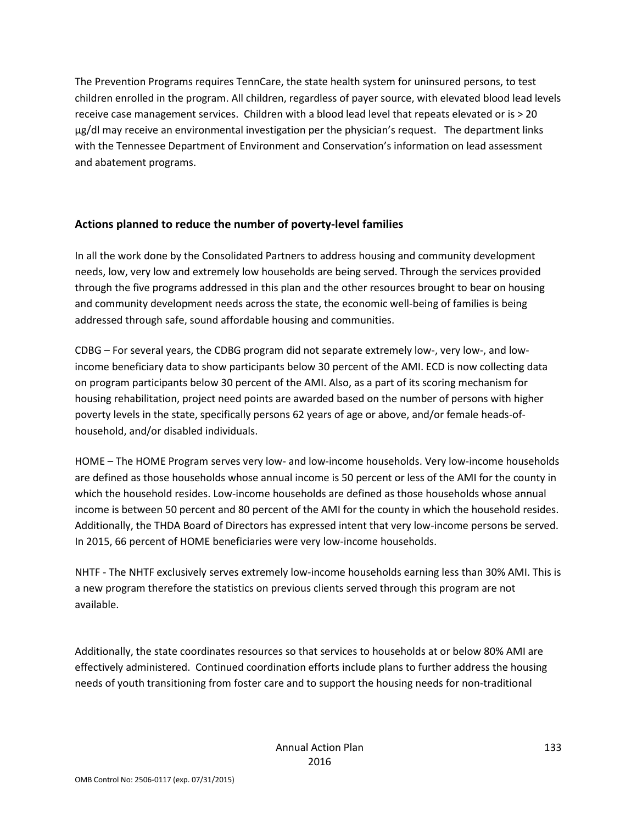The Prevention Programs requires TennCare, the state health system for uninsured persons, to test children enrolled in the program. All children, regardless of payer source, with elevated blood lead levels receive case management services. Children with a blood lead level that repeats elevated or is > 20 µg/dl may receive an environmental investigation per the physician's request. The department links with the Tennessee Department of Environment and Conservation's information on lead assessment and abatement programs.

#### **Actions planned to reduce the number of poverty-level families**

In all the work done by the Consolidated Partners to address housing and community development needs, low, very low and extremely low households are being served. Through the services provided through the five programs addressed in this plan and the other resources brought to bear on housing and community development needs across the state, the economic well-being of families is being addressed through safe, sound affordable housing and communities.

CDBG – For several years, the CDBG program did not separate extremely low-, very low-, and lowincome beneficiary data to show participants below 30 percent of the AMI. ECD is now collecting data on program participants below 30 percent of the AMI. Also, as a part of its scoring mechanism for housing rehabilitation, project need points are awarded based on the number of persons with higher poverty levels in the state, specifically persons 62 years of age or above, and/or female heads-ofhousehold, and/or disabled individuals.

HOME – The HOME Program serves very low- and low-income households. Very low-income households are defined as those households whose annual income is 50 percent or less of the AMI for the county in which the household resides. Low-income households are defined as those households whose annual income is between 50 percent and 80 percent of the AMI for the county in which the household resides. Additionally, the THDA Board of Directors has expressed intent that very low-income persons be served. In 2015, 66 percent of HOME beneficiaries were very low-income households.

NHTF - The NHTF exclusively serves extremely low-income households earning less than 30% AMI. This is a new program therefore the statistics on previous clients served through this program are not available.

Additionally, the state coordinates resources so that services to households at or below 80% AMI are effectively administered. Continued coordination efforts include plans to further address the housing needs of youth transitioning from foster care and to support the housing needs for non-traditional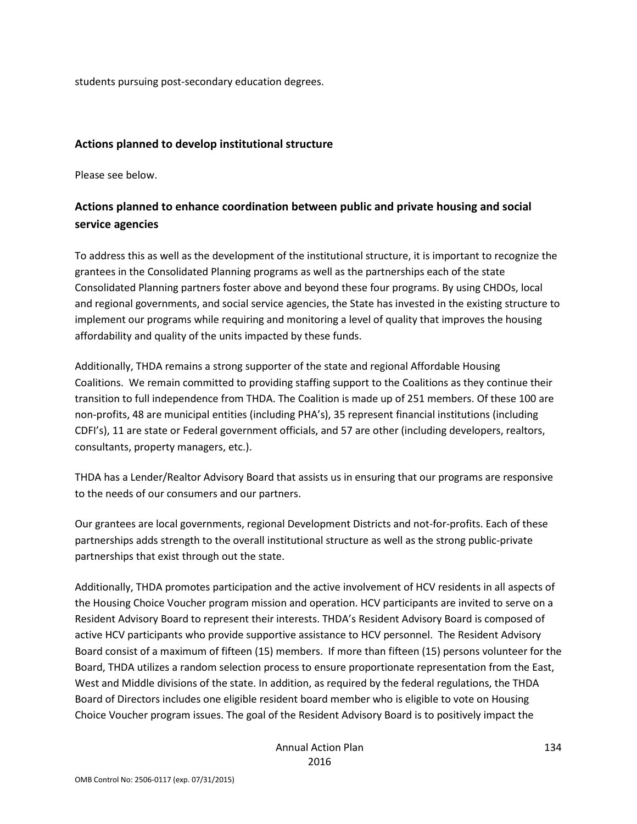students pursuing post-secondary education degrees.

#### **Actions planned to develop institutional structure**

Please see below.

### **Actions planned to enhance coordination between public and private housing and social service agencies**

To address this as well as the development of the institutional structure, it is important to recognize the grantees in the Consolidated Planning programs as well as the partnerships each of the state Consolidated Planning partners foster above and beyond these four programs. By using CHDOs, local and regional governments, and social service agencies, the State has invested in the existing structure to implement our programs while requiring and monitoring a level of quality that improves the housing affordability and quality of the units impacted by these funds.

Additionally, THDA remains a strong supporter of the state and regional Affordable Housing Coalitions. We remain committed to providing staffing support to the Coalitions as they continue their transition to full independence from THDA. The Coalition is made up of 251 members. Of these 100 are non-profits, 48 are municipal entities (including PHA's), 35 represent financial institutions (including CDFI's), 11 are state or Federal government officials, and 57 are other (including developers, realtors, consultants, property managers, etc.).

THDA has a Lender/Realtor Advisory Board that assists us in ensuring that our programs are responsive to the needs of our consumers and our partners.

Our grantees are local governments, regional Development Districts and not-for-profits. Each of these partnerships adds strength to the overall institutional structure as well as the strong public-private partnerships that exist through out the state.

Additionally, THDA promotes participation and the active involvement of HCV residents in all aspects of the Housing Choice Voucher program mission and operation. HCV participants are invited to serve on a Resident Advisory Board to represent their interests. THDA's Resident Advisory Board is composed of active HCV participants who provide supportive assistance to HCV personnel. The Resident Advisory Board consist of a maximum of fifteen (15) members. If more than fifteen (15) persons volunteer for the Board, THDA utilizes a random selection process to ensure proportionate representation from the East, West and Middle divisions of the state. In addition, as required by the federal regulations, the THDA Board of Directors includes one eligible resident board member who is eligible to vote on Housing Choice Voucher program issues. The goal of the Resident Advisory Board is to positively impact the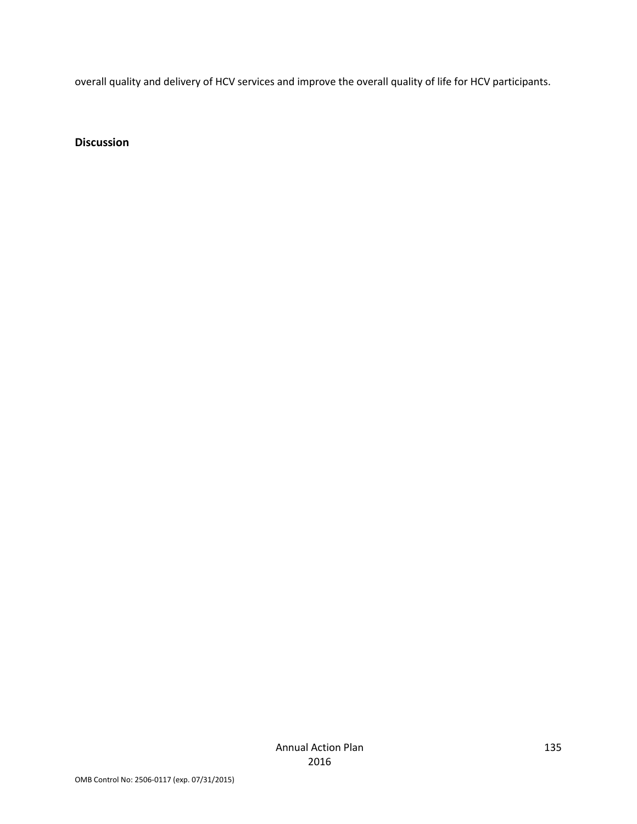overall quality and delivery of HCV services and improve the overall quality of life for HCV participants.

**Discussion**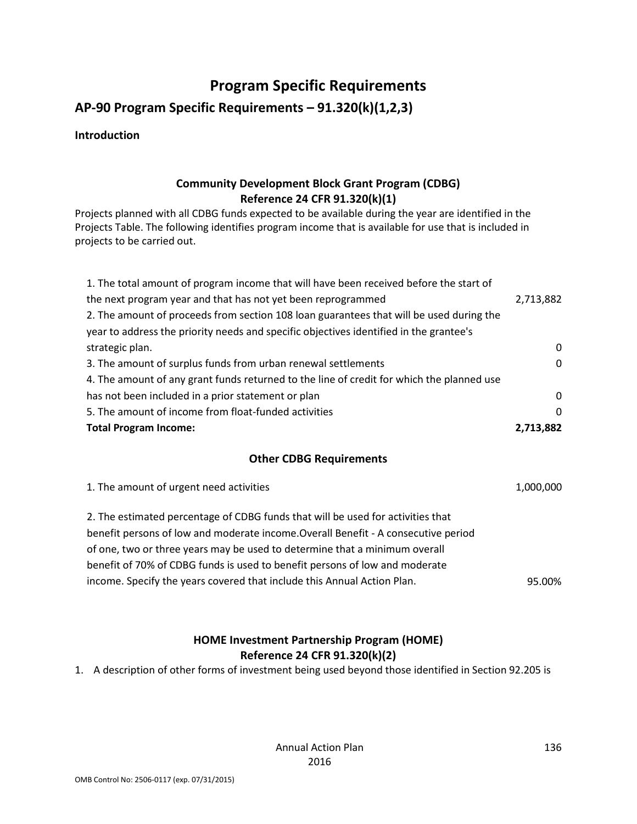# **Program Specific Requirements**

### **AP-90 Program Specific Requirements – 91.320(k)(1,2,3)**

#### **Introduction**

#### **Community Development Block Grant Program (CDBG) Reference 24 CFR 91.320(k)(1)**

Projects planned with all CDBG funds expected to be available during the year are identified in the Projects Table. The following identifies program income that is available for use that is included in projects to be carried out.

| 1. The total amount of program income that will have been received before the start of    |              |  |  |
|-------------------------------------------------------------------------------------------|--------------|--|--|
| the next program year and that has not yet been reprogrammed                              | 2,713,882    |  |  |
| 2. The amount of proceeds from section 108 loan guarantees that will be used during the   |              |  |  |
| year to address the priority needs and specific objectives identified in the grantee's    |              |  |  |
| strategic plan.                                                                           | 0            |  |  |
| 3. The amount of surplus funds from urban renewal settlements                             | $\mathbf{0}$ |  |  |
| 4. The amount of any grant funds returned to the line of credit for which the planned use |              |  |  |
| has not been included in a prior statement or plan                                        | $\Omega$     |  |  |
| 5. The amount of income from float-funded activities                                      | 0            |  |  |
| <b>Total Program Income:</b>                                                              |              |  |  |
| <b>Other CDBG Requirements</b>                                                            |              |  |  |
| 1. The amount of urgent need activities                                                   | 1,000,000    |  |  |
| 2. The estimated percentage of CDBG funds that will be used for activities that           |              |  |  |

benefit persons of low and moderate income.Overall Benefit - A consecutive period of one, two or three years may be used to determine that a minimum overall benefit of 70% of CDBG funds is used to benefit persons of low and moderate

income. Specify the years covered that include this Annual Action Plan. 95.00%

### **HOME Investment Partnership Program (HOME) Reference 24 CFR 91.320(k)(2)**

1. A description of other forms of investment being used beyond those identified in Section 92.205 is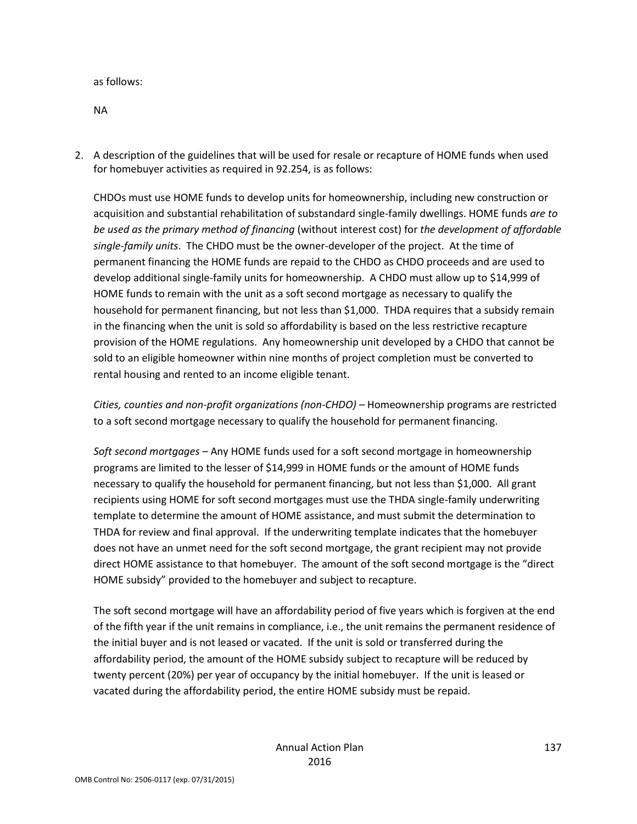as follows:

NA

2. A description of the guidelines that will be used for resale or recapture of HOME funds when used for homebuyer activities as required in 92.254, is as follows:

CHDOs must use HOME funds to develop units for homeownership, including new construction or acquisition and substantial rehabilitation of substandard single-family dwellings. HOME funds *are to be used as the primary method of financing* (without interest cost) for *the development of affordable single-family units*. The CHDO must be the owner-developer of the project. At the time of permanent financing the HOME funds are repaid to the CHDO as CHDO proceeds and are used to develop additional single-family units for homeownership. A CHDO must allow up to \$14,999 of HOME funds to remain with the unit as a soft second mortgage as necessary to qualify the household for permanent financing, but not less than \$1,000. THDA requires that a subsidy remain in the financing when the unit is sold so affordability is based on the less restrictive recapture provision of the HOME regulations. Any homeownership unit developed by a CHDO that cannot be sold to an eligible homeowner within nine months of project completion must be converted to rental housing and rented to an income eligible tenant.

*Cities, counties and non-profit organizations (non-CHDO) –* Homeownership programs are restricted to a soft second mortgage necessary to qualify the household for permanent financing.

*Soft second mortgages –* Any HOME funds used for a soft second mortgage in homeownership programs are limited to the lesser of \$14,999 in HOME funds or the amount of HOME funds necessary to qualify the household for permanent financing, but not less than \$1,000. All grant recipients using HOME for soft second mortgages must use the THDA single-family underwriting template to determine the amount of HOME assistance, and must submit the determination to THDA for review and final approval. If the underwriting template indicates that the homebuyer does not have an unmet need for the soft second mortgage, the grant recipient may not provide direct HOME assistance to that homebuyer. The amount of the soft second mortgage is the "direct HOME subsidy" provided to the homebuyer and subject to recapture.

The soft second mortgage will have an affordability period of five years which is forgiven at the end of the fifth year if the unit remains in compliance, i.e., the unit remains the permanent residence of the initial buyer and is not leased or vacated. If the unit is sold or transferred during the affordability period, the amount of the HOME subsidy subject to recapture will be reduced by twenty percent (20%) per year of occupancy by the initial homebuyer. If the unit is leased or vacated during the affordability period, the entire HOME subsidy must be repaid.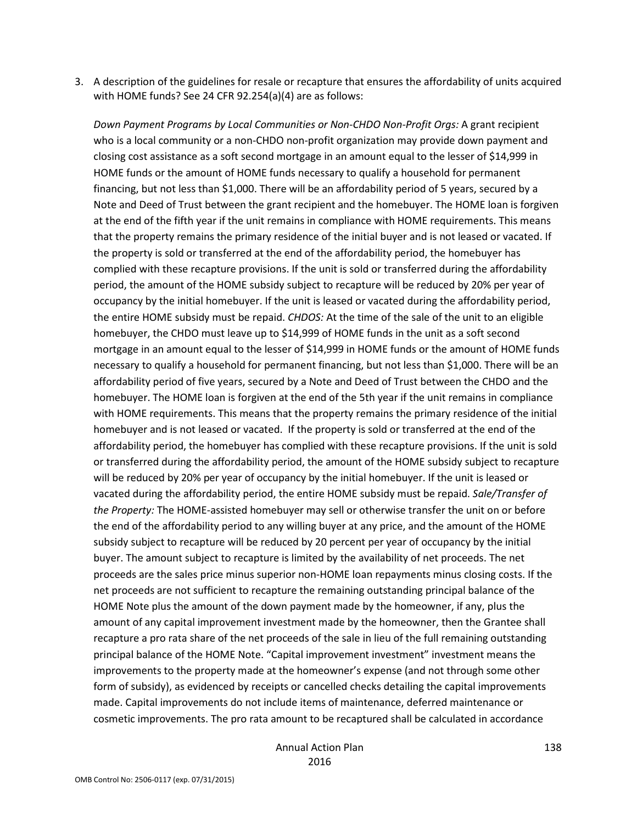3. A description of the guidelines for resale or recapture that ensures the affordability of units acquired with HOME funds? See 24 CFR 92.254(a)(4) are as follows:

*Down Payment Programs by Local Communities or Non-CHDO Non-Profit Orgs:* A grant recipient who is a local community or a non-CHDO non-profit organization may provide down payment and closing cost assistance as a soft second mortgage in an amount equal to the lesser of \$14,999 in HOME funds or the amount of HOME funds necessary to qualify a household for permanent financing, but not less than \$1,000. There will be an affordability period of 5 years, secured by a Note and Deed of Trust between the grant recipient and the homebuyer. The HOME loan is forgiven at the end of the fifth year if the unit remains in compliance with HOME requirements. This means that the property remains the primary residence of the initial buyer and is not leased or vacated. If the property is sold or transferred at the end of the affordability period, the homebuyer has complied with these recapture provisions. If the unit is sold or transferred during the affordability period, the amount of the HOME subsidy subject to recapture will be reduced by 20% per year of occupancy by the initial homebuyer. If the unit is leased or vacated during the affordability period, the entire HOME subsidy must be repaid. *CHDOS:* At the time of the sale of the unit to an eligible homebuyer, the CHDO must leave up to \$14,999 of HOME funds in the unit as a soft second mortgage in an amount equal to the lesser of \$14,999 in HOME funds or the amount of HOME funds necessary to qualify a household for permanent financing, but not less than \$1,000. There will be an affordability period of five years, secured by a Note and Deed of Trust between the CHDO and the homebuyer. The HOME loan is forgiven at the end of the 5th year if the unit remains in compliance with HOME requirements. This means that the property remains the primary residence of the initial homebuyer and is not leased or vacated. If the property is sold or transferred at the end of the affordability period, the homebuyer has complied with these recapture provisions. If the unit is sold or transferred during the affordability period, the amount of the HOME subsidy subject to recapture will be reduced by 20% per year of occupancy by the initial homebuyer. If the unit is leased or vacated during the affordability period, the entire HOME subsidy must be repaid. *Sale/Transfer of the Property:* The HOME-assisted homebuyer may sell or otherwise transfer the unit on or before the end of the affordability period to any willing buyer at any price, and the amount of the HOME subsidy subject to recapture will be reduced by 20 percent per year of occupancy by the initial buyer. The amount subject to recapture is limited by the availability of net proceeds. The net proceeds are the sales price minus superior non-HOME loan repayments minus closing costs. If the net proceeds are not sufficient to recapture the remaining outstanding principal balance of the HOME Note plus the amount of the down payment made by the homeowner, if any, plus the amount of any capital improvement investment made by the homeowner, then the Grantee shall recapture a pro rata share of the net proceeds of the sale in lieu of the full remaining outstanding principal balance of the HOME Note. "Capital improvement investment" investment means the improvements to the property made at the homeowner's expense (and not through some other form of subsidy), as evidenced by receipts or cancelled checks detailing the capital improvements made. Capital improvements do not include items of maintenance, deferred maintenance or cosmetic improvements. The pro rata amount to be recaptured shall be calculated in accordance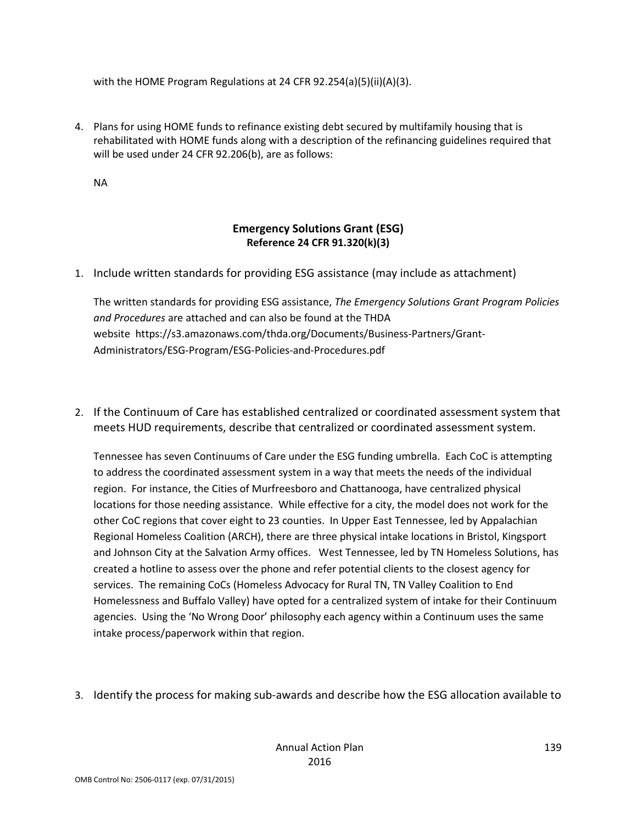with the HOME Program Regulations at 24 CFR 92.254(a)(5)(ii)(A)(3).

4. Plans for using HOME funds to refinance existing debt secured by multifamily housing that is rehabilitated with HOME funds along with a description of the refinancing guidelines required that will be used under 24 CFR 92.206(b), are as follows:

NA

#### **Emergency Solutions Grant (ESG) Reference 24 CFR 91.320(k)(3)**

1. Include written standards for providing ESG assistance (may include as attachment)

The written standards for providing ESG assistance, *The Emergency Solutions Grant Program Policies and Procedures* are attached and can also be found at the THDA website https://s3.amazonaws.com/thda.org/Documents/Business-Partners/Grant-Administrators/ESG-Program/ESG-Policies-and-Procedures.pdf

2. If the Continuum of Care has established centralized or coordinated assessment system that meets HUD requirements, describe that centralized or coordinated assessment system.

Tennessee has seven Continuums of Care under the ESG funding umbrella. Each CoC is attempting to address the coordinated assessment system in a way that meets the needs of the individual region. For instance, the Cities of Murfreesboro and Chattanooga, have centralized physical locations for those needing assistance. While effective for a city, the model does not work for the other CoC regions that cover eight to 23 counties. In Upper East Tennessee, led by Appalachian Regional Homeless Coalition (ARCH), there are three physical intake locations in Bristol, Kingsport and Johnson City at the Salvation Army offices. West Tennessee, led by TN Homeless Solutions, has created a hotline to assess over the phone and refer potential clients to the closest agency for services. The remaining CoCs (Homeless Advocacy for Rural TN, TN Valley Coalition to End Homelessness and Buffalo Valley) have opted for a centralized system of intake for their Continuum agencies. Using the 'No Wrong Door' philosophy each agency within a Continuum uses the same intake process/paperwork within that region.

3. Identify the process for making sub-awards and describe how the ESG allocation available to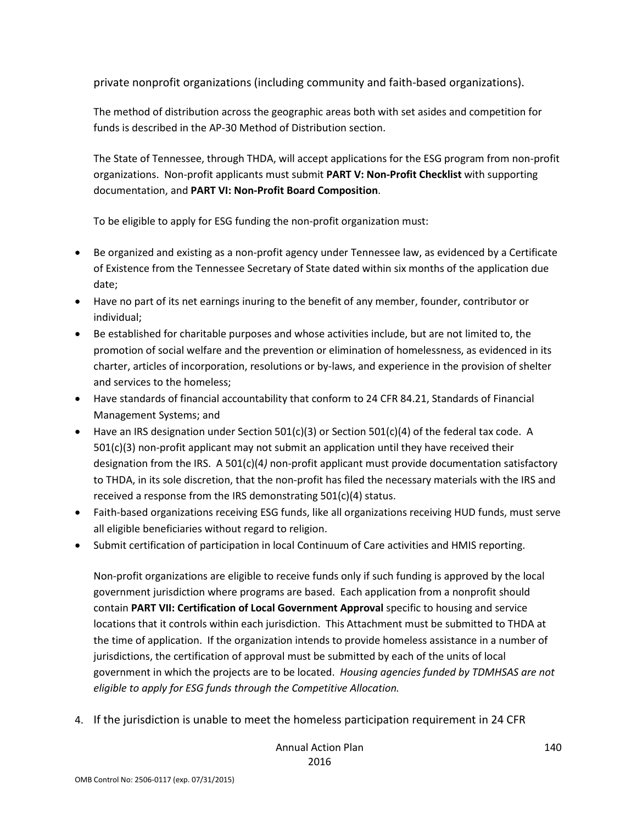private nonprofit organizations (including community and faith-based organizations).

The method of distribution across the geographic areas both with set asides and competition for funds is described in the AP-30 Method of Distribution section.

The State of Tennessee, through THDA, will accept applications for the ESG program from non-profit organizations. Non-profit applicants must submit **PART V: Non-Profit Checklist** with supporting documentation, and **PART VI: Non-Profit Board Composition**.

To be eligible to apply for ESG funding the non-profit organization must:

- Be organized and existing as a non-profit agency under Tennessee law, as evidenced by a Certificate of Existence from the Tennessee Secretary of State dated within six months of the application due date;
- Have no part of its net earnings inuring to the benefit of any member, founder, contributor or individual;
- Be established for charitable purposes and whose activities include, but are not limited to, the promotion of social welfare and the prevention or elimination of homelessness, as evidenced in its charter, articles of incorporation, resolutions or by-laws, and experience in the provision of shelter and services to the homeless;
- Have standards of financial accountability that conform to 24 CFR 84.21, Standards of Financial Management Systems; and
- Have an IRS designation under Section 501(c)(3) or Section 501(c)(4) of the federal tax code. A 501(c)(3) non-profit applicant may not submit an application until they have received their designation from the IRS. A 501(c)(4*)* non-profit applicant must provide documentation satisfactory to THDA, in its sole discretion, that the non-profit has filed the necessary materials with the IRS and received a response from the IRS demonstrating 501(c)(4) status.
- Faith-based organizations receiving ESG funds, like all organizations receiving HUD funds, must serve all eligible beneficiaries without regard to religion.
- Submit certification of participation in local Continuum of Care activities and HMIS reporting.

Non-profit organizations are eligible to receive funds only if such funding is approved by the local government jurisdiction where programs are based. Each application from a nonprofit should contain **PART VII: Certification of Local Government Approval** specific to housing and service locations that it controls within each jurisdiction. This Attachment must be submitted to THDA at the time of application. If the organization intends to provide homeless assistance in a number of jurisdictions, the certification of approval must be submitted by each of the units of local government in which the projects are to be located. *Housing agencies funded by TDMHSAS are not eligible to apply for ESG funds through the Competitive Allocation.*

4. If the jurisdiction is unable to meet the homeless participation requirement in 24 CFR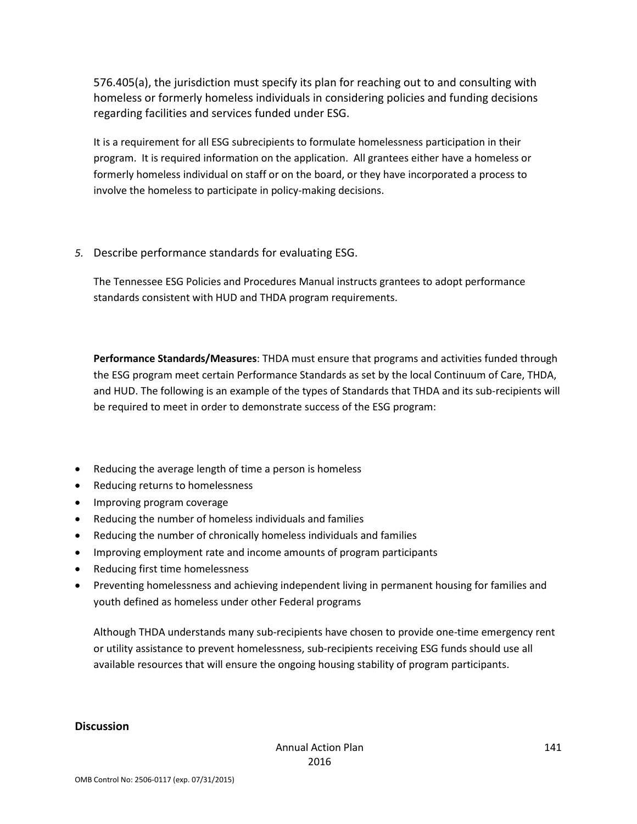576.405(a), the jurisdiction must specify its plan for reaching out to and consulting with homeless or formerly homeless individuals in considering policies and funding decisions regarding facilities and services funded under ESG.

It is a requirement for all ESG subrecipients to formulate homelessness participation in their program. It is required information on the application. All grantees either have a homeless or formerly homeless individual on staff or on the board, or they have incorporated a process to involve the homeless to participate in policy-making decisions.

*5.* Describe performance standards for evaluating ESG.

The Tennessee ESG Policies and Procedures Manual instructs grantees to adopt performance standards consistent with HUD and THDA program requirements.

**Performance Standards/Measures**: THDA must ensure that programs and activities funded through the ESG program meet certain Performance Standards as set by the local Continuum of Care, THDA, and HUD. The following is an example of the types of Standards that THDA and its sub-recipients will be required to meet in order to demonstrate success of the ESG program:

- Reducing the average length of time a person is homeless
- Reducing returns to homelessness
- Improving program coverage
- Reducing the number of homeless individuals and families
- Reducing the number of chronically homeless individuals and families
- Improving employment rate and income amounts of program participants
- Reducing first time homelessness
- Preventing homelessness and achieving independent living in permanent housing for families and youth defined as homeless under other Federal programs

Although THDA understands many sub-recipients have chosen to provide one-time emergency rent or utility assistance to prevent homelessness, sub-recipients receiving ESG funds should use all available resources that will ensure the ongoing housing stability of program participants.

#### **Discussion**